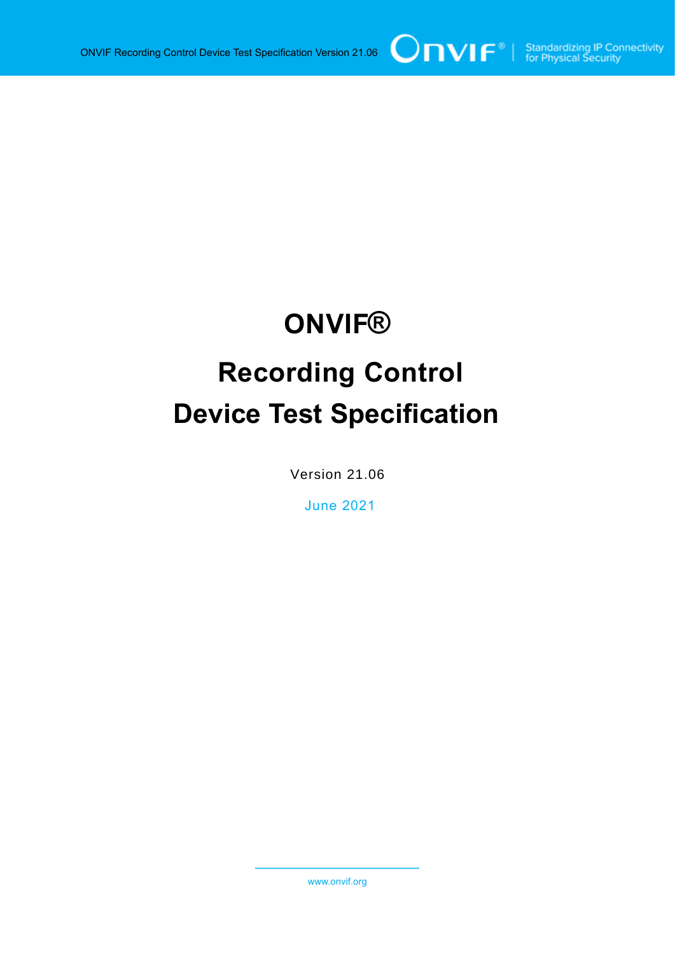# **ONVIF®**

# **Recording Control Device Test Specification**

Version 21.06

June 2021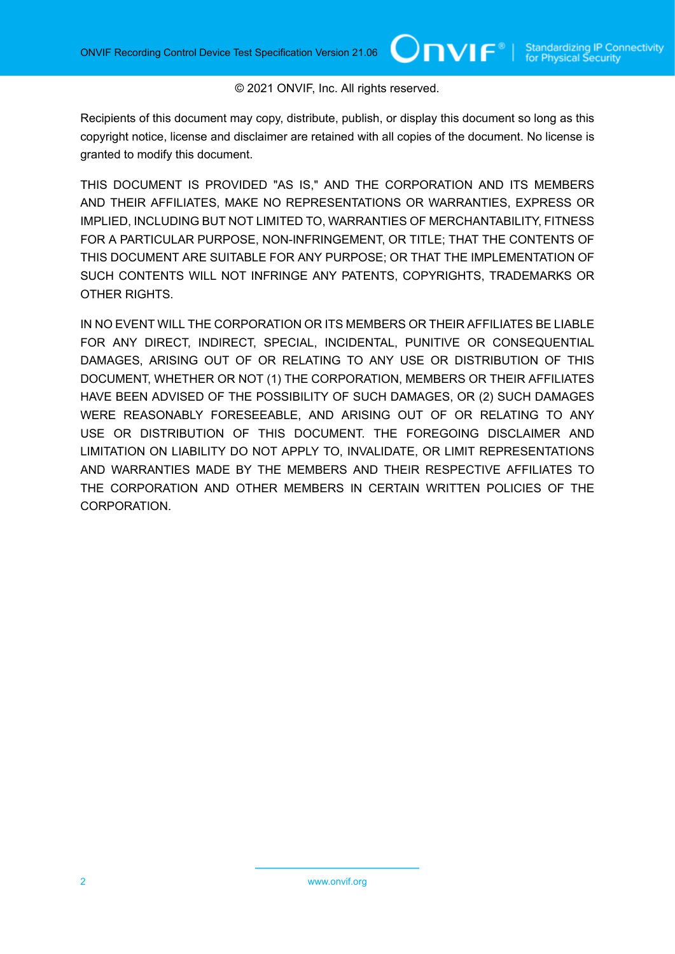#### © 2021 ONVIF, Inc. All rights reserved.

 $OnVIF^{\circ}$ l

Recipients of this document may copy, distribute, publish, or display this document so long as this copyright notice, license and disclaimer are retained with all copies of the document. No license is granted to modify this document.

THIS DOCUMENT IS PROVIDED "AS IS," AND THE CORPORATION AND ITS MEMBERS AND THEIR AFFILIATES, MAKE NO REPRESENTATIONS OR WARRANTIES, EXPRESS OR IMPLIED, INCLUDING BUT NOT LIMITED TO, WARRANTIES OF MERCHANTABILITY, FITNESS FOR A PARTICULAR PURPOSE, NON-INFRINGEMENT, OR TITLE; THAT THE CONTENTS OF THIS DOCUMENT ARE SUITABLE FOR ANY PURPOSE; OR THAT THE IMPLEMENTATION OF SUCH CONTENTS WILL NOT INFRINGE ANY PATENTS, COPYRIGHTS, TRADEMARKS OR OTHER RIGHTS.

IN NO EVENT WILL THE CORPORATION OR ITS MEMBERS OR THEIR AFFILIATES BE LIABLE FOR ANY DIRECT, INDIRECT, SPECIAL, INCIDENTAL, PUNITIVE OR CONSEQUENTIAL DAMAGES, ARISING OUT OF OR RELATING TO ANY USE OR DISTRIBUTION OF THIS DOCUMENT, WHETHER OR NOT (1) THE CORPORATION, MEMBERS OR THEIR AFFILIATES HAVE BEEN ADVISED OF THE POSSIBILITY OF SUCH DAMAGES, OR (2) SUCH DAMAGES WERE REASONABLY FORESEEABLE, AND ARISING OUT OF OR RELATING TO ANY USE OR DISTRIBUTION OF THIS DOCUMENT. THE FOREGOING DISCLAIMER AND LIMITATION ON LIABILITY DO NOT APPLY TO, INVALIDATE, OR LIMIT REPRESENTATIONS AND WARRANTIES MADE BY THE MEMBERS AND THEIR RESPECTIVE AFFILIATES TO THE CORPORATION AND OTHER MEMBERS IN CERTAIN WRITTEN POLICIES OF THE CORPORATION.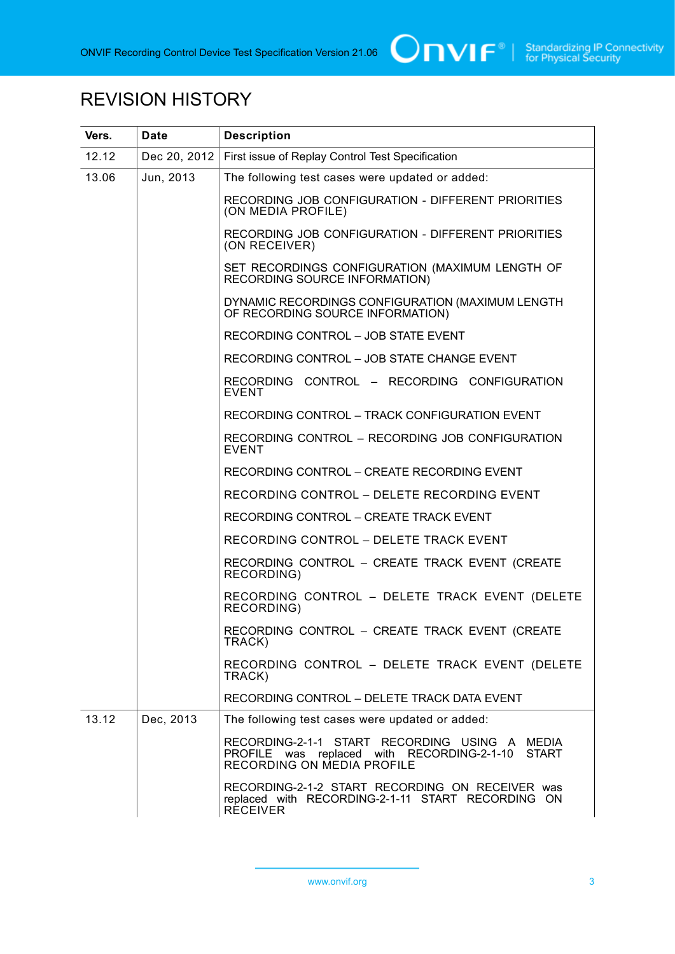

# REVISION HISTORY

| Vers.              | <b>Date</b>  | <b>Description</b>                                                                                                                        |
|--------------------|--------------|-------------------------------------------------------------------------------------------------------------------------------------------|
| 12.12              | Dec 20, 2012 | First issue of Replay Control Test Specification                                                                                          |
| 13.06<br>Jun, 2013 |              | The following test cases were updated or added:                                                                                           |
|                    |              | RECORDING JOB CONFIGURATION - DIFFERENT PRIORITIES<br>(ON MEDIA PROFILE)                                                                  |
|                    |              | RECORDING JOB CONFIGURATION - DIFFERENT PRIORITIES<br>(ON RECEIVER)                                                                       |
|                    |              | SET RECORDINGS CONFIGURATION (MAXIMUM LENGTH OF<br><b>RECORDING SOURCE INFORMATION)</b>                                                   |
|                    |              | DYNAMIC RECORDINGS CONFIGURATION (MAXIMUM LENGTH<br>OF RECORDING SOURCE INFORMATION)                                                      |
|                    |              | RECORDING CONTROL - JOB STATE EVENT                                                                                                       |
|                    |              | RECORDING CONTROL - JOB STATE CHANGE EVENT                                                                                                |
|                    |              | RECORDING CONTROL - RECORDING CONFIGURATION<br><b>EVENT</b>                                                                               |
|                    |              | RECORDING CONTROL - TRACK CONFIGURATION EVENT                                                                                             |
|                    |              | RECORDING CONTROL - RECORDING JOB CONFIGURATION<br><b>EVENT</b>                                                                           |
|                    |              | RECORDING CONTROL - CREATE RECORDING EVENT                                                                                                |
|                    |              | RECORDING CONTROL - DELETE RECORDING EVENT                                                                                                |
|                    |              | RECORDING CONTROL - CREATE TRACK EVENT                                                                                                    |
|                    |              | RECORDING CONTROL - DELETE TRACK EVENT                                                                                                    |
|                    |              | RECORDING CONTROL - CREATE TRACK EVENT (CREATE<br>RECORDING)                                                                              |
|                    |              | RECORDING CONTROL - DELETE TRACK EVENT (DELETE<br>RECORDING)                                                                              |
|                    |              | RECORDING CONTROL - CREATE TRACK EVENT (CREATE<br>TRACK)                                                                                  |
|                    |              | RECORDING CONTROL - DELETE TRACK EVENT (DELETE<br>TRACK)                                                                                  |
|                    |              | RECORDING CONTROL - DELETE TRACK DATA EVENT                                                                                               |
| 13.12              | Dec, 2013    | The following test cases were updated or added:                                                                                           |
|                    |              | RECORDING-2-1-1 START RECORDING USING A MEDIA<br><b>START</b><br>PROFILE was replaced with RECORDING-2-1-10<br>RECORDING ON MEDIA PROFILE |
|                    |              | RECORDING-2-1-2 START RECORDING ON RECEIVER was<br>replaced with RECORDING-2-1-11 START RECORDING ON<br><b>RÉCEIVER</b>                   |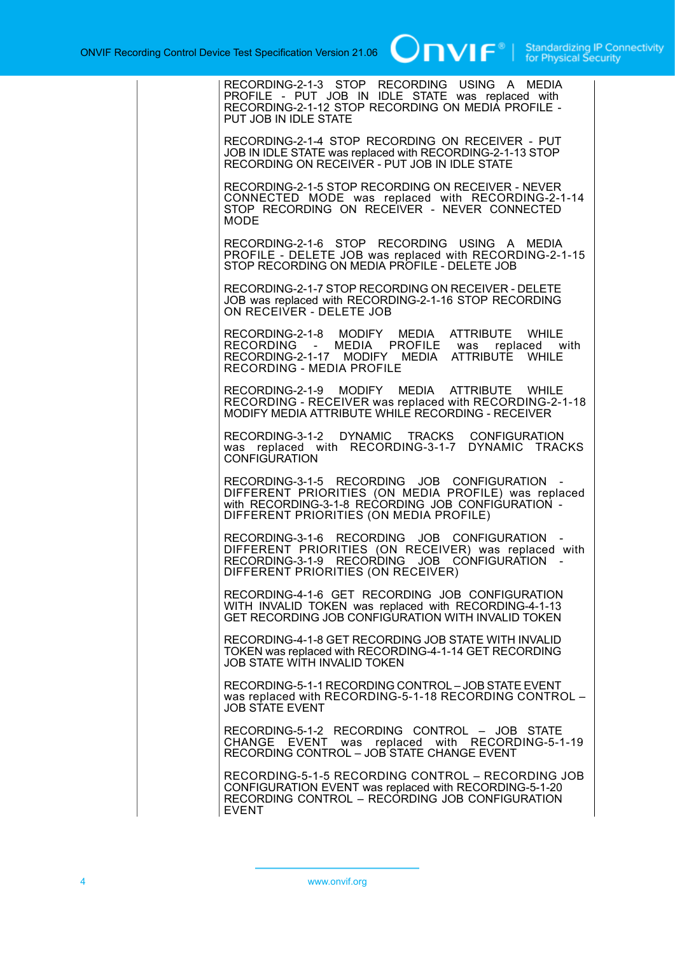| RECORDING-2-1-3 STOP RECORDING USING A MEDIA<br>PROFILE - PUT JOB IN IDLE STATE was replaced with<br>RECORDING-2-1-12 STOP RECORDING ON MEDIA PROFILE -<br>PUT JOB IN IDLE STATE                     |
|------------------------------------------------------------------------------------------------------------------------------------------------------------------------------------------------------|
| RECORDING-2-1-4 STOP RECORDING ON RECEIVER - PUT<br>JOB IN IDLE STATE was replaced with RECORDING-2-1-13 STOP<br>RECORDING ON RECEIVER - PUT JOB IN IDLE STATE                                       |
| RECORDING-2-1-5 STOP RECORDING ON RECEIVER - NEVER<br>CONNECTED MODE was replaced with RECORDING-2-1-14<br>STOP RECORDING ON RECEIVER - NEVER CONNECTED<br><b>MODE</b>                               |
| RECORDING-2-1-6 STOP RECORDING USING A MEDIA<br>PROFILE - DELETE JOB was replaced with RECORDING-2-1-15<br>STOP RECORDING ON MEDIA PROFILE - DELETE JOB                                              |
| RECORDING-2-1-7 STOP RECORDING ON RECEIVER - DELETE<br>JOB was replaced with RECORDING-2-1-16 STOP RECORDING<br>ON RECEIVER - DELETE JOB                                                             |
| RECORDING-2-1-8 MODIFY MEDIA ATTRIBUTE WHILE<br>RECORDING - MEDIA PROFILE was replaced with<br>RECORDING-2-1-17 MODIFY MEDIA ATTRIBUTE WHILE<br>RECORDING - MEDIA PROFILE                            |
| RECORDING-2-1-9 MODIFY MEDIA ATTRIBUTE WHILE<br>RECORDING - RECEIVER was replaced with RECORDING-2-1-18<br>MODIFY MEDIA ATTRIBUTE WHILE RECORDING - RECEIVER                                         |
| RECORDING-3-1-2 DYNAMIC TRACKS CONFIGURATION<br>was replaced with RECORDING-3-1-7 DYNAMIC TRACKS<br><b>CONFIGURATION</b>                                                                             |
| RECORDING-3-1-5 RECORDING JOB CONFIGURATION<br>DIFFERENT PRIORITIES (ON MEDIA PROFILE) was replaced<br>with RECORDING-3-1-8 RECORDING JOB CONFIGURATION -<br>DIFFERENT PRIORITIES (ON MEDIA PROFILE) |
| RECORDING-3-1-6 RECORDING JOB CONFIGURATION -<br>DIFFERENT PRIORITIES (ON RECEIVER) was replaced with<br>RECORDING-3-1-9 RECORDING JOB CONFIGURATION -<br>DIFFERENT PRIORITIES (ON RECEIVER)         |
| RECORDING-4-1-6 GET RECORDING JOB CONFIGURATION<br>WITH INVALID TOKEN was replaced with RECORDING-4-1-13<br>GET RECORDING JOB CONFIGURATION WITH INVALID TOKEN                                       |
| RECORDING-4-1-8 GET RECORDING JOB STATE WITH INVALID<br>TOKEN was replaced with RECORDING-4-1-14 GET RECORDING<br>JOB STATE WITH INVALID TOKEN                                                       |
| RECORDING-5-1-1 RECORDING CONTROL - JOB STATE EVENT<br>was replaced with RECORDING-5-1-18 RECORDING CONTROL -<br><b>JOB STATE EVENT</b>                                                              |
| RECORDING-5-1-2 RECORDING CONTROL - JOB STATE<br>CHANGE EVENT was replaced with RECORDING-5-1-19<br>RECORDING CONTROL - JOB STATE CHANGE EVENT                                                       |
| RECORDING-5-1-5 RECORDING CONTROL - RECORDING JOB<br>CONFIGURATION EVENT was replaced with RECORDING-5-1-20<br>RECORDING CONTROL - RECORDING JOB CONFIGURATION<br><b>EVENT</b>                       |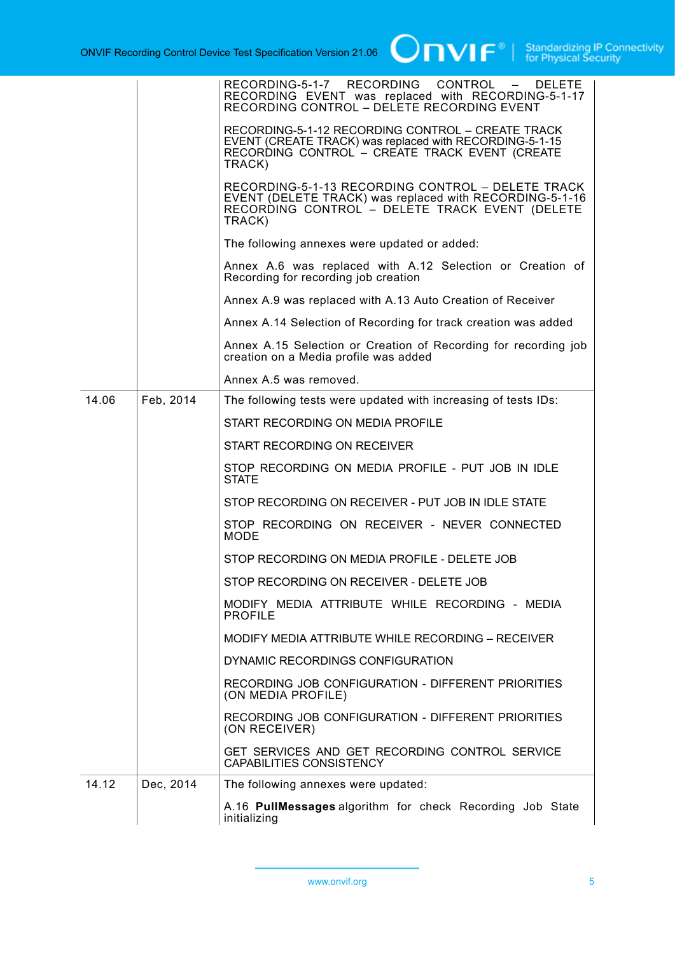|       |           | RECORDING-5-1-7 RECORDING CONTROL -<br><b>DELETE</b><br>RECORDING EVENT was replaced with RECORDING-5-1-17<br>RECORDING CONTROL – DELETE RECORDING EVENT                 |
|-------|-----------|--------------------------------------------------------------------------------------------------------------------------------------------------------------------------|
|       |           | RECORDING-5-1-12 RECORDING CONTROL - CREATE TRACK<br>EVENT (CREATE TRACK) was replaced with RECORDING-5-1-15<br>RECORDING CONTROL - CREATE TRACK EVENT (CREATE<br>TRACK) |
|       |           | RECORDING-5-1-13 RECORDING CONTROL - DELETE TRACK<br>EVENT (DELETE TRACK) was replaced with RECORDING-5-1-16<br>RECORDING CONTROL - DELETE TRACK EVENT (DELETE<br>TRACK) |
|       |           | The following annexes were updated or added:                                                                                                                             |
|       |           | Annex A.6 was replaced with A.12 Selection or Creation of<br>Recording for recording job creation                                                                        |
|       |           | Annex A.9 was replaced with A.13 Auto Creation of Receiver                                                                                                               |
|       |           | Annex A.14 Selection of Recording for track creation was added                                                                                                           |
|       |           | Annex A.15 Selection or Creation of Recording for recording job<br>creation on a Media profile was added                                                                 |
|       |           | Annex A.5 was removed.                                                                                                                                                   |
| 14.06 | Feb, 2014 | The following tests were updated with increasing of tests IDs:                                                                                                           |
|       |           | START RECORDING ON MEDIA PROFILE                                                                                                                                         |
|       |           | START RECORDING ON RECEIVER                                                                                                                                              |
|       |           | STOP RECORDING ON MEDIA PROFILE - PUT JOB IN IDLE<br><b>STATE</b>                                                                                                        |
|       |           | STOP RECORDING ON RECEIVER - PUT JOB IN IDLE STATE                                                                                                                       |
|       |           | STOP RECORDING ON RECEIVER - NEVER CONNECTED<br><b>MODE</b>                                                                                                              |
|       |           | STOP RECORDING ON MEDIA PROFILE - DELETE JOB                                                                                                                             |
|       |           | STOP RECORDING ON RECEIVER - DELETE JOB                                                                                                                                  |
|       |           | MODIFY MEDIA ATTRIBUTE WHILE RECORDING - MEDIA<br><b>PROFILE</b>                                                                                                         |
|       |           | MODIFY MEDIA ATTRIBUTE WHILE RECORDING - RECEIVER                                                                                                                        |
|       |           | DYNAMIC RECORDINGS CONFIGURATION                                                                                                                                         |
|       |           | RECORDING JOB CONFIGURATION - DIFFERENT PRIORITIES<br>(ON MEDIA PROFILE)                                                                                                 |
|       |           | RECORDING JOB CONFIGURATION - DIFFERENT PRIORITIES<br>(ON RECEIVER)                                                                                                      |
|       |           | GET SERVICES AND GET RECORDING CONTROL SERVICE<br>CAPABILITIES CONSISTENCY                                                                                               |
| 14.12 | Dec, 2014 | The following annexes were updated:                                                                                                                                      |
|       |           | A.16 PullMessages algorithm for check Recording Job State<br>initializing                                                                                                |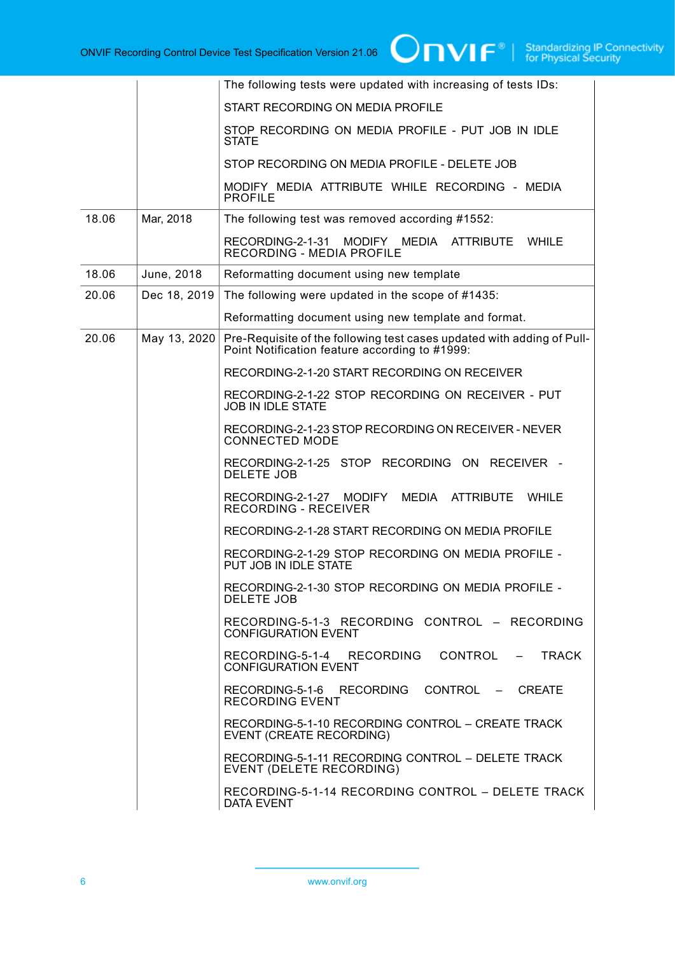|       |              | The following tests were updated with increasing of tests IDs:                                                           |
|-------|--------------|--------------------------------------------------------------------------------------------------------------------------|
|       |              | START RECORDING ON MEDIA PROFILE                                                                                         |
|       |              | STOP RECORDING ON MEDIA PROFILE - PUT JOB IN IDLE<br><b>STATE</b>                                                        |
|       |              | STOP RECORDING ON MEDIA PROFILE - DELETE JOB                                                                             |
|       |              | MODIFY MEDIA ATTRIBUTE WHILE RECORDING - MEDIA<br><b>PROFILE</b>                                                         |
| 18.06 | Mar, 2018    | The following test was removed according #1552:                                                                          |
|       |              | MEDIA<br>RECORDING-2-1-31<br>MODIFY<br><b>ATTRIBUTE</b><br>WHILE<br>RECORDING - MEDIA PROFILE                            |
| 18.06 | June, 2018   | Reformatting document using new template                                                                                 |
| 20.06 | Dec 18, 2019 | The following were updated in the scope of #1435:                                                                        |
|       |              | Reformatting document using new template and format.                                                                     |
| 20.06 | May 13, 2020 | Pre-Requisite of the following test cases updated with adding of Pull-<br>Point Notification feature according to #1999: |
|       |              | RECORDING-2-1-20 START RECORDING ON RECEIVER                                                                             |
|       |              | RECORDING-2-1-22 STOP RECORDING ON RECEIVER - PUT<br><b>JOB IN IDLE STATE</b>                                            |
|       |              | RECORDING-2-1-23 STOP RECORDING ON RECEIVER - NEVER<br><b>CONNECTED MODE</b>                                             |
|       |              | RECORDING-2-1-25 STOP RECORDING ON RECEIVER -<br><b>DELETE JOB</b>                                                       |
|       |              | <b>ATTRIBUTE</b><br>RECORDING-2-1-27<br>MEDIA<br>WHILE<br><b>MODIFY</b><br><b>RECORDING - RECEIVER</b>                   |
|       |              | RECORDING-2-1-28 START RECORDING ON MEDIA PROFILE                                                                        |
|       |              | RECORDING-2-1-29 STOP RECORDING ON MEDIA PROFILE -<br>PUT JOB IN IDLE STATE                                              |
|       |              | RECORDING-2-1-30 STOP RECORDING ON MEDIA PROFILE -<br>DELETE JOB                                                         |
|       |              | RECORDING-5-1-3 RECORDING CONTROL - RECORDING<br><b>CONFIGURATION EVENT</b>                                              |
|       |              | RECORDING-5-1-4 RECORDING CONTROL - TRACK<br><b>CONFIGURATION EVENT</b>                                                  |
|       |              | RECORDING-5-1-6 RECORDING CONTROL - CREATE<br>RECORDING EVENT                                                            |
|       |              | RECORDING-5-1-10 RECORDING CONTROL - CREATE TRACK<br>EVENT (CREATE RECORDING)                                            |
|       |              | RECORDING-5-1-11 RECORDING CONTROL - DELETE TRACK<br>EVENT (DELETE RECORDING)                                            |
|       |              | RECORDING-5-1-14 RECORDING CONTROL - DELETE TRACK<br>DATA EVENT                                                          |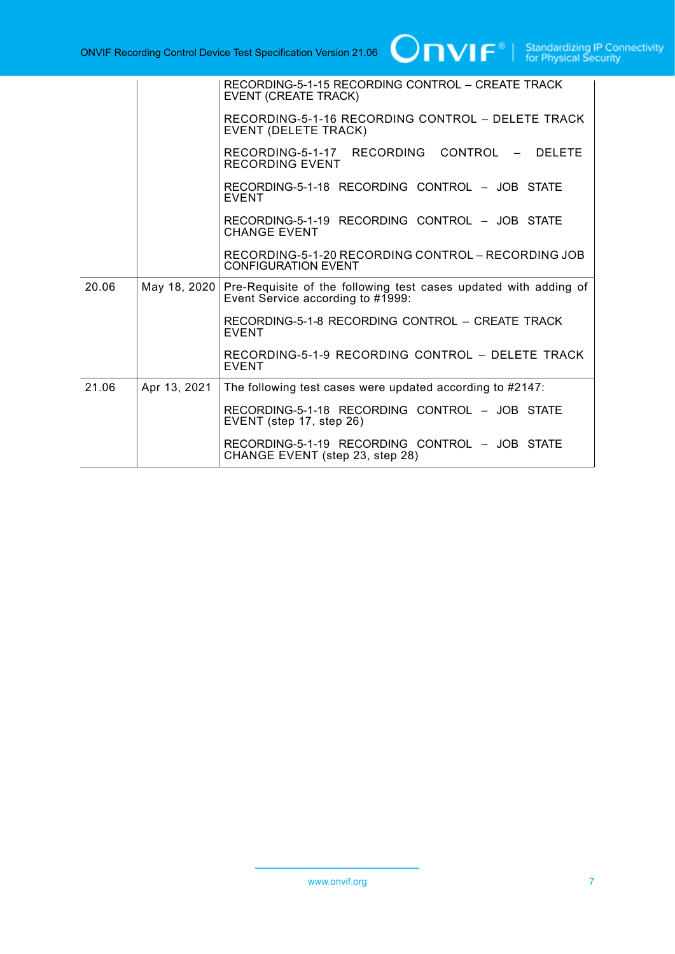|       |              | RECORDING-5-1-15 RECORDING CONTROL - CREATE TRACK<br>EVENT (CREATE TRACK)                             |
|-------|--------------|-------------------------------------------------------------------------------------------------------|
|       |              | RECORDING-5-1-16 RECORDING CONTROL - DELETE TRACK<br>EVENT (DELETE TRACK)                             |
|       |              | RECORDING-5-1-17 RECORDING CONTROL - DELETE<br>RECORDING EVENT                                        |
|       |              | RECORDING-5-1-18 RECORDING CONTROL - JOB STATE<br><b>EVENT</b>                                        |
|       |              | RECORDING-5-1-19 RECORDING CONTROL - JOB STATE<br><b>CHANGE EVENT</b>                                 |
|       |              | RECORDING-5-1-20 RECORDING CONTROL - RECORDING JOB<br><b>CONFIGURATION EVENT</b>                      |
| 20.06 | May 18, 2020 | Pre-Requisite of the following test cases updated with adding of<br>Event Service according to #1999: |
|       |              | RECORDING-5-1-8 RECORDING CONTROL - CREATE TRACK<br><b>EVENT</b>                                      |
|       |              | RECORDING-5-1-9 RECORDING CONTROL - DELETE TRACK<br><b>EVENT</b>                                      |
| 21.06 | Apr 13, 2021 | The following test cases were updated according to #2147:                                             |
|       |              | RECORDING-5-1-18 RECORDING CONTROL - JOB STATE<br>EVENT (step 17, step 26)                            |
|       |              | RECORDING-5-1-19 RECORDING CONTROL - JOB STATE<br>CHANGE EVENT (step 23, step 28)                     |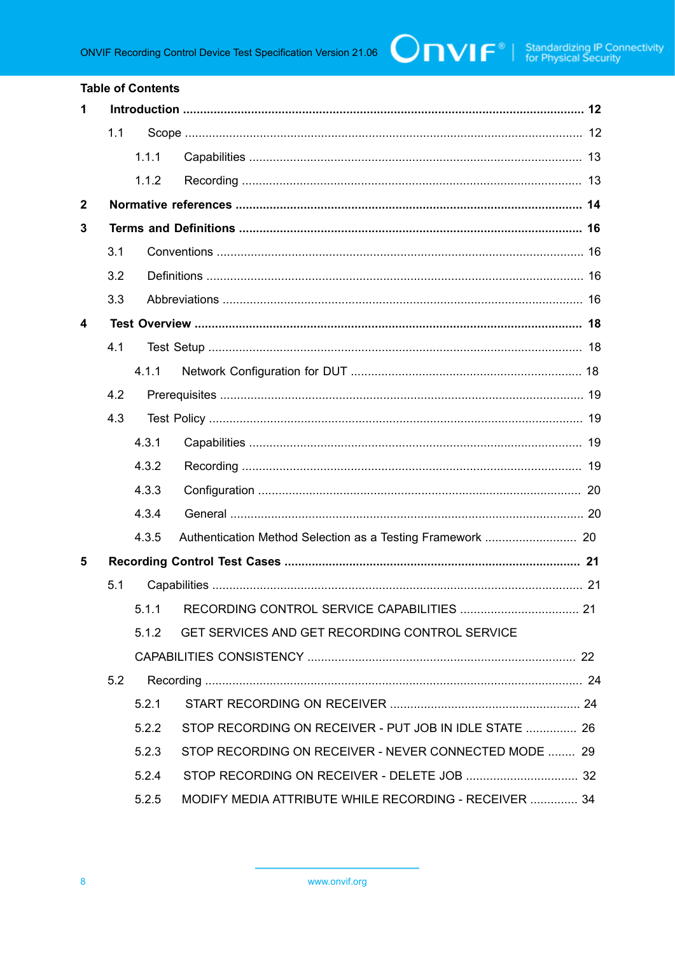#### **Table of Contents** 1  $1.1$  $1.1.1$  $1.1.2$  $\overline{2}$  $\overline{\mathbf{3}}$  $3.1$  $3.2$  $3.3$ 4  $4.1$  $4.1.1$  $4.2$  $4.3$ 4 3 1  $4.3.2$  $4.3.3$  $4.3.4$ 4.3.5 5  $5.1$  $5.1.1$  $5.1.2$ GET SERVICES AND GET RECORDING CONTROL SERVICE  $5.2$  $521$ STOP RECORDING ON RECEIVER - PUT JOB IN IDLE STATE ............... 26 522 523 STOP RECORDING ON RECEIVER - NEVER CONNECTED MODE ........ 29  $5.2.4$  $5.2.5$ MODIFY MEDIA ATTRIBUTE WHILE RECORDING - RECEIVER .............. 34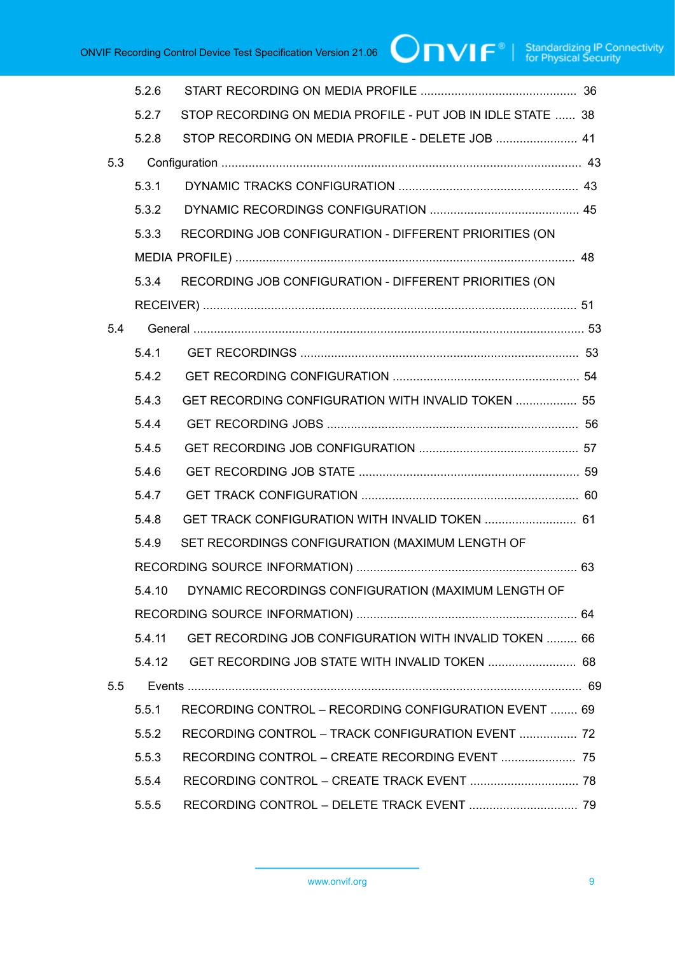|     | 5.2.6  |                                                             |  |
|-----|--------|-------------------------------------------------------------|--|
|     | 5.2.7  | STOP RECORDING ON MEDIA PROFILE - PUT JOB IN IDLE STATE  38 |  |
|     | 5.2.8  | STOP RECORDING ON MEDIA PROFILE - DELETE JOB  41            |  |
| 5.3 |        |                                                             |  |
|     | 5.3.1  |                                                             |  |
|     | 5.3.2  |                                                             |  |
|     | 5.3.3  | RECORDING JOB CONFIGURATION - DIFFERENT PRIORITIES (ON      |  |
|     |        |                                                             |  |
|     | 5.3.4  | RECORDING JOB CONFIGURATION - DIFFERENT PRIORITIES (ON      |  |
|     |        |                                                             |  |
| 5.4 |        |                                                             |  |
|     | 5.4.1  |                                                             |  |
|     | 5.4.2  |                                                             |  |
|     | 5.4.3  | GET RECORDING CONFIGURATION WITH INVALID TOKEN  55          |  |
|     | 5.4.4  |                                                             |  |
|     | 5.4.5  |                                                             |  |
|     | 5.4.6  |                                                             |  |
|     | 5.4.7  |                                                             |  |
|     | 5.4.8  | GET TRACK CONFIGURATION WITH INVALID TOKEN  61              |  |
|     | 5.4.9  | SET RECORDINGS CONFIGURATION (MAXIMUM LENGTH OF             |  |
|     |        |                                                             |  |
|     | 5.4.10 | DYNAMIC RECORDINGS CONFIGURATION (MAXIMUM LENGTH OF         |  |
|     |        |                                                             |  |
|     | 5.4.11 | GET RECORDING JOB CONFIGURATION WITH INVALID TOKEN  66      |  |
|     | 5.4.12 | GET RECORDING JOB STATE WITH INVALID TOKEN  68              |  |
| 5.5 |        |                                                             |  |
|     | 5.5.1  | RECORDING CONTROL - RECORDING CONFIGURATION EVENT  69       |  |
|     | 5.5.2  | RECORDING CONTROL - TRACK CONFIGURATION EVENT  72           |  |
|     | 5.5.3  | RECORDING CONTROL - CREATE RECORDING EVENT  75              |  |
|     | 5.5.4  |                                                             |  |
|     | 5.5.5  |                                                             |  |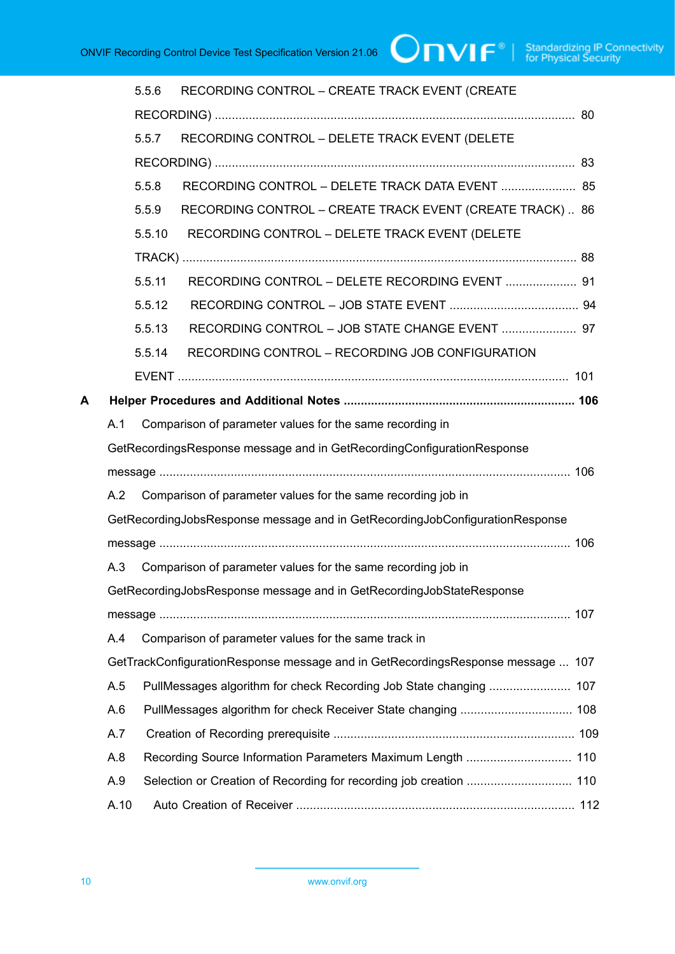|   |      | 5.5.6  | RECORDING CONTROL - CREATE TRACK EVENT (CREATE                                  |  |  |
|---|------|--------|---------------------------------------------------------------------------------|--|--|
|   |      |        |                                                                                 |  |  |
|   |      | 5.5.7  | RECORDING CONTROL - DELETE TRACK EVENT (DELETE                                  |  |  |
|   |      |        |                                                                                 |  |  |
|   |      | 5.5.8  | RECORDING CONTROL - DELETE TRACK DATA EVENT  85                                 |  |  |
|   |      | 5.5.9  | RECORDING CONTROL - CREATE TRACK EVENT (CREATE TRACK) 86                        |  |  |
|   |      | 5.5.10 | RECORDING CONTROL - DELETE TRACK EVENT (DELETE                                  |  |  |
|   |      |        |                                                                                 |  |  |
|   |      | 5.5.11 | RECORDING CONTROL - DELETE RECORDING EVENT  91                                  |  |  |
|   |      | 5.5.12 |                                                                                 |  |  |
|   |      | 5.5.13 | RECORDING CONTROL - JOB STATE CHANGE EVENT  97                                  |  |  |
|   |      | 5.5.14 | RECORDING CONTROL - RECORDING JOB CONFIGURATION                                 |  |  |
|   |      |        |                                                                                 |  |  |
| А |      |        |                                                                                 |  |  |
|   | A.1  |        | Comparison of parameter values for the same recording in                        |  |  |
|   |      |        | GetRecordingsResponse message and in GetRecordingConfigurationResponse          |  |  |
|   |      |        |                                                                                 |  |  |
|   | A.2  |        | Comparison of parameter values for the same recording job in                    |  |  |
|   |      |        | GetRecordingJobsResponse message and in GetRecordingJobConfigurationResponse    |  |  |
|   |      |        |                                                                                 |  |  |
|   | A.3  |        | Comparison of parameter values for the same recording job in                    |  |  |
|   |      |        | GetRecordingJobsResponse message and in GetRecordingJobStateResponse            |  |  |
|   |      |        |                                                                                 |  |  |
|   | A.4  |        | Comparison of parameter values for the same track in                            |  |  |
|   |      |        | GetTrackConfigurationResponse message and in GetRecordingsResponse message  107 |  |  |
|   | A.5  |        | PullMessages algorithm for check Recording Job State changing  107              |  |  |
|   | A.6  |        |                                                                                 |  |  |
|   | A.7  |        |                                                                                 |  |  |
|   | A.8  |        | Recording Source Information Parameters Maximum Length  110                     |  |  |
|   | A.9  |        |                                                                                 |  |  |
|   | A.10 |        |                                                                                 |  |  |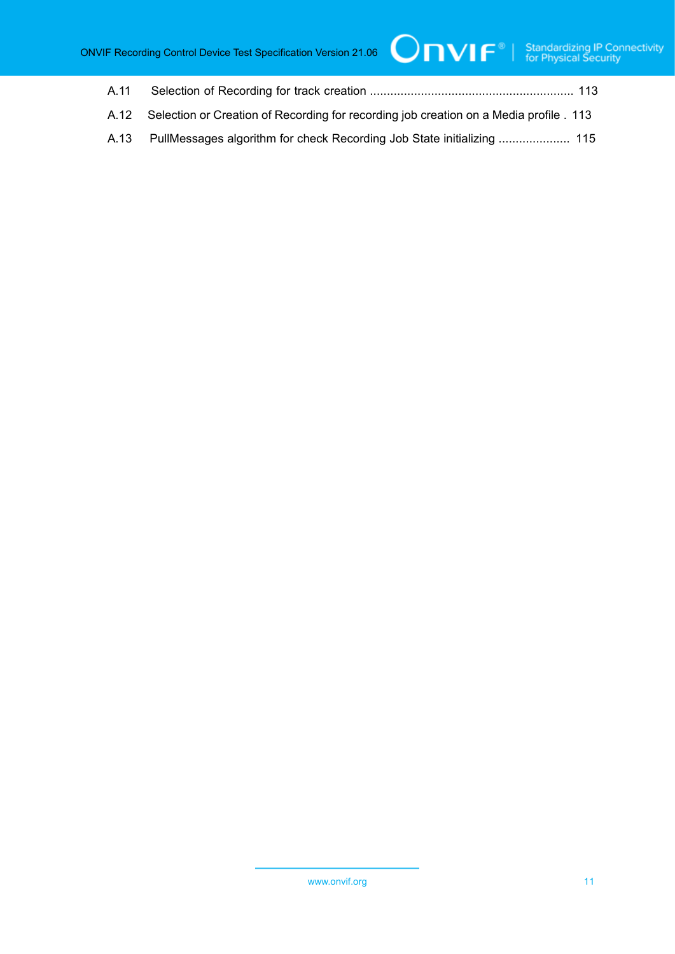- A.11 Selection of [Recording](#page-112-0) for track creation ............................................................ [113](#page-112-0)
- [A.12 Selection or Creation of Recording for recording job creation on a Media profile](#page-112-1) . [113](#page-112-1)
- [A.13 PullMessages algorithm for check Recording Job State initializing](#page-114-0) ..................... [115](#page-114-0)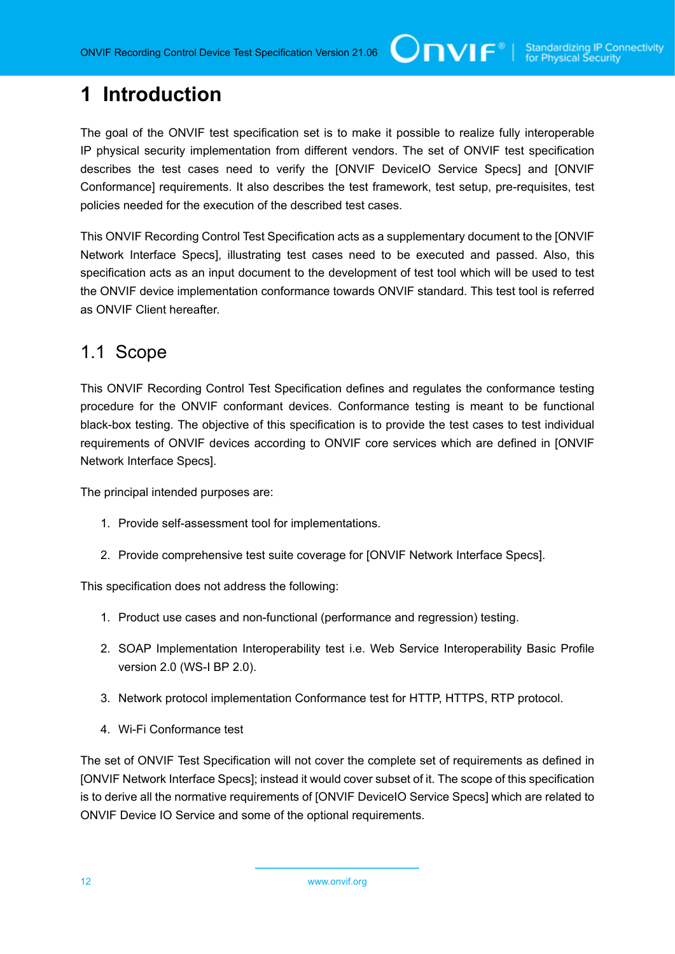## <span id="page-11-0"></span>**1 Introduction**

The goal of the ONVIF test specification set is to make it possible to realize fully interoperable IP physical security implementation from different vendors. The set of ONVIF test specification describes the test cases need to verify the [ONVIF DeviceIO Service Specs] and [ONVIF Conformance] requirements. It also describes the test framework, test setup, pre-requisites, test policies needed for the execution of the described test cases.

This ONVIF Recording Control Test Specification acts as a supplementary document to the [ONVIF Network Interface Specs], illustrating test cases need to be executed and passed. Also, this specification acts as an input document to the development of test tool which will be used to test the ONVIF device implementation conformance towards ONVIF standard. This test tool is referred as ONVIF Client hereafter.

### <span id="page-11-1"></span>1.1 Scope

This ONVIF Recording Control Test Specification defines and regulates the conformance testing procedure for the ONVIF conformant devices. Conformance testing is meant to be functional black-box testing. The objective of this specification is to provide the test cases to test individual requirements of ONVIF devices according to ONVIF core services which are defined in [ONVIF Network Interface Specs].

The principal intended purposes are:

- 1. Provide self-assessment tool for implementations.
- 2. Provide comprehensive test suite coverage for [ONVIF Network Interface Specs].

This specification does not address the following:

- 1. Product use cases and non-functional (performance and regression) testing.
- 2. SOAP Implementation Interoperability test i.e. Web Service Interoperability Basic Profile version 2.0 (WS-I BP 2.0).
- 3. Network protocol implementation Conformance test for HTTP, HTTPS, RTP protocol.
- 4. Wi-Fi Conformance test

The set of ONVIF Test Specification will not cover the complete set of requirements as defined in [ONVIF Network Interface Specs]; instead it would cover subset of it. The scope of this specification is to derive all the normative requirements of [ONVIF DeviceIO Service Specs] which are related to ONVIF Device IO Service and some of the optional requirements.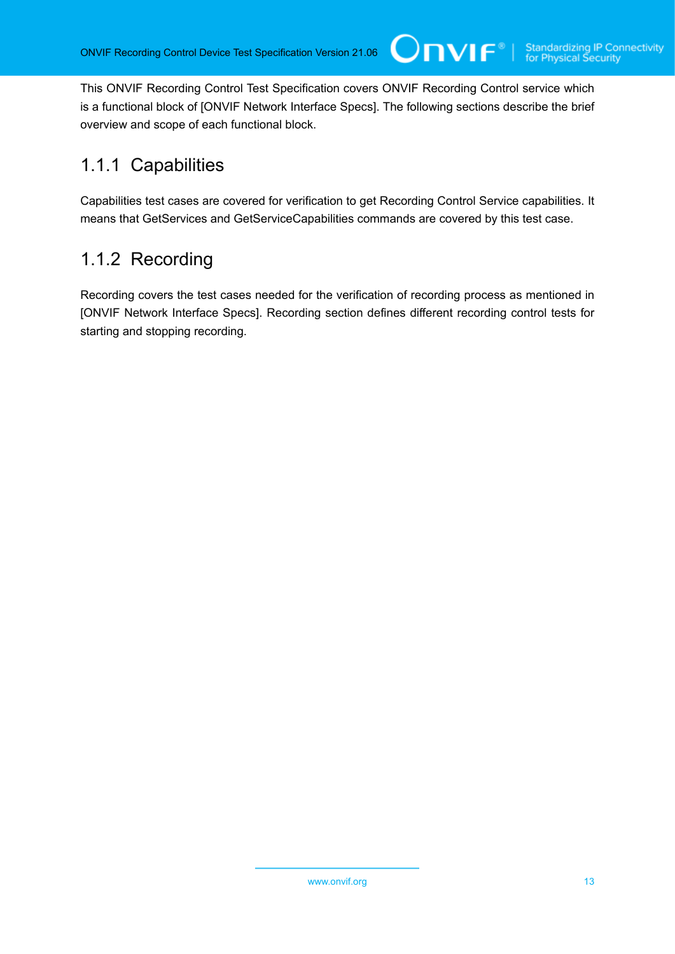This ONVIF Recording Control Test Specification covers ONVIF Recording Control service which is a functional block of [ONVIF Network Interface Specs]. The following sections describe the brief overview and scope of each functional block.

 $\bigcirc$ nvı $\mathsf{F}^\ast$ l

### <span id="page-12-0"></span>1.1.1 Capabilities

Capabilities test cases are covered for verification to get Recording Control Service capabilities. It means that GetServices and GetServiceCapabilities commands are covered by this test case.

### <span id="page-12-1"></span>1.1.2 Recording

Recording covers the test cases needed for the verification of recording process as mentioned in [ONVIF Network Interface Specs]. Recording section defines different recording control tests for starting and stopping recording.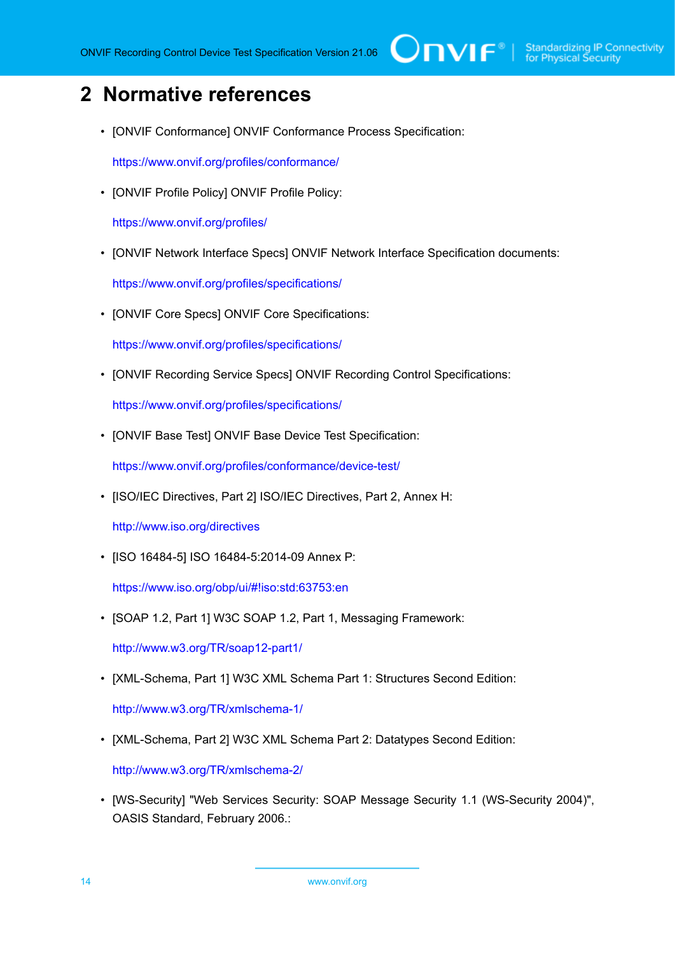# <span id="page-13-0"></span>**2 Normative references**

• [ONVIF Conformance] ONVIF Conformance Process Specification:

<https://www.onvif.org/profiles/conformance/>

• [ONVIF Profile Policy] ONVIF Profile Policy:

<https://www.onvif.org/profiles/>

• [ONVIF Network Interface Specs] ONVIF Network Interface Specification documents:

<https://www.onvif.org/profiles/specifications/>

• [ONVIF Core Specs] ONVIF Core Specifications:

<https://www.onvif.org/profiles/specifications/>

• [ONVIF Recording Service Specs] ONVIF Recording Control Specifications:

<https://www.onvif.org/profiles/specifications/>

• [ONVIF Base Test] ONVIF Base Device Test Specification:

<https://www.onvif.org/profiles/conformance/device-test/>

• [ISO/IEC Directives, Part 2] ISO/IEC Directives, Part 2, Annex H:

<http://www.iso.org/directives>

• [ISO 16484-5] ISO 16484-5:2014-09 Annex P:

<https://www.iso.org/obp/ui/#!iso:std:63753:en>

• [SOAP 1.2, Part 1] W3C SOAP 1.2, Part 1, Messaging Framework:

<http://www.w3.org/TR/soap12-part1/>

• [XML-Schema, Part 1] W3C XML Schema Part 1: Structures Second Edition:

<http://www.w3.org/TR/xmlschema-1/>

• [XML-Schema, Part 2] W3C XML Schema Part 2: Datatypes Second Edition:

<http://www.w3.org/TR/xmlschema-2/>

• [WS-Security] "Web Services Security: SOAP Message Security 1.1 (WS-Security 2004)", OASIS Standard, February 2006.: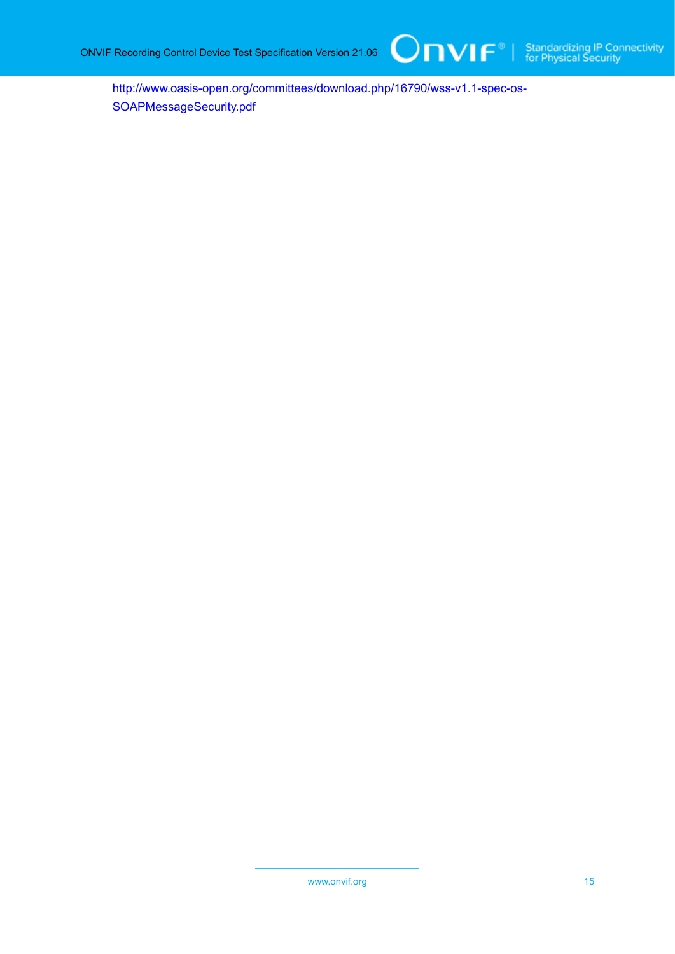[http://www.oasis-open.org/committees/download.php/16790/wss-v1.1-spec-os-](http://www.oasis-open.org/committees/download.php/16790/wss-v1.1-spec-os-SOAPMessageSecurity.pdf)[SOAPMessageSecurity.pdf](http://www.oasis-open.org/committees/download.php/16790/wss-v1.1-spec-os-SOAPMessageSecurity.pdf)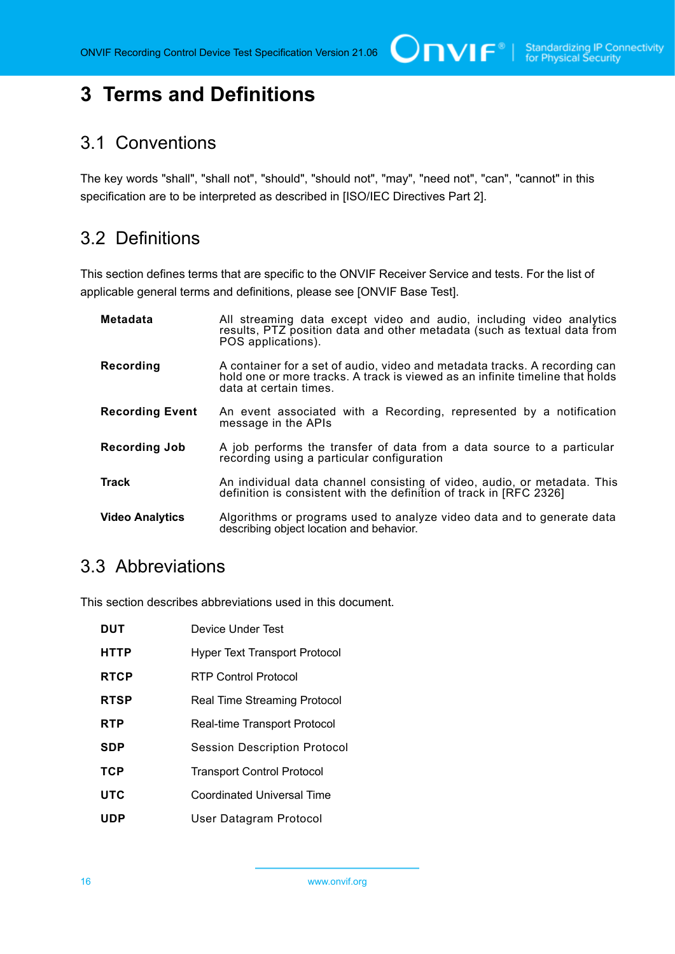# <span id="page-15-0"></span>**3 Terms and Definitions**

### <span id="page-15-1"></span>3.1 Conventions

The key words "shall", "shall not", "should", "should not", "may", "need not", "can", "cannot" in this specification are to be interpreted as described in [ISO/IEC Directives Part 2].

### <span id="page-15-2"></span>3.2 Definitions

This section defines terms that are specific to the ONVIF Receiver Service and tests. For the list of applicable general terms and definitions, please see [ONVIF Base Test].

| <b>Metadata</b>        | All streaming data except video and audio, including video analytics<br>results, PTZ position data and other metadata (such as textual data from<br>POS applications).                |
|------------------------|---------------------------------------------------------------------------------------------------------------------------------------------------------------------------------------|
| Recording              | A container for a set of audio, video and metadata tracks. A recording can<br>hold one or more tracks. A track is viewed as an infinite timeline that holds<br>data at certain times. |
| <b>Recording Event</b> | An event associated with a Recording, represented by a notification<br>message in the APIs                                                                                            |
| <b>Recording Job</b>   | A job performs the transfer of data from a data source to a particular<br>recording using a particular configuration                                                                  |
| <b>Track</b>           | An individual data channel consisting of video, audio, or metadata. This<br>definition is consistent with the definition of track in [RFC 2326]                                       |
| <b>Video Analytics</b> | Algorithms or programs used to analyze video data and to generate data<br>describing object location and behavior.                                                                    |

### <span id="page-15-3"></span>3.3 Abbreviations

This section describes abbreviations used in this document.

| <b>DUT</b>  | Device Under Test                    |
|-------------|--------------------------------------|
| <b>HTTP</b> | <b>Hyper Text Transport Protocol</b> |
| <b>RTCP</b> | RTP Control Protocol                 |
| <b>RTSP</b> | Real Time Streaming Protocol         |
| <b>RTP</b>  | Real-time Transport Protocol         |
| SDP         | <b>Session Description Protocol</b>  |
| <b>TCP</b>  | <b>Transport Control Protocol</b>    |
| <b>UTC</b>  | Coordinated Universal Time           |
| UDP         | User Datagram Protocol               |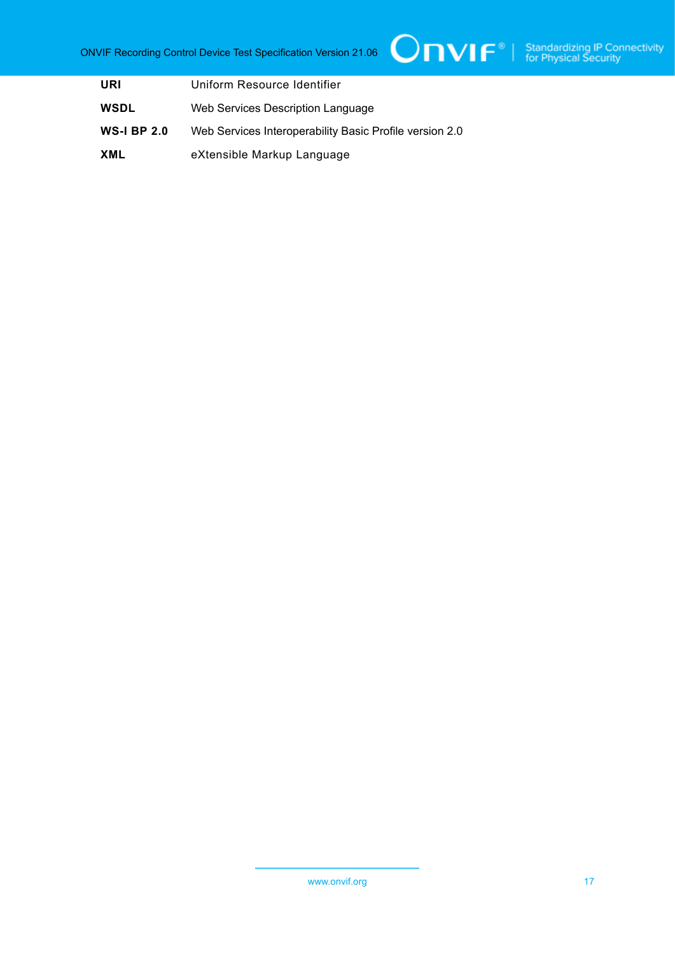| URI                | Uniform Resource Identifier                             |
|--------------------|---------------------------------------------------------|
| <b>WSDL</b>        | Web Services Description Language                       |
| <b>WS-I BP 2.0</b> | Web Services Interoperability Basic Profile version 2.0 |
| XML                | eXtensible Markup Language                              |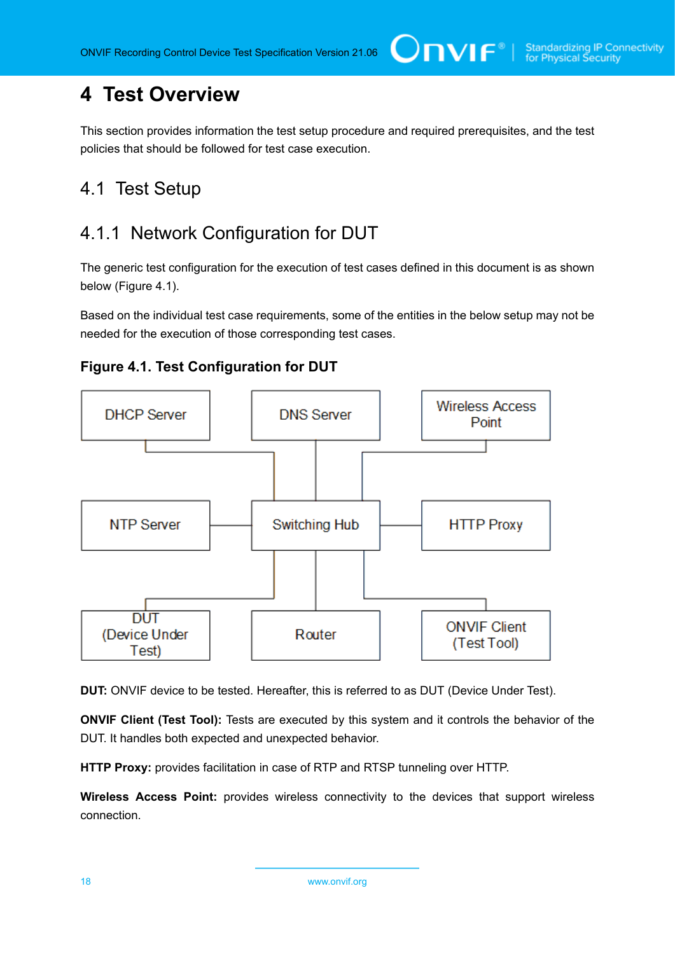## <span id="page-17-0"></span>**4 Test Overview**

This section provides information the test setup procedure and required prerequisites, and the test policies that should be followed for test case execution.

### <span id="page-17-1"></span>4.1 Test Setup

### <span id="page-17-2"></span>4.1.1 Network Configuration for DUT

The generic test configuration for the execution of test cases defined in this document is as shown below (Figure 4.1).

Based on the individual test case requirements, some of the entities in the below setup may not be needed for the execution of those corresponding test cases.





**DUT:** ONVIF device to be tested. Hereafter, this is referred to as DUT (Device Under Test).

**ONVIF Client (Test Tool):** Tests are executed by this system and it controls the behavior of the DUT. It handles both expected and unexpected behavior.

**HTTP Proxy:** provides facilitation in case of RTP and RTSP tunneling over HTTP.

**Wireless Access Point:** provides wireless connectivity to the devices that support wireless connection.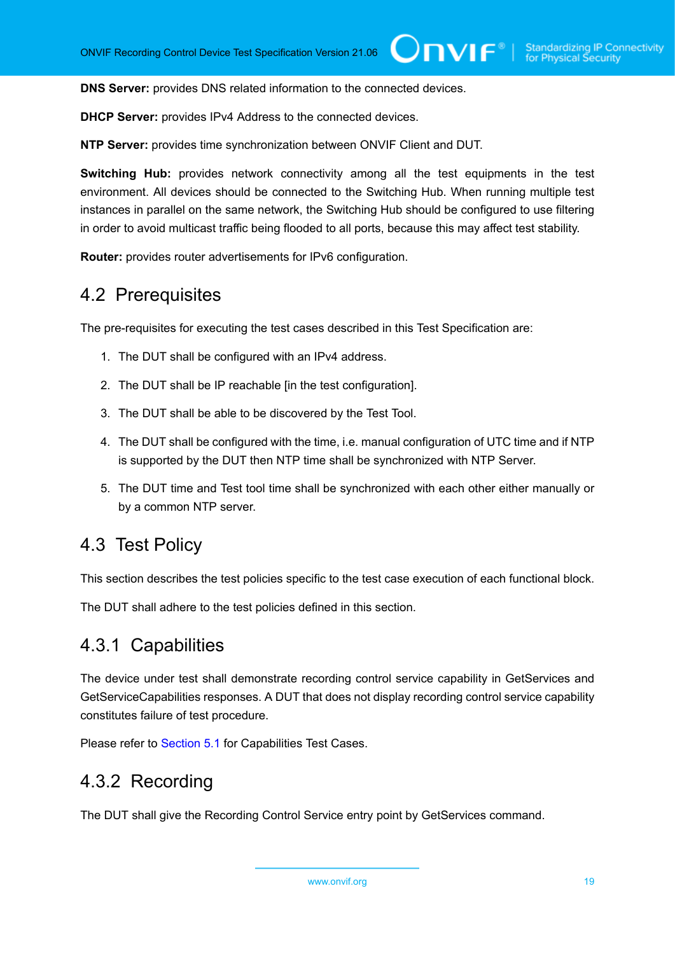**DNS Server:** provides DNS related information to the connected devices.

**DHCP Server:** provides IPv4 Address to the connected devices.

**NTP Server:** provides time synchronization between ONVIF Client and DUT.

**Switching Hub:** provides network connectivity among all the test equipments in the test environment. All devices should be connected to the Switching Hub. When running multiple test instances in parallel on the same network, the Switching Hub should be configured to use filtering in order to avoid multicast traffic being flooded to all ports, because this may affect test stability.

<span id="page-18-0"></span>**Router:** provides router advertisements for IPv6 configuration.

### 4.2 Prerequisites

The pre-requisites for executing the test cases described in this Test Specification are:

- 1. The DUT shall be configured with an IPv4 address.
- 2. The DUT shall be IP reachable [in the test configuration].
- 3. The DUT shall be able to be discovered by the Test Tool.
- 4. The DUT shall be configured with the time, i.e. manual configuration of UTC time and if NTP is supported by the DUT then NTP time shall be synchronized with NTP Server.
- 5. The DUT time and Test tool time shall be synchronized with each other either manually or by a common NTP server.

### <span id="page-18-1"></span>4.3 Test Policy

This section describes the test policies specific to the test case execution of each functional block.

<span id="page-18-2"></span>The DUT shall adhere to the test policies defined in this section.

### 4.3.1 Capabilities

The device under test shall demonstrate recording control service capability in GetServices and GetServiceCapabilities responses. A DUT that does not display recording control service capability constitutes failure of test procedure.

<span id="page-18-3"></span>Please refer to [Section 5.1](#page-20-1) for Capabilities Test Cases.

### 4.3.2 Recording

The DUT shall give the Recording Control Service entry point by GetServices command.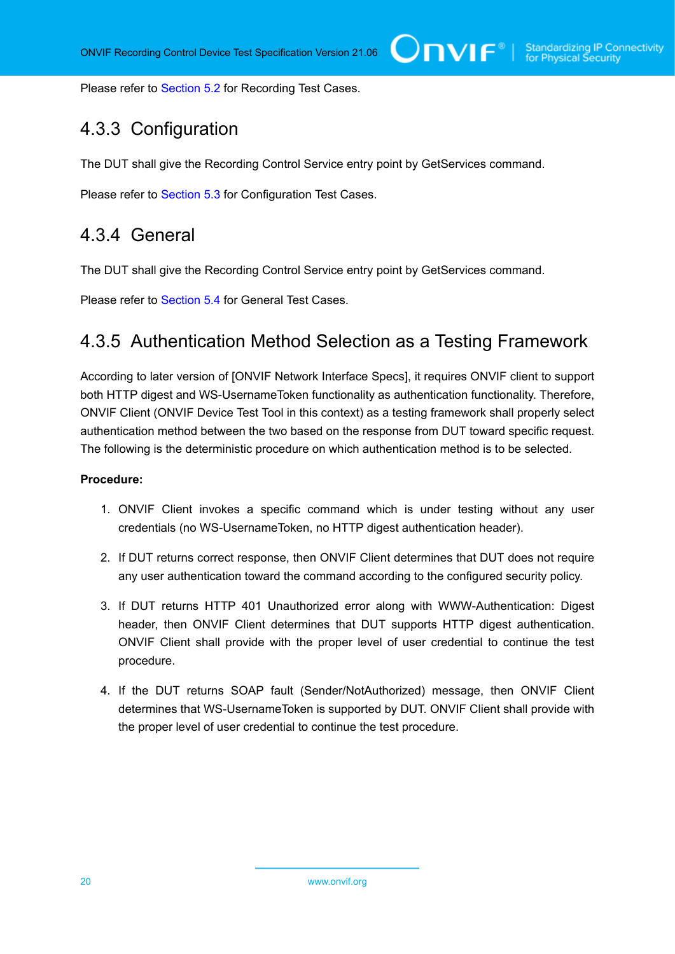<span id="page-19-0"></span>Please refer to [Section 5.2](#page-23-0) for Recording Test Cases.

### 4.3.3 Configuration

The DUT shall give the Recording Control Service entry point by GetServices command.

<span id="page-19-1"></span>Please refer to [Section 5.3](#page-42-0) for Configuration Test Cases.

### 4.3.4 General

The DUT shall give the Recording Control Service entry point by GetServices command.

<span id="page-19-2"></span>Please refer to [Section 5.4](#page-52-0) for General Test Cases.

### 4.3.5 Authentication Method Selection as a Testing Framework

According to later version of [ONVIF Network Interface Specs], it requires ONVIF client to support both HTTP digest and WS-UsernameToken functionality as authentication functionality. Therefore, ONVIF Client (ONVIF Device Test Tool in this context) as a testing framework shall properly select authentication method between the two based on the response from DUT toward specific request. The following is the deterministic procedure on which authentication method is to be selected.

#### **Procedure:**

- 1. ONVIF Client invokes a specific command which is under testing without any user credentials (no WS-UsernameToken, no HTTP digest authentication header).
- 2. If DUT returns correct response, then ONVIF Client determines that DUT does not require any user authentication toward the command according to the configured security policy.
- 3. If DUT returns HTTP 401 Unauthorized error along with WWW-Authentication: Digest header, then ONVIF Client determines that DUT supports HTTP digest authentication. ONVIF Client shall provide with the proper level of user credential to continue the test procedure.
- 4. If the DUT returns SOAP fault (Sender/NotAuthorized) message, then ONVIF Client determines that WS-UsernameToken is supported by DUT. ONVIF Client shall provide with the proper level of user credential to continue the test procedure.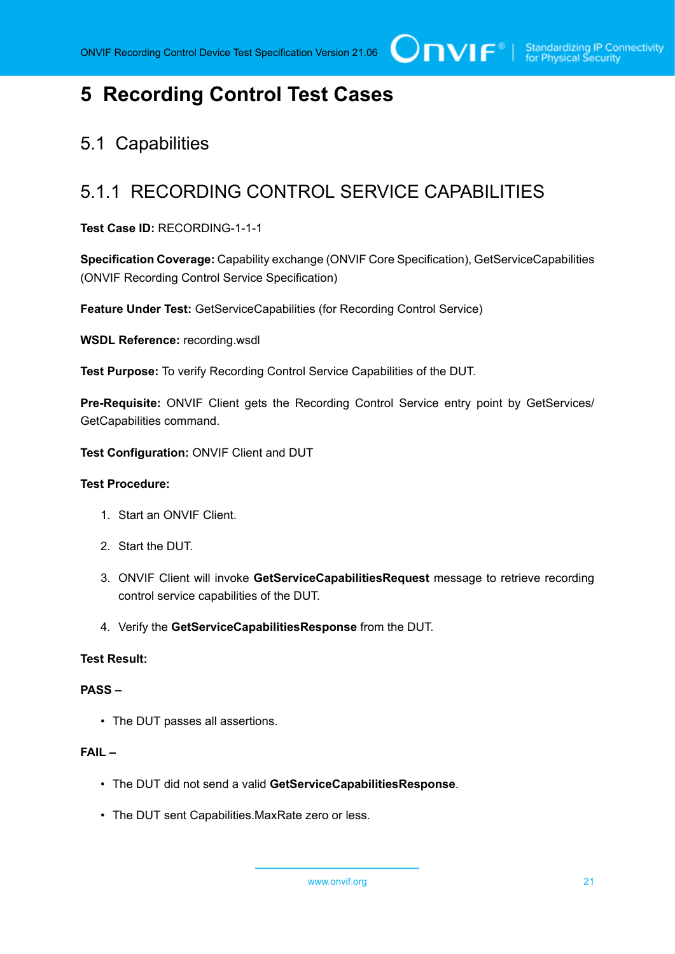# <span id="page-20-0"></span>**5 Recording Control Test Cases**

### <span id="page-20-1"></span>5.1 Capabilities

### <span id="page-20-2"></span>5.1.1 RECORDING CONTROL SERVICE CAPABILITIES

**Test Case ID:** RECORDING-1-1-1

**Specification Coverage:** Capability exchange (ONVIF Core Specification), GetServiceCapabilities (ONVIF Recording Control Service Specification)

**Feature Under Test:** GetServiceCapabilities (for Recording Control Service)

**WSDL Reference:** recording.wsdl

**Test Purpose:** To verify Recording Control Service Capabilities of the DUT.

**Pre-Requisite:** ONVIF Client gets the Recording Control Service entry point by GetServices/ GetCapabilities command.

**Test Configuration:** ONVIF Client and DUT

#### **Test Procedure:**

- 1. Start an ONVIF Client.
- 2. Start the DUT.
- 3. ONVIF Client will invoke **GetServiceCapabilitiesRequest** message to retrieve recording control service capabilities of the DUT.
- 4. Verify the **GetServiceCapabilitiesResponse** from the DUT.

#### **Test Result:**

#### **PASS –**

• The DUT passes all assertions.

#### **FAIL –**

- The DUT did not send a valid **GetServiceCapabilitiesResponse**.
- The DUT sent Capabilities.MaxRate zero or less.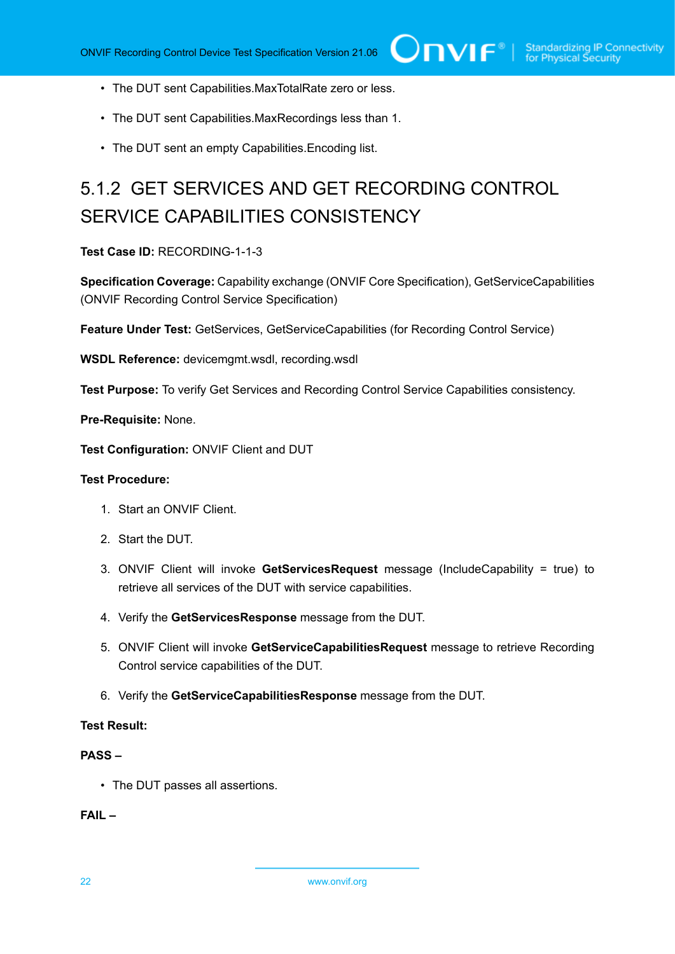- The DUT sent Capabilities.MaxTotalRate zero or less.
- The DUT sent Capabilities.MaxRecordings less than 1.
- The DUT sent an empty Capabilities.Encoding list.

# <span id="page-21-0"></span>5.1.2 GET SERVICES AND GET RECORDING CONTROL SERVICE CAPABILITIES CONSISTENCY

**Test Case ID:** RECORDING-1-1-3

**Specification Coverage:** Capability exchange (ONVIF Core Specification), GetServiceCapabilities (ONVIF Recording Control Service Specification)

**Feature Under Test:** GetServices, GetServiceCapabilities (for Recording Control Service)

**WSDL Reference:** devicemgmt.wsdl, recording.wsdl

**Test Purpose:** To verify Get Services and Recording Control Service Capabilities consistency.

**Pre-Requisite:** None.

**Test Configuration:** ONVIF Client and DUT

#### **Test Procedure:**

- 1. Start an ONVIF Client.
- 2. Start the DUT.
- 3. ONVIF Client will invoke **GetServicesRequest** message (IncludeCapability = true) to retrieve all services of the DUT with service capabilities.
- 4. Verify the **GetServicesResponse** message from the DUT.
- 5. ONVIF Client will invoke **GetServiceCapabilitiesRequest** message to retrieve Recording Control service capabilities of the DUT.
- 6. Verify the **GetServiceCapabilitiesResponse** message from the DUT.

#### **Test Result:**

#### **PASS –**

• The DUT passes all assertions.

**FAIL –**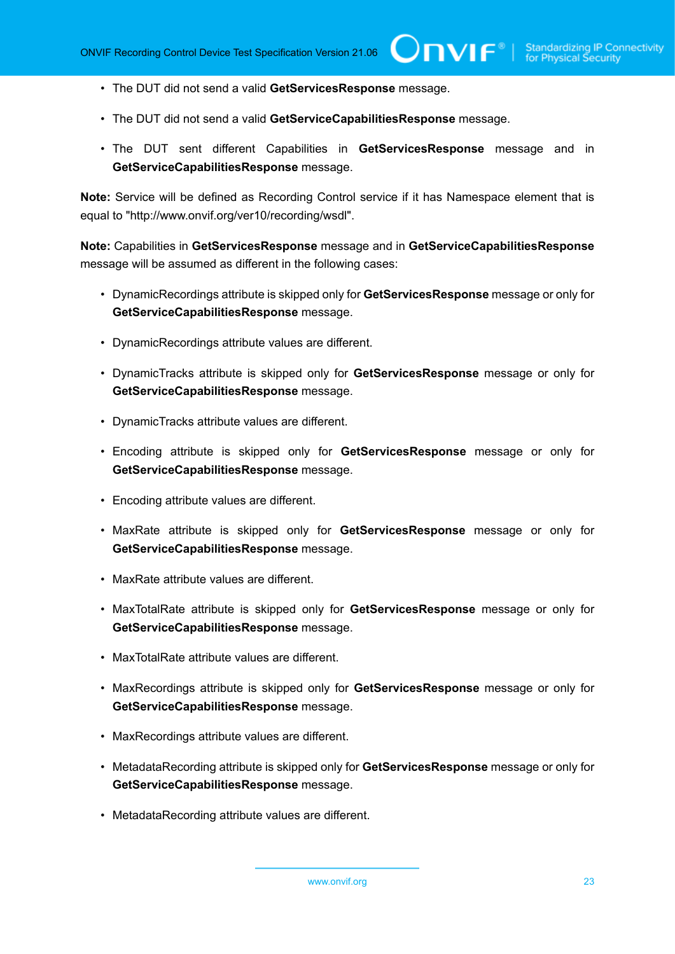- The DUT did not send a valid **GetServicesResponse** message.
- The DUT did not send a valid **GetServiceCapabilitiesResponse** message.
- The DUT sent different Capabilities in **GetServicesResponse** message and in **GetServiceCapabilitiesResponse** message.

**Note:** Service will be defined as Recording Control service if it has Namespace element that is equal to "http://www.onvif.org/ver10/recording/wsdl".

**Note:** Capabilities in **GetServicesResponse** message and in **GetServiceCapabilitiesResponse** message will be assumed as different in the following cases:

- DynamicRecordings attribute is skipped only for **GetServicesResponse** message or only for **GetServiceCapabilitiesResponse** message.
- DynamicRecordings attribute values are different.
- DynamicTracks attribute is skipped only for **GetServicesResponse** message or only for **GetServiceCapabilitiesResponse** message.
- DynamicTracks attribute values are different.
- Encoding attribute is skipped only for **GetServicesResponse** message or only for **GetServiceCapabilitiesResponse** message.
- Encoding attribute values are different.
- MaxRate attribute is skipped only for **GetServicesResponse** message or only for **GetServiceCapabilitiesResponse** message.
- MaxRate attribute values are different.
- MaxTotalRate attribute is skipped only for **GetServicesResponse** message or only for **GetServiceCapabilitiesResponse** message.
- MaxTotalRate attribute values are different.
- MaxRecordings attribute is skipped only for **GetServicesResponse** message or only for **GetServiceCapabilitiesResponse** message.
- MaxRecordings attribute values are different.
- MetadataRecording attribute is skipped only for **GetServicesResponse** message or only for **GetServiceCapabilitiesResponse** message.
- MetadataRecording attribute values are different.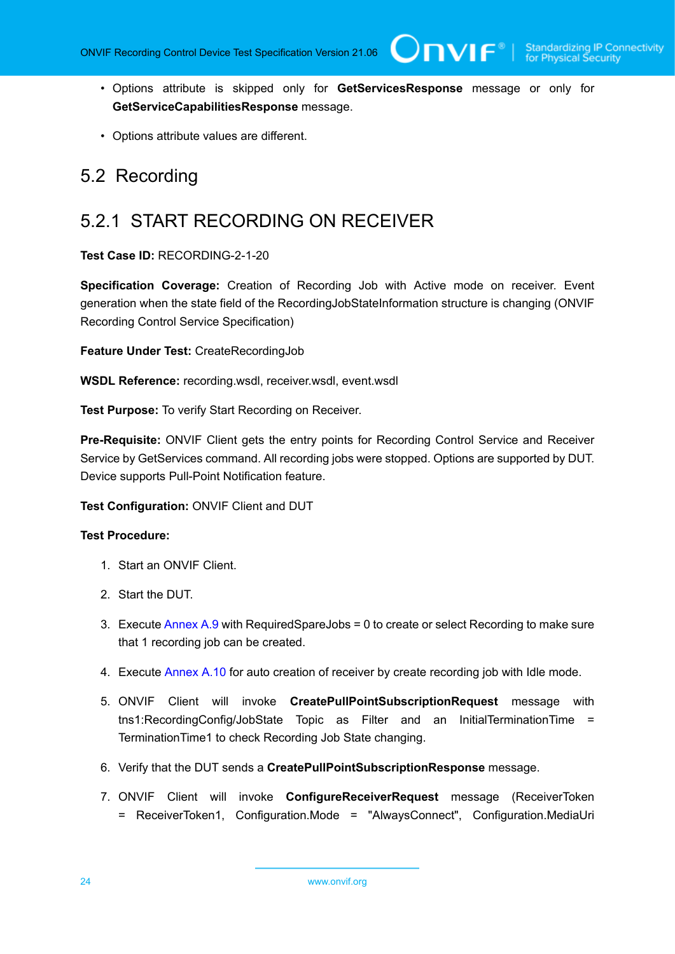• Options attribute is skipped only for **GetServicesResponse** message or only for **GetServiceCapabilitiesResponse** message.

 $\bigcup$ NIF $^\circ$ l

• Options attribute values are different.

### <span id="page-23-0"></span>5.2 Recording

### <span id="page-23-1"></span>5.2.1 START RECORDING ON RECEIVER

**Test Case ID:** RECORDING-2-1-20

**Specification Coverage:** Creation of Recording Job with Active mode on receiver. Event generation when the state field of the RecordingJobStateInformation structure is changing (ONVIF Recording Control Service Specification)

**Feature Under Test:** CreateRecordingJob

**WSDL Reference:** recording.wsdl, receiver.wsdl, event.wsdl

**Test Purpose:** To verify Start Recording on Receiver.

**Pre-Requisite:** ONVIF Client gets the entry points for Recording Control Service and Receiver Service by GetServices command. All recording jobs were stopped. Options are supported by DUT. Device supports Pull-Point Notification feature.

#### **Test Configuration:** ONVIF Client and DUT

#### **Test Procedure:**

- 1. Start an ONVIF Client.
- 2. Start the DUT.
- 3. Execute [Annex A.9](#page-109-1) with RequiredSpareJobs = 0 to create or select Recording to make sure that 1 recording job can be created.
- 4. Execute [Annex A.10](#page-111-0) for auto creation of receiver by create recording job with Idle mode.
- 5. ONVIF Client will invoke **CreatePullPointSubscriptionRequest** message with tns1:RecordingConfig/JobState Topic as Filter and an InitialTerminationTime = TerminationTime1 to check Recording Job State changing.
- 6. Verify that the DUT sends a **CreatePullPointSubscriptionResponse** message.
- 7. ONVIF Client will invoke **ConfigureReceiverRequest** message (ReceiverToken = ReceiverToken1, Configuration.Mode = "AlwaysConnect", Configuration.MediaUri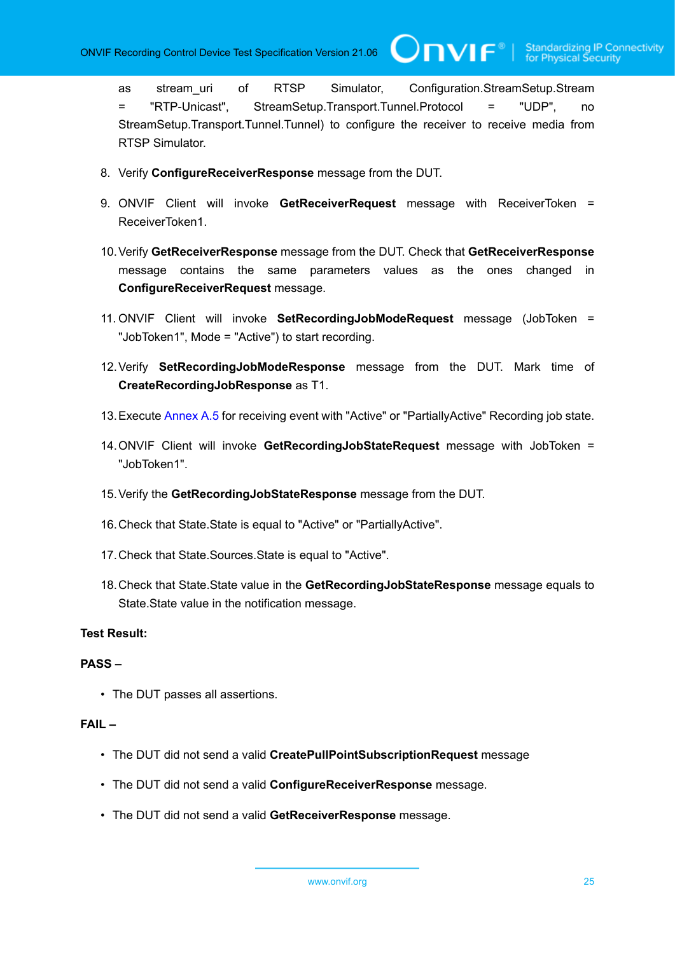**TVIF**®

as stream\_uri of RTSP Simulator, Configuration.StreamSetup.Stream = "RTP-Unicast", StreamSetup.Transport.Tunnel.Protocol = "UDP", no StreamSetup.Transport.Tunnel.Tunnel) to configure the receiver to receive media from RTSP Simulator.

- 8. Verify **ConfigureReceiverResponse** message from the DUT.
- 9. ONVIF Client will invoke **GetReceiverRequest** message with ReceiverToken = ReceiverToken1.
- 10.Verify **GetReceiverResponse** message from the DUT. Check that **GetReceiverResponse** message contains the same parameters values as the ones changed in **ConfigureReceiverRequest** message.
- 11. ONVIF Client will invoke **SetRecordingJobModeRequest** message (JobToken = "JobToken1", Mode = "Active") to start recording.
- 12.Verify **SetRecordingJobModeResponse** message from the DUT. Mark time of **CreateRecordingJobResponse** as T1.
- 13.Execute [Annex A.5](#page-106-2) for receiving event with "Active" or "PartiallyActive" Recording job state.
- 14.ONVIF Client will invoke **GetRecordingJobStateRequest** message with JobToken = "JobToken1".
- 15.Verify the **GetRecordingJobStateResponse** message from the DUT.
- 16.Check that State.State is equal to "Active" or "PartiallyActive".
- 17.Check that State.Sources.State is equal to "Active".
- 18.Check that State.State value in the **GetRecordingJobStateResponse** message equals to State.State value in the notification message.

#### **Test Result:**

#### **PASS –**

• The DUT passes all assertions.

#### **FAIL –**

- The DUT did not send a valid **CreatePullPointSubscriptionRequest** message
- The DUT did not send a valid **ConfigureReceiverResponse** message.
- The DUT did not send a valid **GetReceiverResponse** message.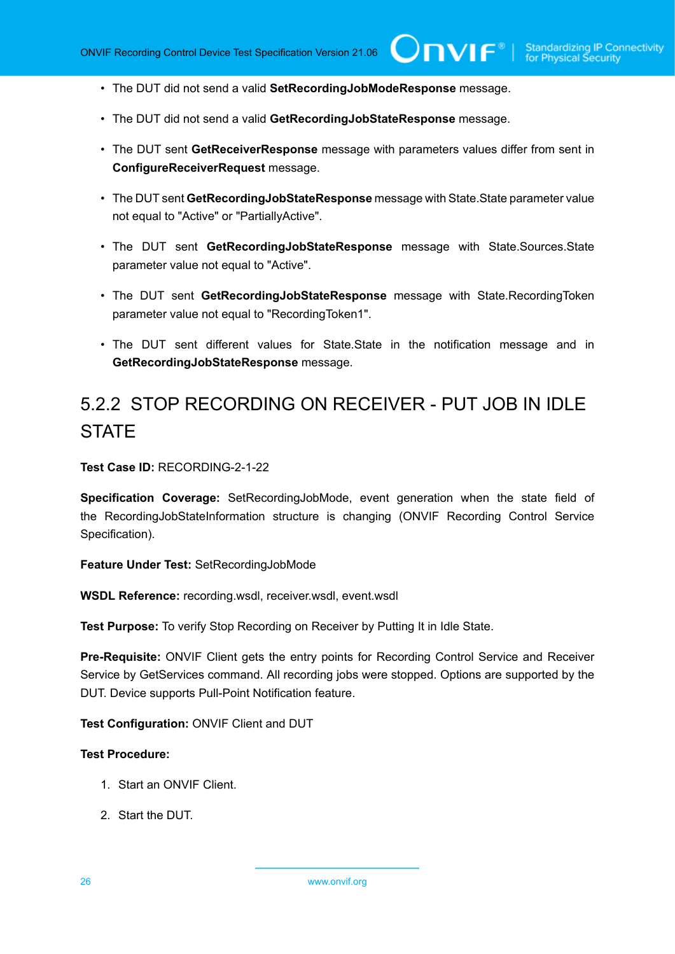- The DUT did not send a valid **SetRecordingJobModeResponse** message.
- The DUT did not send a valid **GetRecordingJobStateResponse** message.
- The DUT sent **GetReceiverResponse** message with parameters values differ from sent in **ConfigureReceiverRequest** message.
- The DUT sent **GetRecordingJobStateResponse** message with State.State parameter value not equal to "Active" or "PartiallyActive".
- The DUT sent **GetRecordingJobStateResponse** message with State.Sources.State parameter value not equal to "Active".
- The DUT sent **GetRecordingJobStateResponse** message with State.RecordingToken parameter value not equal to "RecordingToken1".
- The DUT sent different values for State.State in the notification message and in **GetRecordingJobStateResponse** message.

# <span id="page-25-0"></span>5.2.2 STOP RECORDING ON RECEIVER - PUT JOB IN IDLE **STATE**

**Test Case ID:** RECORDING-2-1-22

**Specification Coverage:** SetRecordingJobMode, event generation when the state field of the RecordingJobStateInformation structure is changing (ONVIF Recording Control Service Specification).

**Feature Under Test:** SetRecordingJobMode

**WSDL Reference:** recording.wsdl, receiver.wsdl, event.wsdl

**Test Purpose:** To verify Stop Recording on Receiver by Putting It in Idle State.

**Pre-Requisite:** ONVIF Client gets the entry points for Recording Control Service and Receiver Service by GetServices command. All recording jobs were stopped. Options are supported by the DUT. Device supports Pull-Point Notification feature.

**Test Configuration:** ONVIF Client and DUT

#### **Test Procedure:**

- 1. Start an ONVIF Client.
- 2. Start the DUT.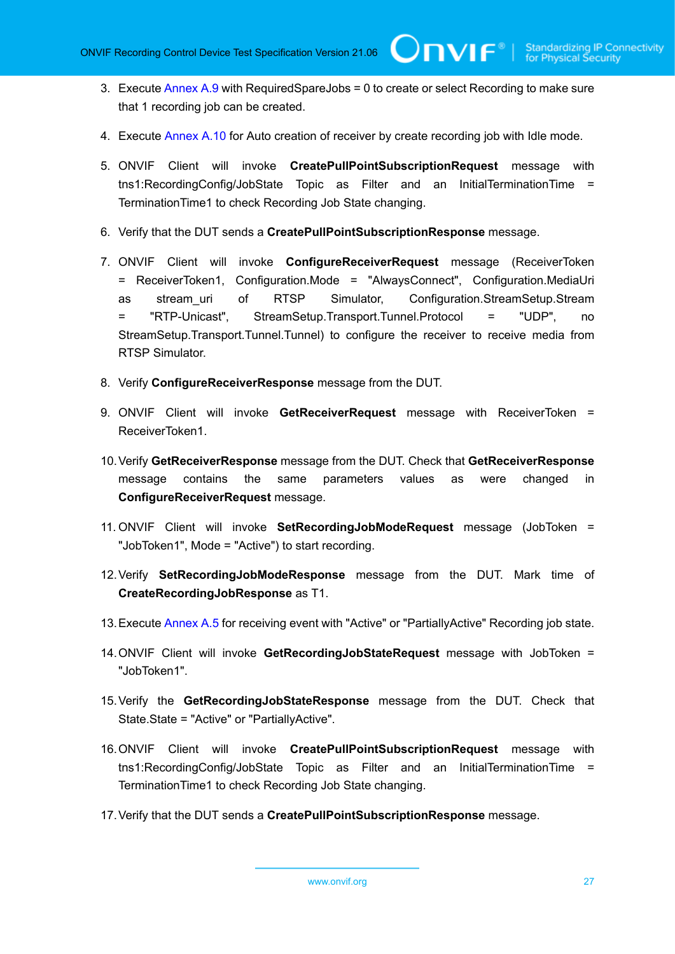- 3. Execute [Annex A.9](#page-109-1) with RequiredSpareJobs = 0 to create or select Recording to make sure that 1 recording job can be created.
- 4. Execute [Annex A.10](#page-111-0) for Auto creation of receiver by create recording job with Idle mode.
- 5. ONVIF Client will invoke **CreatePullPointSubscriptionRequest** message with tns1:RecordingConfig/JobState Topic as Filter and an InitialTerminationTime = TerminationTime1 to check Recording Job State changing.
- 6. Verify that the DUT sends a **CreatePullPointSubscriptionResponse** message.
- 7. ONVIF Client will invoke **ConfigureReceiverRequest** message (ReceiverToken = ReceiverToken1, Configuration.Mode = "AlwaysConnect", Configuration.MediaUri as stream\_uri of RTSP Simulator, Configuration.StreamSetup.Stream = "RTP-Unicast", StreamSetup.Transport.Tunnel.Protocol = "UDP", no StreamSetup.Transport.Tunnel.Tunnel) to configure the receiver to receive media from RTSP Simulator.
- 8. Verify **ConfigureReceiverResponse** message from the DUT.
- 9. ONVIF Client will invoke **GetReceiverRequest** message with ReceiverToken = ReceiverToken1.
- 10.Verify **GetReceiverResponse** message from the DUT. Check that **GetReceiverResponse** message contains the same parameters values as were changed in **ConfigureReceiverRequest** message.
- 11. ONVIF Client will invoke **SetRecordingJobModeRequest** message (JobToken = "JobToken1", Mode = "Active") to start recording.
- 12.Verify **SetRecordingJobModeResponse** message from the DUT. Mark time of **CreateRecordingJobResponse** as T1.
- 13.Execute [Annex A.5](#page-106-2) for receiving event with "Active" or "PartiallyActive" Recording job state.
- 14.ONVIF Client will invoke **GetRecordingJobStateRequest** message with JobToken = "JobToken1".
- 15.Verify the **GetRecordingJobStateResponse** message from the DUT. Check that State.State = "Active" or "PartiallyActive".
- 16.ONVIF Client will invoke **CreatePullPointSubscriptionRequest** message with tns1:RecordingConfig/JobState Topic as Filter and an InitialTerminationTime = TerminationTime1 to check Recording Job State changing.
- 17.Verify that the DUT sends a **CreatePullPointSubscriptionResponse** message.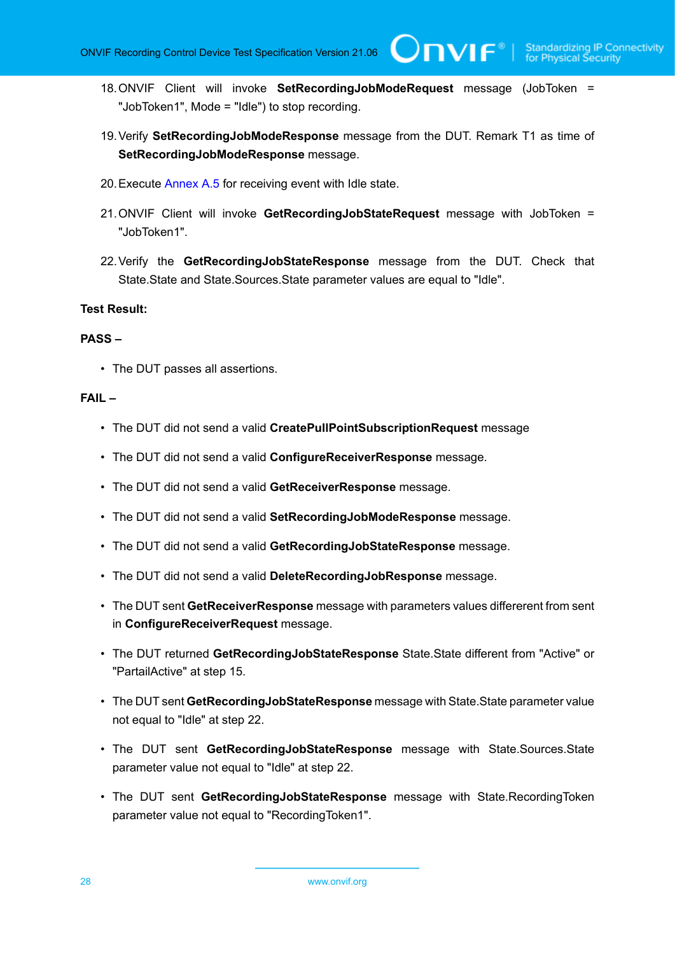18.ONVIF Client will invoke **SetRecordingJobModeRequest** message (JobToken = "JobToken1", Mode = "Idle") to stop recording.

 $\square$ nvif ${}^{\circ}$ 

- 19.Verify **SetRecordingJobModeResponse** message from the DUT. Remark T1 as time of **SetRecordingJobModeResponse** message.
- 20.Execute [Annex A.5](#page-106-2) for receiving event with Idle state.
- 21.ONVIF Client will invoke **GetRecordingJobStateRequest** message with JobToken = "JobToken1".
- 22.Verify the **GetRecordingJobStateResponse** message from the DUT. Check that State.State and State.Sources.State parameter values are equal to "Idle".

#### **Test Result:**

#### **PASS –**

• The DUT passes all assertions.

#### **FAIL –**

- The DUT did not send a valid **CreatePullPointSubscriptionRequest** message
- The DUT did not send a valid **ConfigureReceiverResponse** message.
- The DUT did not send a valid **GetReceiverResponse** message.
- The DUT did not send a valid **SetRecordingJobModeResponse** message.
- The DUT did not send a valid **GetRecordingJobStateResponse** message.
- The DUT did not send a valid **DeleteRecordingJobResponse** message.
- The DUT sent **GetReceiverResponse** message with parameters values differerent from sent in **ConfigureReceiverRequest** message.
- The DUT returned **GetRecordingJobStateResponse** State.State different from "Active" or "PartailActive" at step 15.
- The DUT sent **GetRecordingJobStateResponse** message with State.State parameter value not equal to "Idle" at step 22.
- The DUT sent **GetRecordingJobStateResponse** message with State.Sources.State parameter value not equal to "Idle" at step 22.
- The DUT sent **GetRecordingJobStateResponse** message with State.RecordingToken parameter value not equal to "RecordingToken1".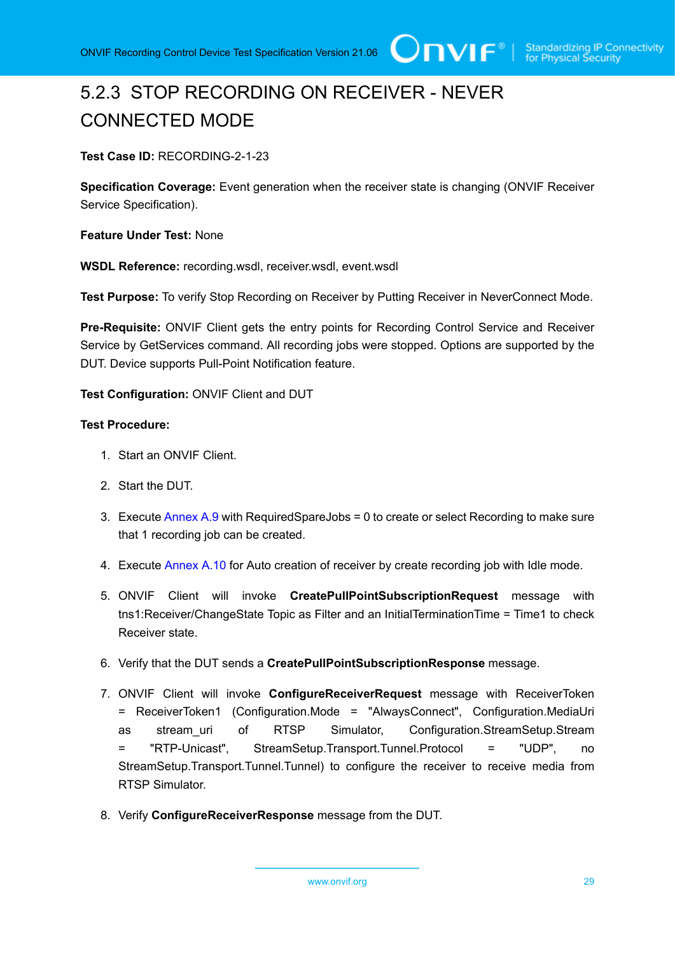# <span id="page-28-0"></span>5.2.3 STOP RECORDING ON RECEIVER - NEVER CONNECTED MODE

**Test Case ID:** RECORDING-2-1-23

**Specification Coverage:** Event generation when the receiver state is changing (ONVIF Receiver Service Specification).

**Feature Under Test:** None

**WSDL Reference:** recording.wsdl, receiver.wsdl, event.wsdl

**Test Purpose:** To verify Stop Recording on Receiver by Putting Receiver in NeverConnect Mode.

**Pre-Requisite:** ONVIF Client gets the entry points for Recording Control Service and Receiver Service by GetServices command. All recording jobs were stopped. Options are supported by the DUT. Device supports Pull-Point Notification feature.

**Test Configuration:** ONVIF Client and DUT

#### **Test Procedure:**

- 1. Start an ONVIF Client.
- 2. Start the DUT.
- 3. Execute [Annex A.9](#page-109-1) with RequiredSpareJobs = 0 to create or select Recording to make sure that 1 recording job can be created.
- 4. Execute [Annex A.10](#page-111-0) for Auto creation of receiver by create recording job with Idle mode.
- 5. ONVIF Client will invoke **CreatePullPointSubscriptionRequest** message with tns1:Receiver/ChangeState Topic as Filter and an InitialTerminationTime = Time1 to check Receiver state.
- 6. Verify that the DUT sends a **CreatePullPointSubscriptionResponse** message.
- 7. ONVIF Client will invoke **ConfigureReceiverRequest** message with ReceiverToken = ReceiverToken1 (Configuration.Mode = "AlwaysConnect", Configuration.MediaUri as stream\_uri of RTSP Simulator, Configuration.StreamSetup.Stream = "RTP-Unicast", StreamSetup.Transport.Tunnel.Protocol = "UDP", no StreamSetup.Transport.Tunnel.Tunnel) to configure the receiver to receive media from RTSP Simulator.
- 8. Verify **ConfigureReceiverResponse** message from the DUT.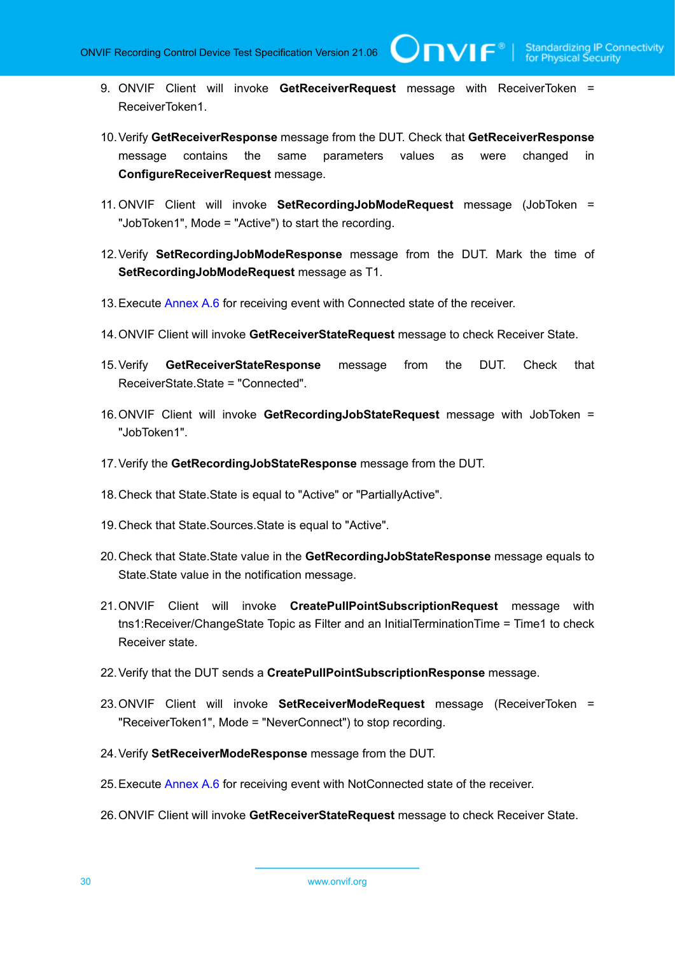TVIF®

- 9. ONVIF Client will invoke **GetReceiverRequest** message with ReceiverToken = ReceiverToken1.
- 10.Verify **GetReceiverResponse** message from the DUT. Check that **GetReceiverResponse** message contains the same parameters values as were changed in **ConfigureReceiverRequest** message.
- 11. ONVIF Client will invoke **SetRecordingJobModeRequest** message (JobToken = "JobToken1", Mode = "Active") to start the recording.
- 12.Verify **SetRecordingJobModeResponse** message from the DUT. Mark the time of **SetRecordingJobModeRequest** message as T1.
- 13. Execute [Annex A.6](#page-107-0) for receiving event with Connected state of the receiver.
- 14.ONVIF Client will invoke **GetReceiverStateRequest** message to check Receiver State.
- 15.Verify **GetReceiverStateResponse** message from the DUT. Check that ReceiverState.State = "Connected".
- 16.ONVIF Client will invoke **GetRecordingJobStateRequest** message with JobToken = "JobToken1".
- 17.Verify the **GetRecordingJobStateResponse** message from the DUT.
- 18.Check that State.State is equal to "Active" or "PartiallyActive".
- 19.Check that State.Sources.State is equal to "Active".
- 20.Check that State.State value in the **GetRecordingJobStateResponse** message equals to State.State value in the notification message.
- 21.ONVIF Client will invoke **CreatePullPointSubscriptionRequest** message with tns1:Receiver/ChangeState Topic as Filter and an InitialTerminationTime = Time1 to check Receiver state.
- 22.Verify that the DUT sends a **CreatePullPointSubscriptionResponse** message.
- 23.ONVIF Client will invoke **SetReceiverModeRequest** message (ReceiverToken = "ReceiverToken1", Mode = "NeverConnect") to stop recording.
- 24.Verify **SetReceiverModeResponse** message from the DUT.
- 25.Execute [Annex A.6](#page-107-0) for receiving event with NotConnected state of the receiver.
- 26.ONVIF Client will invoke **GetReceiverStateRequest** message to check Receiver State.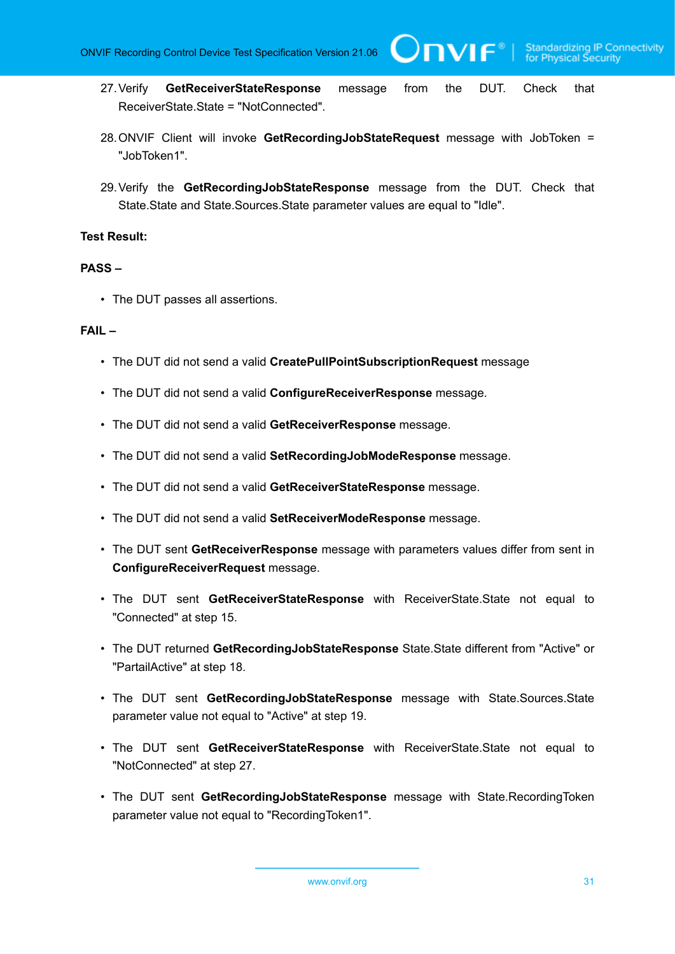IVIF®

- 27.Verify **GetReceiverStateResponse** message from the DUT. Check that ReceiverState.State = "NotConnected".
- 28.ONVIF Client will invoke **GetRecordingJobStateRequest** message with JobToken = "JobToken1".
- 29.Verify the **GetRecordingJobStateResponse** message from the DUT. Check that State.State and State.Sources.State parameter values are equal to "Idle".

#### **Test Result:**

#### **PASS –**

• The DUT passes all assertions.

#### **FAIL –**

- The DUT did not send a valid **CreatePullPointSubscriptionRequest** message
- The DUT did not send a valid **ConfigureReceiverResponse** message.
- The DUT did not send a valid **GetReceiverResponse** message.
- The DUT did not send a valid **SetRecordingJobModeResponse** message.
- The DUT did not send a valid **GetReceiverStateResponse** message.
- The DUT did not send a valid **SetReceiverModeResponse** message.
- The DUT sent **GetReceiverResponse** message with parameters values differ from sent in **ConfigureReceiverRequest** message.
- The DUT sent **GetReceiverStateResponse** with ReceiverState.State not equal to "Connected" at step 15.
- The DUT returned **GetRecordingJobStateResponse** State.State different from "Active" or "PartailActive" at step 18.
- The DUT sent **GetRecordingJobStateResponse** message with State.Sources.State parameter value not equal to "Active" at step 19.
- The DUT sent **GetReceiverStateResponse** with ReceiverState.State not equal to "NotConnected" at step 27.
- The DUT sent **GetRecordingJobStateResponse** message with State.RecordingToken parameter value not equal to "RecordingToken1".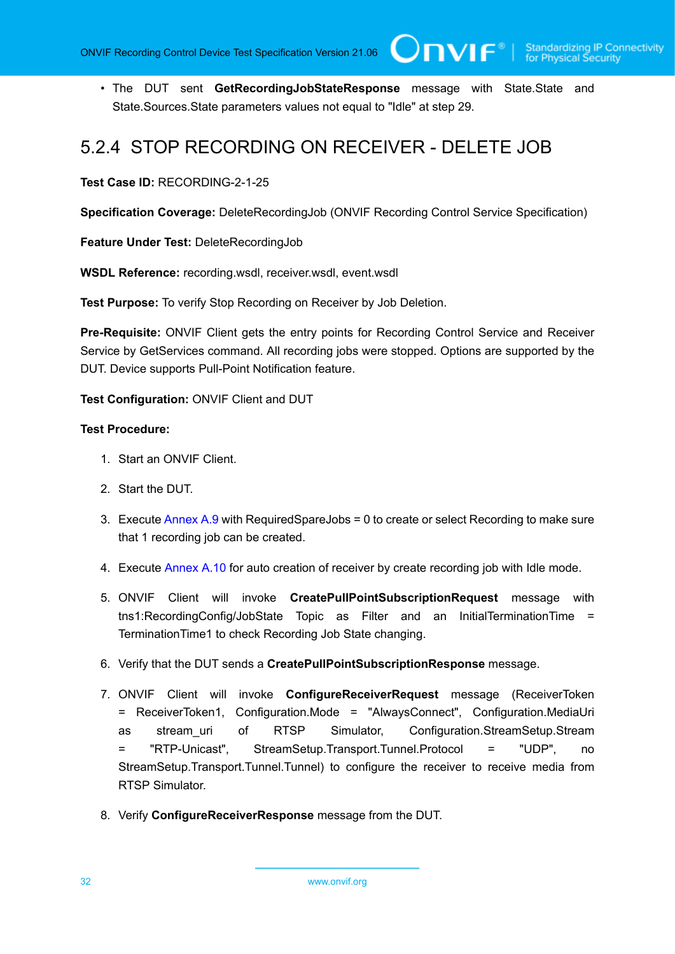• The DUT sent **GetRecordingJobStateResponse** message with State.State and State.Sources.State parameters values not equal to "Idle" at step 29.

### <span id="page-31-0"></span>5.2.4 STOP RECORDING ON RECEIVER - DELETE JOB

**Test Case ID:** RECORDING-2-1-25

**Specification Coverage:** DeleteRecordingJob (ONVIF Recording Control Service Specification)

**Feature Under Test:** DeleteRecordingJob

**WSDL Reference:** recording.wsdl, receiver.wsdl, event.wsdl

**Test Purpose:** To verify Stop Recording on Receiver by Job Deletion.

**Pre-Requisite:** ONVIF Client gets the entry points for Recording Control Service and Receiver Service by GetServices command. All recording jobs were stopped. Options are supported by the DUT. Device supports Pull-Point Notification feature.

**Test Configuration:** ONVIF Client and DUT

#### **Test Procedure:**

- 1. Start an ONVIF Client.
- 2. Start the DUT.
- 3. Execute [Annex A.9](#page-109-1) with RequiredSpareJobs = 0 to create or select Recording to make sure that 1 recording job can be created.
- 4. Execute [Annex A.10](#page-111-0) for auto creation of receiver by create recording job with Idle mode.
- 5. ONVIF Client will invoke **CreatePullPointSubscriptionRequest** message with tns1:RecordingConfig/JobState Topic as Filter and an InitialTerminationTime = TerminationTime1 to check Recording Job State changing.
- 6. Verify that the DUT sends a **CreatePullPointSubscriptionResponse** message.
- 7. ONVIF Client will invoke **ConfigureReceiverRequest** message (ReceiverToken = ReceiverToken1, Configuration.Mode = "AlwaysConnect", Configuration.MediaUri as stream\_uri of RTSP Simulator, Configuration.StreamSetup.Stream = "RTP-Unicast", StreamSetup.Transport.Tunnel.Protocol = "UDP", no StreamSetup.Transport.Tunnel.Tunnel) to configure the receiver to receive media from RTSP Simulator.
- 8. Verify **ConfigureReceiverResponse** message from the DUT.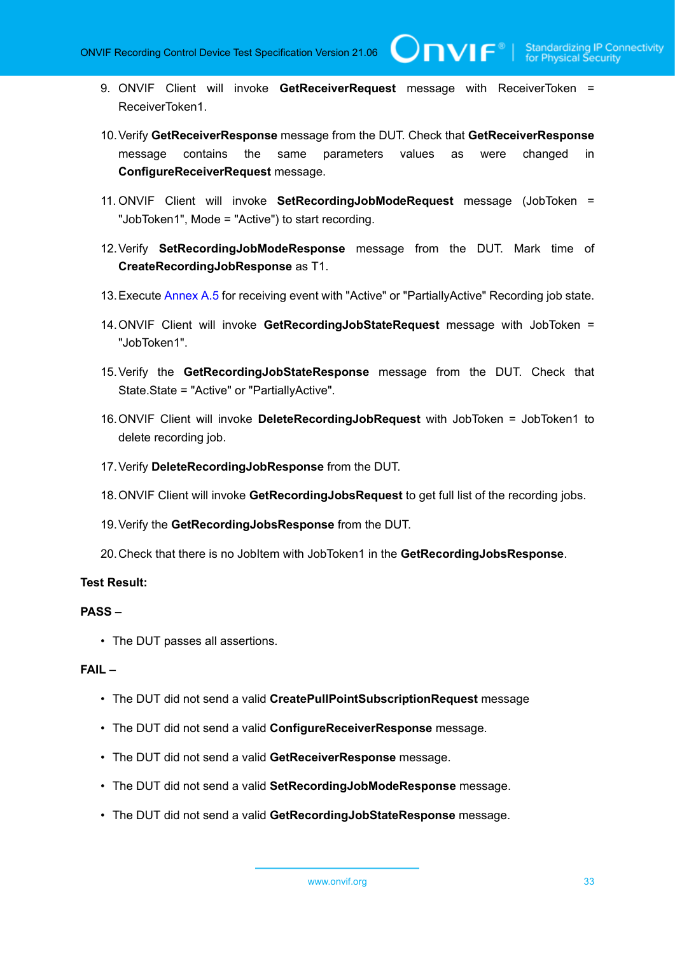**TVIF**®

- 9. ONVIF Client will invoke **GetReceiverRequest** message with ReceiverToken = ReceiverToken1.
- 10.Verify **GetReceiverResponse** message from the DUT. Check that **GetReceiverResponse** message contains the same parameters values as were changed in **ConfigureReceiverRequest** message.
- 11. ONVIF Client will invoke **SetRecordingJobModeRequest** message (JobToken = "JobToken1", Mode = "Active") to start recording.
- 12.Verify **SetRecordingJobModeResponse** message from the DUT. Mark time of **CreateRecordingJobResponse** as T1.
- 13.Execute [Annex A.5](#page-106-2) for receiving event with "Active" or "PartiallyActive" Recording job state.
- 14.ONVIF Client will invoke **GetRecordingJobStateRequest** message with JobToken = "JobToken1".
- 15.Verify the **GetRecordingJobStateResponse** message from the DUT. Check that State.State = "Active" or "PartiallyActive".
- 16.ONVIF Client will invoke **DeleteRecordingJobRequest** with JobToken = JobToken1 to delete recording job.
- 17.Verify **DeleteRecordingJobResponse** from the DUT.
- 18.ONVIF Client will invoke **GetRecordingJobsRequest** to get full list of the recording jobs.
- 19.Verify the **GetRecordingJobsResponse** from the DUT.
- 20.Check that there is no JobItem with JobToken1 in the **GetRecordingJobsResponse**.

#### **Test Result:**

#### **PASS –**

• The DUT passes all assertions.

#### **FAIL –**

- The DUT did not send a valid **CreatePullPointSubscriptionRequest** message
- The DUT did not send a valid **ConfigureReceiverResponse** message.
- The DUT did not send a valid **GetReceiverResponse** message.
- The DUT did not send a valid **SetRecordingJobModeResponse** message.
- The DUT did not send a valid **GetRecordingJobStateResponse** message.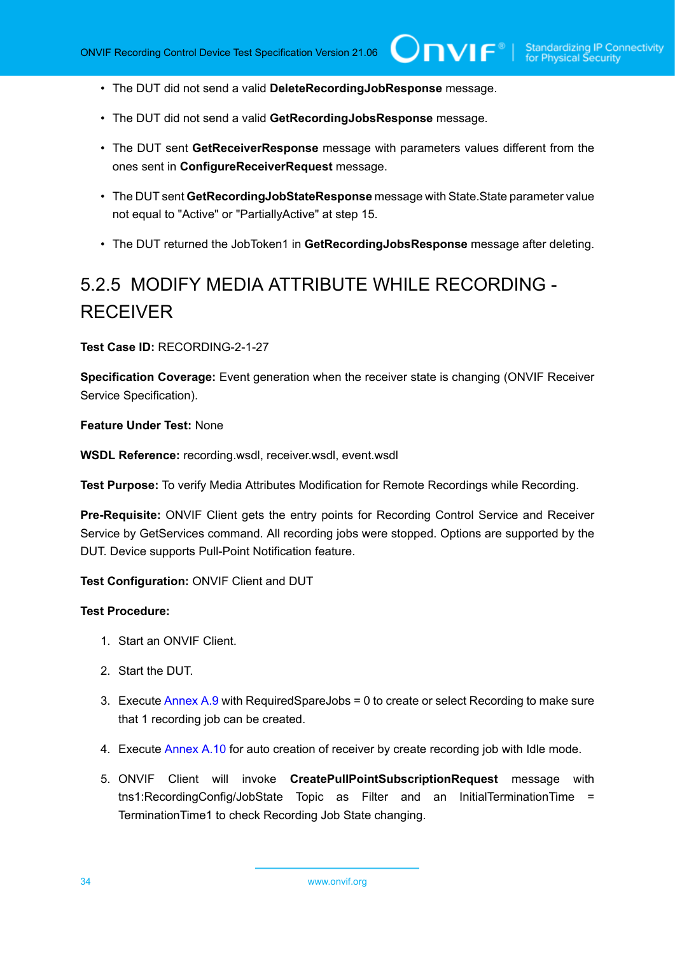- The DUT did not send a valid **DeleteRecordingJobResponse** message.
- The DUT did not send a valid **GetRecordingJobsResponse** message.
- The DUT sent **GetReceiverResponse** message with parameters values different from the ones sent in **ConfigureReceiverRequest** message.
- The DUT sent **GetRecordingJobStateResponse** message with State.State parameter value not equal to "Active" or "PartiallyActive" at step 15.
- The DUT returned the JobToken1 in **GetRecordingJobsResponse** message after deleting.

# <span id="page-33-0"></span>5.2.5 MODIFY MEDIA ATTRIBUTE WHILE RECORDING - RECEIVER

**Test Case ID:** RECORDING-2-1-27

**Specification Coverage:** Event generation when the receiver state is changing (ONVIF Receiver Service Specification).

**Feature Under Test:** None

**WSDL Reference:** recording.wsdl, receiver.wsdl, event.wsdl

**Test Purpose:** To verify Media Attributes Modification for Remote Recordings while Recording.

**Pre-Requisite:** ONVIF Client gets the entry points for Recording Control Service and Receiver Service by GetServices command. All recording jobs were stopped. Options are supported by the DUT. Device supports Pull-Point Notification feature.

**Test Configuration:** ONVIF Client and DUT

#### **Test Procedure:**

- 1. Start an ONVIF Client.
- 2. Start the DUT.
- 3. Execute [Annex A.9](#page-109-1) with RequiredSpareJobs = 0 to create or select Recording to make sure that 1 recording job can be created.
- 4. Execute [Annex A.10](#page-111-0) for auto creation of receiver by create recording job with Idle mode.
- 5. ONVIF Client will invoke **CreatePullPointSubscriptionRequest** message with tns1:RecordingConfig/JobState Topic as Filter and an InitialTerminationTime = TerminationTime1 to check Recording Job State changing.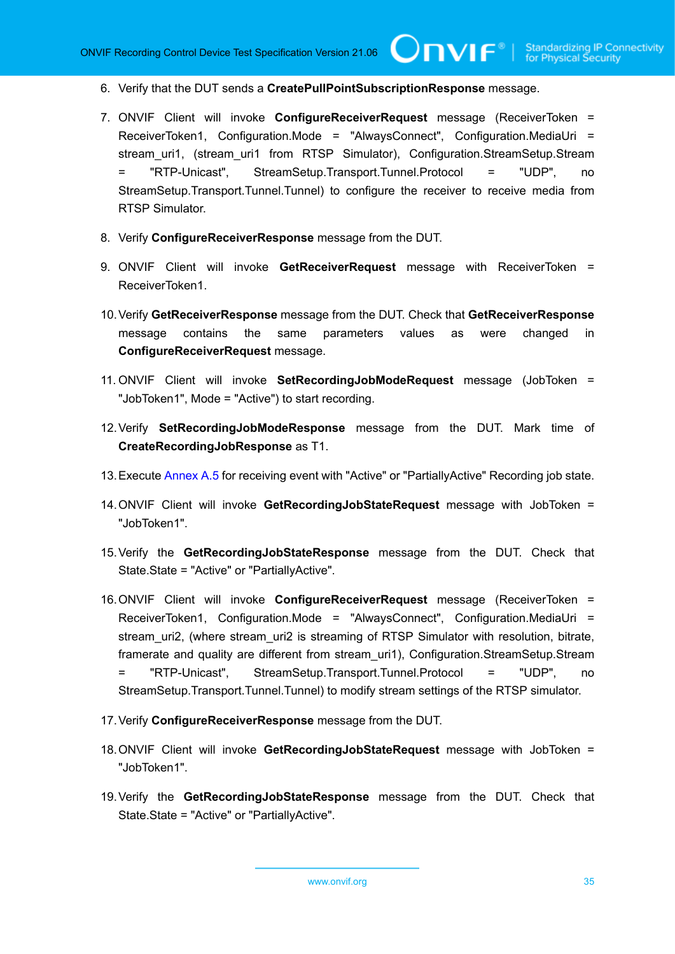- 6. Verify that the DUT sends a **CreatePullPointSubscriptionResponse** message.
- 7. ONVIF Client will invoke **ConfigureReceiverRequest** message (ReceiverToken = ReceiverToken1, Configuration.Mode = "AlwaysConnect", Configuration.MediaUri = stream\_uri1, (stream\_uri1 from RTSP Simulator), Configuration.StreamSetup.Stream = "RTP-Unicast", StreamSetup.Transport.Tunnel.Protocol = "UDP", no StreamSetup.Transport.Tunnel.Tunnel) to configure the receiver to receive media from RTSP Simulator.
- 8. Verify **ConfigureReceiverResponse** message from the DUT.
- 9. ONVIF Client will invoke **GetReceiverRequest** message with ReceiverToken = ReceiverToken1.
- 10.Verify **GetReceiverResponse** message from the DUT. Check that **GetReceiverResponse** message contains the same parameters values as were changed in **ConfigureReceiverRequest** message.
- 11. ONVIF Client will invoke **SetRecordingJobModeRequest** message (JobToken = "JobToken1", Mode = "Active") to start recording.
- 12.Verify **SetRecordingJobModeResponse** message from the DUT. Mark time of **CreateRecordingJobResponse** as T1.
- 13.Execute [Annex A.5](#page-106-2) for receiving event with "Active" or "PartiallyActive" Recording job state.
- 14.ONVIF Client will invoke **GetRecordingJobStateRequest** message with JobToken = "JobToken1".
- 15.Verify the **GetRecordingJobStateResponse** message from the DUT. Check that State.State = "Active" or "PartiallyActive".
- 16.ONVIF Client will invoke **ConfigureReceiverRequest** message (ReceiverToken = ReceiverToken1, Configuration.Mode = "AlwaysConnect", Configuration.MediaUri = stream uri2, (where stream uri2 is streaming of RTSP Simulator with resolution, bitrate, framerate and quality are different from stream\_uri1), Configuration.StreamSetup.Stream = "RTP-Unicast", StreamSetup.Transport.Tunnel.Protocol = "UDP", no StreamSetup.Transport.Tunnel.Tunnel) to modify stream settings of the RTSP simulator.
- 17.Verify **ConfigureReceiverResponse** message from the DUT.
- 18.ONVIF Client will invoke **GetRecordingJobStateRequest** message with JobToken = "JobToken1".
- 19.Verify the **GetRecordingJobStateResponse** message from the DUT. Check that State.State = "Active" or "PartiallyActive".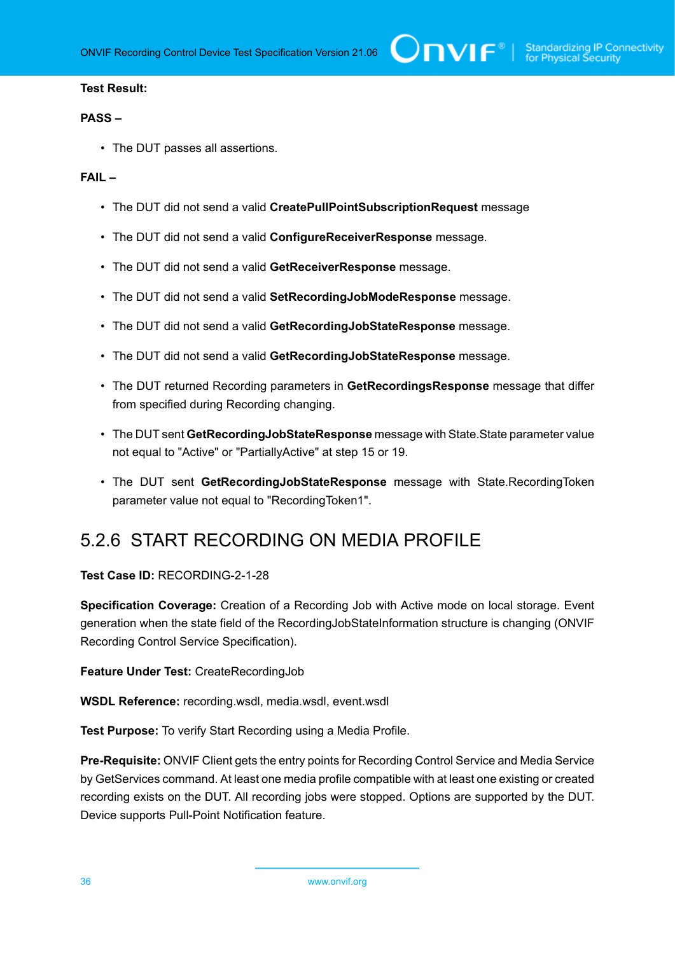#### **Test Result:**

#### **PASS –**

• The DUT passes all assertions.

#### **FAIL –**

- The DUT did not send a valid **CreatePullPointSubscriptionRequest** message
- The DUT did not send a valid **ConfigureReceiverResponse** message.
- The DUT did not send a valid **GetReceiverResponse** message.
- The DUT did not send a valid **SetRecordingJobModeResponse** message.
- The DUT did not send a valid **GetRecordingJobStateResponse** message.
- The DUT did not send a valid **GetRecordingJobStateResponse** message.
- The DUT returned Recording parameters in **GetRecordingsResponse** message that differ from specified during Recording changing.
- The DUT sent **GetRecordingJobStateResponse** message with State.State parameter value not equal to "Active" or "PartiallyActive" at step 15 or 19.
- The DUT sent **GetRecordingJobStateResponse** message with State.RecordingToken parameter value not equal to "RecordingToken1".

### <span id="page-35-0"></span>5.2.6 START RECORDING ON MEDIA PROFILE

**Test Case ID:** RECORDING-2-1-28

**Specification Coverage:** Creation of a Recording Job with Active mode on local storage. Event generation when the state field of the RecordingJobStateInformation structure is changing (ONVIF Recording Control Service Specification).

**Feature Under Test:** CreateRecordingJob

**WSDL Reference:** recording.wsdl, media.wsdl, event.wsdl

**Test Purpose:** To verify Start Recording using a Media Profile.

**Pre-Requisite:** ONVIF Client gets the entry points for Recording Control Service and Media Service by GetServices command. At least one media profile compatible with at least one existing or created recording exists on the DUT. All recording jobs were stopped. Options are supported by the DUT. Device supports Pull-Point Notification feature.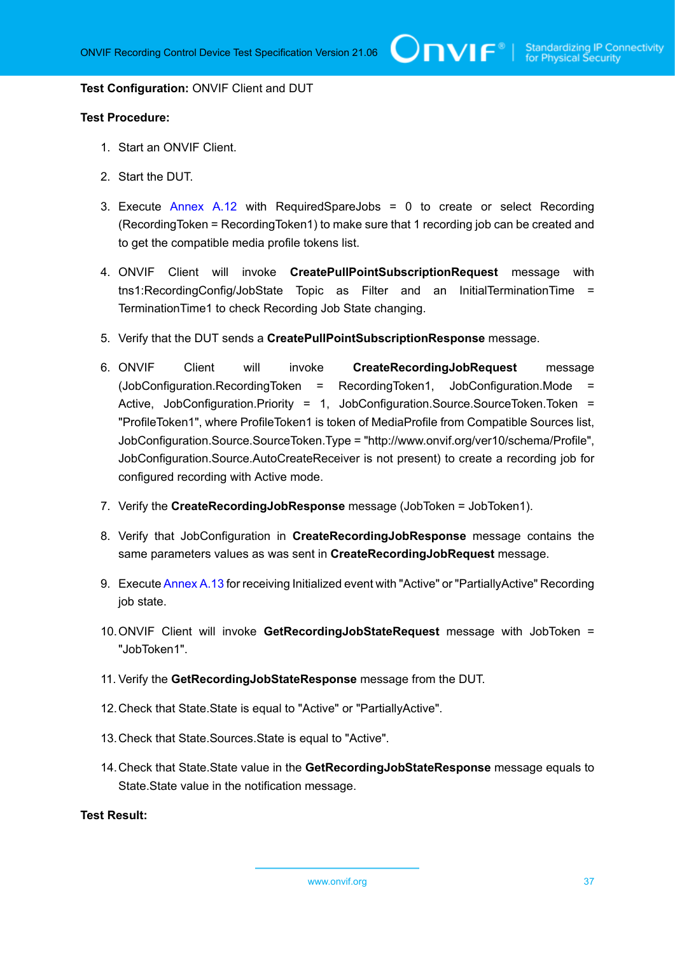#### **Test Configuration:** ONVIF Client and DUT

#### **Test Procedure:**

- 1. Start an ONVIF Client.
- 2. Start the DUT.
- 3. Execute [Annex A.12](#page-112-0) with RequiredSpareJobs = 0 to create or select Recording (RecordingToken = RecordingToken1) to make sure that 1 recording job can be created and to get the compatible media profile tokens list.
- 4. ONVIF Client will invoke **CreatePullPointSubscriptionRequest** message with tns1:RecordingConfig/JobState Topic as Filter and an InitialTerminationTime = TerminationTime1 to check Recording Job State changing.
- 5. Verify that the DUT sends a **CreatePullPointSubscriptionResponse** message.
- 6. ONVIF Client will invoke **CreateRecordingJobRequest** message (JobConfiguration.RecordingToken = RecordingToken1, JobConfiguration.Mode = Active, JobConfiguration.Priority = 1, JobConfiguration.Source.SourceToken.Token = "ProfileToken1", where ProfileToken1 is token of MediaProfile from Compatible Sources list, JobConfiguration.Source.SourceToken.Type = "http://www.onvif.org/ver10/schema/Profile", JobConfiguration.Source.AutoCreateReceiver is not present) to create a recording job for configured recording with Active mode.
- 7. Verify the **CreateRecordingJobResponse** message (JobToken = JobToken1).
- 8. Verify that JobConfiguration in **CreateRecordingJobResponse** message contains the same parameters values as was sent in **CreateRecordingJobRequest** message.
- 9. Execute [Annex A.13](#page-114-0) for receiving Initialized event with "Active" or "PartiallyActive" Recording job state.
- 10.ONVIF Client will invoke **GetRecordingJobStateRequest** message with JobToken = "JobToken1".
- 11. Verify the **GetRecordingJobStateResponse** message from the DUT.
- 12.Check that State.State is equal to "Active" or "PartiallyActive".
- 13.Check that State.Sources.State is equal to "Active".
- 14.Check that State.State value in the **GetRecordingJobStateResponse** message equals to State.State value in the notification message.

# **Test Result:**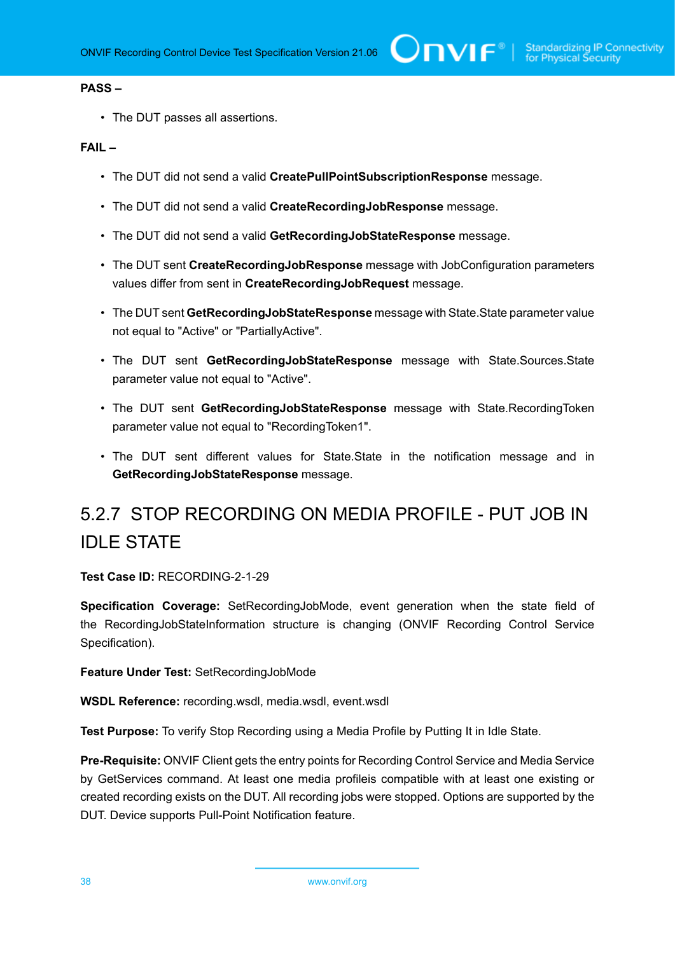#### **PASS –**

• The DUT passes all assertions.

## **FAIL –**

- The DUT did not send a valid **CreatePullPointSubscriptionResponse** message.
- The DUT did not send a valid **CreateRecordingJobResponse** message.
- The DUT did not send a valid **GetRecordingJobStateResponse** message.
- The DUT sent **CreateRecordingJobResponse** message with JobConfiguration parameters values differ from sent in **CreateRecordingJobRequest** message.
- The DUT sent **GetRecordingJobStateResponse** message with State.State parameter value not equal to "Active" or "PartiallyActive".
- The DUT sent **GetRecordingJobStateResponse** message with State.Sources.State parameter value not equal to "Active".
- The DUT sent **GetRecordingJobStateResponse** message with State.RecordingToken parameter value not equal to "RecordingToken1".
- The DUT sent different values for State.State in the notification message and in **GetRecordingJobStateResponse** message.

# 5.2.7 STOP RECORDING ON MEDIA PROFILE - PUT JOB IN IDLE STATE

**Test Case ID:** RECORDING-2-1-29

**Specification Coverage:** SetRecordingJobMode, event generation when the state field of the RecordingJobStateInformation structure is changing (ONVIF Recording Control Service Specification).

**Feature Under Test:** SetRecordingJobMode

**WSDL Reference:** recording.wsdl, media.wsdl, event.wsdl

**Test Purpose:** To verify Stop Recording using a Media Profile by Putting It in Idle State.

**Pre-Requisite:** ONVIF Client gets the entry points for Recording Control Service and Media Service by GetServices command. At least one media profileis compatible with at least one existing or created recording exists on the DUT. All recording jobs were stopped. Options are supported by the DUT. Device supports Pull-Point Notification feature.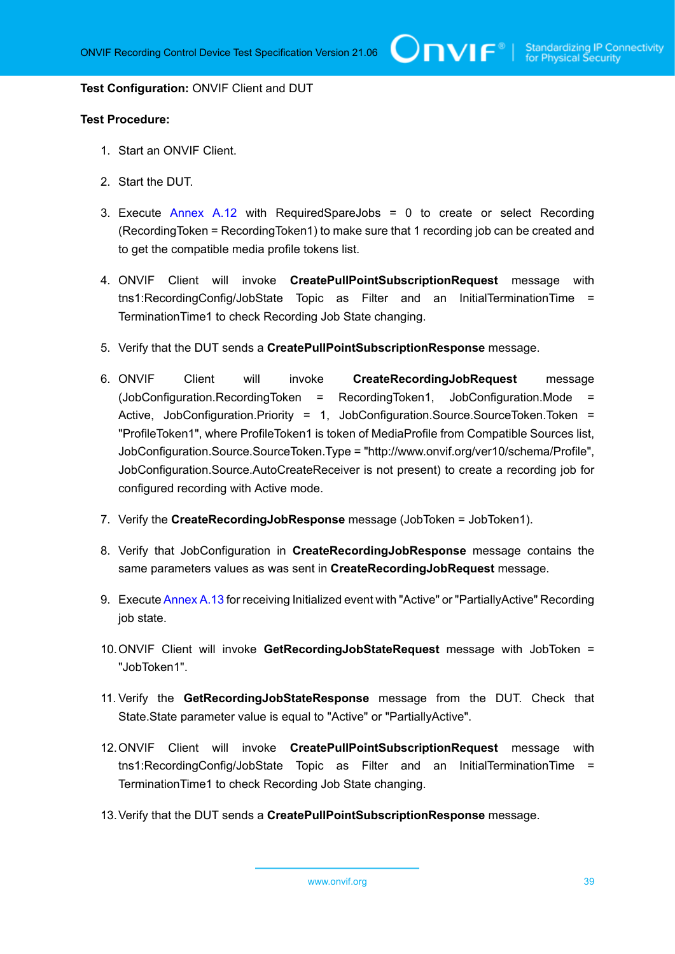#### **Test Configuration:** ONVIF Client and DUT

- 1. Start an ONVIF Client.
- 2. Start the DUT.
- 3. Execute  $\Delta n$ nex A.12 with RequiredSpareJobs = 0 to create or select Recording (RecordingToken = RecordingToken1) to make sure that 1 recording job can be created and to get the compatible media profile tokens list.
- 4. ONVIF Client will invoke **CreatePullPointSubscriptionRequest** message with tns1:RecordingConfig/JobState Topic as Filter and an InitialTerminationTime = TerminationTime1 to check Recording Job State changing.
- 5. Verify that the DUT sends a **CreatePullPointSubscriptionResponse** message.
- 6. ONVIF Client will invoke **CreateRecordingJobRequest** message (JobConfiguration.RecordingToken = RecordingToken1, JobConfiguration.Mode = Active, JobConfiguration.Priority = 1, JobConfiguration.Source.SourceToken.Token = "ProfileToken1", where ProfileToken1 is token of MediaProfile from Compatible Sources list, JobConfiguration.Source.SourceToken.Type = "http://www.onvif.org/ver10/schema/Profile", JobConfiguration.Source.AutoCreateReceiver is not present) to create a recording job for configured recording with Active mode.
- 7. Verify the **CreateRecordingJobResponse** message (JobToken = JobToken1).
- 8. Verify that JobConfiguration in **CreateRecordingJobResponse** message contains the same parameters values as was sent in **CreateRecordingJobRequest** message.
- 9. Execute [Annex A.13](#page-114-0) for receiving Initialized event with "Active" or "PartiallyActive" Recording job state.
- 10.ONVIF Client will invoke **GetRecordingJobStateRequest** message with JobToken = "JobToken1".
- 11. Verify the **GetRecordingJobStateResponse** message from the DUT. Check that State.State parameter value is equal to "Active" or "PartiallyActive".
- 12.ONVIF Client will invoke **CreatePullPointSubscriptionRequest** message with tns1:RecordingConfig/JobState Topic as Filter and an InitialTerminationTime = TerminationTime1 to check Recording Job State changing.
- 13.Verify that the DUT sends a **CreatePullPointSubscriptionResponse** message.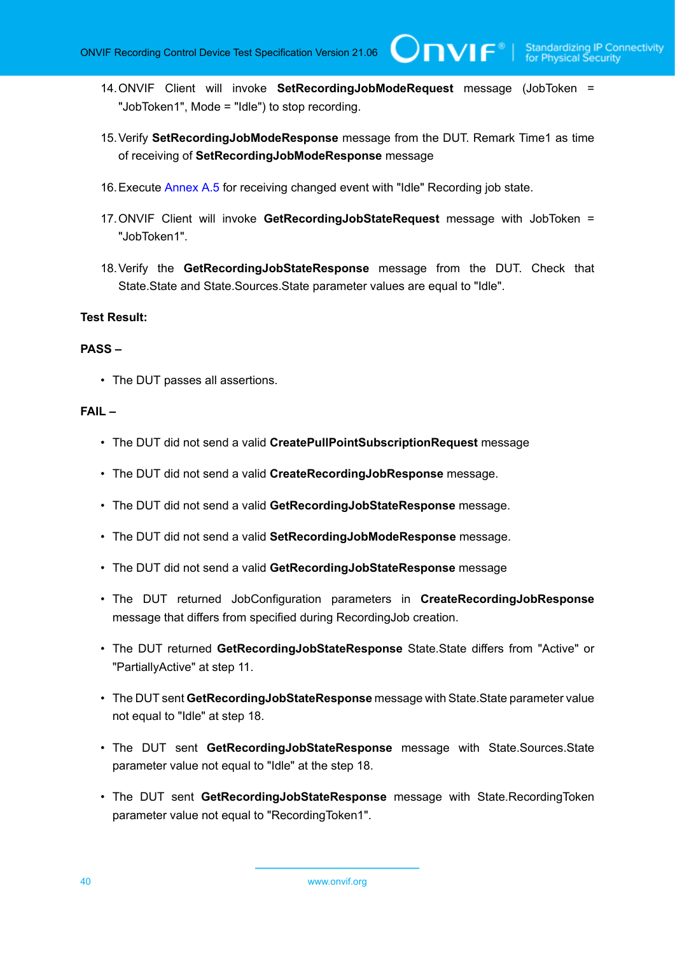**TVIF®** 

- 14.ONVIF Client will invoke **SetRecordingJobModeRequest** message (JobToken = "JobToken1", Mode = "Idle") to stop recording.
- 15.Verify **SetRecordingJobModeResponse** message from the DUT. Remark Time1 as time of receiving of **SetRecordingJobModeResponse** message
- 16.Execute [Annex A.5](#page-106-0) for receiving changed event with "Idle" Recording job state.
- 17.ONVIF Client will invoke **GetRecordingJobStateRequest** message with JobToken = "JobToken1".
- 18.Verify the **GetRecordingJobStateResponse** message from the DUT. Check that State.State and State.Sources.State parameter values are equal to "Idle".

### **Test Result:**

#### **PASS –**

• The DUT passes all assertions.

- The DUT did not send a valid **CreatePullPointSubscriptionRequest** message
- The DUT did not send a valid **CreateRecordingJobResponse** message.
- The DUT did not send a valid **GetRecordingJobStateResponse** message.
- The DUT did not send a valid **SetRecordingJobModeResponse** message.
- The DUT did not send a valid **GetRecordingJobStateResponse** message
- The DUT returned JobConfiguration parameters in **CreateRecordingJobResponse** message that differs from specified during RecordingJob creation.
- The DUT returned **GetRecordingJobStateResponse** State.State differs from "Active" or "PartiallyActive" at step 11.
- The DUT sent **GetRecordingJobStateResponse** message with State.State parameter value not equal to "Idle" at step 18.
- The DUT sent **GetRecordingJobStateResponse** message with State.Sources.State parameter value not equal to "Idle" at the step 18.
- The DUT sent **GetRecordingJobStateResponse** message with State.RecordingToken parameter value not equal to "RecordingToken1".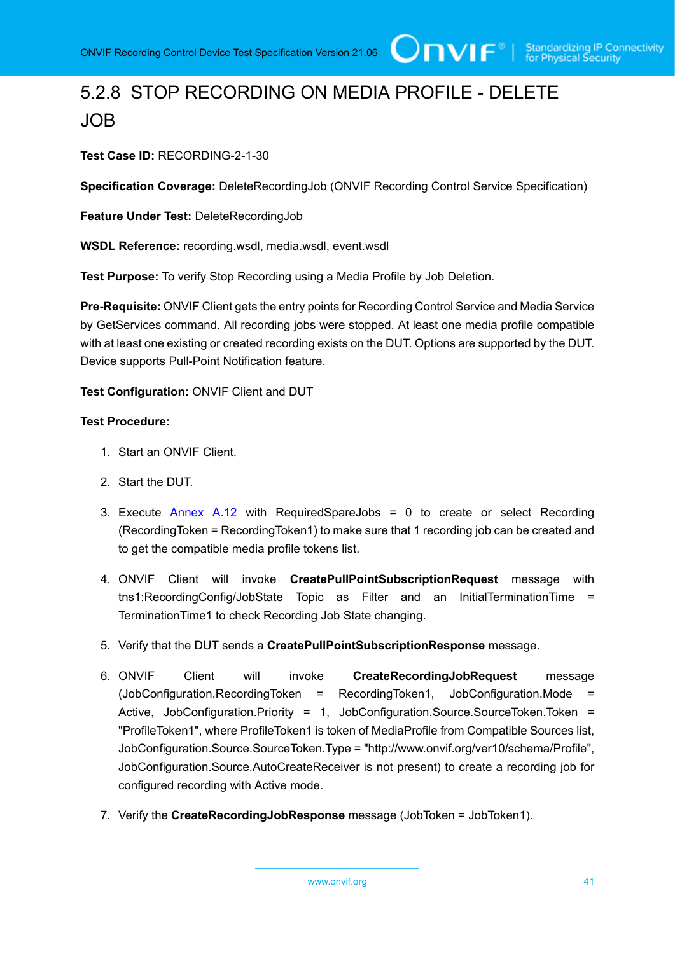# 5.2.8 STOP RECORDING ON MEDIA PROFILE - DELETE JOB

**Test Case ID:** RECORDING-2-1-30

**Specification Coverage:** DeleteRecordingJob (ONVIF Recording Control Service Specification)

**Feature Under Test:** DeleteRecordingJob

**WSDL Reference:** recording.wsdl, media.wsdl, event.wsdl

**Test Purpose:** To verify Stop Recording using a Media Profile by Job Deletion.

**Pre-Requisite:** ONVIF Client gets the entry points for Recording Control Service and Media Service by GetServices command. All recording jobs were stopped. At least one media profile compatible with at least one existing or created recording exists on the DUT. Options are supported by the DUT. Device supports Pull-Point Notification feature.

## **Test Configuration:** ONVIF Client and DUT

- 1. Start an ONVIF Client.
- 2. Start the DUT.
- 3. Execute [Annex A.12](#page-112-0) with RequiredSpareJobs = 0 to create or select Recording (RecordingToken = RecordingToken1) to make sure that 1 recording job can be created and to get the compatible media profile tokens list.
- 4. ONVIF Client will invoke **CreatePullPointSubscriptionRequest** message with tns1:RecordingConfig/JobState Topic as Filter and an InitialTerminationTime = TerminationTime1 to check Recording Job State changing.
- 5. Verify that the DUT sends a **CreatePullPointSubscriptionResponse** message.
- 6. ONVIF Client will invoke **CreateRecordingJobRequest** message (JobConfiguration.RecordingToken = RecordingToken1, JobConfiguration.Mode = Active, JobConfiguration.Priority = 1, JobConfiguration.Source.SourceToken.Token = "ProfileToken1", where ProfileToken1 is token of MediaProfile from Compatible Sources list, JobConfiguration.Source.SourceToken.Type = "http://www.onvif.org/ver10/schema/Profile", JobConfiguration.Source.AutoCreateReceiver is not present) to create a recording job for configured recording with Active mode.
- 7. Verify the **CreateRecordingJobResponse** message (JobToken = JobToken1).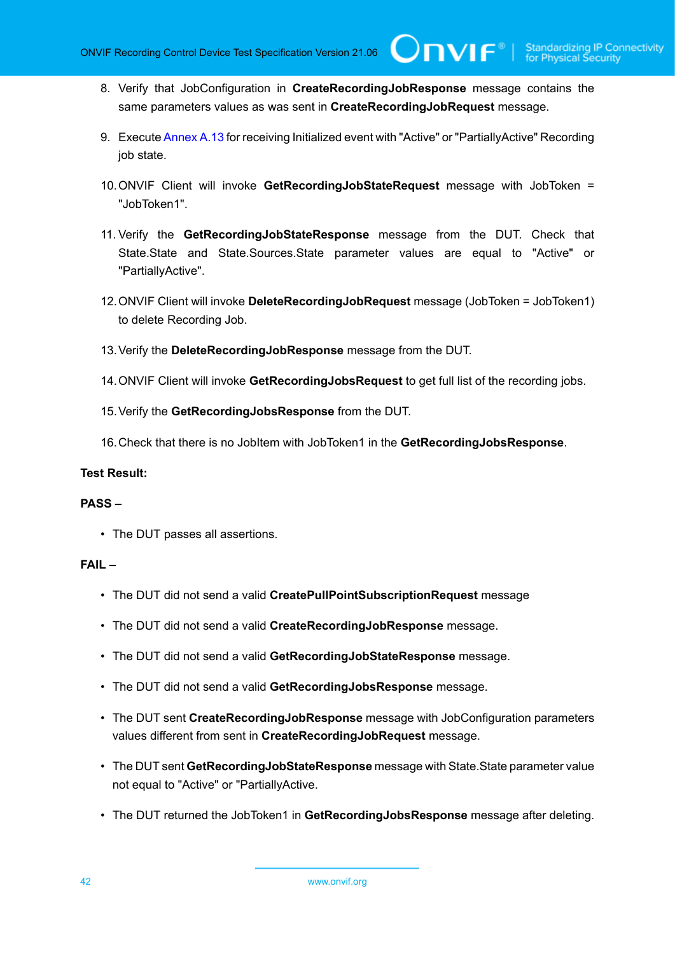**TVIF**®

- 8. Verify that JobConfiguration in **CreateRecordingJobResponse** message contains the same parameters values as was sent in **CreateRecordingJobRequest** message.
- 9. Execute [Annex A.13](#page-114-0) for receiving Initialized event with "Active" or "PartiallyActive" Recording job state.
- 10.ONVIF Client will invoke **GetRecordingJobStateRequest** message with JobToken = "JobToken1".
- 11. Verify the **GetRecordingJobStateResponse** message from the DUT. Check that State.State and State.Sources.State parameter values are equal to "Active" or "PartiallyActive".
- 12.ONVIF Client will invoke **DeleteRecordingJobRequest** message (JobToken = JobToken1) to delete Recording Job.
- 13.Verify the **DeleteRecordingJobResponse** message from the DUT.
- 14.ONVIF Client will invoke **GetRecordingJobsRequest** to get full list of the recording jobs.
- 15.Verify the **GetRecordingJobsResponse** from the DUT.
- 16.Check that there is no JobItem with JobToken1 in the **GetRecordingJobsResponse**.

### **Test Result:**

## **PASS –**

• The DUT passes all assertions.

- The DUT did not send a valid **CreatePullPointSubscriptionRequest** message
- The DUT did not send a valid **CreateRecordingJobResponse** message.
- The DUT did not send a valid **GetRecordingJobStateResponse** message.
- The DUT did not send a valid **GetRecordingJobsResponse** message.
- The DUT sent **CreateRecordingJobResponse** message with JobConfiguration parameters values different from sent in **CreateRecordingJobRequest** message.
- The DUT sent **GetRecordingJobStateResponse** message with State.State parameter value not equal to "Active" or "PartiallyActive.
- The DUT returned the JobToken1 in **GetRecordingJobsResponse** message after deleting.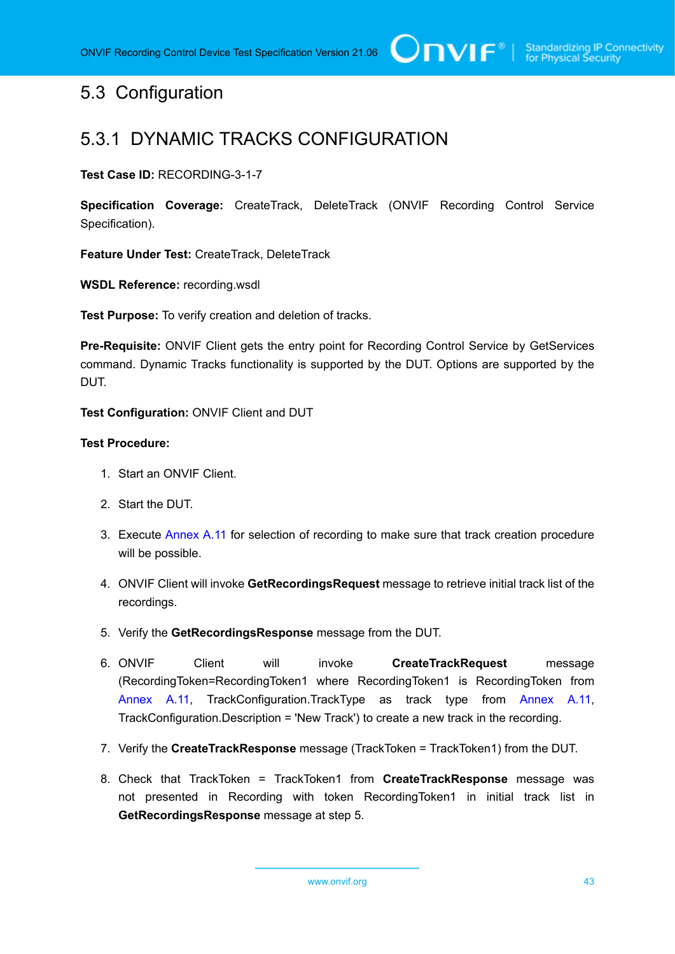# 5.3 Configuration

# 5.3.1 DYNAMIC TRACKS CONFIGURATION

**Test Case ID:** RECORDING-3-1-7

**Specification Coverage:** CreateTrack, DeleteTrack (ONVIF Recording Control Service Specification).

**Feature Under Test:** CreateTrack, DeleteTrack

**WSDL Reference:** recording.wsdl

**Test Purpose:** To verify creation and deletion of tracks.

**Pre-Requisite:** ONVIF Client gets the entry point for Recording Control Service by GetServices command. Dynamic Tracks functionality is supported by the DUT. Options are supported by the DUT.

**Test Configuration:** ONVIF Client and DUT

- 1. Start an ONVIF Client.
- 2. Start the DUT.
- 3. Execute [Annex](#page-112-1) A.11 for selection of recording to make sure that track creation procedure will be possible.
- 4. ONVIF Client will invoke **GetRecordingsRequest** message to retrieve initial track list of the recordings.
- 5. Verify the **GetRecordingsResponse** message from the DUT.
- 6. ONVIF Client will invoke **CreateTrackRequest** message (RecordingToken=RecordingToken1 where RecordingToken1 is RecordingToken from [Annex](#page-112-1) A.11, TrackConfiguration.TrackType as track type from [Annex](#page-112-1) A.11, TrackConfiguration.Description = 'New Track') to create a new track in the recording.
- 7. Verify the **CreateTrackResponse** message (TrackToken = TrackToken1) from the DUT.
- 8. Check that TrackToken = TrackToken1 from **CreateTrackResponse** message was not presented in Recording with token RecordingToken1 in initial track list in **GetRecordingsResponse** message at step 5.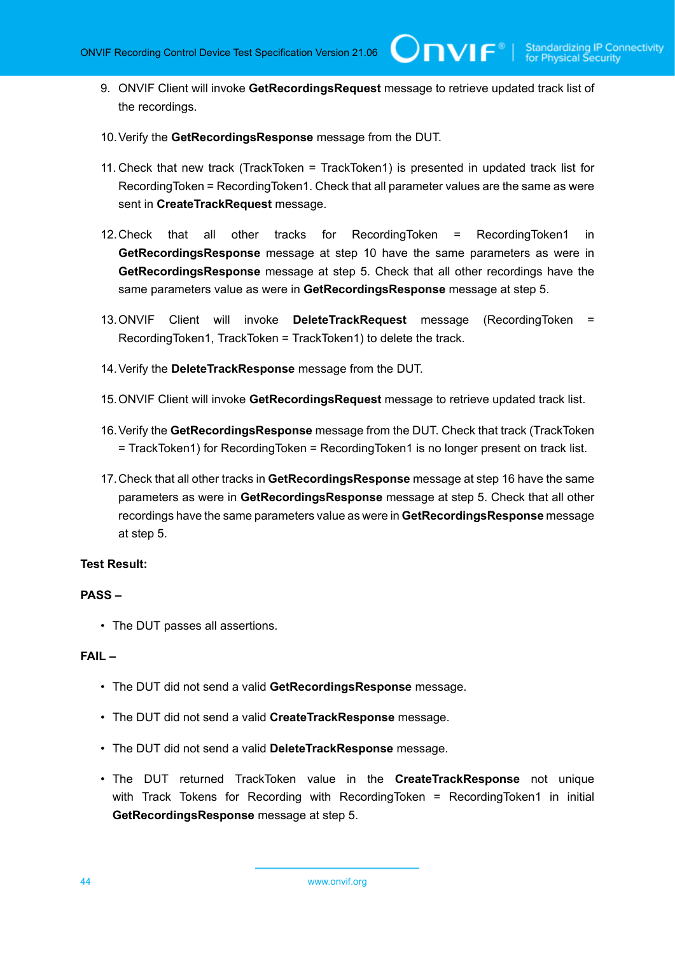TVIF®

- 9. ONVIF Client will invoke **GetRecordingsRequest** message to retrieve updated track list of the recordings.
- 10.Verify the **GetRecordingsResponse** message from the DUT.
- 11. Check that new track (TrackToken = TrackToken1) is presented in updated track list for RecordingToken = RecordingToken1. Check that all parameter values are the same as were sent in **CreateTrackRequest** message.
- 12.Check that all other tracks for RecordingToken = RecordingToken1 in **GetRecordingsResponse** message at step 10 have the same parameters as were in **GetRecordingsResponse** message at step 5. Check that all other recordings have the same parameters value as were in **GetRecordingsResponse** message at step 5.
- 13.ONVIF Client will invoke **DeleteTrackRequest** message (RecordingToken = RecordingToken1, TrackToken = TrackToken1) to delete the track.
- 14.Verify the **DeleteTrackResponse** message from the DUT.
- 15.ONVIF Client will invoke **GetRecordingsRequest** message to retrieve updated track list.
- 16.Verify the **GetRecordingsResponse** message from the DUT. Check that track (TrackToken = TrackToken1) for RecordingToken = RecordingToken1 is no longer present on track list.
- 17.Check that all other tracks in **GetRecordingsResponse** message at step 16 have the same parameters as were in **GetRecordingsResponse** message at step 5. Check that all other recordings have the same parameters value as were in **GetRecordingsResponse** message at step 5.

### **Test Result:**

#### **PASS –**

• The DUT passes all assertions.

- The DUT did not send a valid **GetRecordingsResponse** message.
- The DUT did not send a valid **CreateTrackResponse** message.
- The DUT did not send a valid **DeleteTrackResponse** message.
- The DUT returned TrackToken value in the **CreateTrackResponse** not unique with Track Tokens for Recording with RecordingToken = RecordingToken1 in initial **GetRecordingsResponse** message at step 5.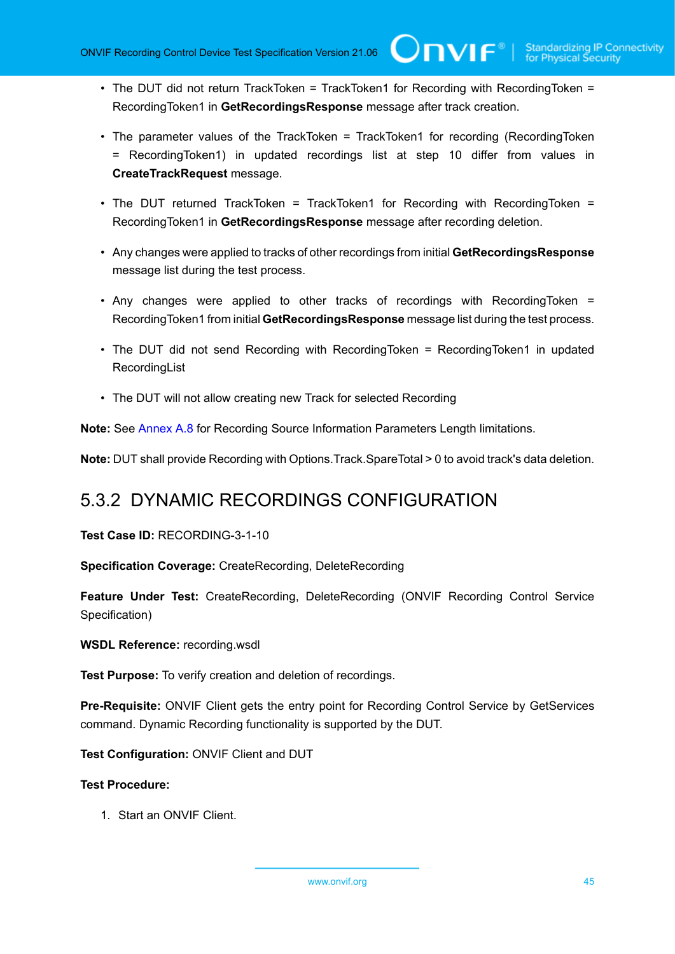• The DUT did not return TrackToken = TrackToken1 for Recording with RecordingToken = RecordingToken1 in **GetRecordingsResponse** message after track creation.

 $\mathsf{ConvIF}^{\ast}$  i

- The parameter values of the TrackToken = TrackToken1 for recording (RecordingToken = RecordingToken1) in updated recordings list at step 10 differ from values in **CreateTrackRequest** message.
- The DUT returned TrackToken = TrackToken1 for Recording with RecordingToken = RecordingToken1 in **GetRecordingsResponse** message after recording deletion.
- Any changes were applied to tracks of other recordings from initial **GetRecordingsResponse** message list during the test process.
- Any changes were applied to other tracks of recordings with RecordingToken = RecordingToken1 from initial **GetRecordingsResponse** message list during the test process.
- The DUT did not send Recording with RecordingToken = RecordingToken1 in updated **RecordingList**
- The DUT will not allow creating new Track for selected Recording

**Note:** See [Annex A.8](#page-109-0) for Recording Source Information Parameters Length limitations.

**Note:** DUT shall provide Recording with Options.Track.SpareTotal > 0 to avoid track's data deletion.

# 5.3.2 DYNAMIC RECORDINGS CONFIGURATION

**Test Case ID:** RECORDING-3-1-10

**Specification Coverage:** CreateRecording, DeleteRecording

**Feature Under Test:** CreateRecording, DeleteRecording (ONVIF Recording Control Service Specification)

**WSDL Reference:** recording.wsdl

**Test Purpose:** To verify creation and deletion of recordings.

**Pre-Requisite:** ONVIF Client gets the entry point for Recording Control Service by GetServices command. Dynamic Recording functionality is supported by the DUT.

**Test Configuration:** ONVIF Client and DUT

**Test Procedure:**

1. Start an ONVIF Client.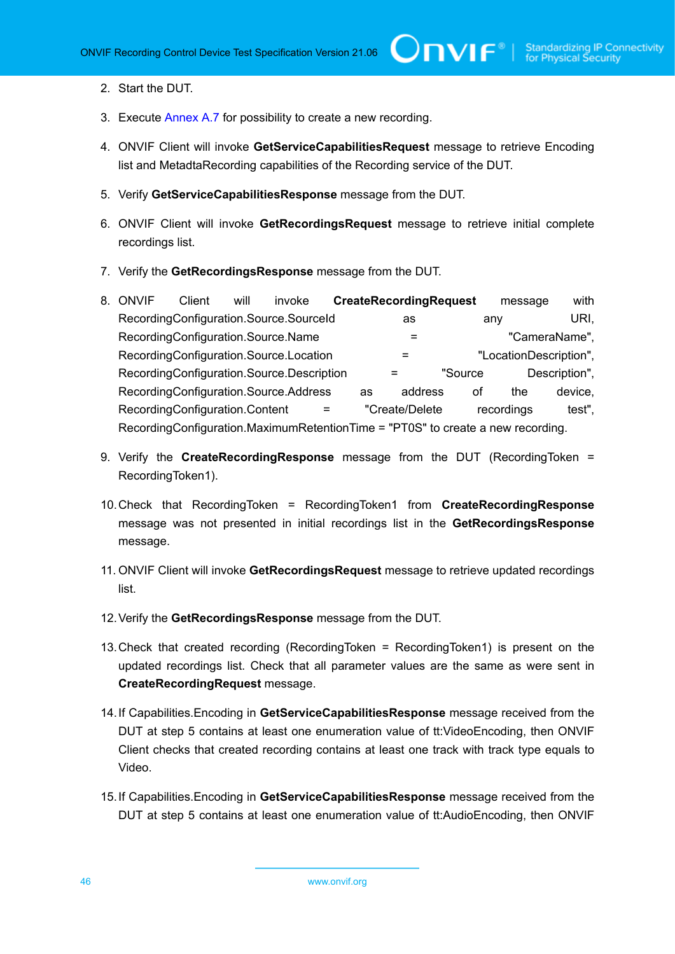- 2. Start the DUT.
- 3. Execute [Annex A.7](#page-108-0) for possibility to create a new recording.
- 4. ONVIF Client will invoke **GetServiceCapabilitiesRequest** message to retrieve Encoding list and MetadtaRecording capabilities of the Recording service of the DUT.
- 5. Verify **GetServiceCapabilitiesResponse** message from the DUT.
- 6. ONVIF Client will invoke **GetRecordingsRequest** message to retrieve initial complete recordings list.
- 7. Verify the **GetRecordingsResponse** message from the DUT.
- 8. ONVIF Client will invoke **CreateRecordingRequest** message with RecordingConfiguration.Source.SourceId as any URI, RecordingConfiguration.Source.Name =  $\blacksquare$  =  $\blacksquare$   $\blacksquare$   $\blacksquare$ RecordingConfiguration.Source.Location = "LocationDescription", RecordingConfiguration.Source.Description = "Source Description", RecordingConfiguration.Source.Address as address of the device, RecordingConfiguration.Content = "Create/Delete recordings test", RecordingConfiguration.MaximumRetentionTime = "PT0S" to create a new recording.
- 9. Verify the **CreateRecordingResponse** message from the DUT (RecordingToken = RecordingToken1).
- 10.Check that RecordingToken = RecordingToken1 from **CreateRecordingResponse** message was not presented in initial recordings list in the **GetRecordingsResponse** message.
- 11. ONVIF Client will invoke **GetRecordingsRequest** message to retrieve updated recordings list.
- 12.Verify the **GetRecordingsResponse** message from the DUT.
- 13.Check that created recording (RecordingToken = RecordingToken1) is present on the updated recordings list. Check that all parameter values are the same as were sent in **CreateRecordingRequest** message.
- 14.If Capabilities.Encoding in **GetServiceCapabilitiesResponse** message received from the DUT at step 5 contains at least one enumeration value of tt:VideoEncoding, then ONVIF Client checks that created recording contains at least one track with track type equals to Video.
- 15.If Capabilities.Encoding in **GetServiceCapabilitiesResponse** message received from the DUT at step 5 contains at least one enumeration value of tt:AudioEncoding, then ONVIF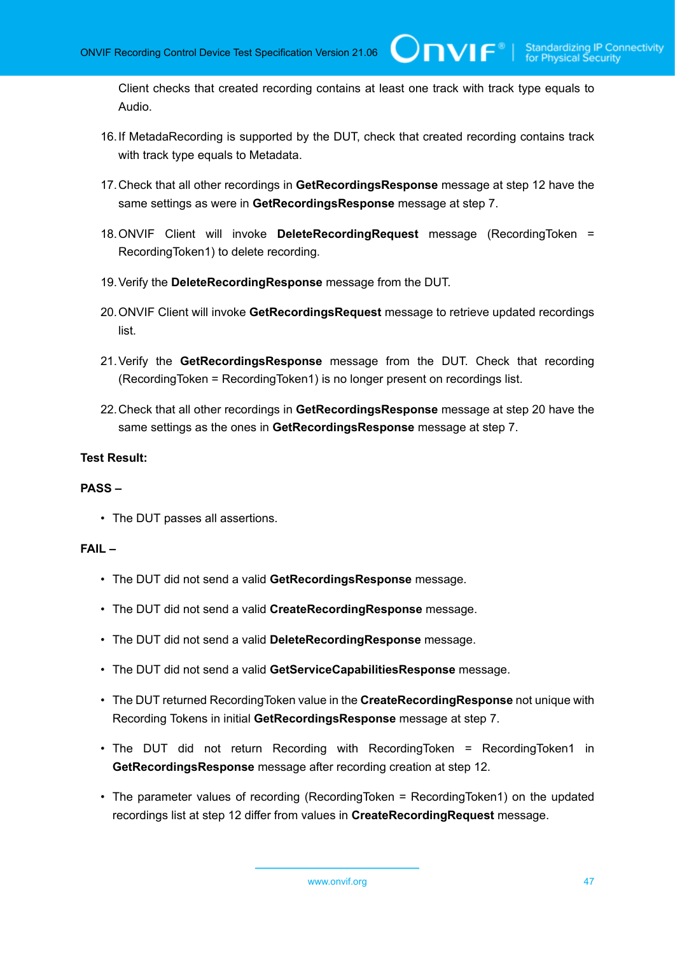Client checks that created recording contains at least one track with track type equals to Audio.

 $\bigcup$ NVIF $^\circ$ l

- 16.If MetadaRecording is supported by the DUT, check that created recording contains track with track type equals to Metadata.
- 17.Check that all other recordings in **GetRecordingsResponse** message at step 12 have the same settings as were in **GetRecordingsResponse** message at step 7.
- 18.ONVIF Client will invoke **DeleteRecordingRequest** message (RecordingToken = RecordingToken1) to delete recording.
- 19.Verify the **DeleteRecordingResponse** message from the DUT.
- 20.ONVIF Client will invoke **GetRecordingsRequest** message to retrieve updated recordings list.
- 21.Verify the **GetRecordingsResponse** message from the DUT. Check that recording (RecordingToken = RecordingToken1) is no longer present on recordings list.
- 22.Check that all other recordings in **GetRecordingsResponse** message at step 20 have the same settings as the ones in **GetRecordingsResponse** message at step 7.

#### **Test Result:**

#### **PASS –**

• The DUT passes all assertions.

- The DUT did not send a valid **GetRecordingsResponse** message.
- The DUT did not send a valid **CreateRecordingResponse** message.
- The DUT did not send a valid **DeleteRecordingResponse** message.
- The DUT did not send a valid **GetServiceCapabilitiesResponse** message.
- The DUT returned RecordingToken value in the **CreateRecordingResponse** not unique with Recording Tokens in initial **GetRecordingsResponse** message at step 7.
- The DUT did not return Recording with RecordingToken = RecordingToken1 in **GetRecordingsResponse** message after recording creation at step 12.
- The parameter values of recording (RecordingToken = RecordingToken1) on the updated recordings list at step 12 differ from values in **CreateRecordingRequest** message.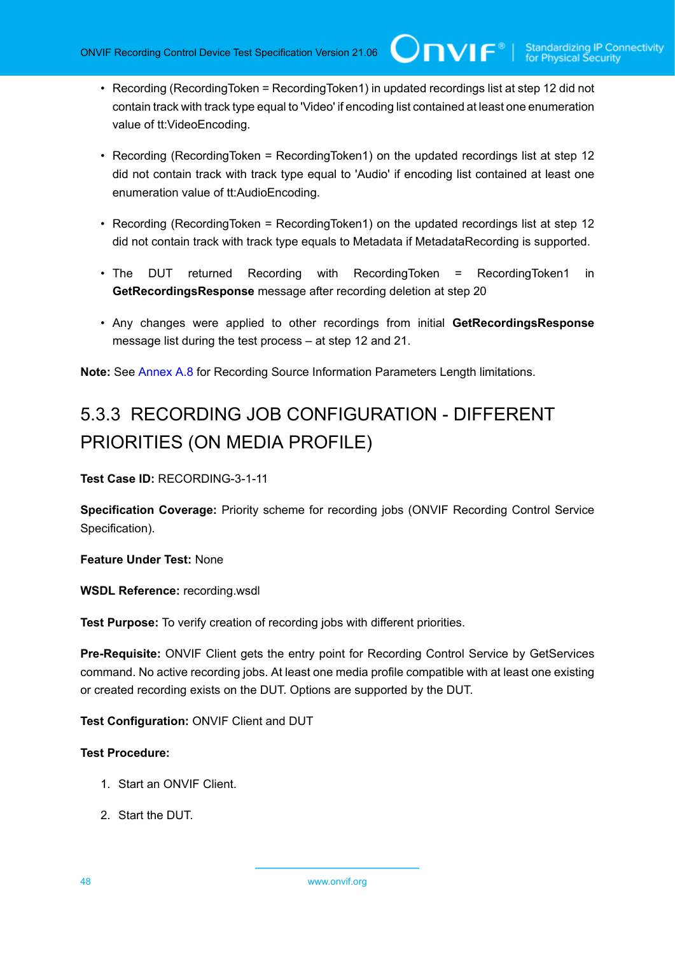• Recording (RecordingToken = RecordingToken1) in updated recordings list at step 12 did not contain track with track type equal to 'Video' if encoding list contained at least one enumeration value of tt:VideoEncoding.

 $\mathsf{Cnv}$ ı $\mathsf{F}^\ast$ l

- Recording (RecordingToken = RecordingToken1) on the updated recordings list at step 12 did not contain track with track type equal to 'Audio' if encoding list contained at least one enumeration value of tt:AudioEncoding.
- Recording (RecordingToken = RecordingToken1) on the updated recordings list at step 12 did not contain track with track type equals to Metadata if MetadataRecording is supported.
- The DUT returned Recording with RecordingToken = RecordingToken1 in **GetRecordingsResponse** message after recording deletion at step 20
- Any changes were applied to other recordings from initial **GetRecordingsResponse** message list during the test process – at step 12 and 21.

**Note:** See [Annex A.8](#page-109-0) for Recording Source Information Parameters Length limitations.

# 5.3.3 RECORDING JOB CONFIGURATION - DIFFERENT PRIORITIES (ON MEDIA PROFILE)

**Test Case ID:** RECORDING-3-1-11

**Specification Coverage:** Priority scheme for recording jobs (ONVIF Recording Control Service Specification).

**Feature Under Test:** None

**WSDL Reference:** recording.wsdl

**Test Purpose:** To verify creation of recording jobs with different priorities.

**Pre-Requisite:** ONVIF Client gets the entry point for Recording Control Service by GetServices command. No active recording jobs. At least one media profile compatible with at least one existing or created recording exists on the DUT. Options are supported by the DUT.

**Test Configuration:** ONVIF Client and DUT

- 1. Start an ONVIF Client.
- 2. Start the DUT.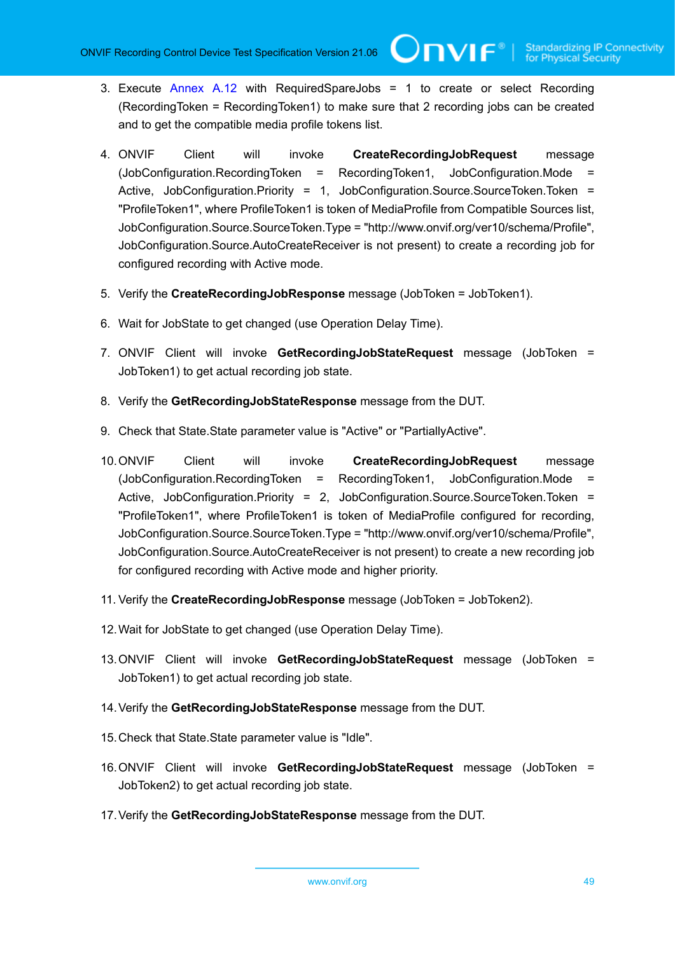- 3. Execute [Annex A.12](#page-112-0) with RequiredSpareJobs = 1 to create or select Recording (RecordingToken = RecordingToken1) to make sure that 2 recording jobs can be created and to get the compatible media profile tokens list.
- 4. ONVIF Client will invoke **CreateRecordingJobRequest** message (JobConfiguration.RecordingToken = RecordingToken1, JobConfiguration.Mode = Active, JobConfiguration.Priority = 1, JobConfiguration.Source.SourceToken.Token = "ProfileToken1", where ProfileToken1 is token of MediaProfile from Compatible Sources list, JobConfiguration.Source.SourceToken.Type = "http://www.onvif.org/ver10/schema/Profile", JobConfiguration.Source.AutoCreateReceiver is not present) to create a recording job for configured recording with Active mode.
- 5. Verify the **CreateRecordingJobResponse** message (JobToken = JobToken1).
- 6. Wait for JobState to get changed (use Operation Delay Time).
- 7. ONVIF Client will invoke **GetRecordingJobStateRequest** message (JobToken = JobToken1) to get actual recording job state.
- 8. Verify the **GetRecordingJobStateResponse** message from the DUT.
- 9. Check that State. State parameter value is "Active" or "PartiallyActive".
- 10.ONVIF Client will invoke **CreateRecordingJobRequest** message (JobConfiguration.RecordingToken = RecordingToken1, JobConfiguration.Mode = Active, JobConfiguration.Priority = 2, JobConfiguration.Source.SourceToken.Token = "ProfileToken1", where ProfileToken1 is token of MediaProfile configured for recording, JobConfiguration.Source.SourceToken.Type = "http://www.onvif.org/ver10/schema/Profile", JobConfiguration.Source.AutoCreateReceiver is not present) to create a new recording job for configured recording with Active mode and higher priority.
- 11. Verify the **CreateRecordingJobResponse** message (JobToken = JobToken2).
- 12.Wait for JobState to get changed (use Operation Delay Time).
- 13.ONVIF Client will invoke **GetRecordingJobStateRequest** message (JobToken = JobToken1) to get actual recording job state.
- 14.Verify the **GetRecordingJobStateResponse** message from the DUT.
- 15.Check that State.State parameter value is "Idle".
- 16.ONVIF Client will invoke **GetRecordingJobStateRequest** message (JobToken = JobToken2) to get actual recording job state.
- 17.Verify the **GetRecordingJobStateResponse** message from the DUT.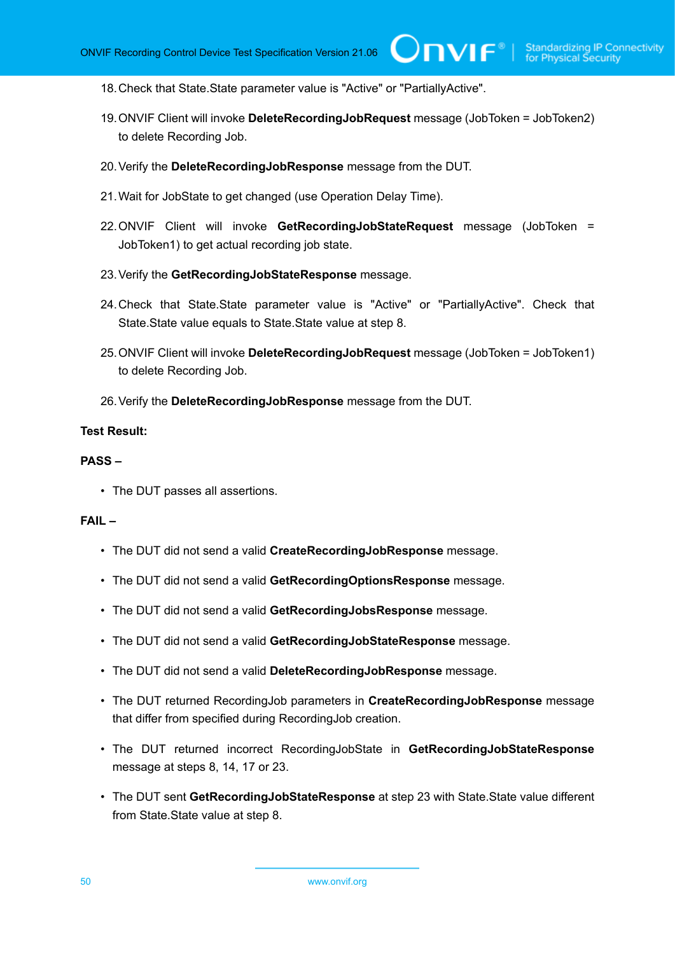$IVIF^{\circ}$ 

- 18.Check that State.State parameter value is "Active" or "PartiallyActive".
- 19.ONVIF Client will invoke **DeleteRecordingJobRequest** message (JobToken = JobToken2) to delete Recording Job.
- 20.Verify the **DeleteRecordingJobResponse** message from the DUT.
- 21.Wait for JobState to get changed (use Operation Delay Time).
- 22.ONVIF Client will invoke **GetRecordingJobStateRequest** message (JobToken = JobToken1) to get actual recording job state.
- 23.Verify the **GetRecordingJobStateResponse** message.
- 24.Check that State.State parameter value is "Active" or "PartiallyActive". Check that State.State value equals to State.State value at step 8.
- 25.ONVIF Client will invoke **DeleteRecordingJobRequest** message (JobToken = JobToken1) to delete Recording Job.
- 26.Verify the **DeleteRecordingJobResponse** message from the DUT.

## **Test Result:**

#### **PASS –**

• The DUT passes all assertions.

- The DUT did not send a valid **CreateRecordingJobResponse** message.
- The DUT did not send a valid **GetRecordingOptionsResponse** message.
- The DUT did not send a valid **GetRecordingJobsResponse** message.
- The DUT did not send a valid **GetRecordingJobStateResponse** message.
- The DUT did not send a valid **DeleteRecordingJobResponse** message.
- The DUT returned RecordingJob parameters in **CreateRecordingJobResponse** message that differ from specified during RecordingJob creation.
- The DUT returned incorrect RecordingJobState in **GetRecordingJobStateResponse** message at steps 8, 14, 17 or 23.
- The DUT sent **GetRecordingJobStateResponse** at step 23 with State.State value different from State.State value at step 8.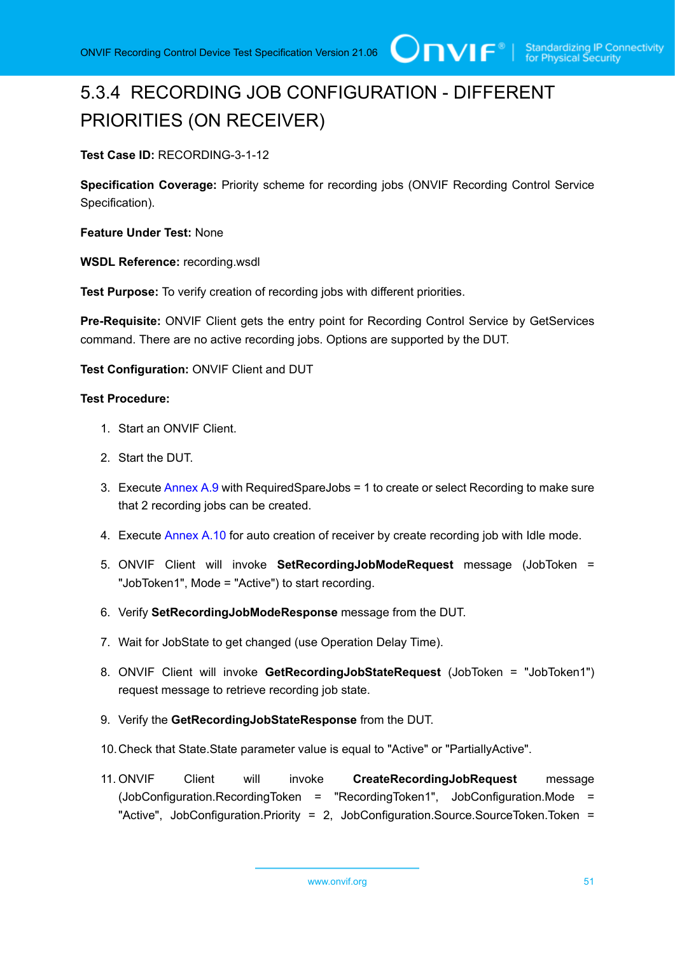# 5.3.4 RECORDING JOB CONFIGURATION - DIFFERENT PRIORITIES (ON RECEIVER)

**Test Case ID:** RECORDING-3-1-12

**Specification Coverage:** Priority scheme for recording jobs (ONVIF Recording Control Service Specification).

**Feature Under Test:** None

**WSDL Reference:** recording.wsdl

**Test Purpose:** To verify creation of recording jobs with different priorities.

**Pre-Requisite:** ONVIF Client gets the entry point for Recording Control Service by GetServices command. There are no active recording jobs. Options are supported by the DUT.

**Test Configuration:** ONVIF Client and DUT

- 1. Start an ONVIF Client.
- 2. Start the DUT.
- 3. Execute [Annex A.9](#page-109-1) with RequiredSpareJobs = 1 to create or select Recording to make sure that 2 recording jobs can be created.
- 4. Execute [Annex A.10](#page-111-0) for auto creation of receiver by create recording job with Idle mode.
- 5. ONVIF Client will invoke **SetRecordingJobModeRequest** message (JobToken = "JobToken1", Mode = "Active") to start recording.
- 6. Verify **SetRecordingJobModeResponse** message from the DUT.
- 7. Wait for JobState to get changed (use Operation Delay Time).
- 8. ONVIF Client will invoke **GetRecordingJobStateRequest** (JobToken = "JobToken1") request message to retrieve recording job state.
- 9. Verify the **GetRecordingJobStateResponse** from the DUT.
- 10.Check that State.State parameter value is equal to "Active" or "PartiallyActive".
- 11. ONVIF Client will invoke **CreateRecordingJobRequest** message (JobConfiguration.RecordingToken = "RecordingToken1", JobConfiguration.Mode = "Active", JobConfiguration.Priority = 2, JobConfiguration.Source.SourceToken.Token =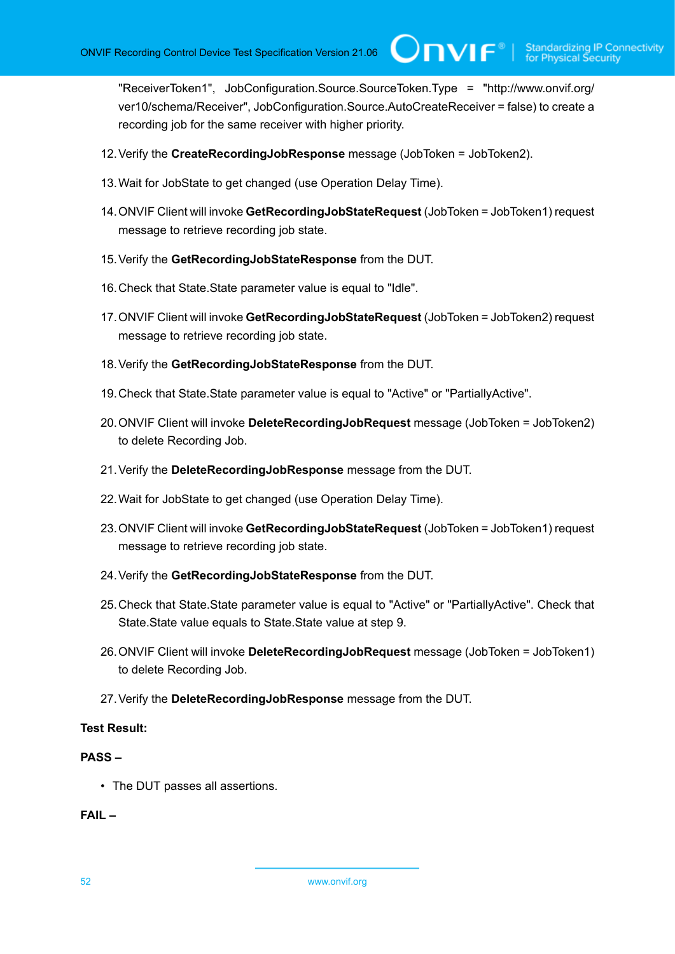"ReceiverToken1", JobConfiguration.Source.SourceToken.Type = "http://www.onvif.org/ ver10/schema/Receiver", JobConfiguration.Source.AutoCreateReceiver = false) to create a recording job for the same receiver with higher priority.

 $\square$ nvif ${}^*$ 

- 12.Verify the **CreateRecordingJobResponse** message (JobToken = JobToken2).
- 13.Wait for JobState to get changed (use Operation Delay Time).
- 14.ONVIF Client will invoke **GetRecordingJobStateRequest** (JobToken = JobToken1) request message to retrieve recording job state.
- 15.Verify the **GetRecordingJobStateResponse** from the DUT.
- 16.Check that State.State parameter value is equal to "Idle".
- 17.ONVIF Client will invoke **GetRecordingJobStateRequest** (JobToken = JobToken2) request message to retrieve recording job state.
- 18.Verify the **GetRecordingJobStateResponse** from the DUT.
- 19.Check that State.State parameter value is equal to "Active" or "PartiallyActive".
- 20.ONVIF Client will invoke **DeleteRecordingJobRequest** message (JobToken = JobToken2) to delete Recording Job.
- 21.Verify the **DeleteRecordingJobResponse** message from the DUT.
- 22.Wait for JobState to get changed (use Operation Delay Time).
- 23.ONVIF Client will invoke **GetRecordingJobStateRequest** (JobToken = JobToken1) request message to retrieve recording job state.
- 24.Verify the **GetRecordingJobStateResponse** from the DUT.
- 25.Check that State.State parameter value is equal to "Active" or "PartiallyActive". Check that State.State value equals to State.State value at step 9.
- 26.ONVIF Client will invoke **DeleteRecordingJobRequest** message (JobToken = JobToken1) to delete Recording Job.
- 27.Verify the **DeleteRecordingJobResponse** message from the DUT.

#### **Test Result:**

#### **PASS –**

• The DUT passes all assertions.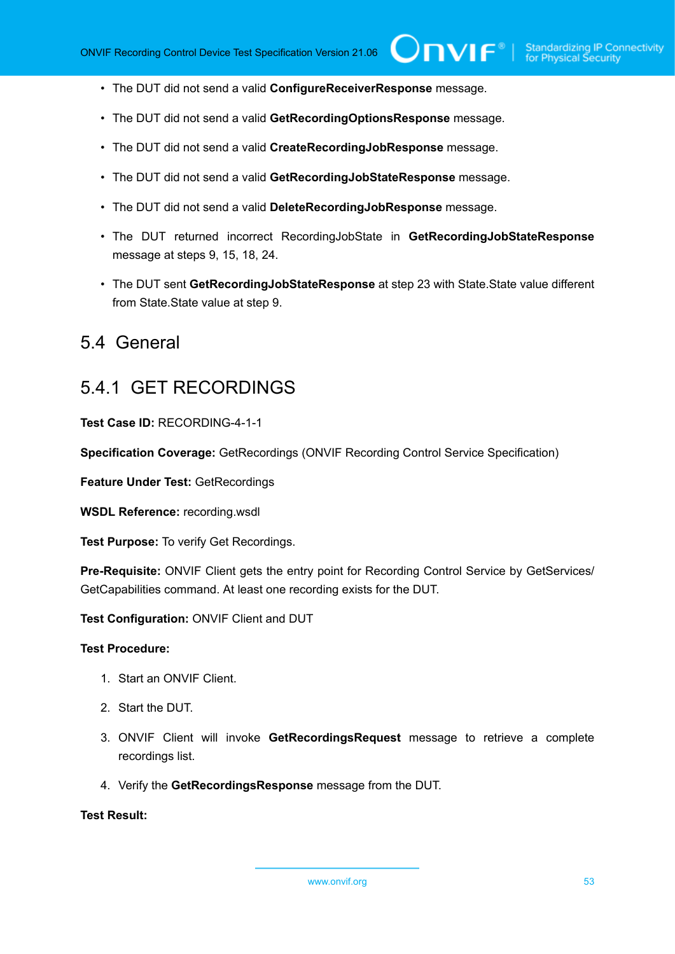- The DUT did not send a valid **ConfigureReceiverResponse** message.
- The DUT did not send a valid **GetRecordingOptionsResponse** message.
- The DUT did not send a valid **CreateRecordingJobResponse** message.
- The DUT did not send a valid **GetRecordingJobStateResponse** message.
- The DUT did not send a valid **DeleteRecordingJobResponse** message.
- The DUT returned incorrect RecordingJobState in **GetRecordingJobStateResponse** message at steps 9, 15, 18, 24.
- The DUT sent **GetRecordingJobStateResponse** at step 23 with State.State value different from State.State value at step 9.

# 5.4 General

# 5.4.1 GET RECORDINGS

**Test Case ID:** RECORDING-4-1-1

**Specification Coverage:** GetRecordings (ONVIF Recording Control Service Specification)

**Feature Under Test:** GetRecordings

**WSDL Reference:** recording.wsdl

**Test Purpose:** To verify Get Recordings.

Pre-Requisite: ONVIF Client gets the entry point for Recording Control Service by GetServices/ GetCapabilities command. At least one recording exists for the DUT.

**Test Configuration:** ONVIF Client and DUT

### **Test Procedure:**

- 1. Start an ONVIF Client.
- 2. Start the DUT.
- 3. ONVIF Client will invoke **GetRecordingsRequest** message to retrieve a complete recordings list.
- 4. Verify the **GetRecordingsResponse** message from the DUT.

## **Test Result:**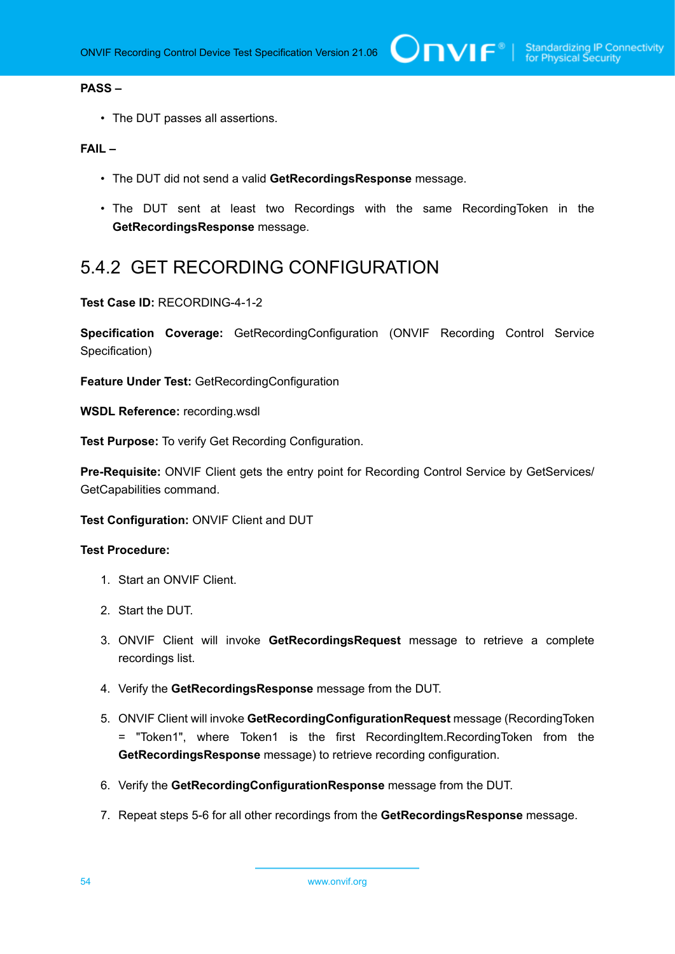# **PASS –**

• The DUT passes all assertions.

## **FAIL –**

- The DUT did not send a valid **GetRecordingsResponse** message.
- The DUT sent at least two Recordings with the same RecordingToken in the **GetRecordingsResponse** message.

# 5.4.2 GET RECORDING CONFIGURATION

**Test Case ID:** RECORDING-4-1-2

**Specification Coverage:** GetRecordingConfiguration (ONVIF Recording Control Service Specification)

**Feature Under Test:** GetRecordingConfiguration

**WSDL Reference:** recording.wsdl

**Test Purpose:** To verify Get Recording Configuration.

Pre-Requisite: ONVIF Client gets the entry point for Recording Control Service by GetServices/ GetCapabilities command.

**Test Configuration:** ONVIF Client and DUT

- 1. Start an ONVIF Client.
- 2. Start the DUT.
- 3. ONVIF Client will invoke **GetRecordingsRequest** message to retrieve a complete recordings list.
- 4. Verify the **GetRecordingsResponse** message from the DUT.
- 5. ONVIF Client will invoke **GetRecordingConfigurationRequest** message (RecordingToken = "Token1", where Token1 is the first RecordingItem.RecordingToken from the **GetRecordingsResponse** message) to retrieve recording configuration.
- 6. Verify the **GetRecordingConfigurationResponse** message from the DUT.
- 7. Repeat steps 5-6 for all other recordings from the **GetRecordingsResponse** message.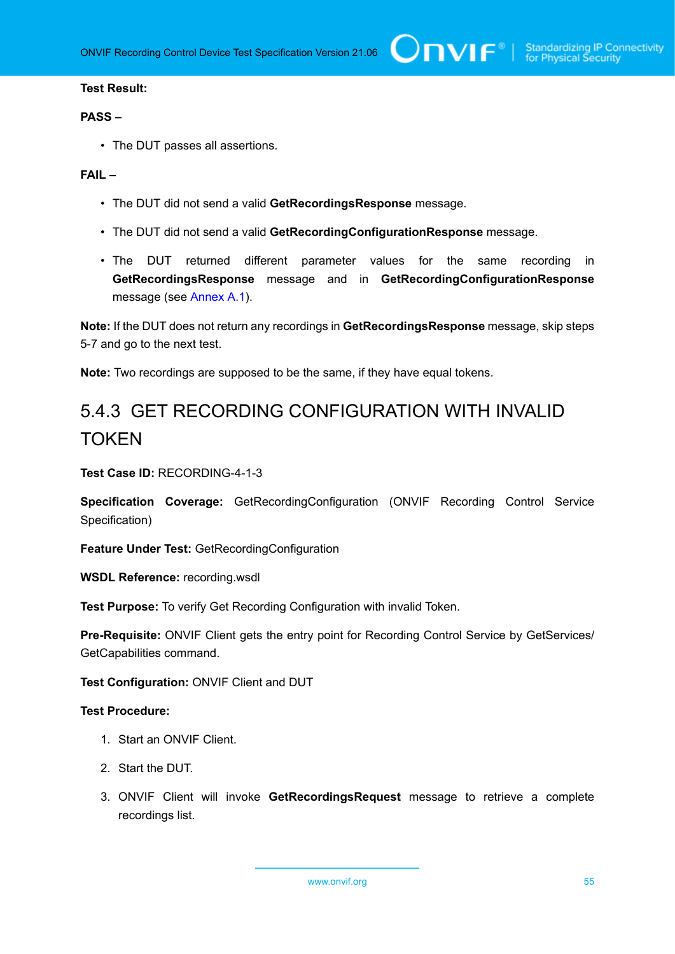### **Test Result:**

#### **PASS –**

• The DUT passes all assertions.

### **FAIL –**

- The DUT did not send a valid **GetRecordingsResponse** message.
- The DUT did not send a valid **GetRecordingConfigurationResponse** message.
- The DUT returned different parameter values for the same recording in **GetRecordingsResponse** message and in **GetRecordingConfigurationResponse** message (see [Annex A.1](#page-105-0)).

**Note:** If the DUT does not return any recordings in **GetRecordingsResponse** message, skip steps 5-7 and go to the next test.

**Note:** Two recordings are supposed to be the same, if they have equal tokens.

# 5.4.3 GET RECORDING CONFIGURATION WITH INVALID **TOKEN**

**Test Case ID:** RECORDING-4-1-3

**Specification Coverage:** GetRecordingConfiguration (ONVIF Recording Control Service Specification)

**Feature Under Test:** GetRecordingConfiguration

**WSDL Reference:** recording.wsdl

**Test Purpose:** To verify Get Recording Configuration with invalid Token.

**Pre-Requisite:** ONVIF Client gets the entry point for Recording Control Service by GetServices/ GetCapabilities command.

**Test Configuration:** ONVIF Client and DUT

#### **Test Procedure:**

- 1. Start an ONVIF Client.
- 2. Start the DUT.
- 3. ONVIF Client will invoke **GetRecordingsRequest** message to retrieve a complete recordings list.

www.onvif.org 55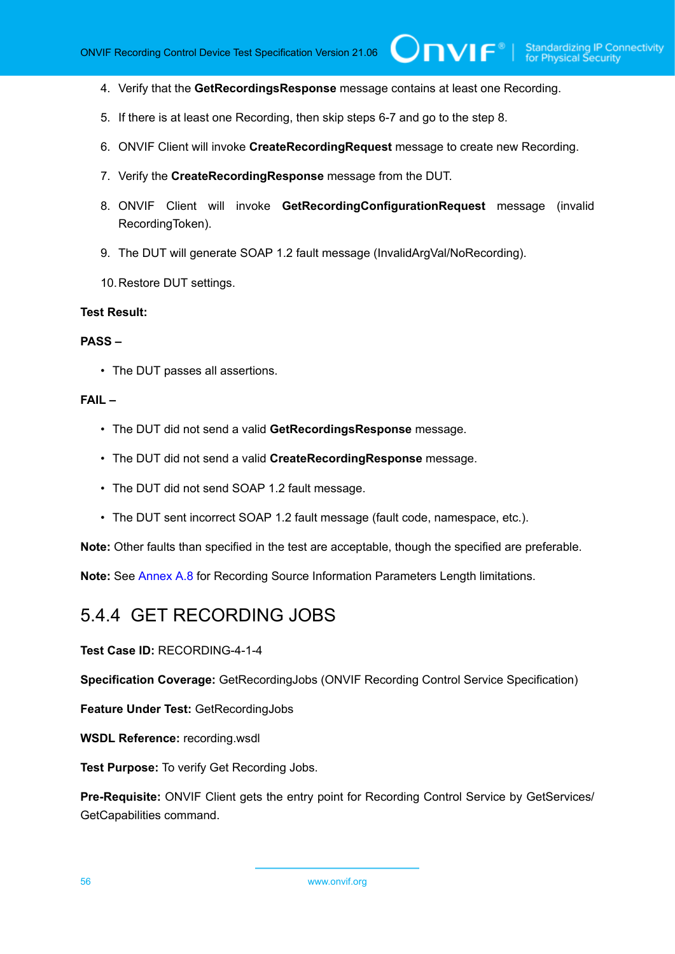4. Verify that the **GetRecordingsResponse** message contains at least one Recording.

 $\bigcirc$ nvif $^{\circ}$ l

- 5. If there is at least one Recording, then skip steps 6-7 and go to the step 8.
- 6. ONVIF Client will invoke **CreateRecordingRequest** message to create new Recording.
- 7. Verify the **CreateRecordingResponse** message from the DUT.
- 8. ONVIF Client will invoke **GetRecordingConfigurationRequest** message (invalid RecordingToken).
- 9. The DUT will generate SOAP 1.2 fault message (InvalidArgVal/NoRecording).
- 10.Restore DUT settings.

#### **Test Result:**

#### **PASS –**

• The DUT passes all assertions.

#### **FAIL –**

- The DUT did not send a valid **GetRecordingsResponse** message.
- The DUT did not send a valid **CreateRecordingResponse** message.
- The DUT did not send SOAP 1.2 fault message.
- The DUT sent incorrect SOAP 1.2 fault message (fault code, namespace, etc.).

**Note:** Other faults than specified in the test are acceptable, though the specified are preferable.

**Note:** See [Annex A.8](#page-109-0) for Recording Source Information Parameters Length limitations.

# 5.4.4 GET RECORDING JOBS

**Test Case ID:** RECORDING-4-1-4

**Specification Coverage:** GetRecordingJobs (ONVIF Recording Control Service Specification)

**Feature Under Test:** GetRecordingJobs

**WSDL Reference:** recording.wsdl

**Test Purpose:** To verify Get Recording Jobs.

**Pre-Requisite:** ONVIF Client gets the entry point for Recording Control Service by GetServices/ GetCapabilities command.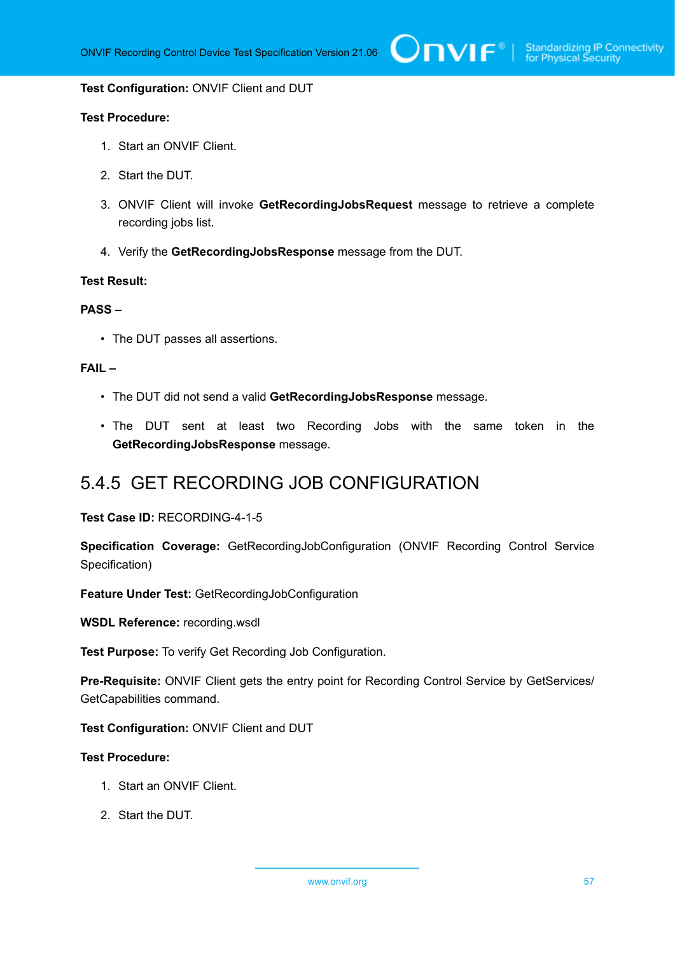#### **Test Configuration:** ONVIF Client and DUT

### **Test Procedure:**

- 1. Start an ONVIF Client.
- 2. Start the DUT.
- 3. ONVIF Client will invoke **GetRecordingJobsRequest** message to retrieve a complete recording jobs list.
- 4. Verify the **GetRecordingJobsResponse** message from the DUT.

#### **Test Result:**

## **PASS –**

• The DUT passes all assertions.

# **FAIL –**

- The DUT did not send a valid **GetRecordingJobsResponse** message.
- The DUT sent at least two Recording Jobs with the same token in the **GetRecordingJobsResponse** message.

# 5.4.5 GET RECORDING JOB CONFIGURATION

#### **Test Case ID:** RECORDING-4-1-5

**Specification Coverage:** GetRecordingJobConfiguration (ONVIF Recording Control Service Specification)

**Feature Under Test:** GetRecordingJobConfiguration

**WSDL Reference:** recording.wsdl

**Test Purpose:** To verify Get Recording Job Configuration.

Pre-Requisite: ONVIF Client gets the entry point for Recording Control Service by GetServices/ GetCapabilities command.

**Test Configuration:** ONVIF Client and DUT

- 1. Start an ONVIF Client.
- 2. Start the DUT.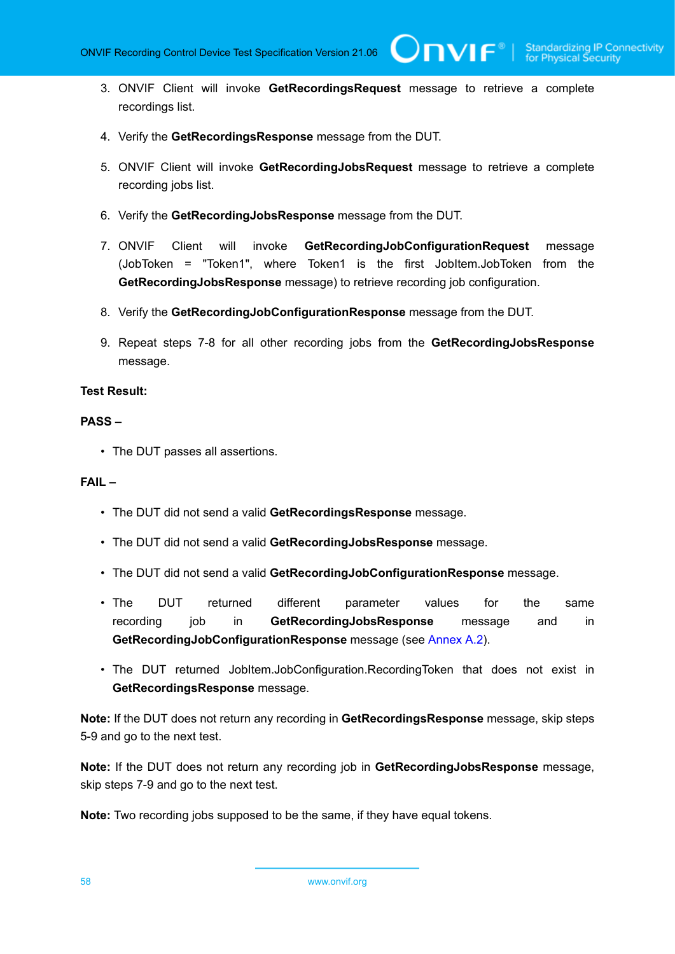TVIF®

- 3. ONVIF Client will invoke **GetRecordingsRequest** message to retrieve a complete recordings list.
- 4. Verify the **GetRecordingsResponse** message from the DUT.
- 5. ONVIF Client will invoke **GetRecordingJobsRequest** message to retrieve a complete recording jobs list.
- 6. Verify the **GetRecordingJobsResponse** message from the DUT.
- 7. ONVIF Client will invoke **GetRecordingJobConfigurationRequest** message (JobToken = "Token1", where Token1 is the first JobItem.JobToken from the **GetRecordingJobsResponse** message) to retrieve recording job configuration.
- 8. Verify the **GetRecordingJobConfigurationResponse** message from the DUT.
- 9. Repeat steps 7-8 for all other recording jobs from the **GetRecordingJobsResponse** message.

# **Test Result:**

## **PASS –**

• The DUT passes all assertions.

#### **FAIL –**

- The DUT did not send a valid **GetRecordingsResponse** message.
- The DUT did not send a valid **GetRecordingJobsResponse** message.
- The DUT did not send a valid **GetRecordingJobConfigurationResponse** message.
- The DUT returned different parameter values for the same recording job in **GetRecordingJobsResponse** message and in **GetRecordingJobConfigurationResponse** message (see [Annex A.2](#page-105-1)).
- The DUT returned JobItem.JobConfiguration.RecordingToken that does not exist in **GetRecordingsResponse** message.

**Note:** If the DUT does not return any recording in **GetRecordingsResponse** message, skip steps 5-9 and go to the next test.

**Note:** If the DUT does not return any recording job in **GetRecordingJobsResponse** message, skip steps 7-9 and go to the next test.

**Note:** Two recording jobs supposed to be the same, if they have equal tokens.

58 www.onvif.org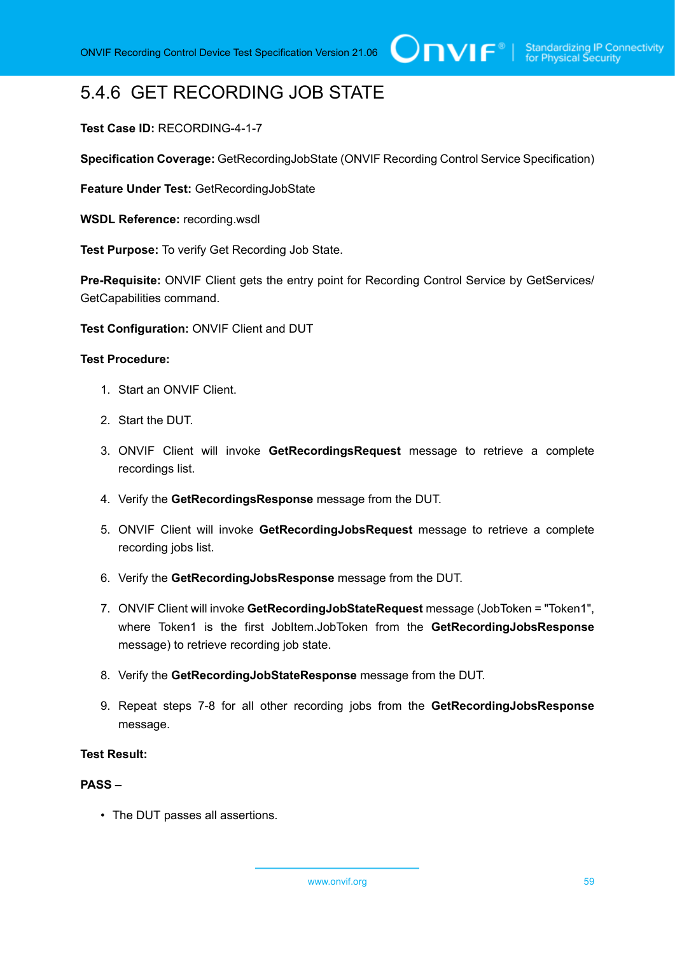# 5.4.6 GET RECORDING JOB STATE

# **Test Case ID:** RECORDING-4-1-7

**Specification Coverage:** GetRecordingJobState (ONVIF Recording Control Service Specification)

**Feature Under Test:** GetRecordingJobState

**WSDL Reference:** recording.wsdl

**Test Purpose:** To verify Get Recording Job State.

**Pre-Requisite:** ONVIF Client gets the entry point for Recording Control Service by GetServices/ GetCapabilities command.

**Test Configuration:** ONVIF Client and DUT

#### **Test Procedure:**

- 1. Start an ONVIF Client.
- 2. Start the DUT.
- 3. ONVIF Client will invoke **GetRecordingsRequest** message to retrieve a complete recordings list.
- 4. Verify the **GetRecordingsResponse** message from the DUT.
- 5. ONVIF Client will invoke **GetRecordingJobsRequest** message to retrieve a complete recording jobs list.
- 6. Verify the **GetRecordingJobsResponse** message from the DUT.
- 7. ONVIF Client will invoke **GetRecordingJobStateRequest** message (JobToken = "Token1", where Token1 is the first JobItem.JobToken from the **GetRecordingJobsResponse** message) to retrieve recording job state.
- 8. Verify the **GetRecordingJobStateResponse** message from the DUT.
- 9. Repeat steps 7-8 for all other recording jobs from the **GetRecordingJobsResponse** message.

## **Test Result:**

### **PASS –**

• The DUT passes all assertions.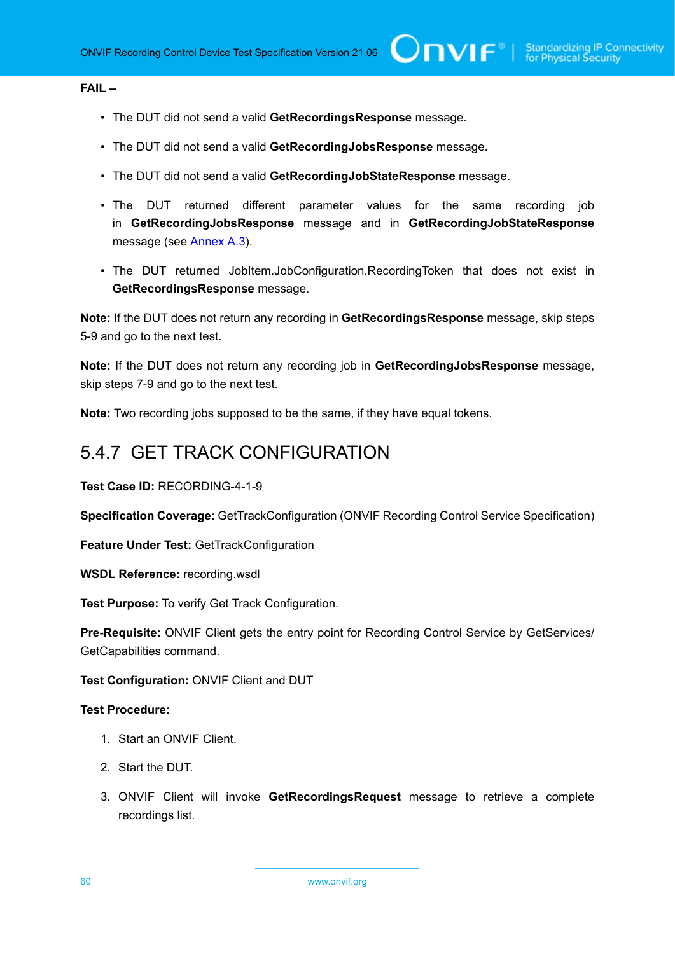## **FAIL –**

- The DUT did not send a valid **GetRecordingsResponse** message.
- The DUT did not send a valid **GetRecordingJobsResponse** message.
- The DUT did not send a valid **GetRecordingJobStateResponse** message.
- The DUT returned different parameter values for the same recording job in **GetRecordingJobsResponse** message and in **GetRecordingJobStateResponse** message (see [Annex A.3](#page-106-1)).
- The DUT returned JobItem.JobConfiguration.RecordingToken that does not exist in **GetRecordingsResponse** message.

**Note:** If the DUT does not return any recording in **GetRecordingsResponse** message, skip steps 5-9 and go to the next test.

**Note:** If the DUT does not return any recording job in **GetRecordingJobsResponse** message, skip steps 7-9 and go to the next test.

**Note:** Two recording jobs supposed to be the same, if they have equal tokens.

# 5.4.7 GET TRACK CONFIGURATION

**Test Case ID:** RECORDING-4-1-9

**Specification Coverage:** GetTrackConfiguration (ONVIF Recording Control Service Specification)

**Feature Under Test:** GetTrackConfiguration

**WSDL Reference:** recording.wsdl

**Test Purpose:** To verify Get Track Configuration.

**Pre-Requisite:** ONVIF Client gets the entry point for Recording Control Service by GetServices/ GetCapabilities command.

**Test Configuration:** ONVIF Client and DUT

- 1. Start an ONVIF Client.
- 2. Start the DUT.
- 3. ONVIF Client will invoke **GetRecordingsRequest** message to retrieve a complete recordings list.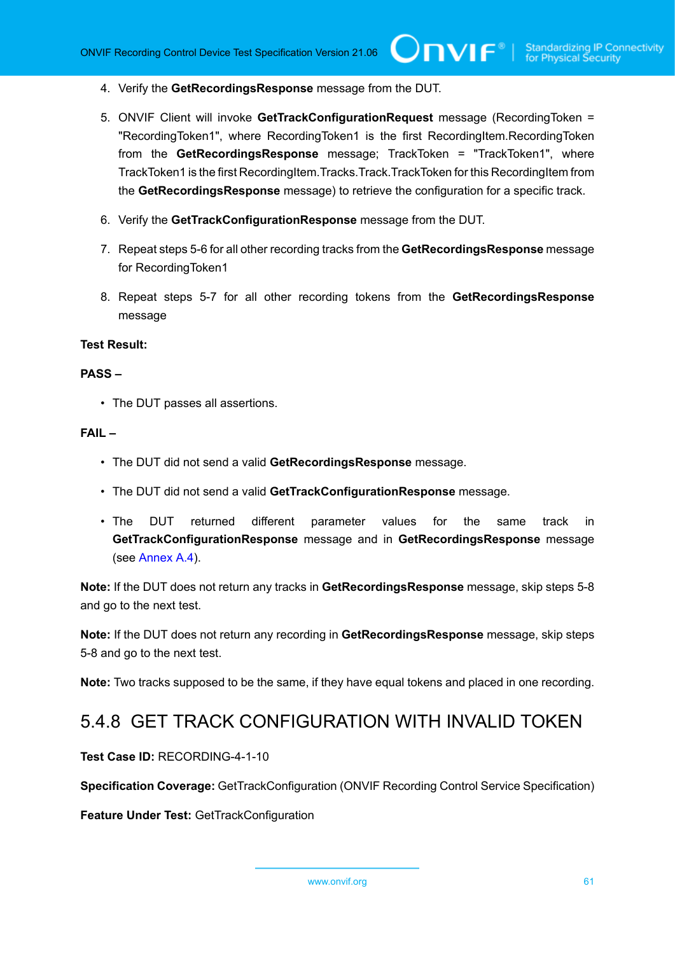- 4. Verify the **GetRecordingsResponse** message from the DUT.
- 5. ONVIF Client will invoke **GetTrackConfigurationRequest** message (RecordingToken = "RecordingToken1", where RecordingToken1 is the first RecordingItem.RecordingToken from the **GetRecordingsResponse** message; TrackToken = "TrackToken1", where TrackToken1 is the first RecordingItem.Tracks.Track.TrackToken for this RecordingItem from the **GetRecordingsResponse** message) to retrieve the configuration for a specific track.
- 6. Verify the **GetTrackConfigurationResponse** message from the DUT.
- 7. Repeat steps 5-6 for all other recording tracks from the **GetRecordingsResponse** message for RecordingToken1
- 8. Repeat steps 5-7 for all other recording tokens from the **GetRecordingsResponse** message

### **Test Result:**

#### **PASS –**

• The DUT passes all assertions.

#### **FAIL –**

- The DUT did not send a valid **GetRecordingsResponse** message.
- The DUT did not send a valid **GetTrackConfigurationResponse** message.
- The DUT returned different parameter values for the same track in **GetTrackConfigurationResponse** message and in **GetRecordingsResponse** message (see [Annex A.4\)](#page-106-2).

**Note:** If the DUT does not return any tracks in **GetRecordingsResponse** message, skip steps 5-8 and go to the next test.

**Note:** If the DUT does not return any recording in **GetRecordingsResponse** message, skip steps 5-8 and go to the next test.

**Note:** Two tracks supposed to be the same, if they have equal tokens and placed in one recording.

# 5.4.8 GET TRACK CONFIGURATION WITH INVALID TOKEN

**Test Case ID:** RECORDING-4-1-10

**Specification Coverage:** GetTrackConfiguration (ONVIF Recording Control Service Specification)

**Feature Under Test:** GetTrackConfiguration

www.onvif.org 61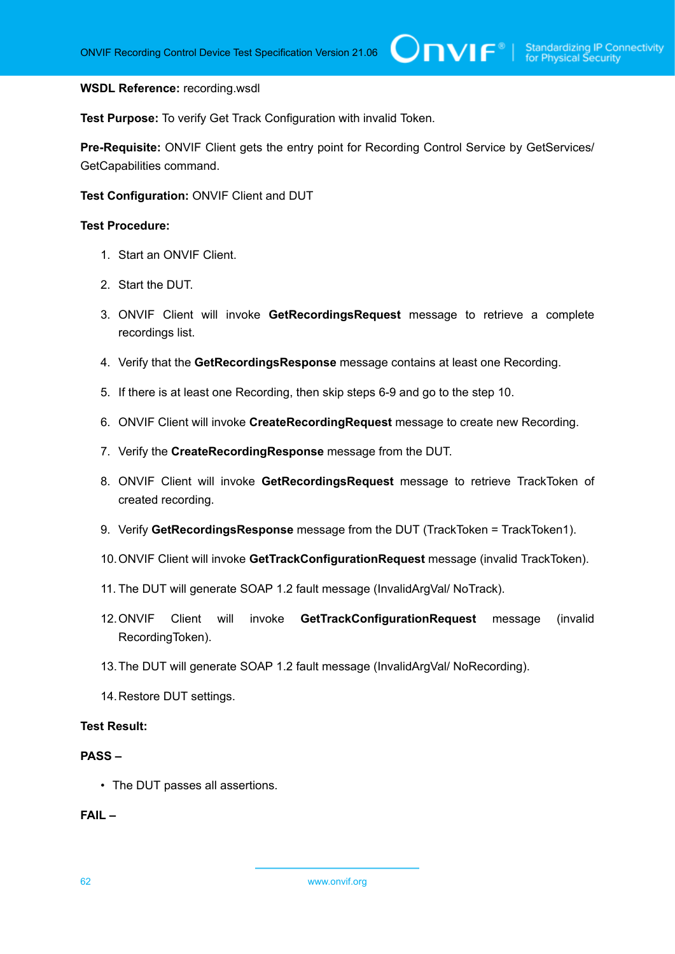#### **WSDL Reference:** recording.wsdl

**Test Purpose:** To verify Get Track Configuration with invalid Token.

Pre-Requisite: ONVIF Client gets the entry point for Recording Control Service by GetServices/ GetCapabilities command.

**Test Configuration:** ONVIF Client and DUT

#### **Test Procedure:**

- 1. Start an ONVIF Client.
- 2. Start the DUT.
- 3. ONVIF Client will invoke **GetRecordingsRequest** message to retrieve a complete recordings list.
- 4. Verify that the **GetRecordingsResponse** message contains at least one Recording.
- 5. If there is at least one Recording, then skip steps 6-9 and go to the step 10.
- 6. ONVIF Client will invoke **CreateRecordingRequest** message to create new Recording.
- 7. Verify the **CreateRecordingResponse** message from the DUT.
- 8. ONVIF Client will invoke **GetRecordingsRequest** message to retrieve TrackToken of created recording.
- 9. Verify **GetRecordingsResponse** message from the DUT (TrackToken = TrackToken1).
- 10.ONVIF Client will invoke **GetTrackConfigurationRequest** message (invalid TrackToken).
- 11. The DUT will generate SOAP 1.2 fault message (InvalidArgVal/ NoTrack).
- 12.ONVIF Client will invoke **GetTrackConfigurationRequest** message (invalid RecordingToken).
- 13.The DUT will generate SOAP 1.2 fault message (InvalidArgVal/ NoRecording).
- 14.Restore DUT settings.

# **Test Result:**

### **PASS –**

• The DUT passes all assertions.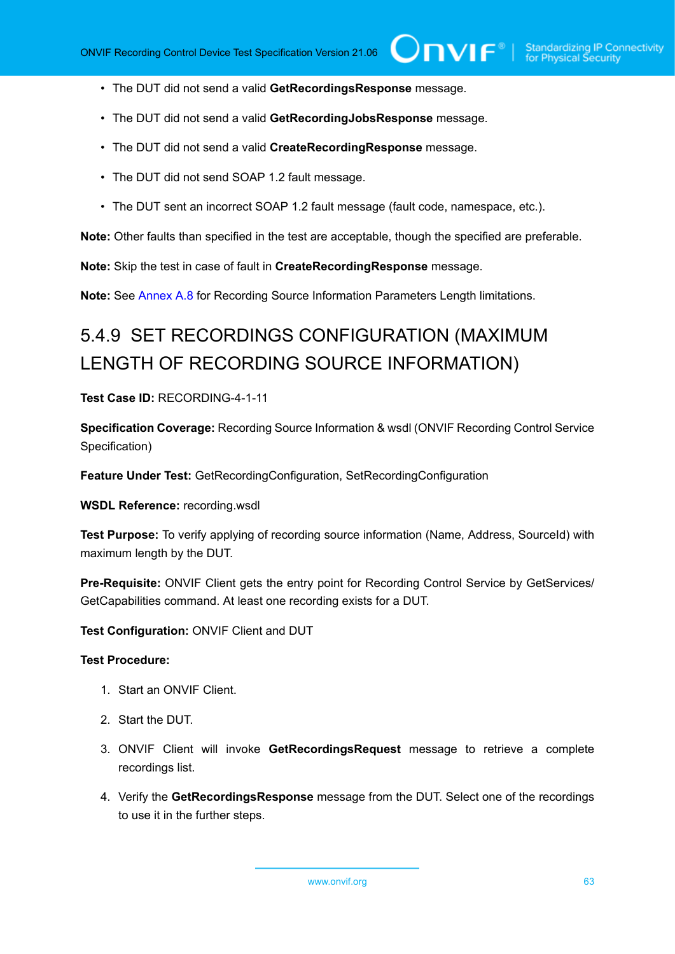- The DUT did not send a valid **GetRecordingsResponse** message.
- The DUT did not send a valid **GetRecordingJobsResponse** message.
- The DUT did not send a valid **CreateRecordingResponse** message.
- The DUT did not send SOAP 1.2 fault message.
- The DUT sent an incorrect SOAP 1.2 fault message (fault code, namespace, etc.).

**Note:** Other faults than specified in the test are acceptable, though the specified are preferable.

**Note:** Skip the test in case of fault in **CreateRecordingResponse** message.

**Note:** See [Annex A.8](#page-109-0) for Recording Source Information Parameters Length limitations.

# 5.4.9 SET RECORDINGS CONFIGURATION (MAXIMUM LENGTH OF RECORDING SOURCE INFORMATION)

**Test Case ID:** RECORDING-4-1-11

**Specification Coverage:** Recording Source Information & wsdl (ONVIF Recording Control Service Specification)

**Feature Under Test:** GetRecordingConfiguration, SetRecordingConfiguration

**WSDL Reference:** recording.wsdl

**Test Purpose:** To verify applying of recording source information (Name, Address, SourceId) with maximum length by the DUT.

Pre-Requisite: ONVIF Client gets the entry point for Recording Control Service by GetServices/ GetCapabilities command. At least one recording exists for a DUT.

**Test Configuration:** ONVIF Client and DUT

#### **Test Procedure:**

- 1. Start an ONVIF Client.
- 2. Start the DUT.
- 3. ONVIF Client will invoke **GetRecordingsRequest** message to retrieve a complete recordings list.
- 4. Verify the **GetRecordingsResponse** message from the DUT. Select one of the recordings to use it in the further steps.

www.onvif.org 63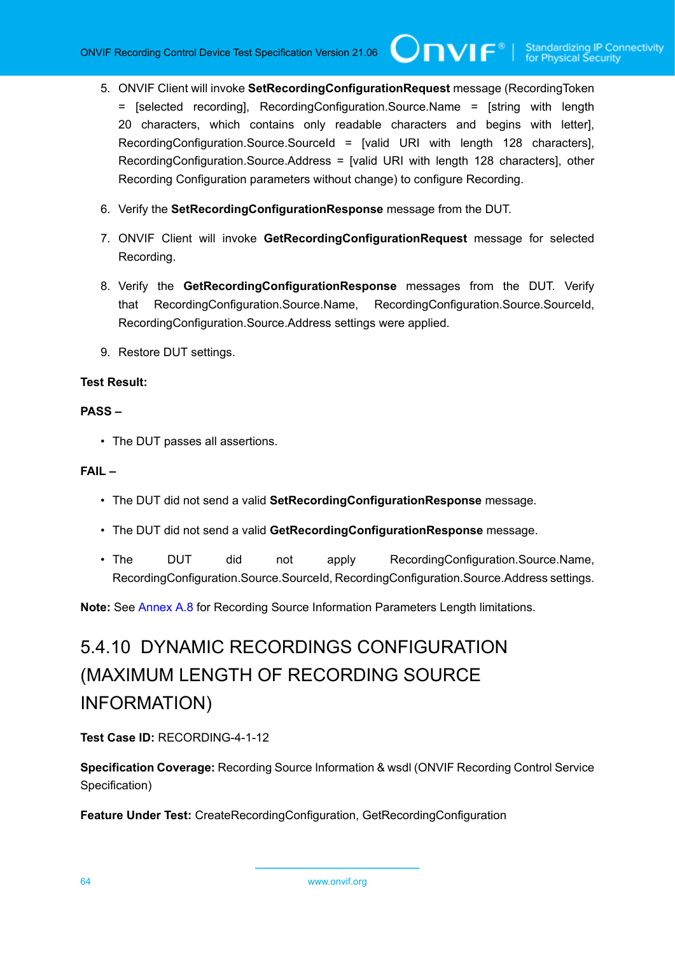- 5. ONVIF Client will invoke **SetRecordingConfigurationRequest** message (RecordingToken = [selected recording], RecordingConfiguration.Source.Name = [string with length 20 characters, which contains only readable characters and begins with letter], RecordingConfiguration.Source.SourceId = [valid URI with length 128 characters], RecordingConfiguration.Source.Address = [valid URI with length 128 characters], other Recording Configuration parameters without change) to configure Recording.
- 6. Verify the **SetRecordingConfigurationResponse** message from the DUT.
- 7. ONVIF Client will invoke **GetRecordingConfigurationRequest** message for selected Recording.
- 8. Verify the **GetRecordingConfigurationResponse** messages from the DUT. Verify that RecordingConfiguration.Source.Name, RecordingConfiguration.Source.SourceId, RecordingConfiguration.Source.Address settings were applied.
- 9. Restore DUT settings.

## **Test Result:**

#### **PASS –**

• The DUT passes all assertions.

### **FAIL –**

- The DUT did not send a valid **SetRecordingConfigurationResponse** message.
- The DUT did not send a valid **GetRecordingConfigurationResponse** message.
- The DUT did not apply RecordingConfiguration.Source.Name, RecordingConfiguration.Source.SourceId, RecordingConfiguration.Source.Address settings.

**Note:** See [Annex A.8](#page-109-0) for Recording Source Information Parameters Length limitations.

# 5.4.10 DYNAMIC RECORDINGS CONFIGURATION (MAXIMUM LENGTH OF RECORDING SOURCE INFORMATION)

**Test Case ID:** RECORDING-4-1-12

**Specification Coverage:** Recording Source Information & wsdl (ONVIF Recording Control Service Specification)

**Feature Under Test:** CreateRecordingConfiguration, GetRecordingConfiguration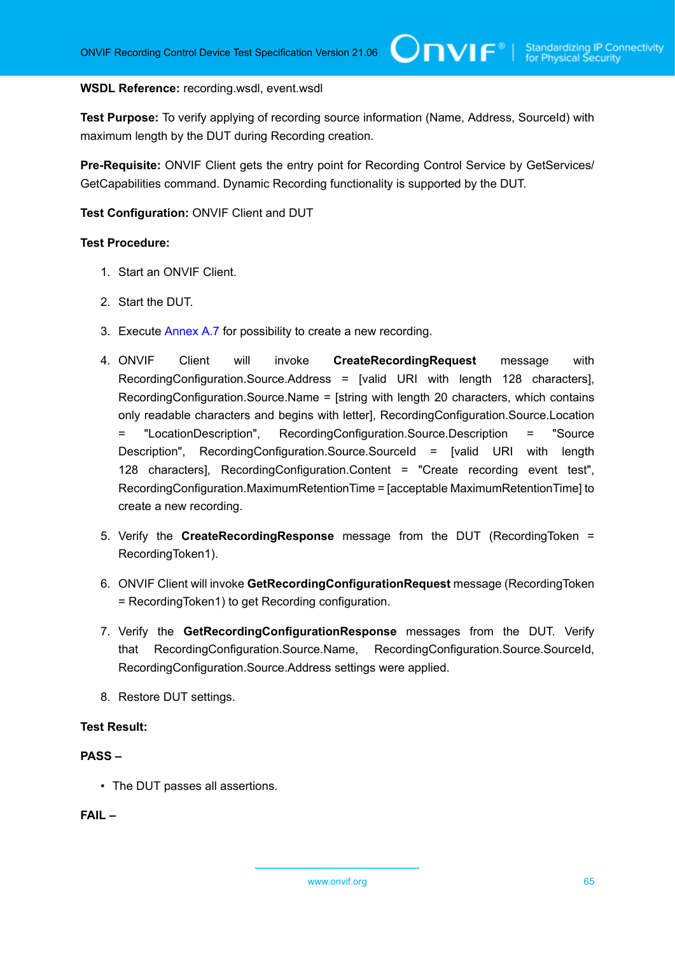#### **WSDL Reference:** recording.wsdl, event.wsdl

**Test Purpose:** To verify applying of recording source information (Name, Address, SourceId) with maximum length by the DUT during Recording creation.

Pre-Requisite: ONVIF Client gets the entry point for Recording Control Service by GetServices/ GetCapabilities command. Dynamic Recording functionality is supported by the DUT.

### **Test Configuration:** ONVIF Client and DUT

### **Test Procedure:**

- 1. Start an ONVIF Client.
- 2. Start the DUT.
- 3. Execute [Annex A.7](#page-108-0) for possibility to create a new recording.
- 4. ONVIF Client will invoke **CreateRecordingRequest** message with RecordingConfiguration.Source.Address = [valid URI with length 128 characters], RecordingConfiguration.Source.Name = [string with length 20 characters, which contains only readable characters and begins with letter], RecordingConfiguration.Source.Location = "LocationDescription", RecordingConfiguration.Source.Description = "Source Description", RecordingConfiguration.Source.SourceId = [valid URI with length 128 characters], RecordingConfiguration.Content = "Create recording event test", RecordingConfiguration.MaximumRetentionTime = [acceptable MaximumRetentionTime] to create a new recording.
- 5. Verify the **CreateRecordingResponse** message from the DUT (RecordingToken = RecordingToken1).
- 6. ONVIF Client will invoke **GetRecordingConfigurationRequest** message (RecordingToken = RecordingToken1) to get Recording configuration.
- 7. Verify the **GetRecordingConfigurationResponse** messages from the DUT. Verify that RecordingConfiguration.Source.Name, RecordingConfiguration.Source.SourceId, RecordingConfiguration.Source.Address settings were applied.
- 8. Restore DUT settings.

#### **Test Result:**

### **PASS –**

• The DUT passes all assertions.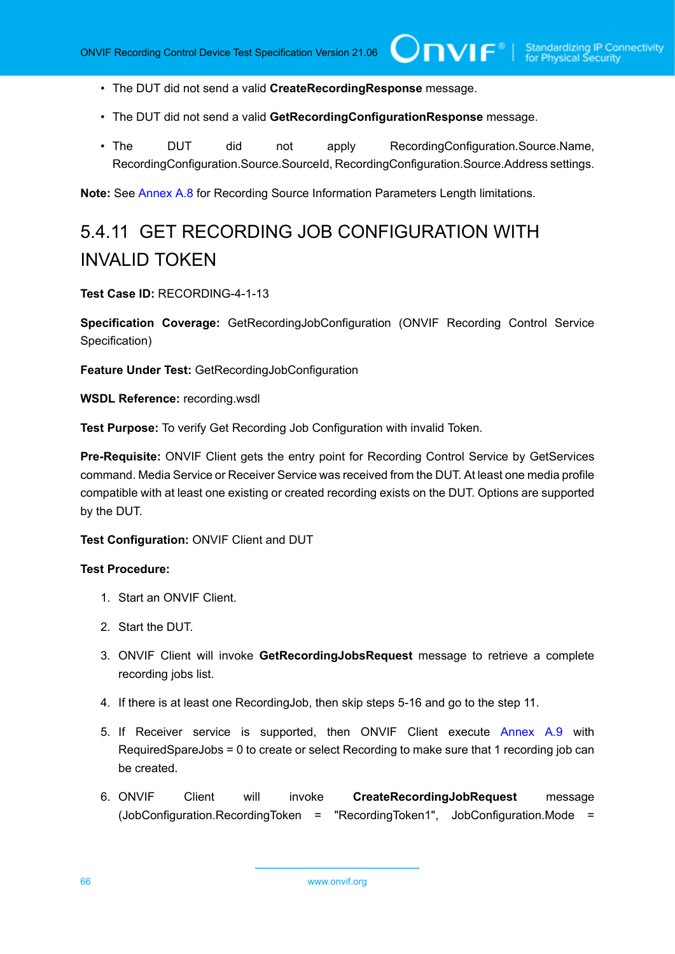- The DUT did not send a valid **CreateRecordingResponse** message.
- The DUT did not send a valid **GetRecordingConfigurationResponse** message.
- The DUT did not apply RecordingConfiguration.Source.Name, RecordingConfiguration.Source.SourceId, RecordingConfiguration.Source.Address settings.

**Note:** See [Annex A.8](#page-109-0) for Recording Source Information Parameters Length limitations.

# 5.4.11 GET RECORDING JOB CONFIGURATION WITH INVALID TOKEN

**Test Case ID:** RECORDING-4-1-13

**Specification Coverage:** GetRecordingJobConfiguration (ONVIF Recording Control Service Specification)

**Feature Under Test:** GetRecordingJobConfiguration

**WSDL Reference:** recording.wsdl

**Test Purpose:** To verify Get Recording Job Configuration with invalid Token.

**Pre-Requisite:** ONVIF Client gets the entry point for Recording Control Service by GetServices command. Media Service or Receiver Service was received from the DUT. At least one media profile compatible with at least one existing or created recording exists on the DUT. Options are supported by the DUT.

**Test Configuration:** ONVIF Client and DUT

- 1. Start an ONVIF Client.
- 2. Start the DUT.
- 3. ONVIF Client will invoke **GetRecordingJobsRequest** message to retrieve a complete recording jobs list.
- 4. If there is at least one RecordingJob, then skip steps 5-16 and go to the step 11.
- 5. If Receiver service is supported, then ONVIF Client execute [Annex A.9](#page-109-1) with RequiredSpareJobs = 0 to create or select Recording to make sure that 1 recording job can be created.
- 6. ONVIF Client will invoke **CreateRecordingJobRequest** message (JobConfiguration.RecordingToken = "RecordingToken1", JobConfiguration.Mode =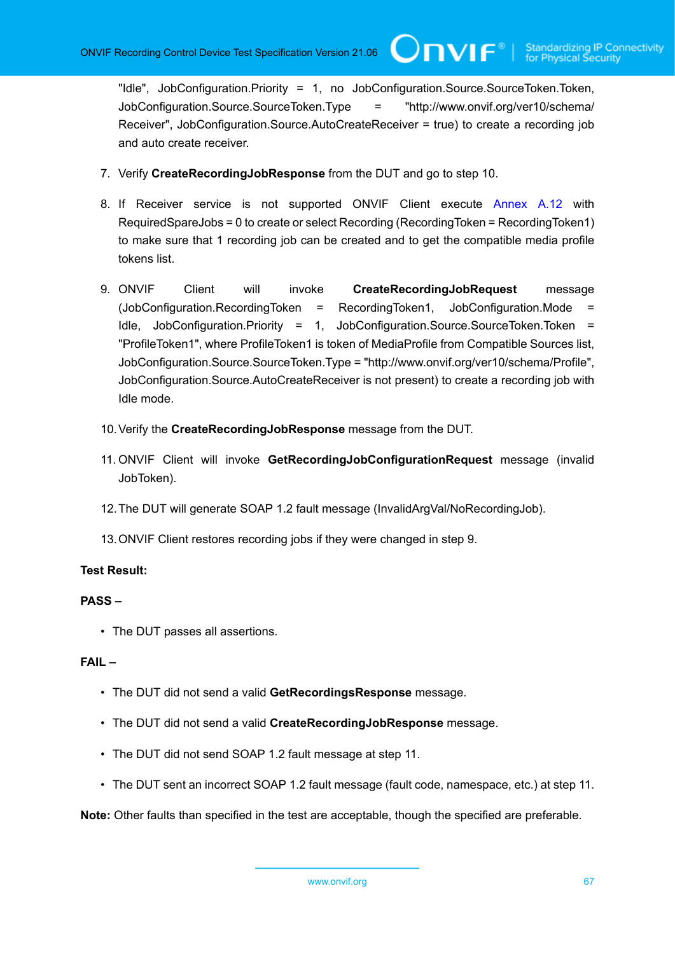"Idle", JobConfiguration.Priority = 1, no JobConfiguration.Source.SourceToken.Token, JobConfiguration.Source.SourceToken.Type = "http://www.onvif.org/ver10/schema/ Receiver", JobConfiguration.Source.AutoCreateReceiver = true) to create a recording job and auto create receiver.

**Unvir**®i

- 7. Verify **CreateRecordingJobResponse** from the DUT and go to step 10.
- 8. If Receiver service is not supported ONVIF Client execute [Annex A.12](#page-112-0) with RequiredSpareJobs = 0 to create or select Recording (RecordingToken = RecordingToken1) to make sure that 1 recording job can be created and to get the compatible media profile tokens list.
- 9. ONVIF Client will invoke **CreateRecordingJobRequest** message (JobConfiguration.RecordingToken = RecordingToken1, JobConfiguration.Mode = Idle, JobConfiguration.Priority = 1, JobConfiguration.Source.SourceToken.Token = "ProfileToken1", where ProfileToken1 is token of MediaProfile from Compatible Sources list, JobConfiguration.Source.SourceToken.Type = "http://www.onvif.org/ver10/schema/Profile", JobConfiguration.Source.AutoCreateReceiver is not present) to create a recording job with Idle mode.
- 10.Verify the **CreateRecordingJobResponse** message from the DUT.
- 11. ONVIF Client will invoke **GetRecordingJobConfigurationRequest** message (invalid JobToken).
- 12.The DUT will generate SOAP 1.2 fault message (InvalidArgVal/NoRecordingJob).
- 13.ONVIF Client restores recording jobs if they were changed in step 9.

## **Test Result:**

## **PASS –**

• The DUT passes all assertions.

#### **FAIL –**

- The DUT did not send a valid **GetRecordingsResponse** message.
- The DUT did not send a valid **CreateRecordingJobResponse** message.
- The DUT did not send SOAP 1.2 fault message at step 11.
- The DUT sent an incorrect SOAP 1.2 fault message (fault code, namespace, etc.) at step 11.

**Note:** Other faults than specified in the test are acceptable, though the specified are preferable.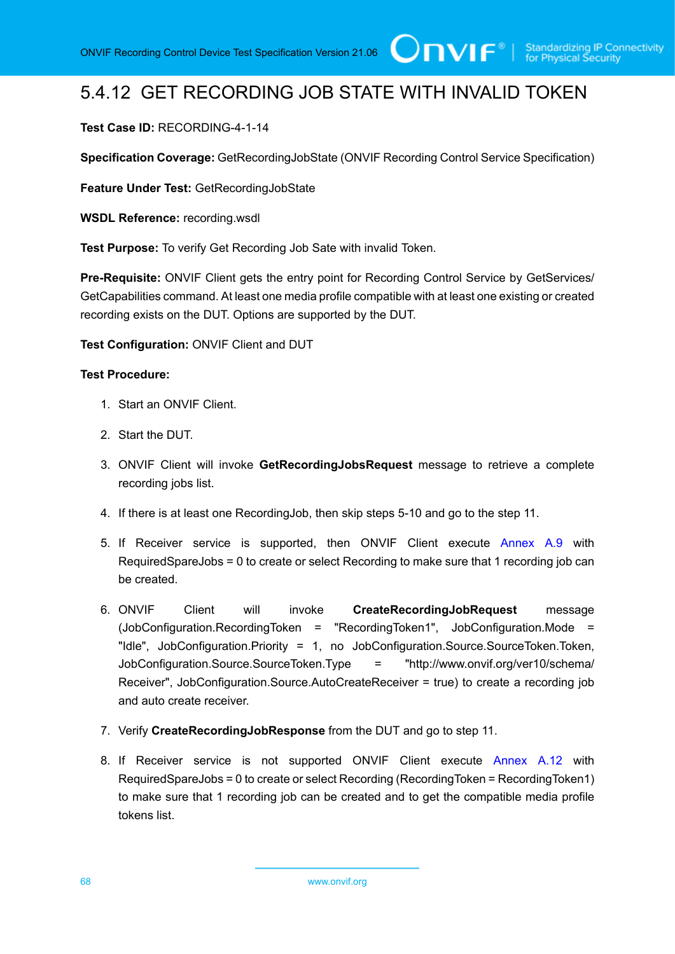# 5.4.12 GET RECORDING JOB STATE WITH INVALID TOKEN

## **Test Case ID:** RECORDING-4-1-14

**Specification Coverage:** GetRecordingJobState (ONVIF Recording Control Service Specification)

**Feature Under Test:** GetRecordingJobState

**WSDL Reference:** recording.wsdl

**Test Purpose:** To verify Get Recording Job Sate with invalid Token.

Pre-Requisite: ONVIF Client gets the entry point for Recording Control Service by GetServices/ GetCapabilities command. At least one media profile compatible with at least one existing or created recording exists on the DUT. Options are supported by the DUT.

**Test Configuration:** ONVIF Client and DUT

- 1. Start an ONVIF Client.
- 2. Start the DUT.
- 3. ONVIF Client will invoke **GetRecordingJobsRequest** message to retrieve a complete recording jobs list.
- 4. If there is at least one RecordingJob, then skip steps 5-10 and go to the step 11.
- 5. If Receiver service is supported, then ONVIF Client execute [Annex A.9](#page-109-1) with RequiredSpareJobs = 0 to create or select Recording to make sure that 1 recording job can be created.
- 6. ONVIF Client will invoke **CreateRecordingJobRequest** message (JobConfiguration.RecordingToken = "RecordingToken1", JobConfiguration.Mode = "Idle", JobConfiguration.Priority = 1, no JobConfiguration.Source.SourceToken.Token, JobConfiguration.Source.SourceToken.Type = "http://www.onvif.org/ver10/schema/ Receiver", JobConfiguration.Source.AutoCreateReceiver = true) to create a recording job and auto create receiver.
- 7. Verify **CreateRecordingJobResponse** from the DUT and go to step 11.
- 8. If Receiver service is not supported ONVIF Client execute [Annex A.12](#page-112-0) with RequiredSpareJobs = 0 to create or select Recording (RecordingToken = RecordingToken1) to make sure that 1 recording job can be created and to get the compatible media profile tokens list.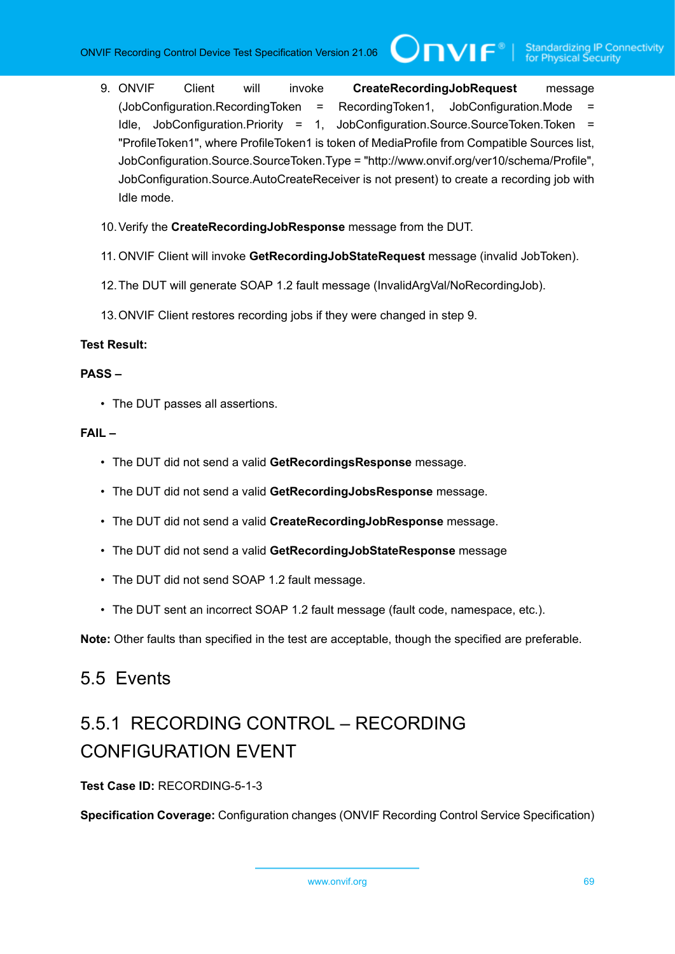- 9. ONVIF Client will invoke **CreateRecordingJobRequest** message (JobConfiguration.RecordingToken = RecordingToken1, JobConfiguration.Mode = Idle, JobConfiguration.Priority = 1, JobConfiguration.Source.SourceToken.Token = "ProfileToken1", where ProfileToken1 is token of MediaProfile from Compatible Sources list, JobConfiguration.Source.SourceToken.Type = "http://www.onvif.org/ver10/schema/Profile", JobConfiguration.Source.AutoCreateReceiver is not present) to create a recording job with Idle mode.
- 10.Verify the **CreateRecordingJobResponse** message from the DUT.
- 11. ONVIF Client will invoke **GetRecordingJobStateRequest** message (invalid JobToken).
- 12.The DUT will generate SOAP 1.2 fault message (InvalidArgVal/NoRecordingJob).
- 13.ONVIF Client restores recording jobs if they were changed in step 9.

# **Test Result:**

## **PASS –**

• The DUT passes all assertions.

## **FAIL –**

- The DUT did not send a valid **GetRecordingsResponse** message.
- The DUT did not send a valid **GetRecordingJobsResponse** message.
- The DUT did not send a valid **CreateRecordingJobResponse** message.
- The DUT did not send a valid **GetRecordingJobStateResponse** message
- The DUT did not send SOAP 1.2 fault message.
- The DUT sent an incorrect SOAP 1.2 fault message (fault code, namespace, etc.).

**Note:** Other faults than specified in the test are acceptable, though the specified are preferable.

# 5.5 Events

# 5.5.1 RECORDING CONTROL – RECORDING CONFIGURATION EVENT

# **Test Case ID:** RECORDING-5-1-3

**Specification Coverage:** Configuration changes (ONVIF Recording Control Service Specification)

```
www.onvif.org 69
```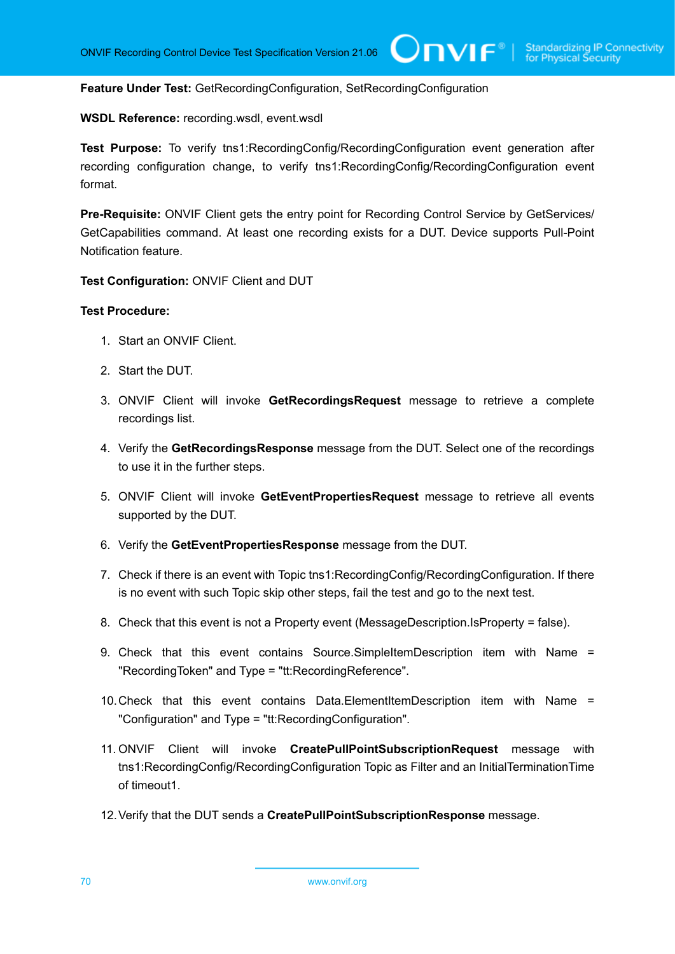**Feature Under Test:** GetRecordingConfiguration, SetRecordingConfiguration

**WSDL Reference:** recording.wsdl, event.wsdl

**Test Purpose:** To verify tns1:RecordingConfig/RecordingConfiguration event generation after recording configuration change, to verify tns1:RecordingConfig/RecordingConfiguration event format.

Pre-Requisite: ONVIF Client gets the entry point for Recording Control Service by GetServices/ GetCapabilities command. At least one recording exists for a DUT. Device supports Pull-Point Notification feature.

**Test Configuration:** ONVIF Client and DUT

- 1. Start an ONVIF Client.
- 2. Start the DUT.
- 3. ONVIF Client will invoke **GetRecordingsRequest** message to retrieve a complete recordings list.
- 4. Verify the **GetRecordingsResponse** message from the DUT. Select one of the recordings to use it in the further steps.
- 5. ONVIF Client will invoke **GetEventPropertiesRequest** message to retrieve all events supported by the DUT.
- 6. Verify the **GetEventPropertiesResponse** message from the DUT.
- 7. Check if there is an event with Topic tns1:RecordingConfig/RecordingConfiguration. If there is no event with such Topic skip other steps, fail the test and go to the next test.
- 8. Check that this event is not a Property event (MessageDescription.IsProperty = false).
- 9. Check that this event contains Source.SimpleItemDescription item with Name = "RecordingToken" and Type = "tt:RecordingReference".
- 10.Check that this event contains Data.ElementItemDescription item with Name = "Configuration" and Type = "tt:RecordingConfiguration".
- 11. ONVIF Client will invoke **CreatePullPointSubscriptionRequest** message with tns1:RecordingConfig/RecordingConfiguration Topic as Filter and an InitialTerminationTime of timeout1.
- 12.Verify that the DUT sends a **CreatePullPointSubscriptionResponse** message.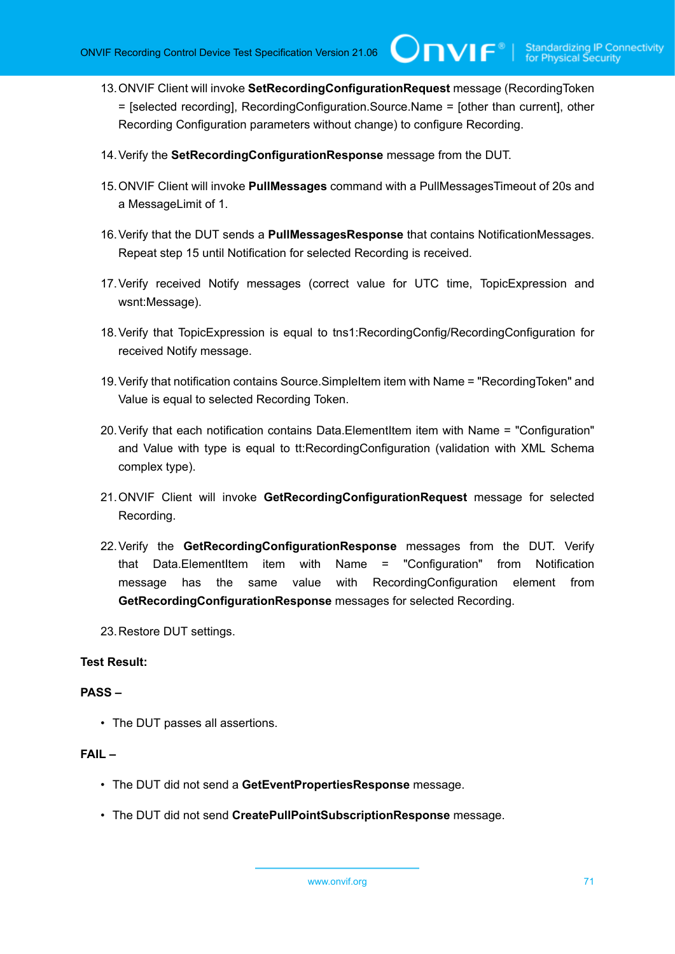13.ONVIF Client will invoke **SetRecordingConfigurationRequest** message (RecordingToken = [selected recording], RecordingConfiguration.Source.Name = [other than current], other Recording Configuration parameters without change) to configure Recording.

 $\mathsf{Cnv}$ ı $\mathsf{F}^\ast$ l

- 14.Verify the **SetRecordingConfigurationResponse** message from the DUT.
- 15.ONVIF Client will invoke **PullMessages** command with a PullMessagesTimeout of 20s and a MessageLimit of 1.
- 16.Verify that the DUT sends a **PullMessagesResponse** that contains NotificationMessages. Repeat step 15 until Notification for selected Recording is received.
- 17.Verify received Notify messages (correct value for UTC time, TopicExpression and wsnt:Message).
- 18.Verify that TopicExpression is equal to tns1:RecordingConfig/RecordingConfiguration for received Notify message.
- 19.Verify that notification contains Source.SimpleItem item with Name = "RecordingToken" and Value is equal to selected Recording Token.
- 20.Verify that each notification contains Data.ElementItem item with Name = "Configuration" and Value with type is equal to tt:RecordingConfiguration (validation with XML Schema complex type).
- 21.ONVIF Client will invoke **GetRecordingConfigurationRequest** message for selected Recording.
- 22.Verify the **GetRecordingConfigurationResponse** messages from the DUT. Verify that Data.ElementItem item with Name = "Configuration" from Notification message has the same value with RecordingConfiguration element from **GetRecordingConfigurationResponse** messages for selected Recording.
- 23.Restore DUT settings.

# **Test Result:**

## **PASS –**

• The DUT passes all assertions.

- The DUT did not send a **GetEventPropertiesResponse** message.
- The DUT did not send **CreatePullPointSubscriptionResponse** message.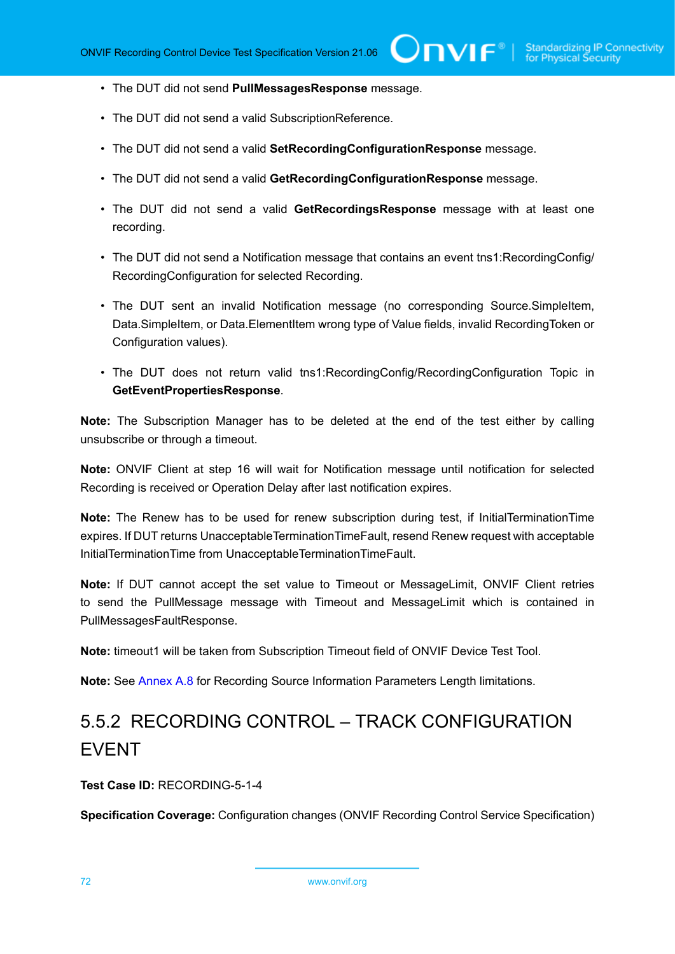- The DUT did not send **PullMessagesResponse** message.
- The DUT did not send a valid SubscriptionReference.
- The DUT did not send a valid **SetRecordingConfigurationResponse** message.
- The DUT did not send a valid **GetRecordingConfigurationResponse** message.
- The DUT did not send a valid **GetRecordingsResponse** message with at least one recording.
- The DUT did not send a Notification message that contains an event tns1:RecordingConfig/ RecordingConfiguration for selected Recording.
- The DUT sent an invalid Notification message (no corresponding Source.SimpleItem, Data.SimpleItem, or Data.ElementItem wrong type of Value fields, invalid RecordingToken or Configuration values).
- The DUT does not return valid tns1:RecordingConfig/RecordingConfiguration Topic in **GetEventPropertiesResponse**.

**Note:** The Subscription Manager has to be deleted at the end of the test either by calling unsubscribe or through a timeout.

**Note:** ONVIF Client at step 16 will wait for Notification message until notification for selected Recording is received or Operation Delay after last notification expires.

**Note:** The Renew has to be used for renew subscription during test, if InitialTerminationTime expires. If DUT returns UnacceptableTerminationTimeFault, resend Renew request with acceptable InitialTerminationTime from UnacceptableTerminationTimeFault.

**Note:** If DUT cannot accept the set value to Timeout or MessageLimit, ONVIF Client retries to send the PullMessage message with Timeout and MessageLimit which is contained in PullMessagesFaultResponse.

**Note:** timeout1 will be taken from Subscription Timeout field of ONVIF Device Test Tool.

**Note:** See [Annex A.8](#page-109-0) for Recording Source Information Parameters Length limitations.

# 5.5.2 RECORDING CONTROL – TRACK CONFIGURATION EVENT

**Test Case ID:** RECORDING-5-1-4

**Specification Coverage:** Configuration changes (ONVIF Recording Control Service Specification)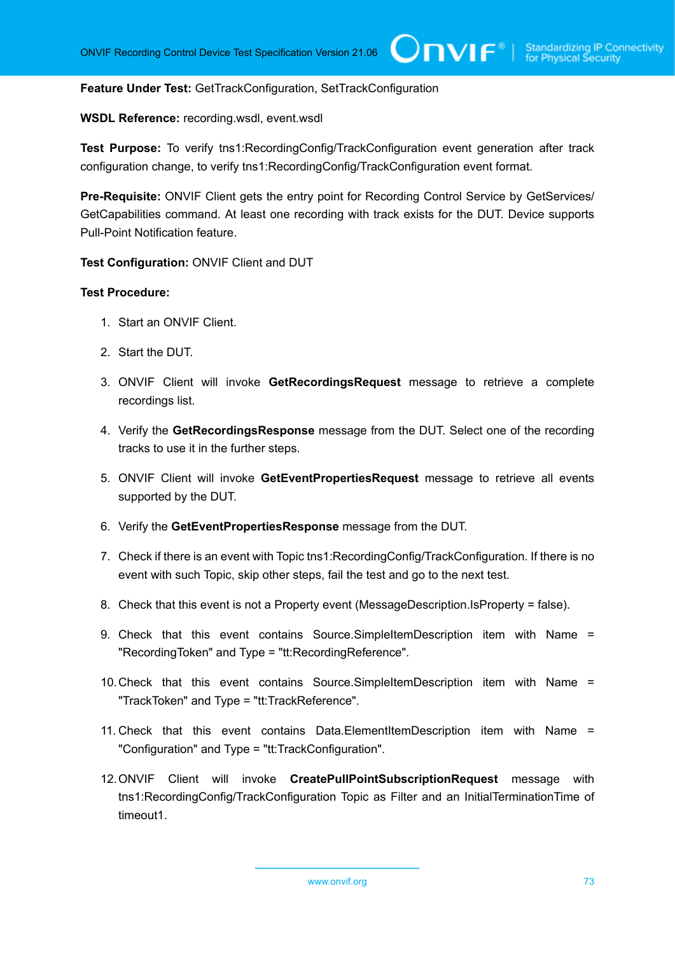#### **Feature Under Test:** GetTrackConfiguration, SetTrackConfiguration

#### **WSDL Reference:** recording.wsdl, event.wsdl

**Test Purpose:** To verify tns1:RecordingConfig/TrackConfiguration event generation after track configuration change, to verify tns1:RecordingConfig/TrackConfiguration event format.

**Pre-Requisite:** ONVIF Client gets the entry point for Recording Control Service by GetServices/ GetCapabilities command. At least one recording with track exists for the DUT. Device supports Pull-Point Notification feature.

#### **Test Configuration:** ONVIF Client and DUT

- 1. Start an ONVIF Client.
- 2. Start the DUT.
- 3. ONVIF Client will invoke **GetRecordingsRequest** message to retrieve a complete recordings list.
- 4. Verify the **GetRecordingsResponse** message from the DUT. Select one of the recording tracks to use it in the further steps.
- 5. ONVIF Client will invoke **GetEventPropertiesRequest** message to retrieve all events supported by the DUT.
- 6. Verify the **GetEventPropertiesResponse** message from the DUT.
- 7. Check if there is an event with Topic tns1:RecordingConfig/TrackConfiguration. If there is no event with such Topic, skip other steps, fail the test and go to the next test.
- 8. Check that this event is not a Property event (MessageDescription.IsProperty = false).
- 9. Check that this event contains Source.SimpleItemDescription item with Name = "RecordingToken" and Type = "tt:RecordingReference".
- 10.Check that this event contains Source.SimpleItemDescription item with Name = "TrackToken" and Type = "tt:TrackReference".
- 11. Check that this event contains Data.ElementItemDescription item with Name = "Configuration" and Type = "tt:TrackConfiguration".
- 12.ONVIF Client will invoke **CreatePullPointSubscriptionRequest** message with tns1:RecordingConfig/TrackConfiguration Topic as Filter and an InitialTerminationTime of timeout1.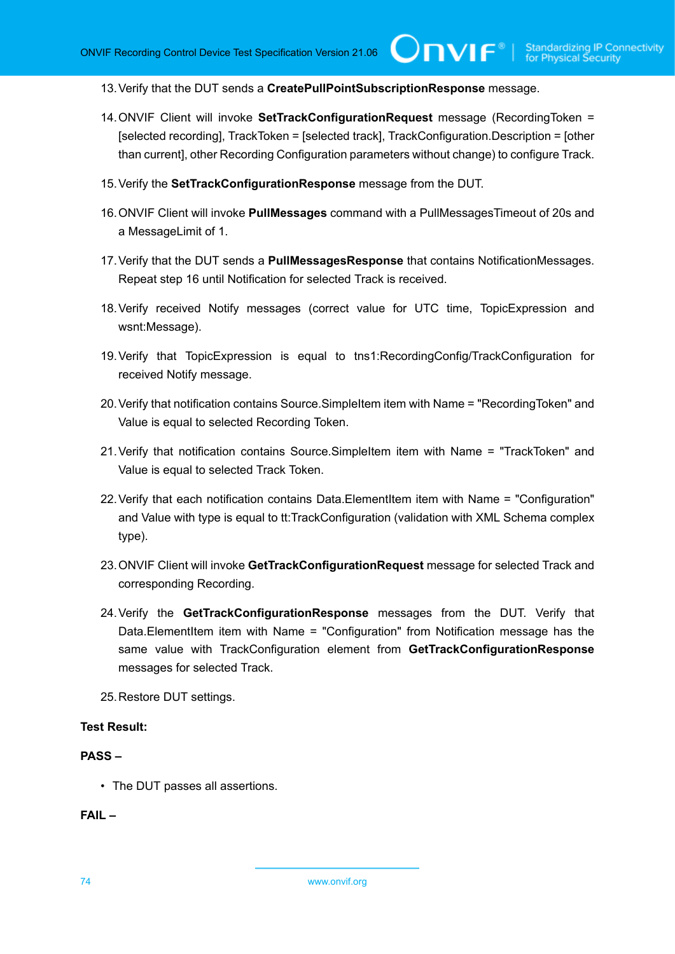TVIF®

13.Verify that the DUT sends a **CreatePullPointSubscriptionResponse** message.

- 14.ONVIF Client will invoke **SetTrackConfigurationRequest** message (RecordingToken = [selected recording], TrackToken = [selected track], TrackConfiguration.Description = [other than current], other Recording Configuration parameters without change) to configure Track.
- 15.Verify the **SetTrackConfigurationResponse** message from the DUT.
- 16.ONVIF Client will invoke **PullMessages** command with a PullMessagesTimeout of 20s and a MessageLimit of 1.
- 17.Verify that the DUT sends a **PullMessagesResponse** that contains NotificationMessages. Repeat step 16 until Notification for selected Track is received.
- 18.Verify received Notify messages (correct value for UTC time, TopicExpression and wsnt:Message).
- 19.Verify that TopicExpression is equal to tns1:RecordingConfig/TrackConfiguration for received Notify message.
- 20.Verify that notification contains Source.SimpleItem item with Name = "RecordingToken" and Value is equal to selected Recording Token.
- 21.Verify that notification contains Source.SimpleItem item with Name = "TrackToken" and Value is equal to selected Track Token.
- 22.Verify that each notification contains Data.ElementItem item with Name = "Configuration" and Value with type is equal to tt:TrackConfiguration (validation with XML Schema complex type).
- 23.ONVIF Client will invoke **GetTrackConfigurationRequest** message for selected Track and corresponding Recording.
- 24.Verify the **GetTrackConfigurationResponse** messages from the DUT. Verify that Data.ElementItem item with Name = "Configuration" from Notification message has the same value with TrackConfiguration element from **GetTrackConfigurationResponse** messages for selected Track.

25.Restore DUT settings.

#### **Test Result:**

#### **PASS –**

• The DUT passes all assertions.

**FAIL –**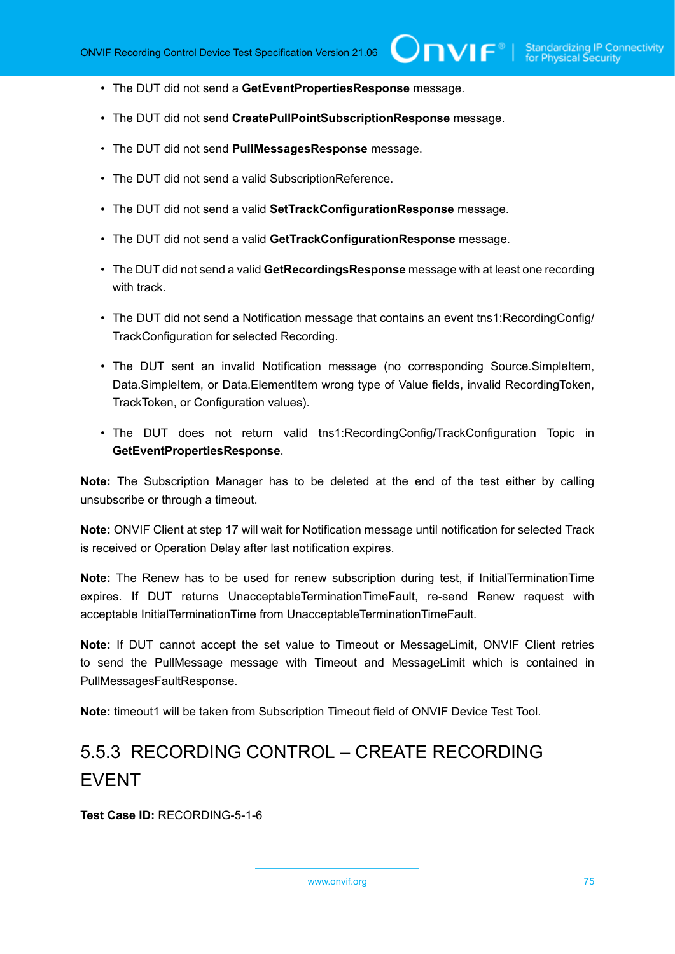- The DUT did not send a **GetEventPropertiesResponse** message.
- The DUT did not send **CreatePullPointSubscriptionResponse** message.
- The DUT did not send **PullMessagesResponse** message.
- The DUT did not send a valid SubscriptionReference.
- The DUT did not send a valid **SetTrackConfigurationResponse** message.
- The DUT did not send a valid **GetTrackConfigurationResponse** message.
- The DUT did not send a valid **GetRecordingsResponse** message with at least one recording with track.
- The DUT did not send a Notification message that contains an event tns1:RecordingConfig/ TrackConfiguration for selected Recording.
- The DUT sent an invalid Notification message (no corresponding Source.SimpleItem, Data.SimpleItem, or Data.ElementItem wrong type of Value fields, invalid RecordingToken, TrackToken, or Configuration values).
- The DUT does not return valid tns1:RecordingConfig/TrackConfiguration Topic in **GetEventPropertiesResponse**.

**Note:** The Subscription Manager has to be deleted at the end of the test either by calling unsubscribe or through a timeout.

**Note:** ONVIF Client at step 17 will wait for Notification message until notification for selected Track is received or Operation Delay after last notification expires.

**Note:** The Renew has to be used for renew subscription during test, if InitialTerminationTime expires. If DUT returns UnacceptableTerminationTimeFault, re-send Renew request with acceptable InitialTerminationTime from UnacceptableTerminationTimeFault.

**Note:** If DUT cannot accept the set value to Timeout or MessageLimit, ONVIF Client retries to send the PullMessage message with Timeout and MessageLimit which is contained in PullMessagesFaultResponse.

**Note:** timeout1 will be taken from Subscription Timeout field of ONVIF Device Test Tool.

## 5.5.3 RECORDING CONTROL – CREATE RECORDING EVENT

**Test Case ID:** RECORDING-5-1-6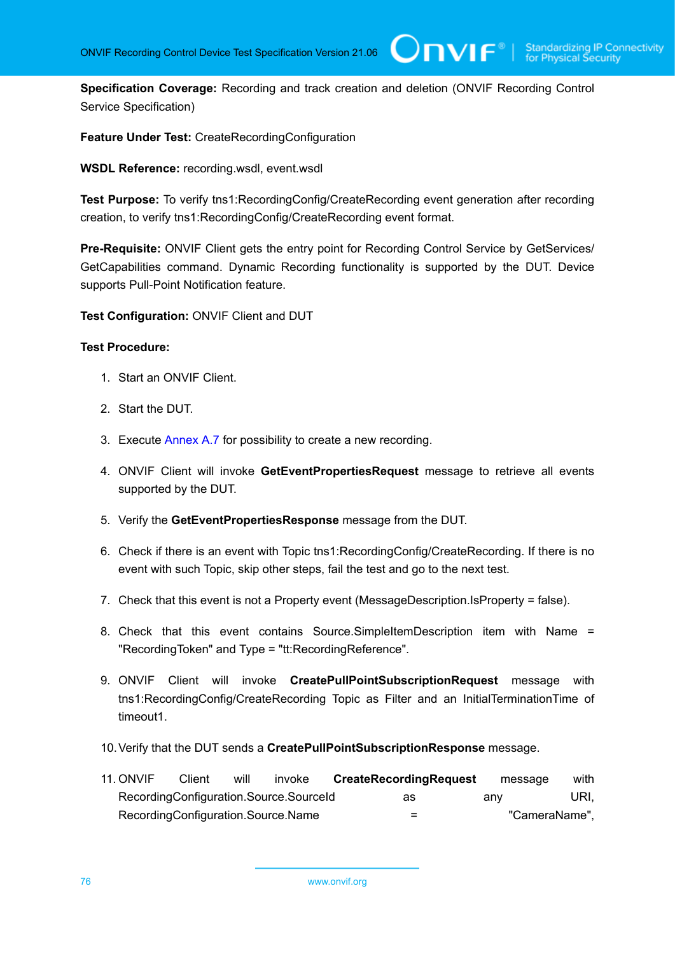**Specification Coverage:** Recording and track creation and deletion (ONVIF Recording Control Service Specification)

 $\bigcup$ NIF $^\circ$ l

**Feature Under Test:** CreateRecordingConfiguration

**WSDL Reference:** recording.wsdl, event.wsdl

**Test Purpose:** To verify tns1:RecordingConfig/CreateRecording event generation after recording creation, to verify tns1:RecordingConfig/CreateRecording event format.

**Pre-Requisite:** ONVIF Client gets the entry point for Recording Control Service by GetServices/ GetCapabilities command. Dynamic Recording functionality is supported by the DUT. Device supports Pull-Point Notification feature.

**Test Configuration:** ONVIF Client and DUT

- 1. Start an ONVIF Client.
- 2. Start the DUT.
- 3. Execute [Annex A.7](#page-108-0) for possibility to create a new recording.
- 4. ONVIF Client will invoke **GetEventPropertiesRequest** message to retrieve all events supported by the DUT.
- 5. Verify the **GetEventPropertiesResponse** message from the DUT.
- 6. Check if there is an event with Topic tns1:RecordingConfig/CreateRecording. If there is no event with such Topic, skip other steps, fail the test and go to the next test.
- 7. Check that this event is not a Property event (MessageDescription.IsProperty = false).
- 8. Check that this event contains Source.SimpleItemDescription item with Name = "RecordingToken" and Type = "tt:RecordingReference".
- 9. ONVIF Client will invoke **CreatePullPointSubscriptionRequest** message with tns1:RecordingConfig/CreateRecording Topic as Filter and an InitialTerminationTime of timeout1.
- 10.Verify that the DUT sends a **CreatePullPointSubscriptionResponse** message.
- 11. ONVIF Client will invoke **CreateRecordingRequest** message with RecordingConfiguration.Source.SourceId as any URI, RecordingConfiguration.Source.Name =  $\blacksquare$  =  $\blacksquare$   $\blacksquare$   $\blacksquare$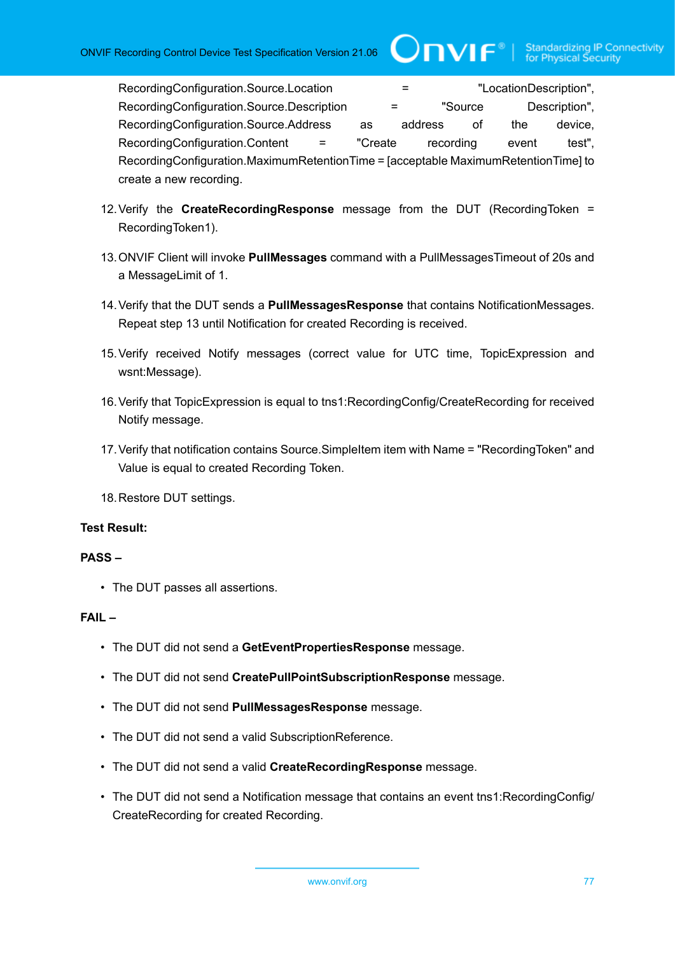RecordingConfiguration.Source.Location = "LocationDescription", RecordingConfiguration.Source.Description = "Source Description", RecordingConfiguration.Source.Address as address of the device, RecordingConfiguration.Content = "Create recording event test", RecordingConfiguration.MaximumRetentionTime = [acceptable MaximumRetentionTime] to create a new recording.

 $\bigcirc$ nvif $^*$ l

- 12.Verify the **CreateRecordingResponse** message from the DUT (RecordingToken = RecordingToken1).
- 13.ONVIF Client will invoke **PullMessages** command with a PullMessagesTimeout of 20s and a MessageLimit of 1.
- 14.Verify that the DUT sends a **PullMessagesResponse** that contains NotificationMessages. Repeat step 13 until Notification for created Recording is received.
- 15.Verify received Notify messages (correct value for UTC time, TopicExpression and wsnt:Message).
- 16.Verify that TopicExpression is equal to tns1:RecordingConfig/CreateRecording for received Notify message.
- 17.Verify that notification contains Source.SimpleItem item with Name = "RecordingToken" and Value is equal to created Recording Token.
- 18.Restore DUT settings.

#### **Test Result:**

#### **PASS –**

• The DUT passes all assertions.

#### **FAIL –**

- The DUT did not send a **GetEventPropertiesResponse** message.
- The DUT did not send **CreatePullPointSubscriptionResponse** message.
- The DUT did not send **PullMessagesResponse** message.
- The DUT did not send a valid SubscriptionReference.
- The DUT did not send a valid **CreateRecordingResponse** message.
- The DUT did not send a Notification message that contains an event tns1:RecordingConfig/ CreateRecording for created Recording.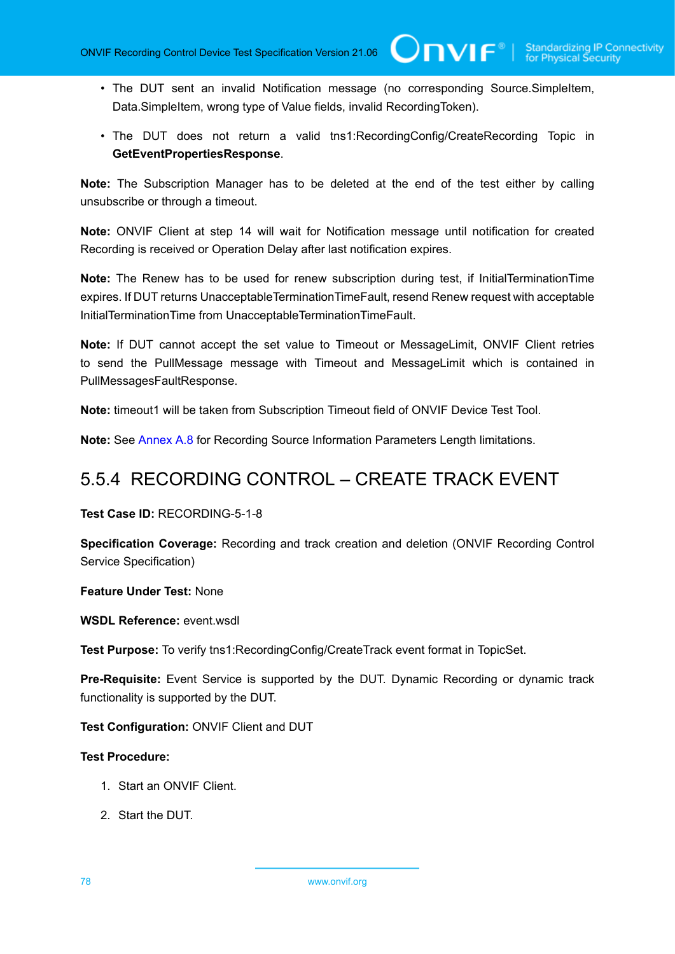• The DUT sent an invalid Notification message (no corresponding Source.SimpleItem, Data.SimpleItem, wrong type of Value fields, invalid RecordingToken).

 $\mathsf{Cnv}$ ı $\mathsf{F}^\circ$ l

• The DUT does not return a valid tns1:RecordingConfig/CreateRecording Topic in **GetEventPropertiesResponse**.

**Note:** The Subscription Manager has to be deleted at the end of the test either by calling unsubscribe or through a timeout.

**Note:** ONVIF Client at step 14 will wait for Notification message until notification for created Recording is received or Operation Delay after last notification expires.

**Note:** The Renew has to be used for renew subscription during test, if InitialTerminationTime expires. If DUT returns UnacceptableTerminationTimeFault, resend Renew request with acceptable InitialTerminationTime from UnacceptableTerminationTimeFault.

**Note:** If DUT cannot accept the set value to Timeout or MessageLimit, ONVIF Client retries to send the PullMessage message with Timeout and MessageLimit which is contained in PullMessagesFaultResponse.

**Note:** timeout1 will be taken from Subscription Timeout field of ONVIF Device Test Tool.

**Note:** See [Annex A.8](#page-109-0) for Recording Source Information Parameters Length limitations.

### 5.5.4 RECORDING CONTROL – CREATE TRACK EVENT

**Test Case ID:** RECORDING-5-1-8

**Specification Coverage:** Recording and track creation and deletion (ONVIF Recording Control Service Specification)

**Feature Under Test:** None

**WSDL Reference:** event.wsdl

**Test Purpose:** To verify tns1:RecordingConfig/CreateTrack event format in TopicSet.

**Pre-Requisite:** Event Service is supported by the DUT. Dynamic Recording or dynamic track functionality is supported by the DUT.

**Test Configuration:** ONVIF Client and DUT

- 1. Start an ONVIF Client.
- 2. Start the DUT.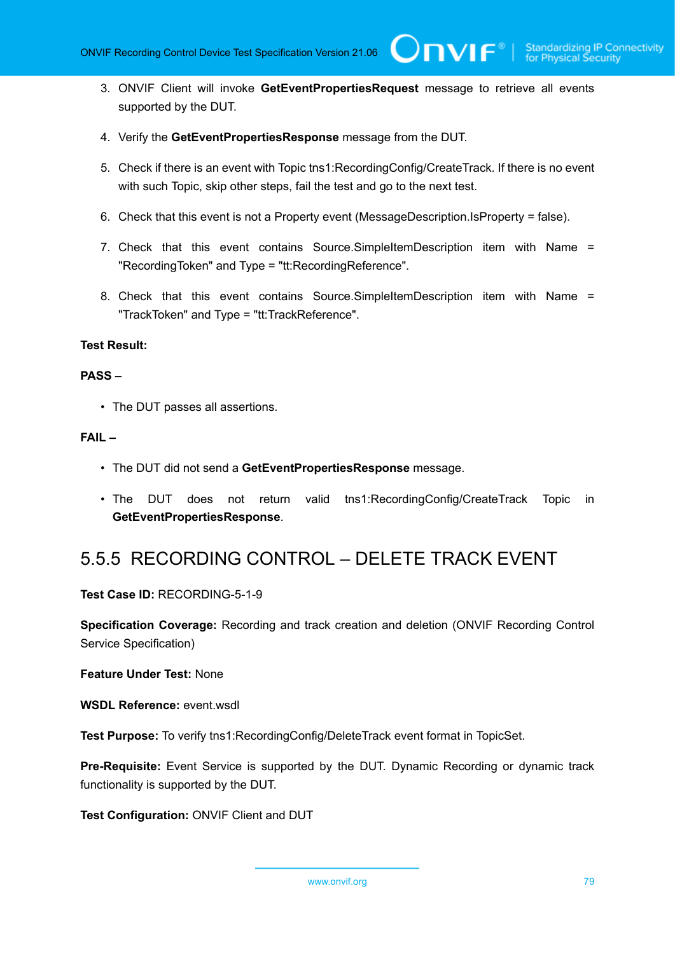3. ONVIF Client will invoke **GetEventPropertiesRequest** message to retrieve all events supported by the DUT.

 $\bigcup$ NIF $^{\circ}$ l

- 4. Verify the **GetEventPropertiesResponse** message from the DUT.
- 5. Check if there is an event with Topic tns1:RecordingConfig/CreateTrack. If there is no event with such Topic, skip other steps, fail the test and go to the next test.
- 6. Check that this event is not a Property event (MessageDescription.IsProperty = false).
- 7. Check that this event contains Source.SimpleItemDescription item with Name = "RecordingToken" and Type = "tt:RecordingReference".
- 8. Check that this event contains Source.SimpleItemDescription item with Name = "TrackToken" and Type = "tt:TrackReference".

#### **Test Result:**

#### **PASS –**

• The DUT passes all assertions.

#### **FAIL –**

- The DUT did not send a **GetEventPropertiesResponse** message.
- The DUT does not return valid tns1:RecordingConfig/CreateTrack Topic in **GetEventPropertiesResponse**.

### 5.5.5 RECORDING CONTROL – DELETE TRACK EVENT

**Test Case ID:** RECORDING-5-1-9

**Specification Coverage:** Recording and track creation and deletion (ONVIF Recording Control Service Specification)

**Feature Under Test:** None

**WSDL Reference:** event.wsdl

**Test Purpose:** To verify tns1:RecordingConfig/DeleteTrack event format in TopicSet.

**Pre-Requisite:** Event Service is supported by the DUT. Dynamic Recording or dynamic track functionality is supported by the DUT.

**Test Configuration:** ONVIF Client and DUT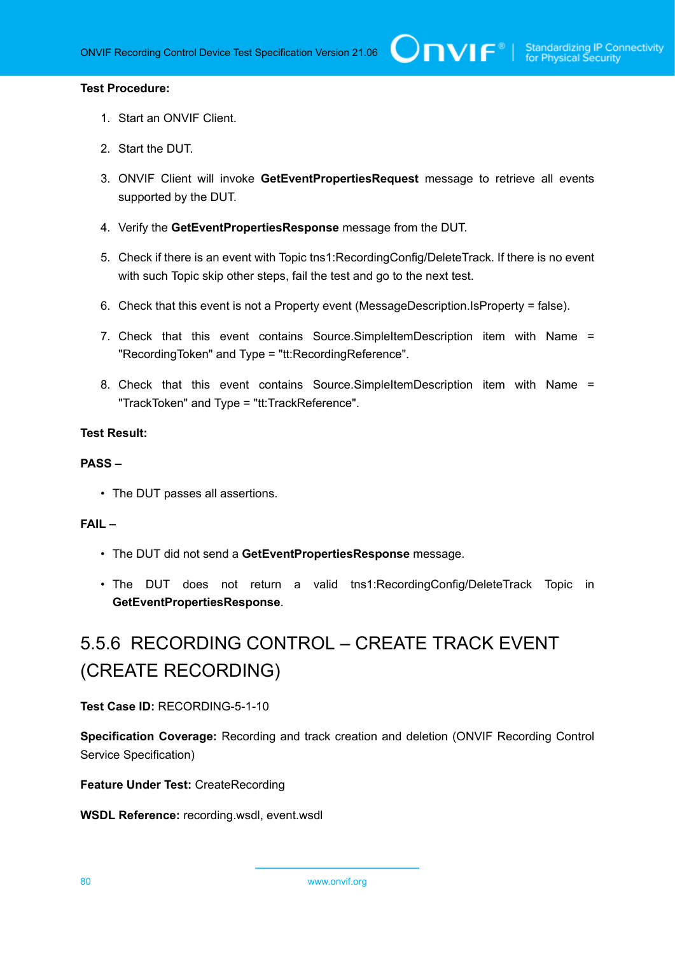#### **Test Procedure:**

- 1. Start an ONVIF Client.
- 2. Start the DUT.
- 3. ONVIF Client will invoke **GetEventPropertiesRequest** message to retrieve all events supported by the DUT.
- 4. Verify the **GetEventPropertiesResponse** message from the DUT.
- 5. Check if there is an event with Topic tns1:RecordingConfig/DeleteTrack. If there is no event with such Topic skip other steps, fail the test and go to the next test.
- 6. Check that this event is not a Property event (MessageDescription.IsProperty = false).
- 7. Check that this event contains Source.SimpleItemDescription item with Name = "RecordingToken" and Type = "tt:RecordingReference".
- 8. Check that this event contains Source.SimpleItemDescription item with Name = "TrackToken" and Type = "tt:TrackReference".

#### **Test Result:**

#### **PASS –**

• The DUT passes all assertions.

#### **FAIL –**

- The DUT did not send a **GetEventPropertiesResponse** message.
- The DUT does not return a valid tns1:RecordingConfig/DeleteTrack Topic in **GetEventPropertiesResponse**.

# 5.5.6 RECORDING CONTROL – CREATE TRACK EVENT (CREATE RECORDING)

**Test Case ID:** RECORDING-5-1-10

**Specification Coverage:** Recording and track creation and deletion (ONVIF Recording Control Service Specification)

**Feature Under Test:** CreateRecording

**WSDL Reference:** recording.wsdl, event.wsdl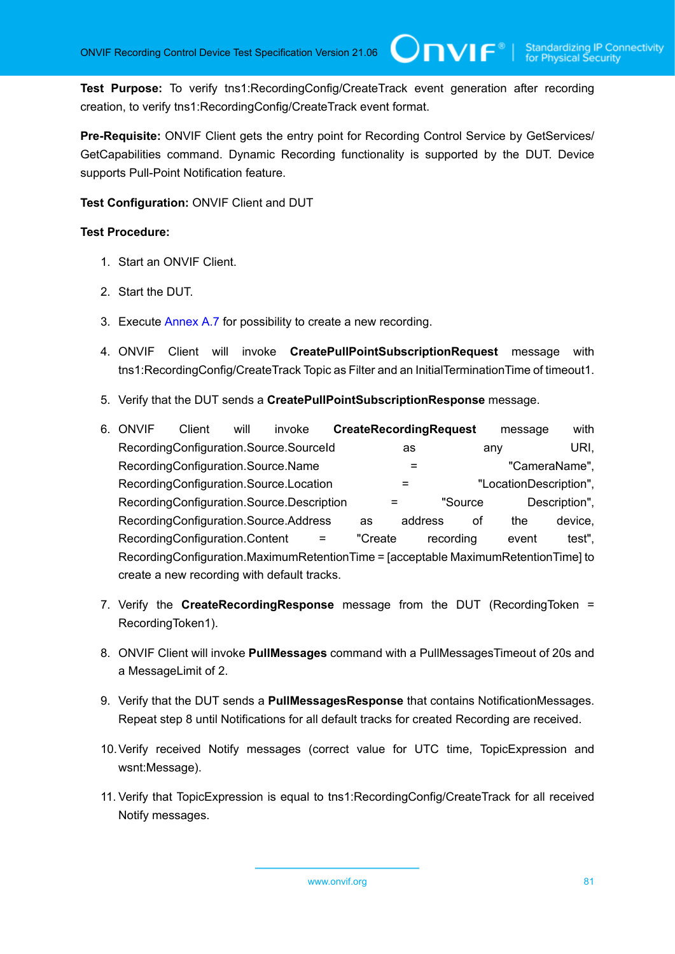**Test Purpose:** To verify tns1:RecordingConfig/CreateTrack event generation after recording creation, to verify tns1:RecordingConfig/CreateTrack event format.

 $\mathsf{Cnv}$ ı $\mathsf{F}^\ast$ l

**Pre-Requisite:** ONVIF Client gets the entry point for Recording Control Service by GetServices/ GetCapabilities command. Dynamic Recording functionality is supported by the DUT. Device supports Pull-Point Notification feature.

#### **Test Configuration:** ONVIF Client and DUT

- 1. Start an ONVIF Client.
- 2. Start the DUT.
- 3. Execute [Annex A.7](#page-108-0) for possibility to create a new recording.
- 4. ONVIF Client will invoke **CreatePullPointSubscriptionRequest** message with tns1:RecordingConfig/CreateTrack Topic as Filter and an InitialTerminationTime of timeout1.
- 5. Verify that the DUT sends a **CreatePullPointSubscriptionResponse** message.
- 6. ONVIF Client will invoke **CreateRecordingRequest** message with RecordingConfiguration.Source.SourceId as any URI, RecordingConfiguration.Source.Name = "CameraName", RecordingConfiguration.Source.Location = "LocationDescription", RecordingConfiguration.Source.Description = "Source Description", RecordingConfiguration.Source.Address as address of the device, RecordingConfiguration.Content = "Create recording event test", RecordingConfiguration.MaximumRetentionTime = [acceptable MaximumRetentionTime] to create a new recording with default tracks.
- 7. Verify the **CreateRecordingResponse** message from the DUT (RecordingToken = RecordingToken1).
- 8. ONVIF Client will invoke **PullMessages** command with a PullMessagesTimeout of 20s and a MessageLimit of 2.
- 9. Verify that the DUT sends a **PullMessagesResponse** that contains NotificationMessages. Repeat step 8 until Notifications for all default tracks for created Recording are received.
- 10.Verify received Notify messages (correct value for UTC time, TopicExpression and wsnt:Message).
- 11. Verify that TopicExpression is equal to tns1:RecordingConfig/CreateTrack for all received Notify messages.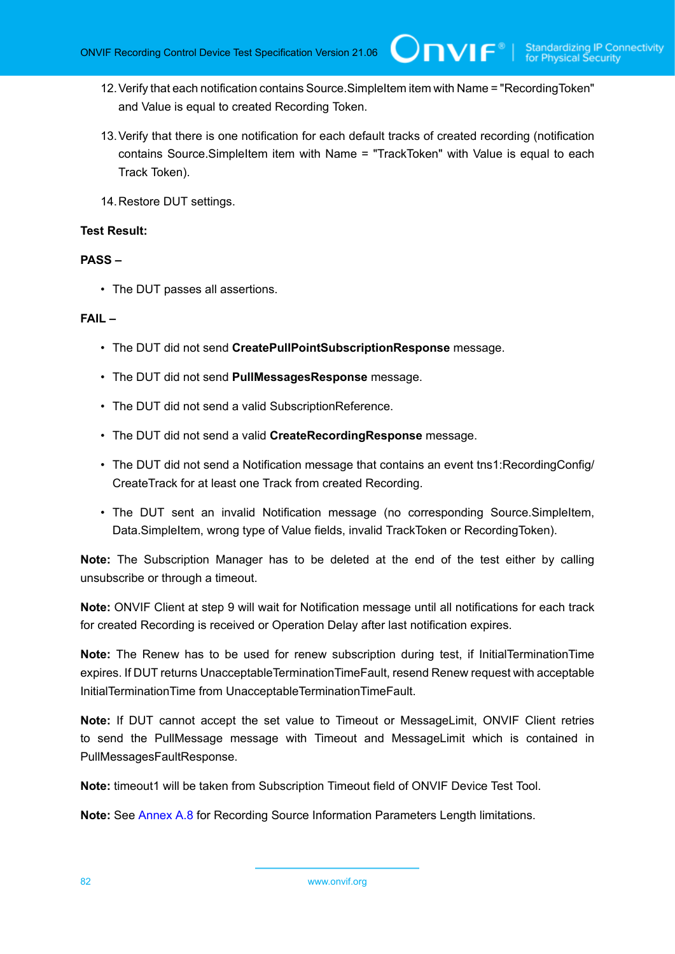- 12.Verify that each notification contains Source.SimpleItem item with Name = "RecordingToken" and Value is equal to created Recording Token.
- 13.Verify that there is one notification for each default tracks of created recording (notification contains Source.SimpleItem item with Name = "TrackToken" with Value is equal to each Track Token).
- 14.Restore DUT settings.

#### **Test Result:**

#### **PASS –**

• The DUT passes all assertions.

#### **FAIL –**

- The DUT did not send **CreatePullPointSubscriptionResponse** message.
- The DUT did not send **PullMessagesResponse** message.
- The DUT did not send a valid SubscriptionReference.
- The DUT did not send a valid **CreateRecordingResponse** message.
- The DUT did not send a Notification message that contains an event tns1:RecordingConfig/ CreateTrack for at least one Track from created Recording.
- The DUT sent an invalid Notification message (no corresponding Source.SimpleItem, Data.SimpleItem, wrong type of Value fields, invalid TrackToken or RecordingToken).

**Note:** The Subscription Manager has to be deleted at the end of the test either by calling unsubscribe or through a timeout.

**Note:** ONVIF Client at step 9 will wait for Notification message until all notifications for each track for created Recording is received or Operation Delay after last notification expires.

**Note:** The Renew has to be used for renew subscription during test, if InitialTerminationTime expires. If DUT returns UnacceptableTerminationTimeFault, resend Renew request with acceptable InitialTerminationTime from UnacceptableTerminationTimeFault.

**Note:** If DUT cannot accept the set value to Timeout or MessageLimit, ONVIF Client retries to send the PullMessage message with Timeout and MessageLimit which is contained in PullMessagesFaultResponse.

**Note:** timeout1 will be taken from Subscription Timeout field of ONVIF Device Test Tool.

**Note:** See [Annex A.8](#page-109-0) for Recording Source Information Parameters Length limitations.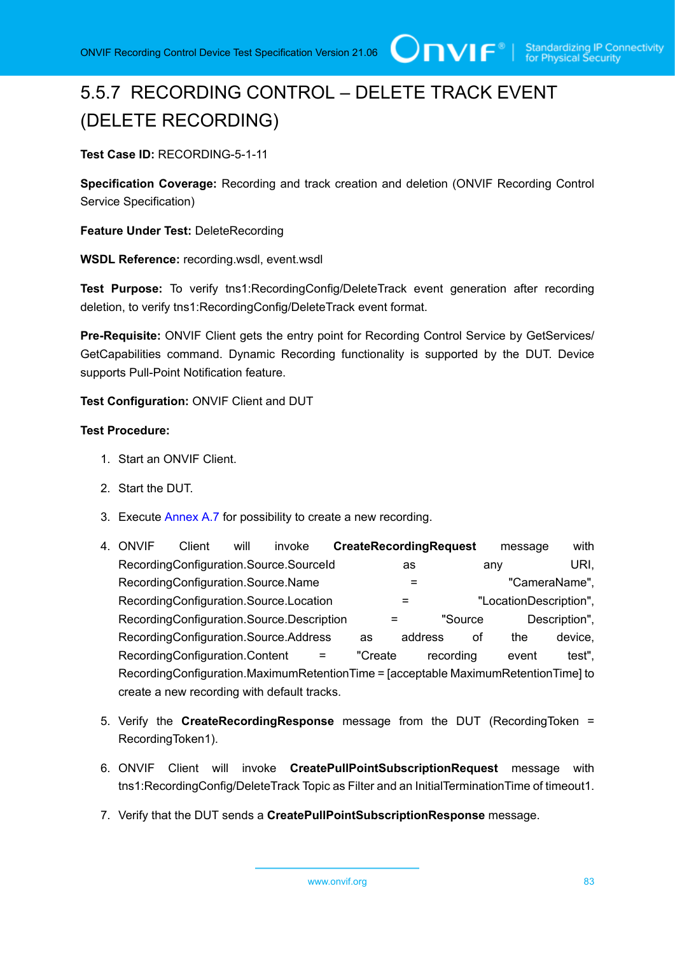# 5.5.7 RECORDING CONTROL – DELETE TRACK EVENT (DELETE RECORDING)

**Test Case ID:** RECORDING-5-1-11

**Specification Coverage:** Recording and track creation and deletion (ONVIF Recording Control Service Specification)

**Feature Under Test:** DeleteRecording

**WSDL Reference:** recording.wsdl, event.wsdl

**Test Purpose:** To verify tns1:RecordingConfig/DeleteTrack event generation after recording deletion, to verify tns1:RecordingConfig/DeleteTrack event format.

**Pre-Requisite:** ONVIF Client gets the entry point for Recording Control Service by GetServices/ GetCapabilities command. Dynamic Recording functionality is supported by the DUT. Device supports Pull-Point Notification feature.

**Test Configuration:** ONVIF Client and DUT

- 1. Start an ONVIF Client.
- 2. Start the DUT.
- 3. Execute [Annex A.7](#page-108-0) for possibility to create a new recording.
- 4. ONVIF Client will invoke **CreateRecordingRequest** message with RecordingConfiguration.Source.SourceId as any URI, RecordingConfiguration.Source.Name =  $=$  "CameraName", RecordingConfiguration.Source.Location = "LocationDescription", RecordingConfiguration.Source.Description = "Source Description", RecordingConfiguration.Source.Address as address of the device, RecordingConfiguration.Content = "Create recording event test", RecordingConfiguration.MaximumRetentionTime = [acceptable MaximumRetentionTime] to create a new recording with default tracks.
- 5. Verify the **CreateRecordingResponse** message from the DUT (RecordingToken = RecordingToken1).
- 6. ONVIF Client will invoke **CreatePullPointSubscriptionRequest** message with tns1:RecordingConfig/DeleteTrack Topic as Filter and an InitialTerminationTime of timeout1.
- 7. Verify that the DUT sends a **CreatePullPointSubscriptionResponse** message.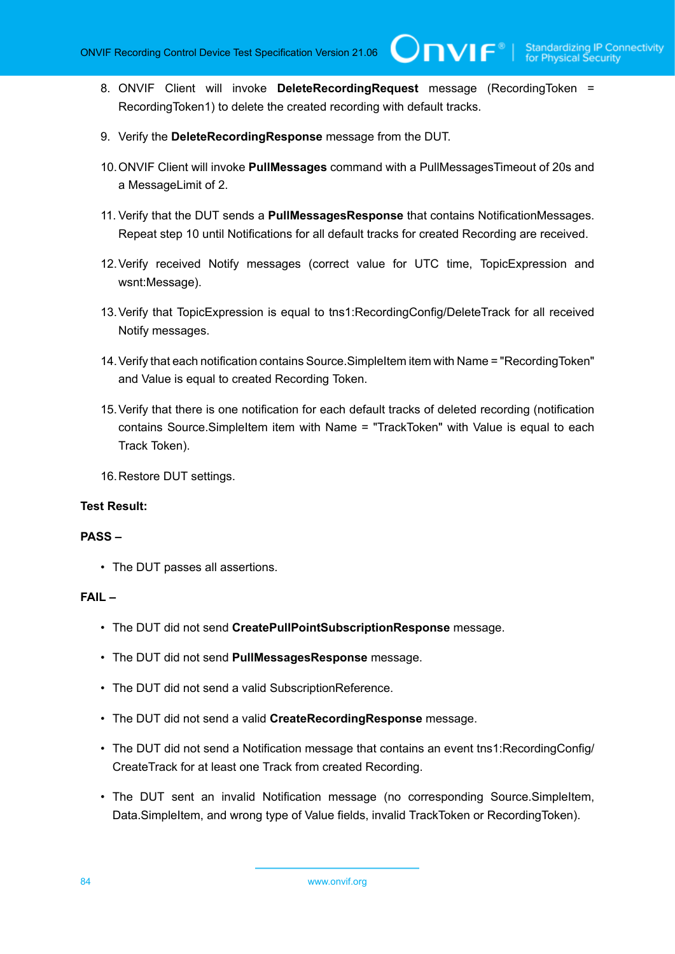8. ONVIF Client will invoke **DeleteRecordingRequest** message (RecordingToken = RecordingToken1) to delete the created recording with default tracks.

 $\bigcup$ NVIF $^\circ$ l

- 9. Verify the **DeleteRecordingResponse** message from the DUT.
- 10.ONVIF Client will invoke **PullMessages** command with a PullMessagesTimeout of 20s and a MessageLimit of 2.
- 11. Verify that the DUT sends a **PullMessagesResponse** that contains NotificationMessages. Repeat step 10 until Notifications for all default tracks for created Recording are received.
- 12.Verify received Notify messages (correct value for UTC time, TopicExpression and wsnt:Message).
- 13.Verify that TopicExpression is equal to tns1:RecordingConfig/DeleteTrack for all received Notify messages.
- 14.Verify that each notification contains Source.SimpleItem item with Name = "RecordingToken" and Value is equal to created Recording Token.
- 15.Verify that there is one notification for each default tracks of deleted recording (notification contains Source.SimpleItem item with Name = "TrackToken" with Value is equal to each Track Token).
- 16.Restore DUT settings.

#### **Test Result:**

#### **PASS –**

• The DUT passes all assertions.

#### **FAIL –**

- The DUT did not send **CreatePullPointSubscriptionResponse** message.
- The DUT did not send **PullMessagesResponse** message.
- The DUT did not send a valid SubscriptionReference.
- The DUT did not send a valid **CreateRecordingResponse** message.
- The DUT did not send a Notification message that contains an event tns1:RecordingConfig/ CreateTrack for at least one Track from created Recording.
- The DUT sent an invalid Notification message (no corresponding Source.SimpleItem, Data.SimpleItem, and wrong type of Value fields, invalid TrackToken or RecordingToken).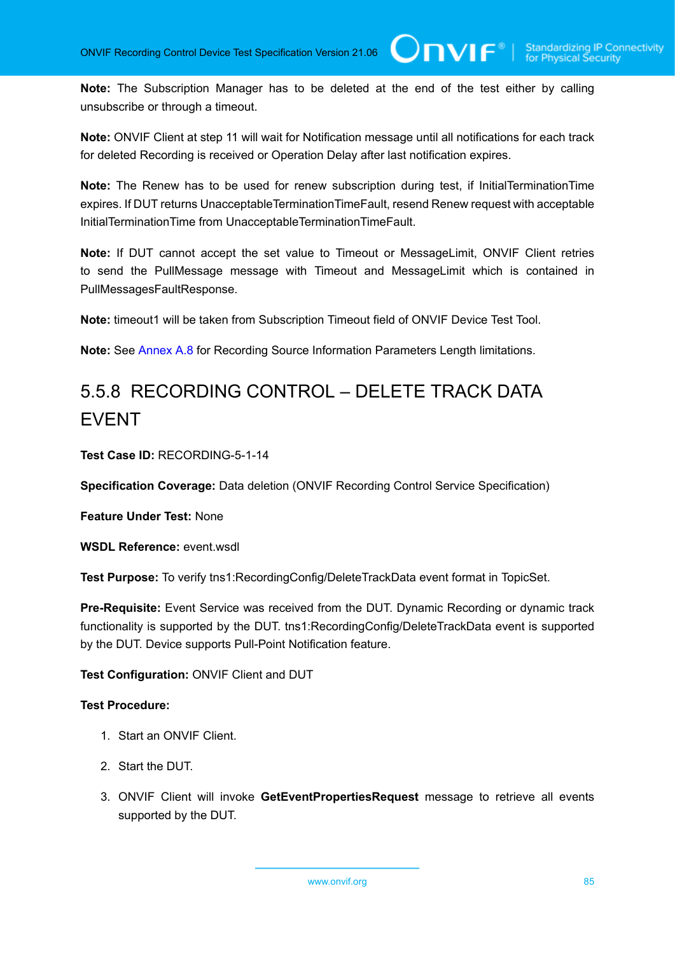**Note:** The Subscription Manager has to be deleted at the end of the test either by calling unsubscribe or through a timeout.

**Note:** ONVIF Client at step 11 will wait for Notification message until all notifications for each track for deleted Recording is received or Operation Delay after last notification expires.

**Note:** The Renew has to be used for renew subscription during test, if InitialTerminationTime expires. If DUT returns UnacceptableTerminationTimeFault, resend Renew request with acceptable InitialTerminationTime from UnacceptableTerminationTimeFault.

**Note:** If DUT cannot accept the set value to Timeout or MessageLimit, ONVIF Client retries to send the PullMessage message with Timeout and MessageLimit which is contained in PullMessagesFaultResponse.

**Note:** timeout1 will be taken from Subscription Timeout field of ONVIF Device Test Tool.

**Note:** See [Annex A.8](#page-109-0) for Recording Source Information Parameters Length limitations.

## 5.5.8 RECORDING CONTROL – DELETE TRACK DATA EVENT

**Test Case ID:** RECORDING-5-1-14

**Specification Coverage:** Data deletion (ONVIF Recording Control Service Specification)

**Feature Under Test:** None

**WSDL Reference:** event.wsdl

**Test Purpose:** To verify tns1:RecordingConfig/DeleteTrackData event format in TopicSet.

**Pre-Requisite:** Event Service was received from the DUT. Dynamic Recording or dynamic track functionality is supported by the DUT. tns1:RecordingConfig/DeleteTrackData event is supported by the DUT. Device supports Pull-Point Notification feature.

#### **Test Configuration:** ONVIF Client and DUT

- 1. Start an ONVIF Client.
- 2. Start the DUT.
- 3. ONVIF Client will invoke **GetEventPropertiesRequest** message to retrieve all events supported by the DUT.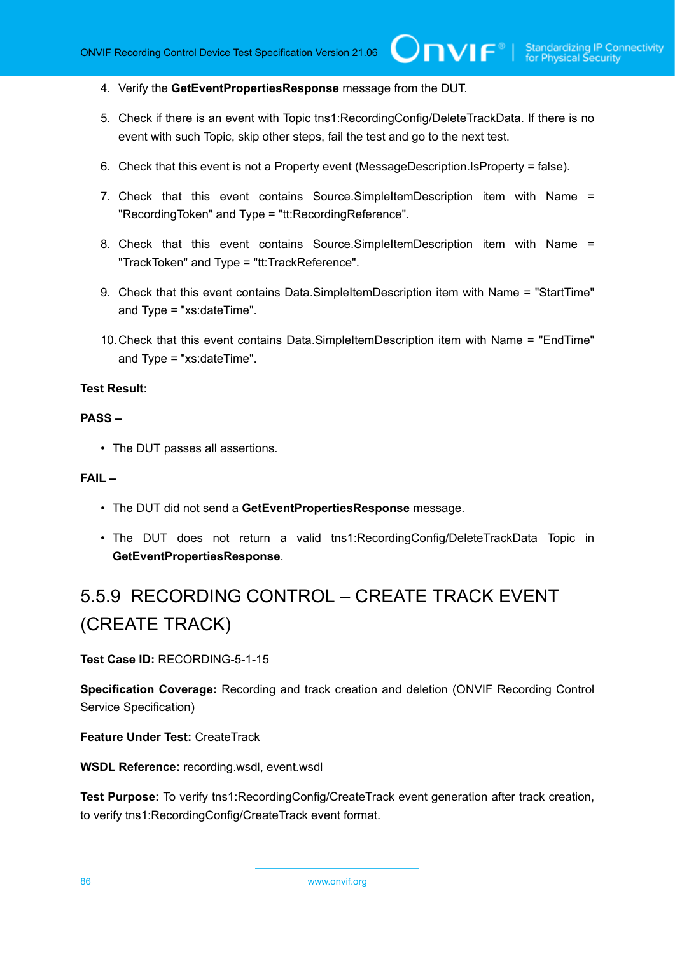- 4. Verify the **GetEventPropertiesResponse** message from the DUT.
- 5. Check if there is an event with Topic tns1:RecordingConfig/DeleteTrackData. If there is no event with such Topic, skip other steps, fail the test and go to the next test.
- 6. Check that this event is not a Property event (MessageDescription.IsProperty = false).
- 7. Check that this event contains Source.SimpleItemDescription item with Name = "RecordingToken" and Type = "tt:RecordingReference".
- 8. Check that this event contains Source.SimpleItemDescription item with Name = "TrackToken" and Type = "tt:TrackReference".
- 9. Check that this event contains Data.SimpleItemDescription item with Name = "StartTime" and Type = "xs:dateTime".
- 10.Check that this event contains Data.SimpleItemDescription item with Name = "EndTime" and Type = "xs:dateTime".

#### **Test Result:**

#### **PASS –**

• The DUT passes all assertions.

#### **FAIL –**

- The DUT did not send a **GetEventPropertiesResponse** message.
- The DUT does not return a valid tns1:RecordingConfig/DeleteTrackData Topic in **GetEventPropertiesResponse**.

## 5.5.9 RECORDING CONTROL – CREATE TRACK EVENT (CREATE TRACK)

**Test Case ID:** RECORDING-5-1-15

**Specification Coverage:** Recording and track creation and deletion (ONVIF Recording Control Service Specification)

**Feature Under Test:** CreateTrack

**WSDL Reference:** recording.wsdl, event.wsdl

**Test Purpose:** To verify tns1:RecordingConfig/CreateTrack event generation after track creation, to verify tns1:RecordingConfig/CreateTrack event format.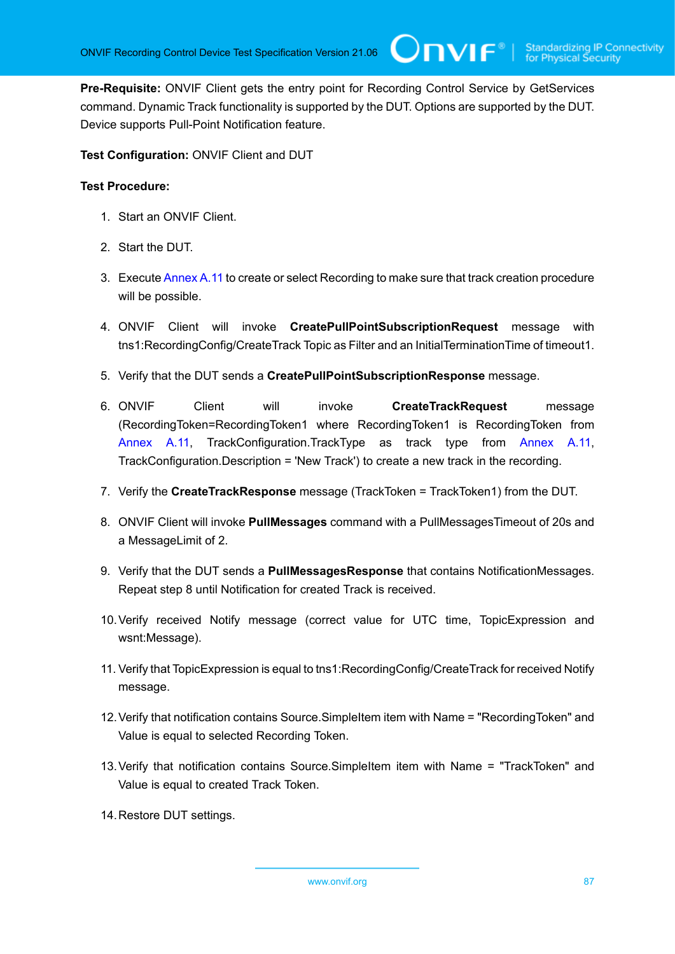**Pre-Requisite:** ONVIF Client gets the entry point for Recording Control Service by GetServices command. Dynamic Track functionality is supported by the DUT. Options are supported by the DUT. Device supports Pull-Point Notification feature.

 $\bigcup$ NVIF $^\circ$ l

**Test Configuration:** ONVIF Client and DUT

- 1. Start an ONVIF Client.
- 2. Start the DUT.
- 3. Execute [Annex](#page-112-0) A.11 to create or select Recording to make sure that track creation procedure will be possible.
- 4. ONVIF Client will invoke **CreatePullPointSubscriptionRequest** message with tns1:RecordingConfig/CreateTrack Topic as Filter and an InitialTerminationTime of timeout1.
- 5. Verify that the DUT sends a **CreatePullPointSubscriptionResponse** message.
- 6. ONVIF Client will invoke **CreateTrackRequest** message (RecordingToken=RecordingToken1 where RecordingToken1 is RecordingToken from [Annex](#page-112-0) A.11, TrackConfiguration.TrackType as track type from [Annex](#page-112-0) A.11, TrackConfiguration.Description = 'New Track') to create a new track in the recording.
- 7. Verify the **CreateTrackResponse** message (TrackToken = TrackToken1) from the DUT.
- 8. ONVIF Client will invoke **PullMessages** command with a PullMessagesTimeout of 20s and a MessageLimit of 2.
- 9. Verify that the DUT sends a **PullMessagesResponse** that contains NotificationMessages. Repeat step 8 until Notification for created Track is received.
- 10.Verify received Notify message (correct value for UTC time, TopicExpression and wsnt:Message).
- 11. Verify that TopicExpression is equal to tns1:RecordingConfig/CreateTrack for received Notify message.
- 12.Verify that notification contains Source.SimpleItem item with Name = "RecordingToken" and Value is equal to selected Recording Token.
- 13.Verify that notification contains Source.SimpleItem item with Name = "TrackToken" and Value is equal to created Track Token.
- 14.Restore DUT settings.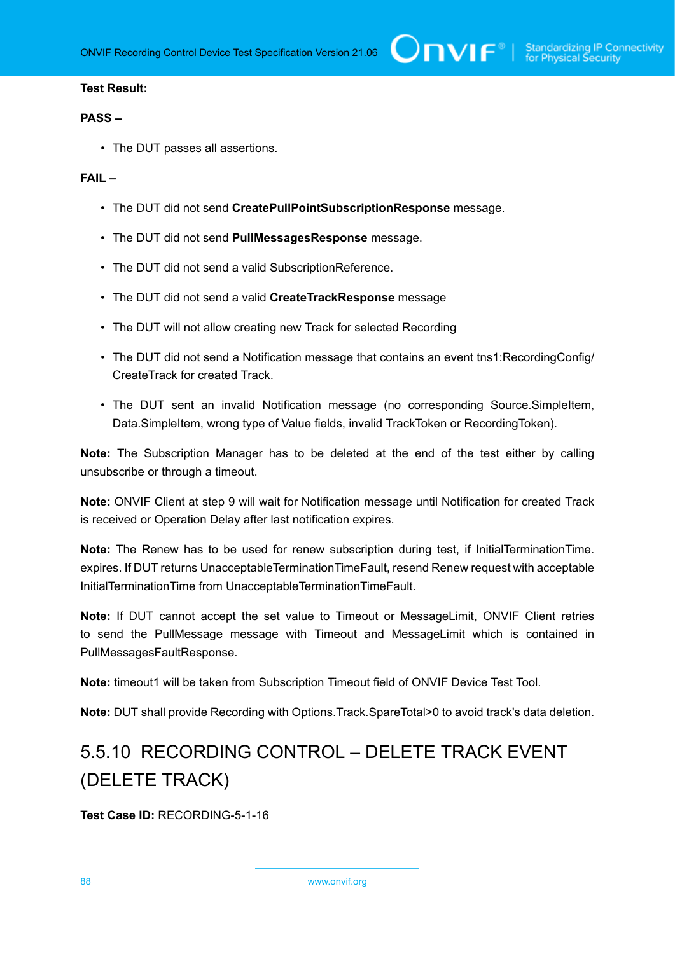#### **Test Result:**

#### **PASS –**

• The DUT passes all assertions.

#### **FAIL –**

- The DUT did not send **CreatePullPointSubscriptionResponse** message.
- The DUT did not send **PullMessagesResponse** message.
- The DUT did not send a valid SubscriptionReference.
- The DUT did not send a valid **CreateTrackResponse** message
- The DUT will not allow creating new Track for selected Recording
- The DUT did not send a Notification message that contains an event tns1:RecordingConfig/ CreateTrack for created Track.
- The DUT sent an invalid Notification message (no corresponding Source.SimpleItem, Data.SimpleItem, wrong type of Value fields, invalid TrackToken or RecordingToken).

**Note:** The Subscription Manager has to be deleted at the end of the test either by calling unsubscribe or through a timeout.

**Note:** ONVIF Client at step 9 will wait for Notification message until Notification for created Track is received or Operation Delay after last notification expires.

**Note:** The Renew has to be used for renew subscription during test, if InitialTerminationTime. expires. If DUT returns UnacceptableTerminationTimeFault, resend Renew request with acceptable InitialTerminationTime from UnacceptableTerminationTimeFault.

**Note:** If DUT cannot accept the set value to Timeout or MessageLimit, ONVIF Client retries to send the PullMessage message with Timeout and MessageLimit which is contained in PullMessagesFaultResponse.

**Note:** timeout1 will be taken from Subscription Timeout field of ONVIF Device Test Tool.

**Note:** DUT shall provide Recording with Options.Track.SpareTotal>0 to avoid track's data deletion.

# 5.5.10 RECORDING CONTROL – DELETE TRACK EVENT (DELETE TRACK)

**Test Case ID:** RECORDING-5-1-16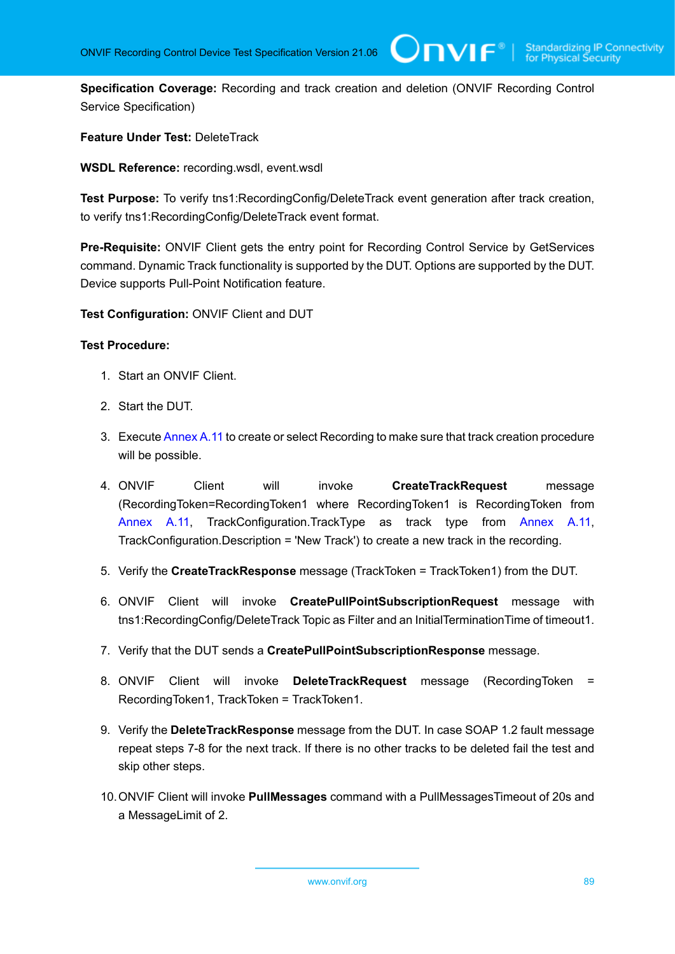**Specification Coverage:** Recording and track creation and deletion (ONVIF Recording Control Service Specification)

 $\bigcup$ NVIF $^\circ$ l

**Feature Under Test:** DeleteTrack

**WSDL Reference:** recording.wsdl, event.wsdl

**Test Purpose:** To verify tns1:RecordingConfig/DeleteTrack event generation after track creation, to verify tns1:RecordingConfig/DeleteTrack event format.

**Pre-Requisite:** ONVIF Client gets the entry point for Recording Control Service by GetServices command. Dynamic Track functionality is supported by the DUT. Options are supported by the DUT. Device supports Pull-Point Notification feature.

**Test Configuration:** ONVIF Client and DUT

#### **Test Procedure:**

- 1. Start an ONVIF Client.
- 2. Start the DUT.
- 3. Execute [Annex](#page-112-0) A.11 to create or select Recording to make sure that track creation procedure will be possible.
- 4. ONVIF Client will invoke **CreateTrackRequest** message (RecordingToken=RecordingToken1 where RecordingToken1 is RecordingToken from [Annex](#page-112-0) A.11, TrackConfiguration.TrackType as track type from [Annex](#page-112-0) A.11, TrackConfiguration.Description = 'New Track') to create a new track in the recording.
- 5. Verify the **CreateTrackResponse** message (TrackToken = TrackToken1) from the DUT.
- 6. ONVIF Client will invoke **CreatePullPointSubscriptionRequest** message with tns1:RecordingConfig/DeleteTrack Topic as Filter and an InitialTerminationTime of timeout1.
- 7. Verify that the DUT sends a **CreatePullPointSubscriptionResponse** message.
- 8. ONVIF Client will invoke **DeleteTrackRequest** message (RecordingToken = RecordingToken1, TrackToken = TrackToken1.
- 9. Verify the **DeleteTrackResponse** message from the DUT. In case SOAP 1.2 fault message repeat steps 7-8 for the next track. If there is no other tracks to be deleted fail the test and skip other steps.
- 10.ONVIF Client will invoke **PullMessages** command with a PullMessagesTimeout of 20s and a MessageLimit of 2.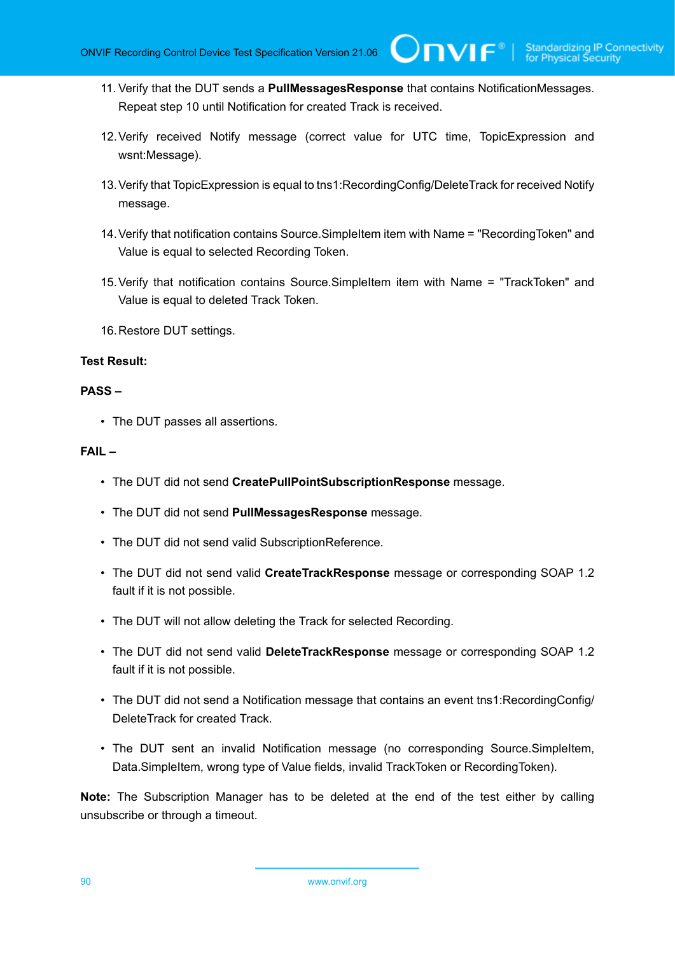11. Verify that the DUT sends a **PullMessagesResponse** that contains NotificationMessages. Repeat step 10 until Notification for created Track is received.

 $\bigcup$ NVIF $^\circ$ l

- 12.Verify received Notify message (correct value for UTC time, TopicExpression and wsnt:Message).
- 13.Verify that TopicExpression is equal to tns1:RecordingConfig/DeleteTrack for received Notify message.
- 14.Verify that notification contains Source.SimpleItem item with Name = "RecordingToken" and Value is equal to selected Recording Token.
- 15.Verify that notification contains Source.SimpleItem item with Name = "TrackToken" and Value is equal to deleted Track Token.
- 16.Restore DUT settings.

#### **Test Result:**

#### **PASS –**

• The DUT passes all assertions.

#### **FAIL –**

- The DUT did not send **CreatePullPointSubscriptionResponse** message.
- The DUT did not send **PullMessagesResponse** message.
- The DUT did not send valid SubscriptionReference.
- The DUT did not send valid **CreateTrackResponse** message or corresponding SOAP 1.2 fault if it is not possible.
- The DUT will not allow deleting the Track for selected Recording.
- The DUT did not send valid **DeleteTrackResponse** message or corresponding SOAP 1.2 fault if it is not possible.
- The DUT did not send a Notification message that contains an event tns1:RecordingConfig/ DeleteTrack for created Track.
- The DUT sent an invalid Notification message (no corresponding Source.SimpleItem, Data.SimpleItem, wrong type of Value fields, invalid TrackToken or RecordingToken).

**Note:** The Subscription Manager has to be deleted at the end of the test either by calling unsubscribe or through a timeout.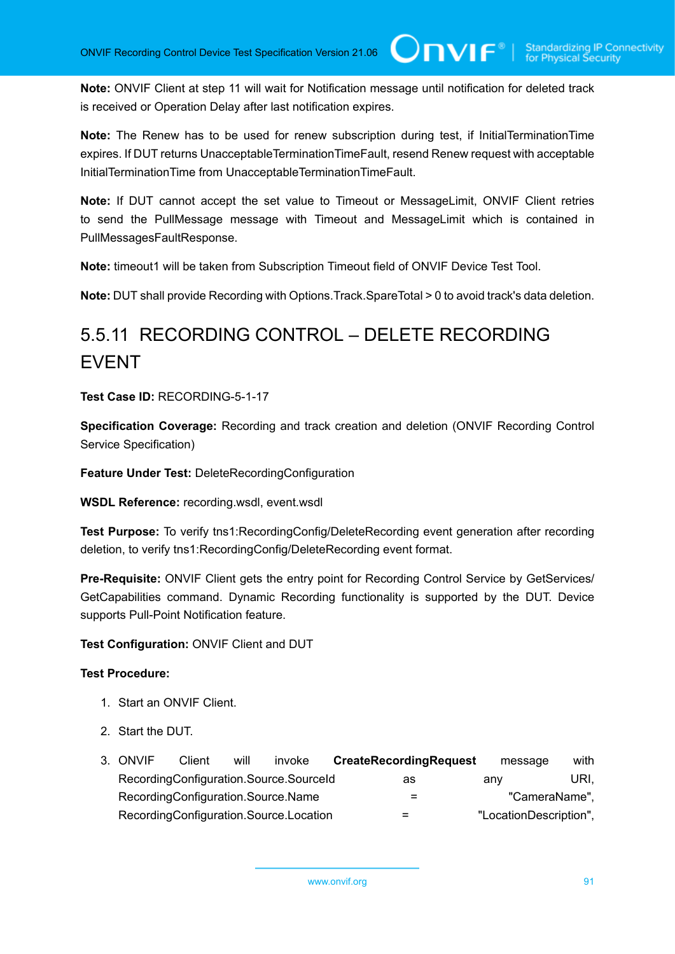**Note:** ONVIF Client at step 11 will wait for Notification message until notification for deleted track is received or Operation Delay after last notification expires.

 $\mathsf{Cnv}$ ı $\mathsf{F}^\circ$ l

**Note:** The Renew has to be used for renew subscription during test, if InitialTerminationTime expires. If DUT returns UnacceptableTerminationTimeFault, resend Renew request with acceptable InitialTerminationTime from UnacceptableTerminationTimeFault.

**Note:** If DUT cannot accept the set value to Timeout or MessageLimit, ONVIF Client retries to send the PullMessage message with Timeout and MessageLimit which is contained in PullMessagesFaultResponse.

**Note:** timeout1 will be taken from Subscription Timeout field of ONVIF Device Test Tool.

**Note:** DUT shall provide Recording with Options.Track.SpareTotal > 0 to avoid track's data deletion.

## 5.5.11 RECORDING CONTROL – DELETE RECORDING EVENT

**Test Case ID:** RECORDING-5-1-17

**Specification Coverage:** Recording and track creation and deletion (ONVIF Recording Control Service Specification)

**Feature Under Test:** DeleteRecordingConfiguration

**WSDL Reference:** recording.wsdl, event.wsdl

**Test Purpose:** To verify tns1:RecordingConfig/DeleteRecording event generation after recording deletion, to verify tns1:RecordingConfig/DeleteRecording event format.

**Pre-Requisite:** ONVIF Client gets the entry point for Recording Control Service by GetServices/ GetCapabilities command. Dynamic Recording functionality is supported by the DUT. Device supports Pull-Point Notification feature.

**Test Configuration:** ONVIF Client and DUT

- 1. Start an ONVIF Client.
- 2. Start the DUT.

| 3. ONVIF                           | Client | will | invoke                                 | <b>CreateRecordingRequest</b> | message                | with |
|------------------------------------|--------|------|----------------------------------------|-------------------------------|------------------------|------|
|                                    |        |      | RecordingConfiguration.Source.SourceId | as                            | anv                    | URI. |
| RecordingConfiguration.Source.Name |        |      |                                        |                               | "CameraName",          |      |
|                                    |        |      | RecordingConfiguration.Source.Location | $=$                           | "LocationDescription", |      |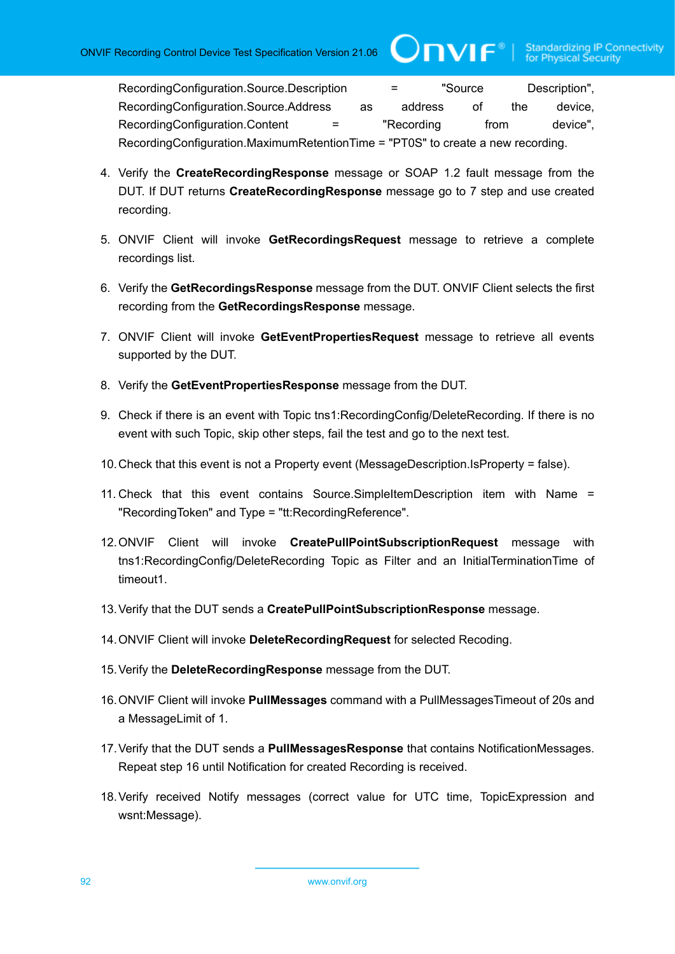RecordingConfiguration.Source.Description = "Source Description", RecordingConfiguration.Source.Address as address of the device, RecordingConfiguration.Content = "Recording from device", RecordingConfiguration.MaximumRetentionTime = "PT0S" to create a new recording.

 $\bigcirc$ nvı $\mathsf{F}^\circ$ l

- 4. Verify the **CreateRecordingResponse** message or SOAP 1.2 fault message from the DUT. If DUT returns **CreateRecordingResponse** message go to 7 step and use created recording.
- 5. ONVIF Client will invoke **GetRecordingsRequest** message to retrieve a complete recordings list.
- 6. Verify the **GetRecordingsResponse** message from the DUT. ONVIF Client selects the first recording from the **GetRecordingsResponse** message.
- 7. ONVIF Client will invoke **GetEventPropertiesRequest** message to retrieve all events supported by the DUT.
- 8. Verify the **GetEventPropertiesResponse** message from the DUT.
- 9. Check if there is an event with Topic tns1:RecordingConfig/DeleteRecording. If there is no event with such Topic, skip other steps, fail the test and go to the next test.
- 10.Check that this event is not a Property event (MessageDescription.IsProperty = false).
- 11. Check that this event contains Source.SimpleItemDescription item with Name = "RecordingToken" and Type = "tt:RecordingReference".
- 12.ONVIF Client will invoke **CreatePullPointSubscriptionRequest** message with tns1:RecordingConfig/DeleteRecording Topic as Filter and an InitialTerminationTime of timeout1.
- 13.Verify that the DUT sends a **CreatePullPointSubscriptionResponse** message.
- 14.ONVIF Client will invoke **DeleteRecordingRequest** for selected Recoding.
- 15.Verify the **DeleteRecordingResponse** message from the DUT.
- 16.ONVIF Client will invoke **PullMessages** command with a PullMessagesTimeout of 20s and a MessageLimit of 1.
- 17.Verify that the DUT sends a **PullMessagesResponse** that contains NotificationMessages. Repeat step 16 until Notification for created Recording is received.
- 18.Verify received Notify messages (correct value for UTC time, TopicExpression and wsnt:Message).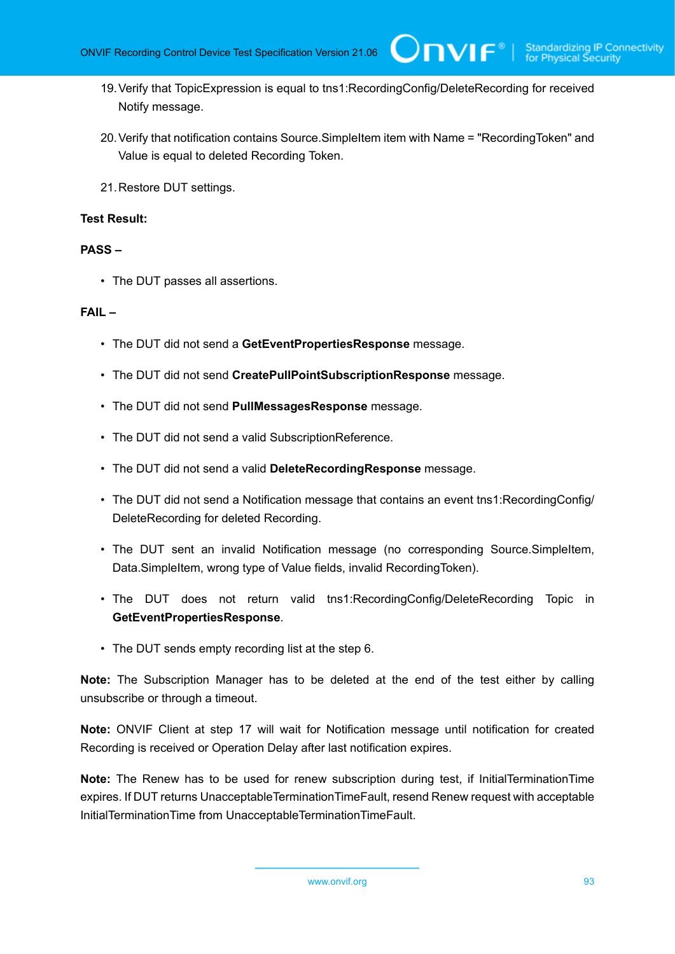- 19.Verify that TopicExpression is equal to tns1:RecordingConfig/DeleteRecording for received Notify message.
- 20.Verify that notification contains Source.SimpleItem item with Name = "RecordingToken" and Value is equal to deleted Recording Token.
- 21.Restore DUT settings.

#### **Test Result:**

#### **PASS –**

• The DUT passes all assertions.

#### **FAIL –**

- The DUT did not send a **GetEventPropertiesResponse** message.
- The DUT did not send **CreatePullPointSubscriptionResponse** message.
- The DUT did not send **PullMessagesResponse** message.
- The DUT did not send a valid SubscriptionReference.
- The DUT did not send a valid **DeleteRecordingResponse** message.
- The DUT did not send a Notification message that contains an event tns1:RecordingConfig/ DeleteRecording for deleted Recording.
- The DUT sent an invalid Notification message (no corresponding Source.SimpleItem, Data.SimpleItem, wrong type of Value fields, invalid RecordingToken).
- The DUT does not return valid tns1:RecordingConfig/DeleteRecording Topic in **GetEventPropertiesResponse**.
- The DUT sends empty recording list at the step 6.

**Note:** The Subscription Manager has to be deleted at the end of the test either by calling unsubscribe or through a timeout.

**Note:** ONVIF Client at step 17 will wait for Notification message until notification for created Recording is received or Operation Delay after last notification expires.

**Note:** The Renew has to be used for renew subscription during test, if InitialTerminationTime expires. If DUT returns UnacceptableTerminationTimeFault, resend Renew request with acceptable InitialTerminationTime from UnacceptableTerminationTimeFault.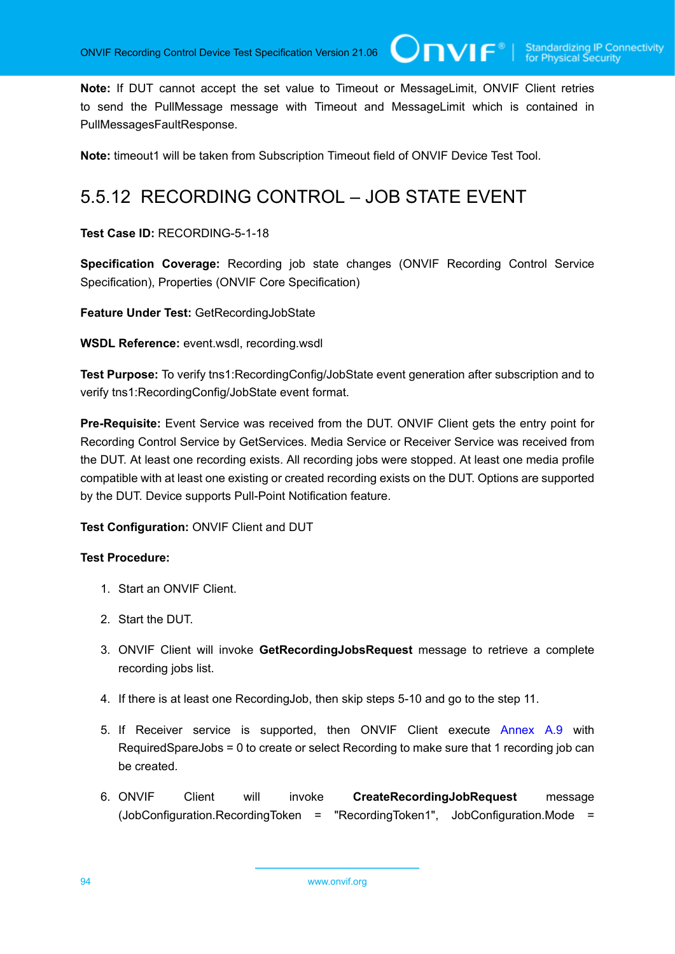**Note:** If DUT cannot accept the set value to Timeout or MessageLimit, ONVIF Client retries to send the PullMessage message with Timeout and MessageLimit which is contained in PullMessagesFaultResponse.

 $\mathsf{Cnv}$ ı $\mathsf{F}^\ast$ l

**Note:** timeout1 will be taken from Subscription Timeout field of ONVIF Device Test Tool.

### 5.5.12 RECORDING CONTROL – JOB STATE EVENT

**Test Case ID:** RECORDING-5-1-18

**Specification Coverage:** Recording job state changes (ONVIF Recording Control Service Specification), Properties (ONVIF Core Specification)

**Feature Under Test:** GetRecordingJobState

**WSDL Reference:** event.wsdl, recording.wsdl

**Test Purpose:** To verify tns1:RecordingConfig/JobState event generation after subscription and to verify tns1:RecordingConfig/JobState event format.

**Pre-Requisite:** Event Service was received from the DUT. ONVIF Client gets the entry point for Recording Control Service by GetServices. Media Service or Receiver Service was received from the DUT. At least one recording exists. All recording jobs were stopped. At least one media profile compatible with at least one existing or created recording exists on the DUT. Options are supported by the DUT. Device supports Pull-Point Notification feature.

**Test Configuration:** ONVIF Client and DUT

- 1. Start an ONVIF Client.
- 2. Start the DUT.
- 3. ONVIF Client will invoke **GetRecordingJobsRequest** message to retrieve a complete recording jobs list.
- 4. If there is at least one RecordingJob, then skip steps 5-10 and go to the step 11.
- 5. If Receiver service is supported, then ONVIF Client execute [Annex A.9](#page-109-1) with RequiredSpareJobs = 0 to create or select Recording to make sure that 1 recording job can be created.
- 6. ONVIF Client will invoke **CreateRecordingJobRequest** message (JobConfiguration.RecordingToken = "RecordingToken1", JobConfiguration.Mode =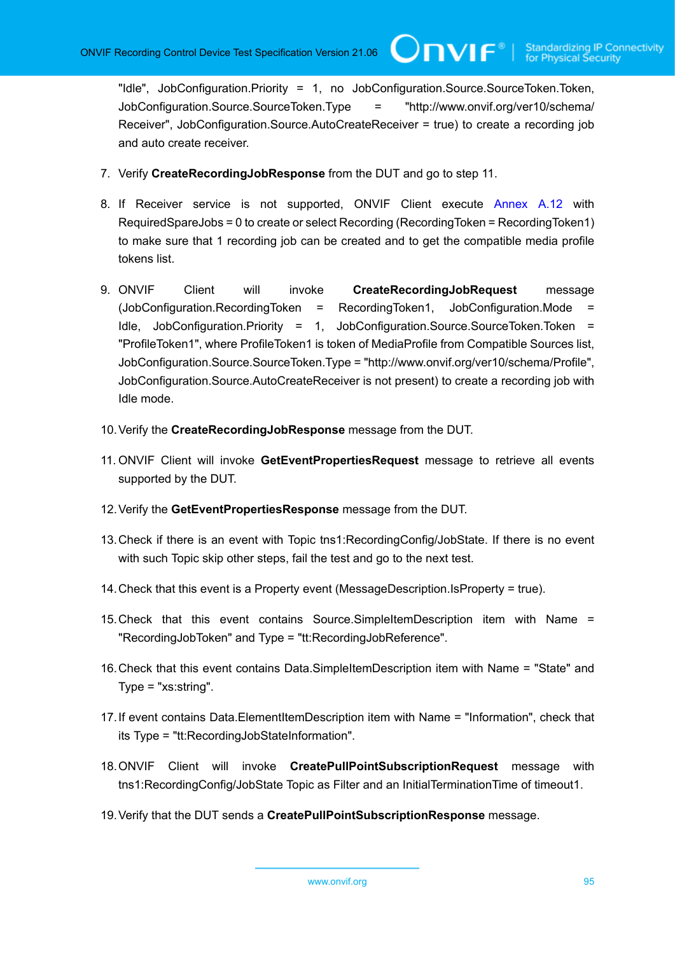"Idle", JobConfiguration.Priority = 1, no JobConfiguration.Source.SourceToken.Token, JobConfiguration.Source.SourceToken.Type = "http://www.onvif.org/ver10/schema/ Receiver", JobConfiguration.Source.AutoCreateReceiver = true) to create a recording job and auto create receiver.

- 7. Verify **CreateRecordingJobResponse** from the DUT and go to step 11.
- 8. If Receiver service is not supported, ONVIF Client execute [Annex A.12](#page-112-1) with RequiredSpareJobs = 0 to create or select Recording (RecordingToken = RecordingToken1) to make sure that 1 recording job can be created and to get the compatible media profile tokens list.
- 9. ONVIF Client will invoke **CreateRecordingJobRequest** message (JobConfiguration.RecordingToken = RecordingToken1, JobConfiguration.Mode = Idle, JobConfiguration.Priority = 1, JobConfiguration.Source.SourceToken.Token = "ProfileToken1", where ProfileToken1 is token of MediaProfile from Compatible Sources list, JobConfiguration.Source.SourceToken.Type = "http://www.onvif.org/ver10/schema/Profile", JobConfiguration.Source.AutoCreateReceiver is not present) to create a recording job with Idle mode.
- 10.Verify the **CreateRecordingJobResponse** message from the DUT.
- 11. ONVIF Client will invoke **GetEventPropertiesRequest** message to retrieve all events supported by the DUT.
- 12.Verify the **GetEventPropertiesResponse** message from the DUT.
- 13.Check if there is an event with Topic tns1:RecordingConfig/JobState. If there is no event with such Topic skip other steps, fail the test and go to the next test.
- 14.Check that this event is a Property event (MessageDescription.IsProperty = true).
- 15.Check that this event contains Source.SimpleItemDescription item with Name = "RecordingJobToken" and Type = "tt:RecordingJobReference".
- 16.Check that this event contains Data.SimpleItemDescription item with Name = "State" and Type = "xs:string".
- 17.If event contains Data.ElementItemDescription item with Name = "Information", check that its Type = "tt:RecordingJobStateInformation".
- 18.ONVIF Client will invoke **CreatePullPointSubscriptionRequest** message with tns1:RecordingConfig/JobState Topic as Filter and an InitialTerminationTime of timeout1.
- 19.Verify that the DUT sends a **CreatePullPointSubscriptionResponse** message.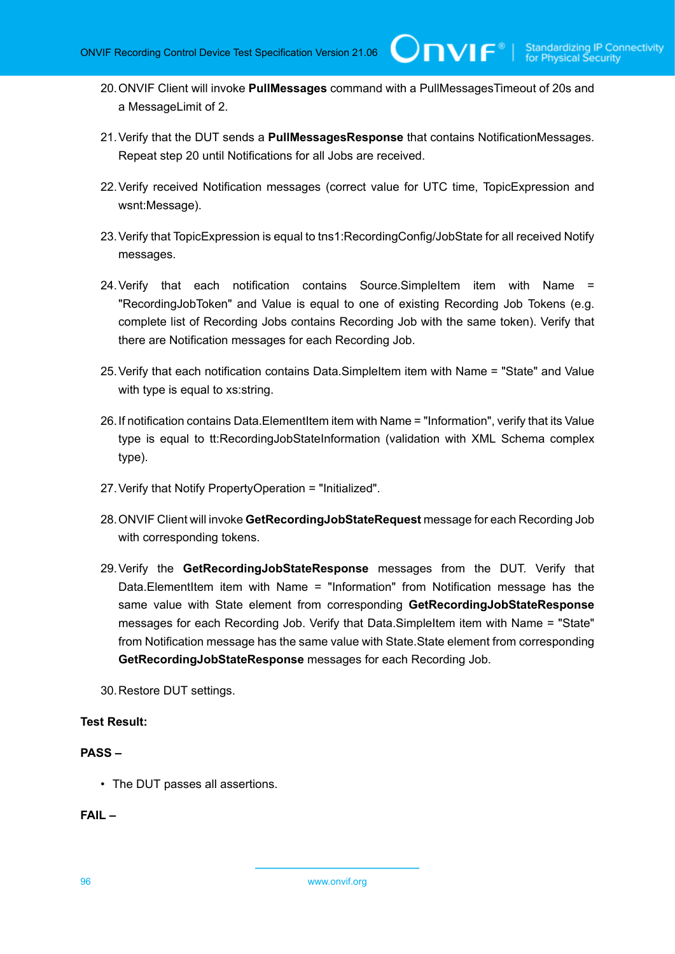- 20.ONVIF Client will invoke **PullMessages** command with a PullMessagesTimeout of 20s and a MessageLimit of 2.
- 21.Verify that the DUT sends a **PullMessagesResponse** that contains NotificationMessages. Repeat step 20 until Notifications for all Jobs are received.
- 22.Verify received Notification messages (correct value for UTC time, TopicExpression and wsnt:Message).
- 23.Verify that TopicExpression is equal to tns1:RecordingConfig/JobState for all received Notify messages.
- 24.Verify that each notification contains Source.SimpleItem item with Name = "RecordingJobToken" and Value is equal to one of existing Recording Job Tokens (e.g. complete list of Recording Jobs contains Recording Job with the same token). Verify that there are Notification messages for each Recording Job.
- 25.Verify that each notification contains Data.SimpleItem item with Name = "State" and Value with type is equal to xs:string.
- 26.If notification contains Data.ElementItem item with Name = "Information", verify that its Value type is equal to tt:RecordingJobStateInformation (validation with XML Schema complex type).
- 27.Verify that Notify PropertyOperation = "Initialized".
- 28.ONVIF Client will invoke **GetRecordingJobStateRequest** message for each Recording Job with corresponding tokens.
- 29.Verify the **GetRecordingJobStateResponse** messages from the DUT. Verify that Data.ElementItem item with Name = "Information" from Notification message has the same value with State element from corresponding **GetRecordingJobStateResponse** messages for each Recording Job. Verify that Data.SimpleItem item with Name = "State" from Notification message has the same value with State.State element from corresponding **GetRecordingJobStateResponse** messages for each Recording Job.
- 30.Restore DUT settings.

#### **Test Result:**

#### **PASS –**

• The DUT passes all assertions.

#### **FAIL –**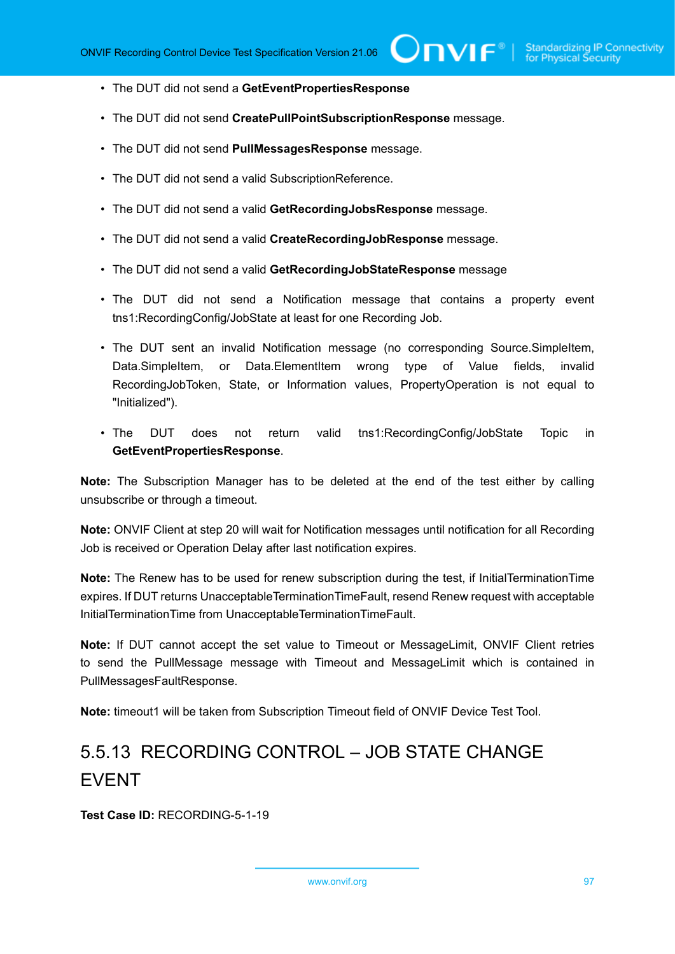- The DUT did not send a **GetEventPropertiesResponse**
- The DUT did not send **CreatePullPointSubscriptionResponse** message.
- The DUT did not send **PullMessagesResponse** message.
- The DUT did not send a valid SubscriptionReference.
- The DUT did not send a valid **GetRecordingJobsResponse** message.
- The DUT did not send a valid **CreateRecordingJobResponse** message.
- The DUT did not send a valid **GetRecordingJobStateResponse** message
- The DUT did not send a Notification message that contains a property event tns1:RecordingConfig/JobState at least for one Recording Job.
- The DUT sent an invalid Notification message (no corresponding Source.SimpleItem, Data.SimpleItem, or Data.ElementItem wrong type of Value fields, invalid RecordingJobToken, State, or Information values, PropertyOperation is not equal to "Initialized").
- The DUT does not return valid tns1:RecordingConfig/JobState Topic in **GetEventPropertiesResponse**.

**Note:** The Subscription Manager has to be deleted at the end of the test either by calling unsubscribe or through a timeout.

**Note:** ONVIF Client at step 20 will wait for Notification messages until notification for all Recording Job is received or Operation Delay after last notification expires.

**Note:** The Renew has to be used for renew subscription during the test, if InitialTerminationTime expires. If DUT returns UnacceptableTerminationTimeFault, resend Renew request with acceptable InitialTerminationTime from UnacceptableTerminationTimeFault.

**Note:** If DUT cannot accept the set value to Timeout or MessageLimit, ONVIF Client retries to send the PullMessage message with Timeout and MessageLimit which is contained in PullMessagesFaultResponse.

**Note:** timeout1 will be taken from Subscription Timeout field of ONVIF Device Test Tool.

## 5.5.13 RECORDING CONTROL – JOB STATE CHANGE EVENT

**Test Case ID:** RECORDING-5-1-19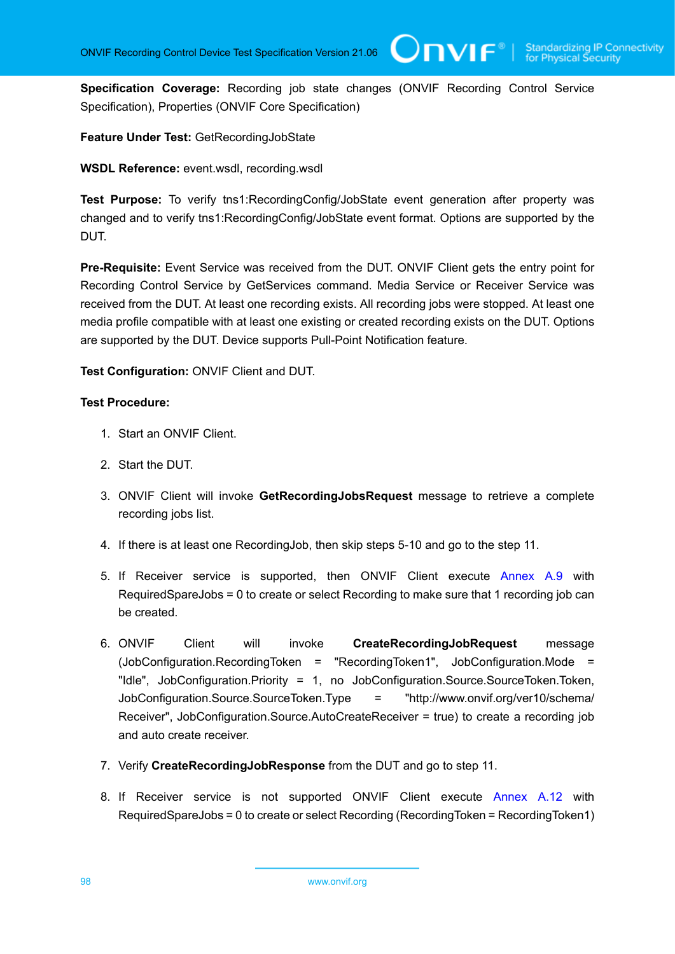**Specification Coverage:** Recording job state changes (ONVIF Recording Control Service Specification), Properties (ONVIF Core Specification)

**Feature Under Test:** GetRecordingJobState

**WSDL Reference:** event.wsdl, recording.wsdl

**Test Purpose:** To verify tns1:RecordingConfig/JobState event generation after property was changed and to verify tns1:RecordingConfig/JobState event format. Options are supported by the DUT.

**Pre-Requisite:** Event Service was received from the DUT. ONVIF Client gets the entry point for Recording Control Service by GetServices command. Media Service or Receiver Service was received from the DUT. At least one recording exists. All recording jobs were stopped. At least one media profile compatible with at least one existing or created recording exists on the DUT. Options are supported by the DUT. Device supports Pull-Point Notification feature.

**Test Configuration:** ONVIF Client and DUT.

- 1. Start an ONVIF Client.
- 2. Start the DUT.
- 3. ONVIF Client will invoke **GetRecordingJobsRequest** message to retrieve a complete recording jobs list.
- 4. If there is at least one RecordingJob, then skip steps 5-10 and go to the step 11.
- 5. If Receiver service is supported, then ONVIF Client execute [Annex A.9](#page-109-1) with RequiredSpareJobs = 0 to create or select Recording to make sure that 1 recording job can be created.
- 6. ONVIF Client will invoke **CreateRecordingJobRequest** message (JobConfiguration.RecordingToken = "RecordingToken1", JobConfiguration.Mode = "Idle", JobConfiguration.Priority = 1, no JobConfiguration.Source.SourceToken.Token, JobConfiguration.Source.SourceToken.Type = "http://www.onvif.org/ver10/schema/ Receiver", JobConfiguration.Source.AutoCreateReceiver = true) to create a recording job and auto create receiver.
- 7. Verify **CreateRecordingJobResponse** from the DUT and go to step 11.
- 8. If Receiver service is not supported ONVIF Client execute [Annex A.12](#page-112-1) with RequiredSpareJobs = 0 to create or select Recording (RecordingToken = RecordingToken1)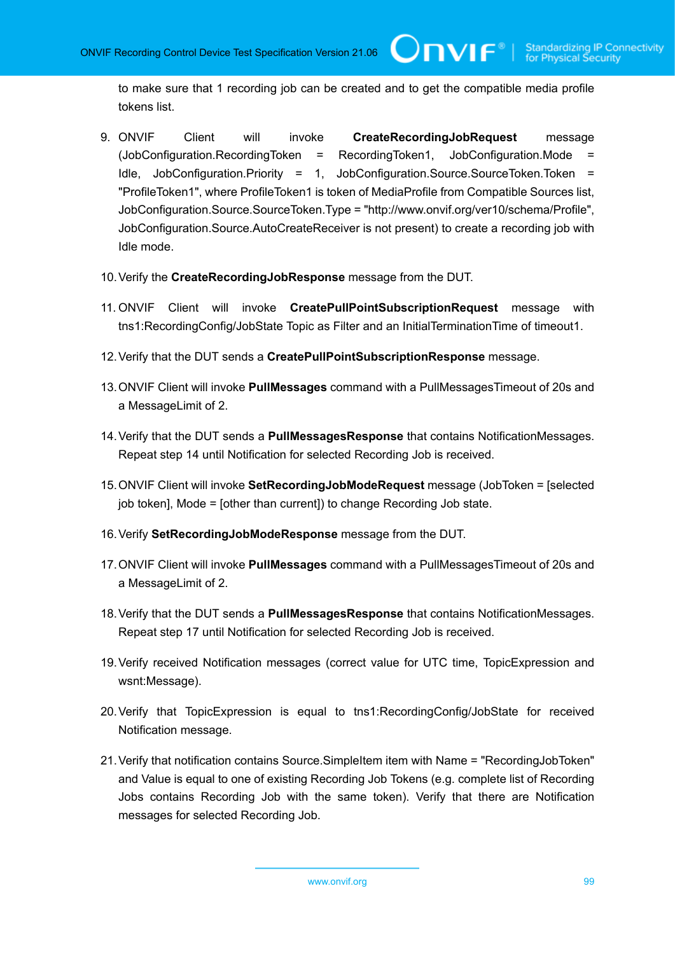to make sure that 1 recording job can be created and to get the compatible media profile tokens list.

 $\bigcup$ NIF $^{\circ}$ l

- 9. ONVIF Client will invoke **CreateRecordingJobRequest** message (JobConfiguration.RecordingToken = RecordingToken1, JobConfiguration.Mode = Idle, JobConfiguration.Priority = 1, JobConfiguration.Source.SourceToken.Token = "ProfileToken1", where ProfileToken1 is token of MediaProfile from Compatible Sources list, JobConfiguration.Source.SourceToken.Type = "http://www.onvif.org/ver10/schema/Profile", JobConfiguration.Source.AutoCreateReceiver is not present) to create a recording job with Idle mode.
- 10.Verify the **CreateRecordingJobResponse** message from the DUT.
- 11. ONVIF Client will invoke **CreatePullPointSubscriptionRequest** message with tns1:RecordingConfig/JobState Topic as Filter and an InitialTerminationTime of timeout1.
- 12.Verify that the DUT sends a **CreatePullPointSubscriptionResponse** message.
- 13.ONVIF Client will invoke **PullMessages** command with a PullMessagesTimeout of 20s and a MessageLimit of 2.
- 14.Verify that the DUT sends a **PullMessagesResponse** that contains NotificationMessages. Repeat step 14 until Notification for selected Recording Job is received.
- 15.ONVIF Client will invoke **SetRecordingJobModeRequest** message (JobToken = [selected job token], Mode = [other than current]) to change Recording Job state.
- 16.Verify **SetRecordingJobModeResponse** message from the DUT.
- 17.ONVIF Client will invoke **PullMessages** command with a PullMessagesTimeout of 20s and a MessageLimit of 2.
- 18.Verify that the DUT sends a **PullMessagesResponse** that contains NotificationMessages. Repeat step 17 until Notification for selected Recording Job is received.
- 19.Verify received Notification messages (correct value for UTC time, TopicExpression and wsnt:Message).
- 20.Verify that TopicExpression is equal to tns1:RecordingConfig/JobState for received Notification message.
- 21.Verify that notification contains Source.SimpleItem item with Name = "RecordingJobToken" and Value is equal to one of existing Recording Job Tokens (e.g. complete list of Recording Jobs contains Recording Job with the same token). Verify that there are Notification messages for selected Recording Job.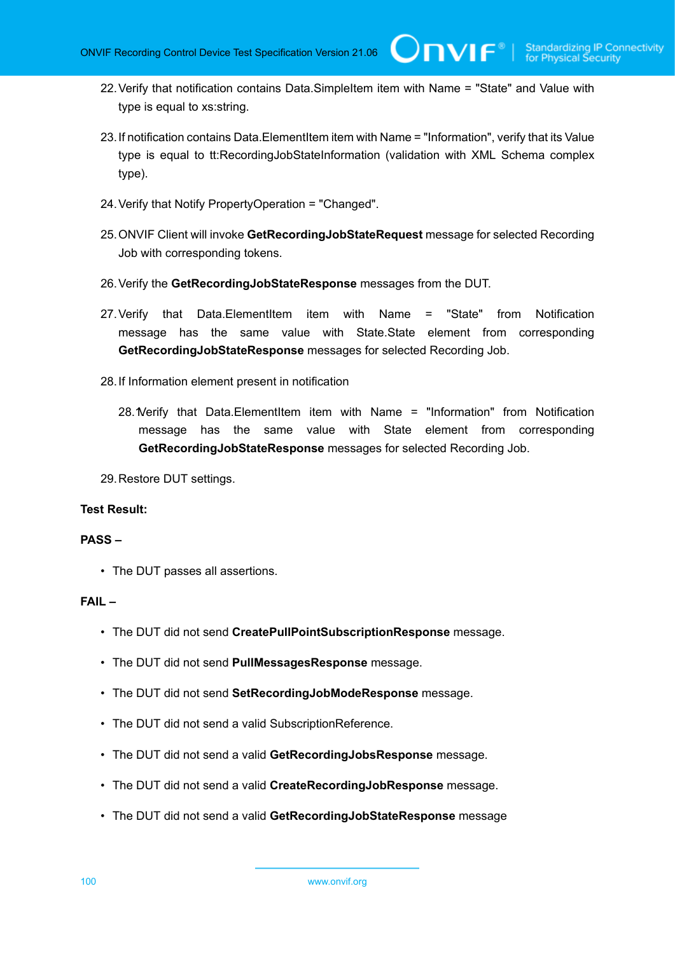- 22.Verify that notification contains Data.SimpleItem item with Name = "State" and Value with type is equal to xs:string.
- 23.If notification contains Data.ElementItem item with Name = "Information", verify that its Value type is equal to tt:RecordingJobStateInformation (validation with XML Schema complex type).
- 24.Verify that Notify PropertyOperation = "Changed".
- 25.ONVIF Client will invoke **GetRecordingJobStateRequest** message for selected Recording Job with corresponding tokens.
- 26.Verify the **GetRecordingJobStateResponse** messages from the DUT.
- 27.Verify that Data.ElementItem item with Name = "State" from Notification message has the same value with State.State element from corresponding **GetRecordingJobStateResponse** messages for selected Recording Job.
- 28.If Information element present in notification
	- 28. Verify that Data. Elementitem item with Name = "Information" from Notification message has the same value with State element from corresponding **GetRecordingJobStateResponse** messages for selected Recording Job.

29.Restore DUT settings.

#### **Test Result:**

#### **PASS –**

• The DUT passes all assertions.

#### **FAIL –**

- The DUT did not send **CreatePullPointSubscriptionResponse** message.
- The DUT did not send **PullMessagesResponse** message.
- The DUT did not send **SetRecordingJobModeResponse** message.
- The DUT did not send a valid SubscriptionReference.
- The DUT did not send a valid **GetRecordingJobsResponse** message.
- The DUT did not send a valid **CreateRecordingJobResponse** message.
- The DUT did not send a valid **GetRecordingJobStateResponse** message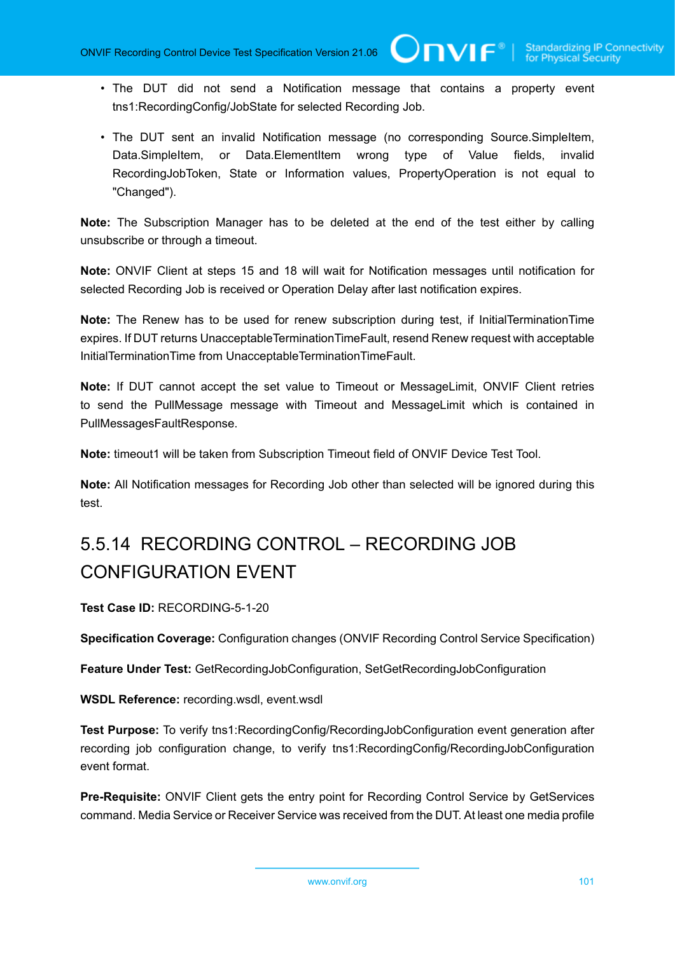- The DUT did not send a Notification message that contains a property event tns1:RecordingConfig/JobState for selected Recording Job.
- The DUT sent an invalid Notification message (no corresponding Source.SimpleItem, Data.SimpleItem, or Data.ElementItem wrong type of Value fields, invalid RecordingJobToken, State or Information values, PropertyOperation is not equal to "Changed").

**Note:** The Subscription Manager has to be deleted at the end of the test either by calling unsubscribe or through a timeout.

**Note:** ONVIF Client at steps 15 and 18 will wait for Notification messages until notification for selected Recording Job is received or Operation Delay after last notification expires.

**Note:** The Renew has to be used for renew subscription during test, if InitialTerminationTime expires. If DUT returns UnacceptableTerminationTimeFault, resend Renew request with acceptable InitialTerminationTime from UnacceptableTerminationTimeFault.

**Note:** If DUT cannot accept the set value to Timeout or MessageLimit, ONVIF Client retries to send the PullMessage message with Timeout and MessageLimit which is contained in PullMessagesFaultResponse.

**Note:** timeout1 will be taken from Subscription Timeout field of ONVIF Device Test Tool.

**Note:** All Notification messages for Recording Job other than selected will be ignored during this test.

# 5.5.14 RECORDING CONTROL – RECORDING JOB CONFIGURATION EVENT

**Test Case ID:** RECORDING-5-1-20

**Specification Coverage:** Configuration changes (ONVIF Recording Control Service Specification)

**Feature Under Test:** GetRecordingJobConfiguration, SetGetRecordingJobConfiguration

**WSDL Reference:** recording.wsdl, event.wsdl

**Test Purpose:** To verify tns1:RecordingConfig/RecordingJobConfiguration event generation after recording job configuration change, to verify tns1:RecordingConfig/RecordingJobConfiguration event format.

**Pre-Requisite:** ONVIF Client gets the entry point for Recording Control Service by GetServices command. Media Service or Receiver Service was received from the DUT. At least one media profile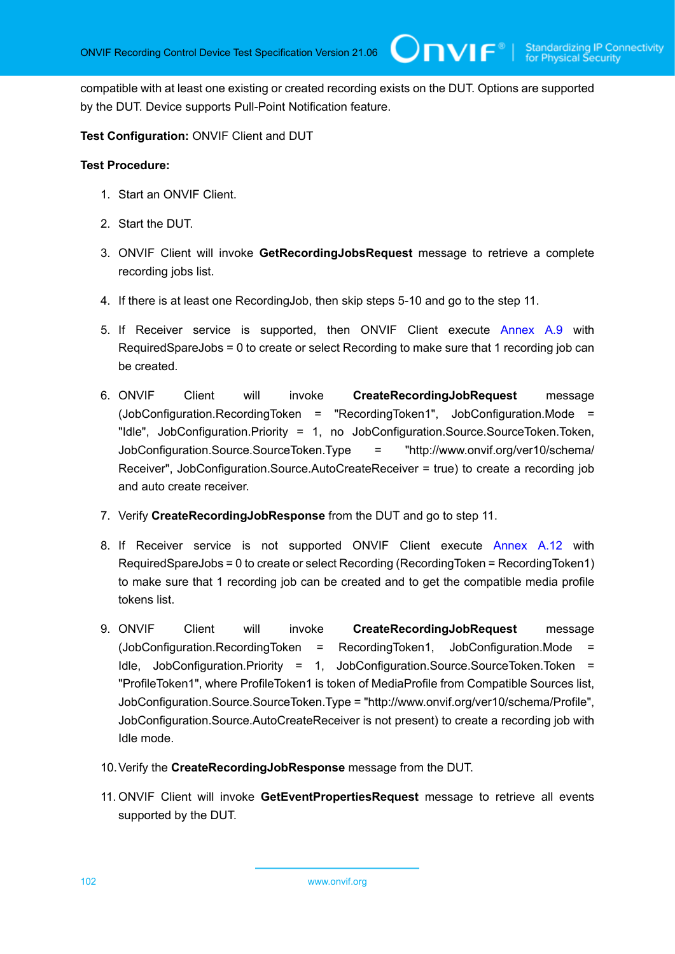compatible with at least one existing or created recording exists on the DUT. Options are supported by the DUT. Device supports Pull-Point Notification feature.

 $\mathbf{U}\mathbf{D}\mathbf{V}\mathbf{I}\mathbf{F}^*$ l

#### **Test Configuration:** ONVIF Client and DUT

#### **Test Procedure:**

- 1. Start an ONVIF Client.
- 2. Start the DUT.
- 3. ONVIF Client will invoke **GetRecordingJobsRequest** message to retrieve a complete recording jobs list.
- 4. If there is at least one RecordingJob, then skip steps 5-10 and go to the step 11.
- 5. If Receiver service is supported, then ONVIF Client execute [Annex A.9](#page-109-1) with RequiredSpareJobs = 0 to create or select Recording to make sure that 1 recording job can be created.
- 6. ONVIF Client will invoke **CreateRecordingJobRequest** message (JobConfiguration.RecordingToken = "RecordingToken1", JobConfiguration.Mode = "Idle", JobConfiguration.Priority = 1, no JobConfiguration.Source.SourceToken.Token, JobConfiguration.Source.SourceToken.Type = "http://www.onvif.org/ver10/schema/ Receiver", JobConfiguration.Source.AutoCreateReceiver = true) to create a recording job and auto create receiver.
- 7. Verify **CreateRecordingJobResponse** from the DUT and go to step 11.
- 8. If Receiver service is not supported ONVIF Client execute [Annex A.12](#page-112-1) with RequiredSpareJobs = 0 to create or select Recording (RecordingToken = RecordingToken1) to make sure that 1 recording job can be created and to get the compatible media profile tokens list.
- 9. ONVIF Client will invoke **CreateRecordingJobRequest** message (JobConfiguration.RecordingToken = RecordingToken1, JobConfiguration.Mode = Idle, JobConfiguration.Priority = 1, JobConfiguration.Source.SourceToken.Token = "ProfileToken1", where ProfileToken1 is token of MediaProfile from Compatible Sources list, JobConfiguration.Source.SourceToken.Type = "http://www.onvif.org/ver10/schema/Profile", JobConfiguration.Source.AutoCreateReceiver is not present) to create a recording job with Idle mode.
- 10.Verify the **CreateRecordingJobResponse** message from the DUT.
- 11. ONVIF Client will invoke **GetEventPropertiesRequest** message to retrieve all events supported by the DUT.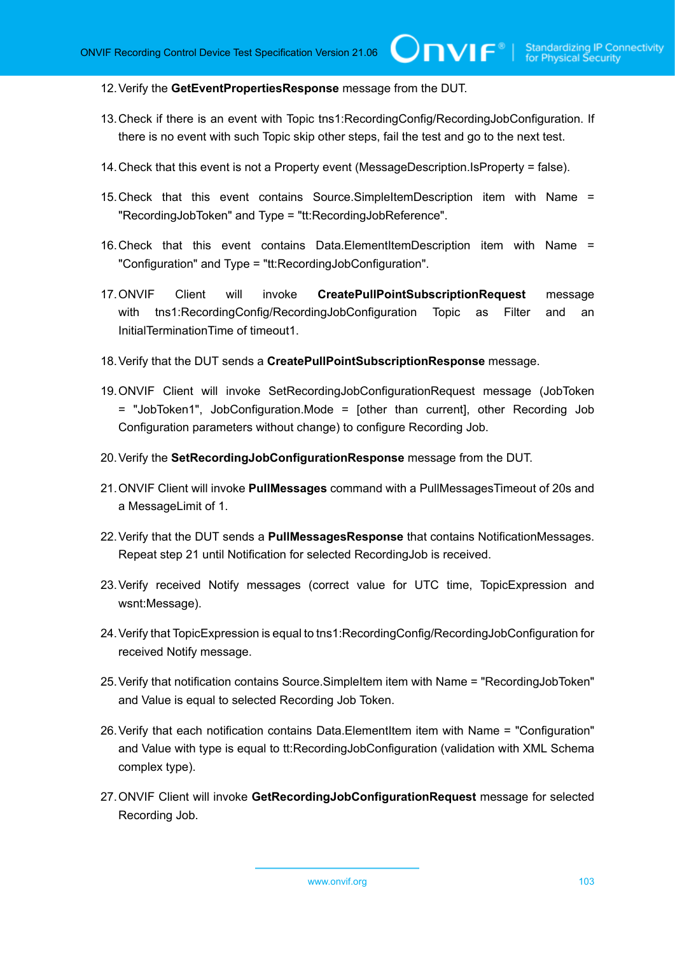12.Verify the **GetEventPropertiesResponse** message from the DUT.

- 13.Check if there is an event with Topic tns1:RecordingConfig/RecordingJobConfiguration. If there is no event with such Topic skip other steps, fail the test and go to the next test.
- 14.Check that this event is not a Property event (MessageDescription.IsProperty = false).
- 15.Check that this event contains Source.SimpleItemDescription item with Name = "RecordingJobToken" and Type = "tt:RecordingJobReference".
- 16.Check that this event contains Data.ElementItemDescription item with Name = "Configuration" and Type = "tt:RecordingJobConfiguration".
- 17.ONVIF Client will invoke **CreatePullPointSubscriptionRequest** message with tns1:RecordingConfig/RecordingJobConfiguration Topic as Filter and an InitialTerminationTime of timeout1.
- 18.Verify that the DUT sends a **CreatePullPointSubscriptionResponse** message.
- 19.ONVIF Client will invoke SetRecordingJobConfigurationRequest message (JobToken = "JobToken1", JobConfiguration.Mode = [other than current], other Recording Job Configuration parameters without change) to configure Recording Job.
- 20.Verify the **SetRecordingJobConfigurationResponse** message from the DUT.
- 21.ONVIF Client will invoke **PullMessages** command with a PullMessagesTimeout of 20s and a MessageLimit of 1.
- 22.Verify that the DUT sends a **PullMessagesResponse** that contains NotificationMessages. Repeat step 21 until Notification for selected RecordingJob is received.
- 23.Verify received Notify messages (correct value for UTC time, TopicExpression and wsnt:Message).
- 24.Verify that TopicExpression is equal to tns1:RecordingConfig/RecordingJobConfiguration for received Notify message.
- 25.Verify that notification contains Source.SimpleItem item with Name = "RecordingJobToken" and Value is equal to selected Recording Job Token.
- 26.Verify that each notification contains Data.ElementItem item with Name = "Configuration" and Value with type is equal to tt:RecordingJobConfiguration (validation with XML Schema complex type).
- 27.ONVIF Client will invoke **GetRecordingJobConfigurationRequest** message for selected Recording Job.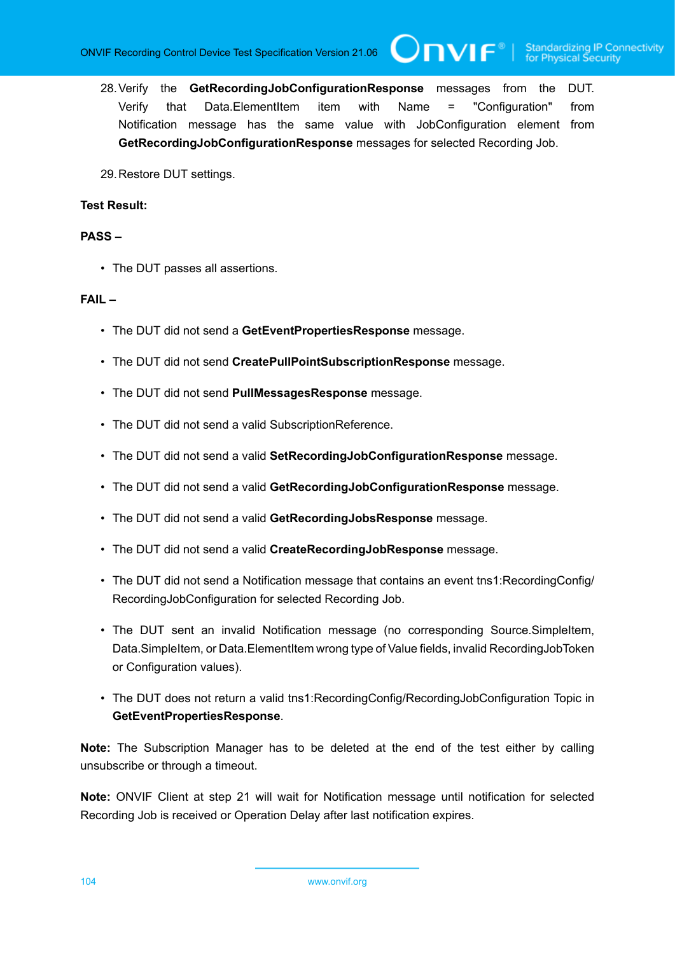**TVIF**®

- 28.Verify the **GetRecordingJobConfigurationResponse** messages from the DUT. Verify that Data.ElementItem item with Name = "Configuration" from Notification message has the same value with JobConfiguration element from **GetRecordingJobConfigurationResponse** messages for selected Recording Job.
- 29.Restore DUT settings.

#### **Test Result:**

#### **PASS –**

• The DUT passes all assertions.

#### **FAIL –**

- The DUT did not send a **GetEventPropertiesResponse** message.
- The DUT did not send **CreatePullPointSubscriptionResponse** message.
- The DUT did not send **PullMessagesResponse** message.
- The DUT did not send a valid SubscriptionReference.
- The DUT did not send a valid **SetRecordingJobConfigurationResponse** message.
- The DUT did not send a valid **GetRecordingJobConfigurationResponse** message.
- The DUT did not send a valid **GetRecordingJobsResponse** message.
- The DUT did not send a valid **CreateRecordingJobResponse** message.
- The DUT did not send a Notification message that contains an event tns1:RecordingConfig/ RecordingJobConfiguration for selected Recording Job.
- The DUT sent an invalid Notification message (no corresponding Source.SimpleItem, Data.SimpleItem, or Data.ElementItem wrong type of Value fields, invalid RecordingJobToken or Configuration values).
- The DUT does not return a valid tns1:RecordingConfig/RecordingJobConfiguration Topic in **GetEventPropertiesResponse**.

**Note:** The Subscription Manager has to be deleted at the end of the test either by calling unsubscribe or through a timeout.

**Note:** ONVIF Client at step 21 will wait for Notification message until notification for selected Recording Job is received or Operation Delay after last notification expires.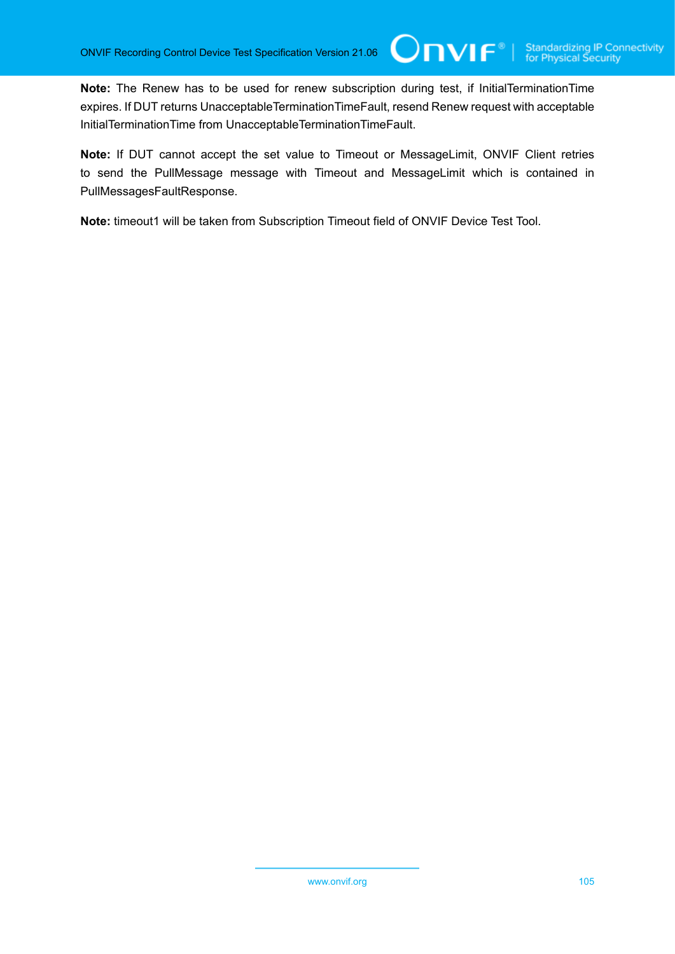**Note:** The Renew has to be used for renew subscription during test, if InitialTerminationTime expires. If DUT returns UnacceptableTerminationTimeFault, resend Renew request with acceptable InitialTerminationTime from UnacceptableTerminationTimeFault.

Unvıғ®

**Note:** If DUT cannot accept the set value to Timeout or MessageLimit, ONVIF Client retries to send the PullMessage message with Timeout and MessageLimit which is contained in PullMessagesFaultResponse.

**Note:** timeout1 will be taken from Subscription Timeout field of ONVIF Device Test Tool.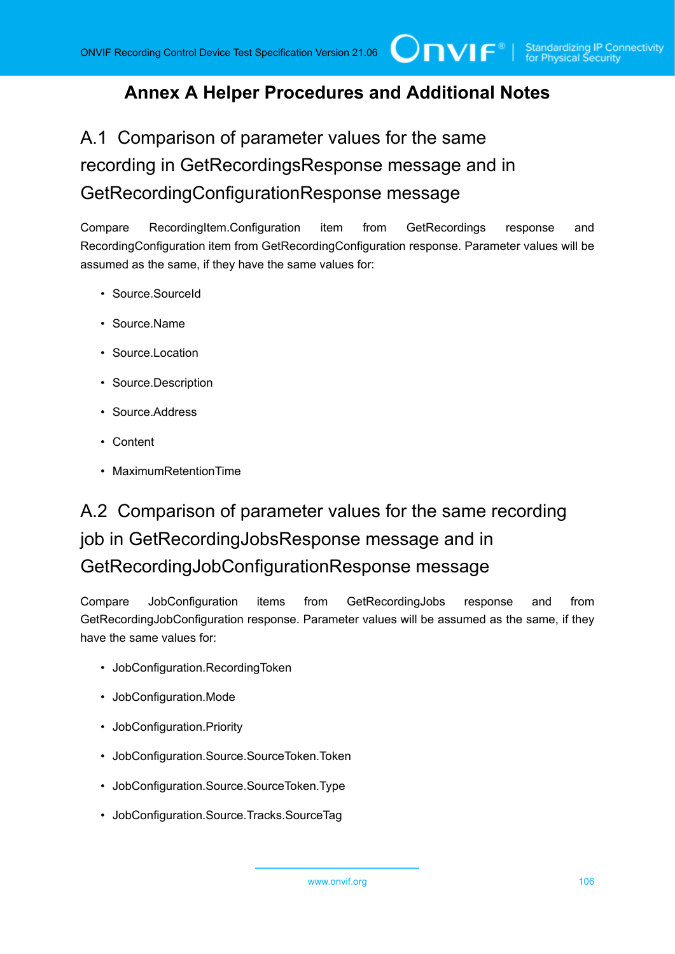### **Annex A Helper Procedures and Additional Notes**

A.1 Comparison of parameter values for the same recording in GetRecordingsResponse message and in GetRecordingConfigurationResponse message

Compare RecordingItem.Configuration item from GetRecordings response and RecordingConfiguration item from GetRecordingConfiguration response. Parameter values will be assumed as the same, if they have the same values for:

- Source.SourceId
- Source.Name
- Source.Location
- Source.Description
- Source.Address
- Content
- MaximumRetentionTime

# A.2 Comparison of parameter values for the same recording job in GetRecordingJobsResponse message and in GetRecordingJobConfigurationResponse message

Compare JobConfiguration items from GetRecordingJobs response and from GetRecordingJobConfiguration response. Parameter values will be assumed as the same, if they have the same values for:

- JobConfiguration.RecordingToken
- JobConfiguration.Mode
- JobConfiguration.Priority
- JobConfiguration.Source.SourceToken.Token
- JobConfiguration.Source.SourceToken.Type
- JobConfiguration.Source.Tracks.SourceTag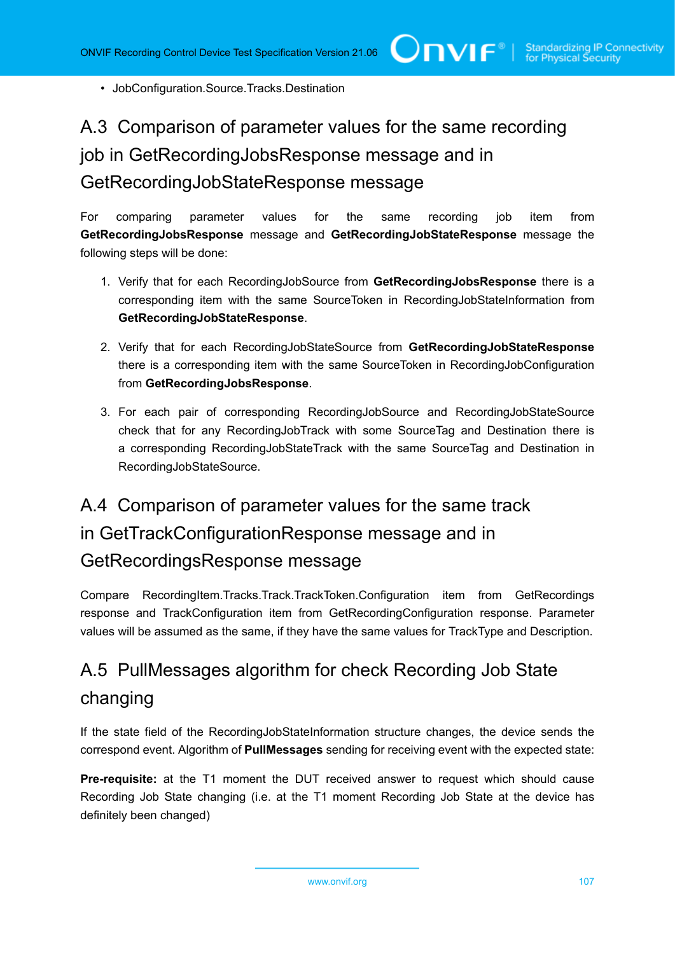• JobConfiguration.Source.Tracks.Destination

# A.3 Comparison of parameter values for the same recording job in GetRecordingJobsResponse message and in GetRecordingJobStateResponse message

For comparing parameter values for the same recording job item from **GetRecordingJobsResponse** message and **GetRecordingJobStateResponse** message the following steps will be done:

- 1. Verify that for each RecordingJobSource from **GetRecordingJobsResponse** there is a corresponding item with the same SourceToken in RecordingJobStateInformation from **GetRecordingJobStateResponse**.
- 2. Verify that for each RecordingJobStateSource from **GetRecordingJobStateResponse** there is a corresponding item with the same SourceToken in RecordingJobConfiguration from **GetRecordingJobsResponse**.
- 3. For each pair of corresponding RecordingJobSource and RecordingJobStateSource check that for any RecordingJobTrack with some SourceTag and Destination there is a corresponding RecordingJobStateTrack with the same SourceTag and Destination in RecordingJobStateSource.

# A.4 Comparison of parameter values for the same track in GetTrackConfigurationResponse message and in GetRecordingsResponse message

Compare RecordingItem.Tracks.Track.TrackToken.Configuration item from GetRecordings response and TrackConfiguration item from GetRecordingConfiguration response. Parameter values will be assumed as the same, if they have the same values for TrackType and Description.

# A.5 PullMessages algorithm for check Recording Job State changing

If the state field of the RecordingJobStateInformation structure changes, the device sends the correspond event. Algorithm of **PullMessages** sending for receiving event with the expected state:

**Pre-requisite:** at the T1 moment the DUT received answer to request which should cause Recording Job State changing (i.e. at the T1 moment Recording Job State at the device has definitely been changed)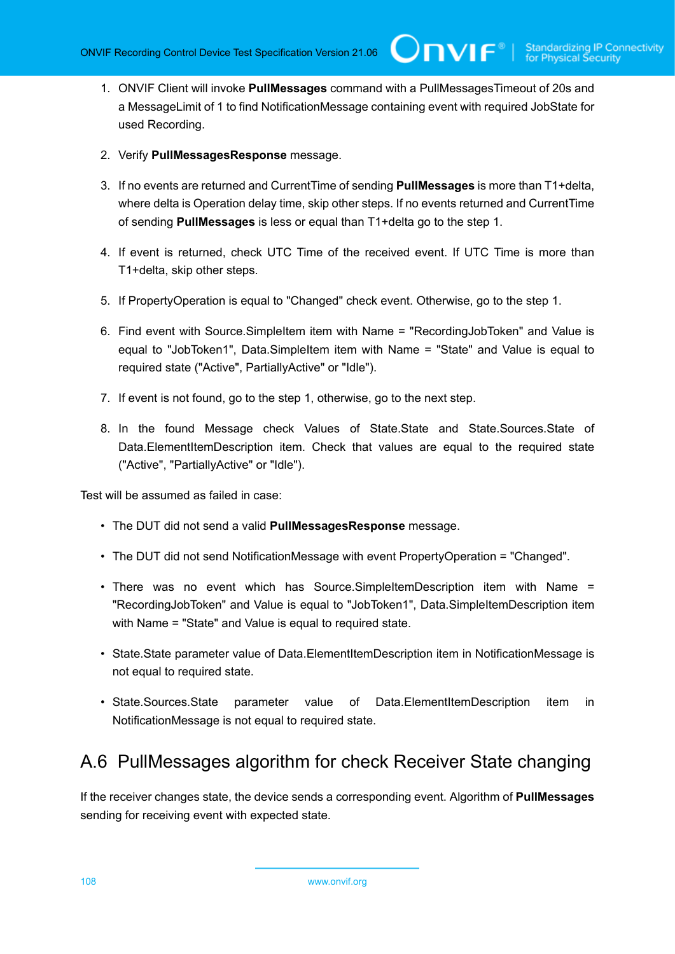1. ONVIF Client will invoke **PullMessages** command with a PullMessagesTimeout of 20s and a MessageLimit of 1 to find NotificationMessage containing event with required JobState for used Recording.

 $\mathsf{Cnv}$ ı $\mathsf{F}^\ast$ l

- 2. Verify **PullMessagesResponse** message.
- 3. If no events are returned and CurrentTime of sending **PullMessages** is more than T1+delta, where delta is Operation delay time, skip other steps. If no events returned and CurrentTime of sending **PullMessages** is less or equal than T1+delta go to the step 1.
- 4. If event is returned, check UTC Time of the received event. If UTC Time is more than T1+delta, skip other steps.
- 5. If PropertyOperation is equal to "Changed" check event. Otherwise, go to the step 1.
- 6. Find event with Source.SimpleItem item with Name = "RecordingJobToken" and Value is equal to "JobToken1", Data.SimpleItem item with Name = "State" and Value is equal to required state ("Active", PartiallyActive" or "Idle").
- 7. If event is not found, go to the step 1, otherwise, go to the next step.
- 8. In the found Message check Values of State.State and State.Sources.State of Data.ElementItemDescription item. Check that values are equal to the required state ("Active", "PartiallyActive" or "Idle").

Test will be assumed as failed in case:

- The DUT did not send a valid **PullMessagesResponse** message.
- The DUT did not send NotificationMessage with event PropertyOperation = "Changed".
- There was no event which has Source.SimpleItemDescription item with Name = "RecordingJobToken" and Value is equal to "JobToken1", Data.SimpleItemDescription item with Name = "State" and Value is equal to required state.
- State.State parameter value of Data.ElementItemDescription item in NotificationMessage is not equal to required state.
- State.Sources.State parameter value of Data.ElementItemDescription item in NotificationMessage is not equal to required state.

### A.6 PullMessages algorithm for check Receiver State changing

If the receiver changes state, the device sends a corresponding event. Algorithm of **PullMessages** sending for receiving event with expected state.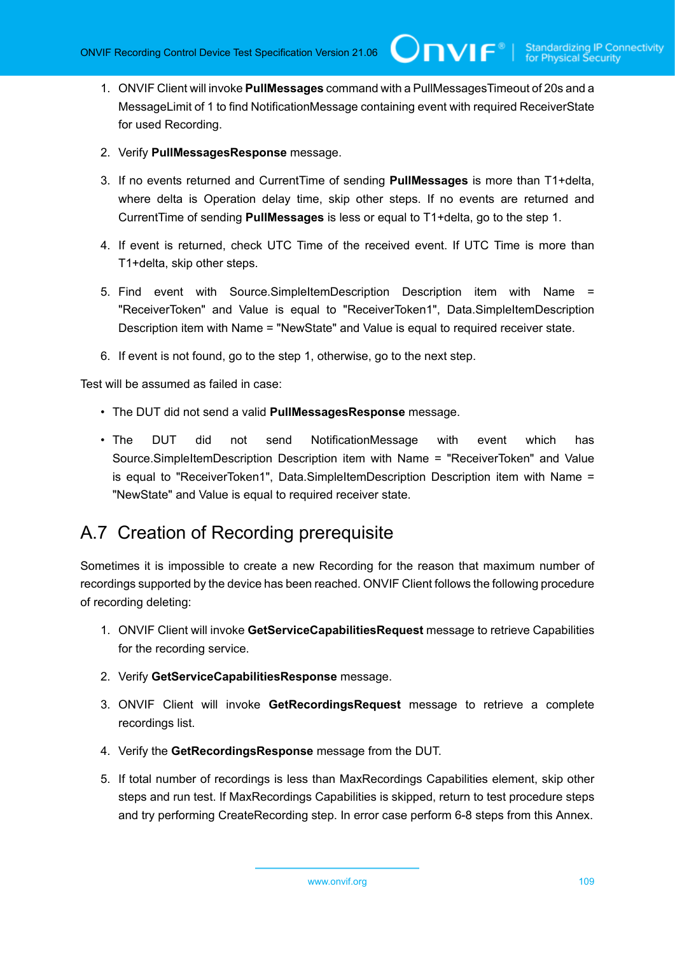- 1. ONVIF Client will invoke **PullMessages** command with a PullMessagesTimeout of 20s and a MessageLimit of 1 to find NotificationMessage containing event with required ReceiverState for used Recording.
- 2. Verify **PullMessagesResponse** message.
- 3. If no events returned and CurrentTime of sending **PullMessages** is more than T1+delta, where delta is Operation delay time, skip other steps. If no events are returned and CurrentTime of sending **PullMessages** is less or equal to T1+delta, go to the step 1.
- 4. If event is returned, check UTC Time of the received event. If UTC Time is more than T1+delta, skip other steps.
- 5. Find event with Source.SimpleItemDescription Description item with Name = "ReceiverToken" and Value is equal to "ReceiverToken1", Data.SimpleItemDescription Description item with Name = "NewState" and Value is equal to required receiver state.
- 6. If event is not found, go to the step 1, otherwise, go to the next step.

Test will be assumed as failed in case:

- The DUT did not send a valid **PullMessagesResponse** message.
- The DUT did not send NotificationMessage with event which has Source.SimpleItemDescription Description item with Name = "ReceiverToken" and Value is equal to "ReceiverToken1", Data.SimpleItemDescription Description item with Name = "NewState" and Value is equal to required receiver state.

#### A.7 Creation of Recording prerequisite

Sometimes it is impossible to create a new Recording for the reason that maximum number of recordings supported by the device has been reached. ONVIF Client follows the following procedure of recording deleting:

- 1. ONVIF Client will invoke **GetServiceCapabilitiesRequest** message to retrieve Capabilities for the recording service.
- 2. Verify **GetServiceCapabilitiesResponse** message.
- 3. ONVIF Client will invoke **GetRecordingsRequest** message to retrieve a complete recordings list.
- 4. Verify the **GetRecordingsResponse** message from the DUT.
- 5. If total number of recordings is less than MaxRecordings Capabilities element, skip other steps and run test. If MaxRecordings Capabilities is skipped, return to test procedure steps and try performing CreateRecording step. In error case perform 6-8 steps from this Annex.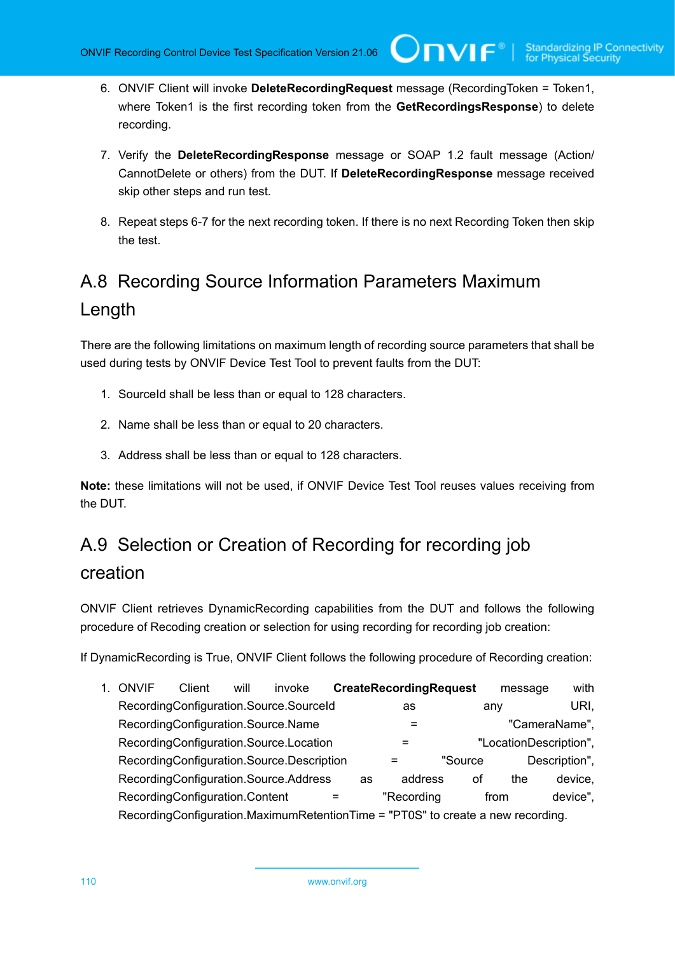6. ONVIF Client will invoke **DeleteRecordingRequest** message (RecordingToken = Token1, where Token1 is the first recording token from the **GetRecordingsResponse**) to delete recording.

 $\bm{\cup}$ NIF $^\circ$ 

- 7. Verify the **DeleteRecordingResponse** message or SOAP 1.2 fault message (Action/ CannotDelete or others) from the DUT. If **DeleteRecordingResponse** message received skip other steps and run test.
- 8. Repeat steps 6-7 for the next recording token. If there is no next Recording Token then skip the test.

# <span id="page-109-0"></span>A.8 Recording Source Information Parameters Maximum Length

There are the following limitations on maximum length of recording source parameters that shall be used during tests by ONVIF Device Test Tool to prevent faults from the DUT:

- 1. SourceId shall be less than or equal to 128 characters.
- 2. Name shall be less than or equal to 20 characters.
- 3. Address shall be less than or equal to 128 characters.

**Note:** these limitations will not be used, if ONVIF Device Test Tool reuses values receiving from the DUT.

### A.9 Selection or Creation of Recording for recording job creation

ONVIF Client retrieves DynamicRecording capabilities from the DUT and follows the following procedure of Recoding creation or selection for using recording for recording job creation:

If DynamicRecording is True, ONVIF Client follows the following procedure of Recording creation:

1. ONVIF Client will invoke **CreateRecordingRequest** message with RecordingConfiguration.Source.SourceId as any URI, RecordingConfiguration.Source.Name =  $=$  "CameraName", RecordingConfiguration.Source.Location = "LocationDescription", RecordingConfiguration.Source.Description = "Source Description", RecordingConfiguration.Source.Address as address of the device, RecordingConfiguration.Content = "Recording from device", RecordingConfiguration.MaximumRetentionTime = "PT0S" to create a new recording.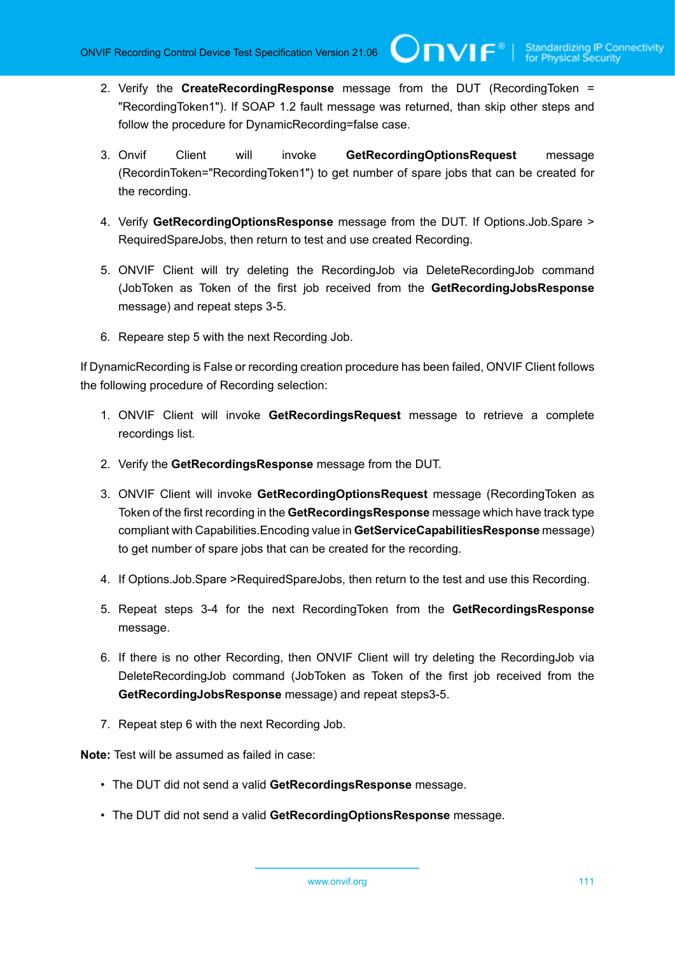- 2. Verify the **CreateRecordingResponse** message from the DUT (RecordingToken = "RecordingToken1"). If SOAP 1.2 fault message was returned, than skip other steps and follow the procedure for DynamicRecording=false case.
- 3. Onvif Client will invoke **GetRecordingOptionsRequest** message (RecordinToken="RecordingToken1") to get number of spare jobs that can be created for the recording.
- 4. Verify **GetRecordingOptionsResponse** message from the DUT. If Options.Job.Spare > RequiredSpareJobs, then return to test and use created Recording.
- 5. ONVIF Client will try deleting the RecordingJob via DeleteRecordingJob command (JobToken as Token of the first job received from the **GetRecordingJobsResponse** message) and repeat steps 3-5.
- 6. Repeare step 5 with the next Recording Job.

If DynamicRecording is False or recording creation procedure has been failed, ONVIF Client follows the following procedure of Recording selection:

- 1. ONVIF Client will invoke **GetRecordingsRequest** message to retrieve a complete recordings list.
- 2. Verify the **GetRecordingsResponse** message from the DUT.
- 3. ONVIF Client will invoke **GetRecordingOptionsRequest** message (RecordingToken as Token of the first recording in the **GetRecordingsResponse** message which have track type compliant with Capabilities.Encoding value in **GetServiceCapabilitiesResponse** message) to get number of spare jobs that can be created for the recording.
- 4. If Options.Job.Spare >RequiredSpareJobs, then return to the test and use this Recording.
- 5. Repeat steps 3-4 for the next RecordingToken from the **GetRecordingsResponse** message.
- 6. If there is no other Recording, then ONVIF Client will try deleting the RecordingJob via DeleteRecordingJob command (JobToken as Token of the first job received from the **GetRecordingJobsResponse** message) and repeat steps3-5.
- 7. Repeat step 6 with the next Recording Job.

**Note:** Test will be assumed as failed in case:

- The DUT did not send a valid **GetRecordingsResponse** message.
- The DUT did not send a valid **GetRecordingOptionsResponse** message.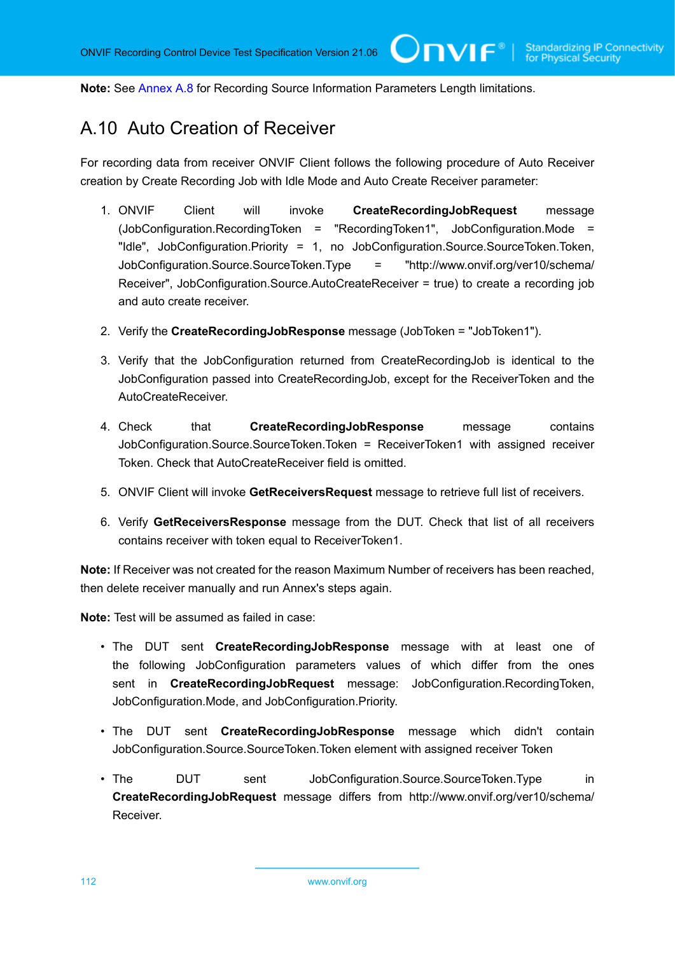**Note:** See [Annex A.8](#page-109-0) for Recording Source Information Parameters Length limitations.

#### A.10 Auto Creation of Receiver

For recording data from receiver ONVIF Client follows the following procedure of Auto Receiver creation by Create Recording Job with Idle Mode and Auto Create Receiver parameter:

- 1. ONVIF Client will invoke **CreateRecordingJobRequest** message (JobConfiguration.RecordingToken = "RecordingToken1", JobConfiguration.Mode = "Idle", JobConfiguration.Priority = 1, no JobConfiguration.Source.SourceToken.Token, JobConfiguration.Source.SourceToken.Type = "http://www.onvif.org/ver10/schema/ Receiver", JobConfiguration.Source.AutoCreateReceiver = true) to create a recording job and auto create receiver.
- 2. Verify the **CreateRecordingJobResponse** message (JobToken = "JobToken1").
- 3. Verify that the JobConfiguration returned from CreateRecordingJob is identical to the JobConfiguration passed into CreateRecordingJob, except for the ReceiverToken and the AutoCreateReceiver.
- 4. Check that **CreateRecordingJobResponse** message contains JobConfiguration.Source.SourceToken.Token = ReceiverToken1 with assigned receiver Token. Check that AutoCreateReceiver field is omitted.
- 5. ONVIF Client will invoke **GetReceiversRequest** message to retrieve full list of receivers.
- 6. Verify **GetReceiversResponse** message from the DUT. Check that list of all receivers contains receiver with token equal to ReceiverToken1.

**Note:** If Receiver was not created for the reason Maximum Number of receivers has been reached, then delete receiver manually and run Annex's steps again.

**Note:** Test will be assumed as failed in case:

- The DUT sent **CreateRecordingJobResponse** message with at least one of the following JobConfiguration parameters values of which differ from the ones sent in **CreateRecordingJobRequest** message: JobConfiguration.RecordingToken, JobConfiguration.Mode, and JobConfiguration.Priority.
- The DUT sent **CreateRecordingJobResponse** message which didn't contain JobConfiguration.Source.SourceToken.Token element with assigned receiver Token
- The DUT sent JobConfiguration.Source.SourceToken.Type in **CreateRecordingJobRequest** message differs from http://www.onvif.org/ver10/schema/ Receiver.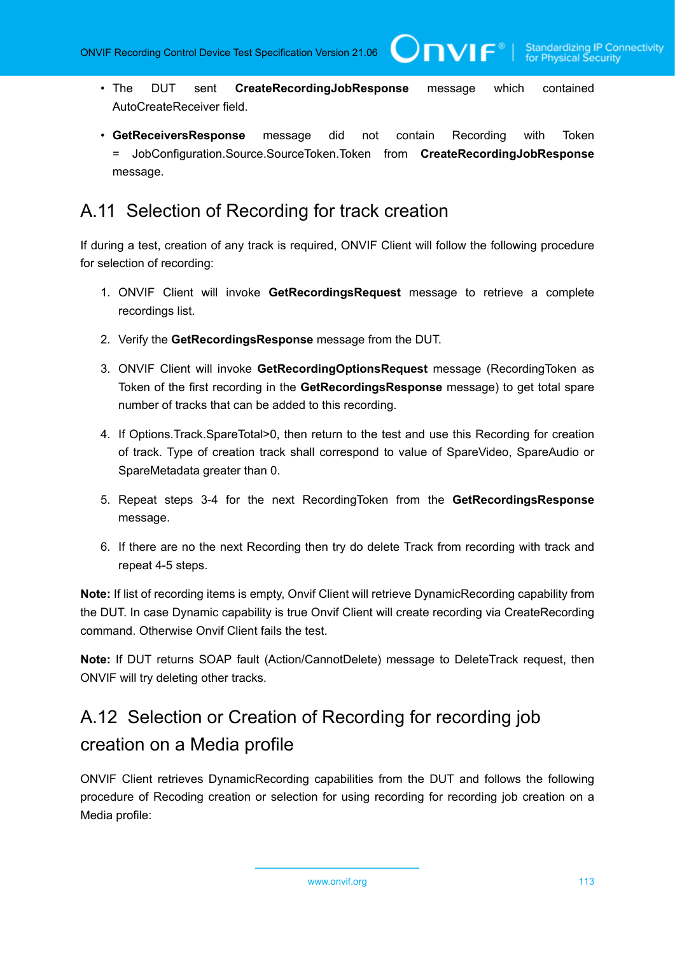WIF®

- The DUT sent **CreateRecordingJobResponse** message which contained AutoCreateReceiver field.
- **GetReceiversResponse** message did not contain Recording with Token = JobConfiguration.Source.SourceToken.Token from **CreateRecordingJobResponse** message.

#### A.11 Selection of Recording for track creation

If during a test, creation of any track is required, ONVIF Client will follow the following procedure for selection of recording:

- 1. ONVIF Client will invoke **GetRecordingsRequest** message to retrieve a complete recordings list.
- 2. Verify the **GetRecordingsResponse** message from the DUT.
- 3. ONVIF Client will invoke **GetRecordingOptionsRequest** message (RecordingToken as Token of the first recording in the **GetRecordingsResponse** message) to get total spare number of tracks that can be added to this recording.
- 4. If Options.Track.SpareTotal>0, then return to the test and use this Recording for creation of track. Type of creation track shall correspond to value of SpareVideo, SpareAudio or SpareMetadata greater than 0.
- 5. Repeat steps 3-4 for the next RecordingToken from the **GetRecordingsResponse** message.
- 6. If there are no the next Recording then try do delete Track from recording with track and repeat 4-5 steps.

**Note:** If list of recording items is empty, Onvif Client will retrieve DynamicRecording capability from the DUT. In case Dynamic capability is true Onvif Client will create recording via CreateRecording command. Otherwise Onvif Client fails the test.

**Note:** If DUT returns SOAP fault (Action/CannotDelete) message to DeleteTrack request, then ONVIF will try deleting other tracks.

### A.12 Selection or Creation of Recording for recording job creation on a Media profile

ONVIF Client retrieves DynamicRecording capabilities from the DUT and follows the following procedure of Recoding creation or selection for using recording for recording job creation on a Media profile: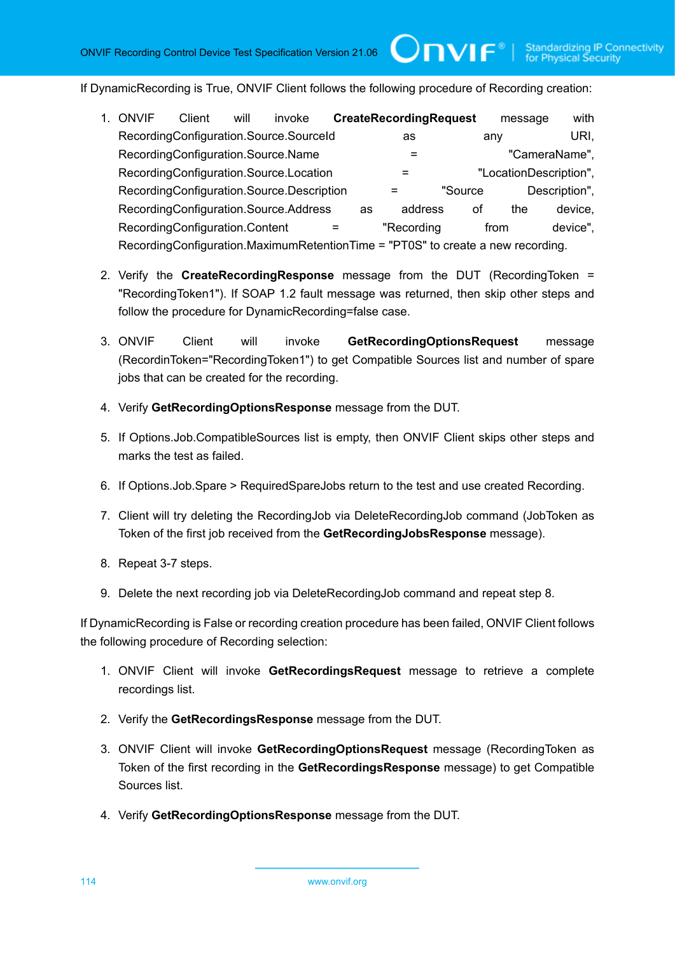TVIF®I

If DynamicRecording is True, ONVIF Client follows the following procedure of Recording creation:

| ONVIF                                                                           | Client | will | invoke                                    |  |    | <b>CreateRecordingRequest</b> |         | message                | with          |
|---------------------------------------------------------------------------------|--------|------|-------------------------------------------|--|----|-------------------------------|---------|------------------------|---------------|
|                                                                                 |        |      | RecordingConfiguration.Source.SourceId    |  |    | as                            |         | anv                    | URI.          |
| RecordingConfiguration.Source.Name                                              |        |      |                                           |  |    | "CameraName",<br>$\equiv$     |         |                        |               |
|                                                                                 |        |      | RecordingConfiguration.Source.Location    |  |    |                               |         | "LocationDescription", |               |
|                                                                                 |        |      | RecordingConfiguration.Source.Description |  |    |                               | "Source |                        | Description", |
|                                                                                 |        |      | RecordingConfiguration.Source.Address     |  | as | address                       | οf      | the                    | device,       |
| RecordingConfiguration.Content                                                  |        |      |                                           |  |    | "Recording                    |         | from                   | device".      |
| RecordingConfiguration.MaximumRetentionTime = "PT0S" to create a new recording. |        |      |                                           |  |    |                               |         |                        |               |

- 2. Verify the **CreateRecordingResponse** message from the DUT (RecordingToken = "RecordingToken1"). If SOAP 1.2 fault message was returned, then skip other steps and follow the procedure for DynamicRecording=false case.
- 3. ONVIF Client will invoke **GetRecordingOptionsRequest** message (RecordinToken="RecordingToken1") to get Compatible Sources list and number of spare jobs that can be created for the recording.
- 4. Verify **GetRecordingOptionsResponse** message from the DUT.
- 5. If Options.Job.CompatibleSources list is empty, then ONVIF Client skips other steps and marks the test as failed.
- 6. If Options.Job.Spare > RequiredSpareJobs return to the test and use created Recording.
- 7. Client will try deleting the RecordingJob via DeleteRecordingJob command (JobToken as Token of the first job received from the **GetRecordingJobsResponse** message).
- 8. Repeat 3-7 steps.
- 9. Delete the next recording job via DeleteRecordingJob command and repeat step 8.

If DynamicRecording is False or recording creation procedure has been failed, ONVIF Client follows the following procedure of Recording selection:

- 1. ONVIF Client will invoke **GetRecordingsRequest** message to retrieve a complete recordings list.
- 2. Verify the **GetRecordingsResponse** message from the DUT.
- 3. ONVIF Client will invoke **GetRecordingOptionsRequest** message (RecordingToken as Token of the first recording in the **GetRecordingsResponse** message) to get Compatible Sources list.
- 4. Verify **GetRecordingOptionsResponse** message from the DUT.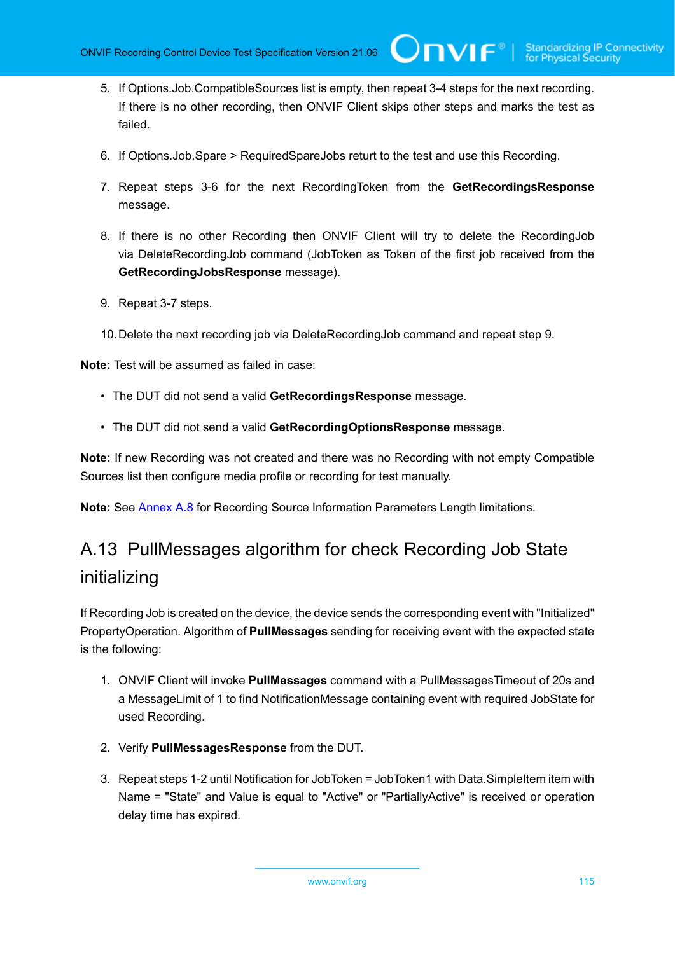5. If Options.Job.CompatibleSources list is empty, then repeat 3-4 steps for the next recording. If there is no other recording, then ONVIF Client skips other steps and marks the test as failed.

 $\bigcup$ NVIF $^\circ$ l

- 6. If Options.Job.Spare > RequiredSpareJobs returt to the test and use this Recording.
- 7. Repeat steps 3-6 for the next RecordingToken from the **GetRecordingsResponse** message.
- 8. If there is no other Recording then ONVIF Client will try to delete the RecordingJob via DeleteRecordingJob command (JobToken as Token of the first job received from the **GetRecordingJobsResponse** message).
- 9. Repeat 3-7 steps.
- 10.Delete the next recording job via DeleteRecordingJob command and repeat step 9.

**Note:** Test will be assumed as failed in case:

- The DUT did not send a valid **GetRecordingsResponse** message.
- The DUT did not send a valid **GetRecordingOptionsResponse** message.

**Note:** If new Recording was not created and there was no Recording with not empty Compatible Sources list then configure media profile or recording for test manually.

**Note:** See [Annex A.8](#page-109-0) for Recording Source Information Parameters Length limitations.

## A.13 PullMessages algorithm for check Recording Job State initializing

If Recording Job is created on the device, the device sends the corresponding event with "Initialized" PropertyOperation. Algorithm of **PullMessages** sending for receiving event with the expected state is the following:

- 1. ONVIF Client will invoke **PullMessages** command with a PullMessagesTimeout of 20s and a MessageLimit of 1 to find NotificationMessage containing event with required JobState for used Recording.
- 2. Verify **PullMessagesResponse** from the DUT.
- 3. Repeat steps 1-2 until Notification for JobToken = JobToken1 with Data.SimpleItem item with Name = "State" and Value is equal to "Active" or "PartiallyActive" is received or operation delay time has expired.